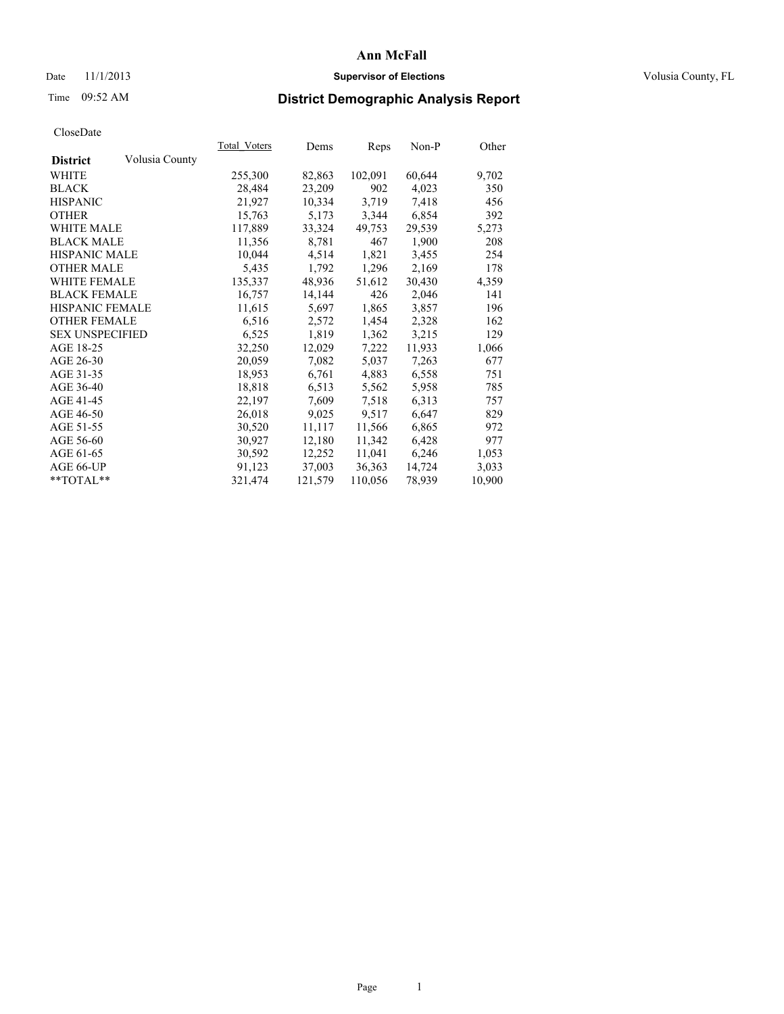### Date 11/1/2013 **Supervisor of Elections Supervisor of Elections** Volusia County, FL

## Time 09:52 AM **District Demographic Analysis Report**

|                        |                | Total Voters | Dems    | <b>Reps</b> | $Non-P$ | Other  |
|------------------------|----------------|--------------|---------|-------------|---------|--------|
| <b>District</b>        | Volusia County |              |         |             |         |        |
| WHITE                  |                | 255,300      | 82,863  | 102,091     | 60,644  | 9,702  |
| <b>BLACK</b>           |                | 28,484       | 23,209  | 902         | 4,023   | 350    |
| <b>HISPANIC</b>        |                | 21,927       | 10,334  | 3,719       | 7.418   | 456    |
| <b>OTHER</b>           |                | 15,763       | 5,173   | 3,344       | 6,854   | 392    |
| WHITE MALE             |                | 117,889      | 33,324  | 49,753      | 29,539  | 5,273  |
| <b>BLACK MALE</b>      |                | 11,356       | 8,781   | 467         | 1,900   | 208    |
| <b>HISPANIC MALE</b>   |                | 10,044       | 4,514   | 1,821       | 3,455   | 254    |
| <b>OTHER MALE</b>      |                | 5,435        | 1,792   | 1,296       | 2,169   | 178    |
| <b>WHITE FEMALE</b>    |                | 135,337      | 48,936  | 51,612      | 30,430  | 4,359  |
| <b>BLACK FEMALE</b>    |                | 16,757       | 14,144  | 426         | 2,046   | 141    |
| <b>HISPANIC FEMALE</b> |                | 11,615       | 5,697   | 1,865       | 3,857   | 196    |
| <b>OTHER FEMALE</b>    |                | 6,516        | 2,572   | 1,454       | 2,328   | 162    |
| <b>SEX UNSPECIFIED</b> |                | 6,525        | 1,819   | 1,362       | 3,215   | 129    |
| AGE 18-25              |                | 32,250       | 12,029  | 7,222       | 11,933  | 1,066  |
| AGE 26-30              |                | 20,059       | 7,082   | 5,037       | 7,263   | 677    |
| AGE 31-35              |                | 18,953       | 6,761   | 4,883       | 6,558   | 751    |
| AGE 36-40              |                | 18,818       | 6,513   | 5,562       | 5,958   | 785    |
| AGE 41-45              |                | 22,197       | 7,609   | 7.518       | 6,313   | 757    |
| AGE 46-50              |                | 26,018       | 9,025   | 9,517       | 6,647   | 829    |
| AGE 51-55              |                | 30,520       | 11,117  | 11,566      | 6,865   | 972    |
| AGE 56-60              |                | 30,927       | 12,180  | 11,342      | 6,428   | 977    |
| AGE 61-65              |                | 30,592       | 12,252  | 11,041      | 6,246   | 1,053  |
| AGE 66-UP              |                | 91,123       | 37,003  | 36,363      | 14,724  | 3,033  |
| $*$ TOTAL $*$          |                | 321,474      | 121,579 | 110,056     | 78,939  | 10,900 |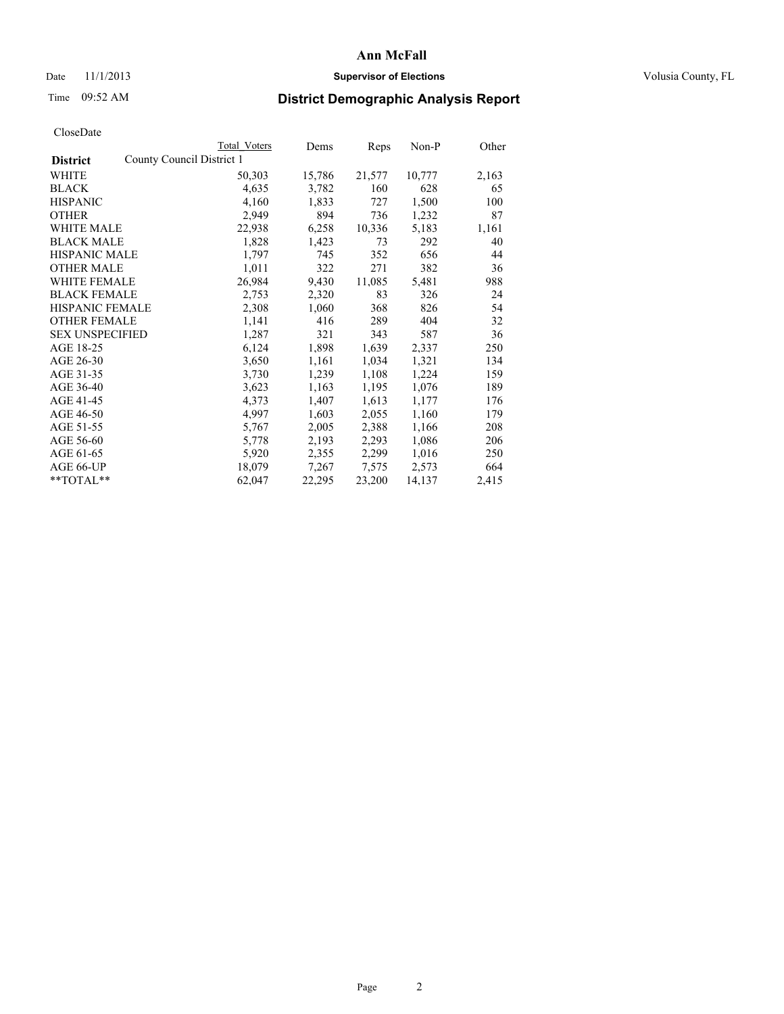### Date 11/1/2013 **Supervisor of Elections Supervisor of Elections** Volusia County, FL

# Time 09:52 AM **District Demographic Analysis Report**

|                                              | <b>Total Voters</b> | Dems   | Reps   | Non-P  | Other |
|----------------------------------------------|---------------------|--------|--------|--------|-------|
| County Council District 1<br><b>District</b> |                     |        |        |        |       |
| <b>WHITE</b>                                 | 50,303              | 15,786 | 21,577 | 10,777 | 2,163 |
| <b>BLACK</b>                                 | 4,635               | 3,782  | 160    | 628    | 65    |
| <b>HISPANIC</b>                              | 4,160               | 1,833  | 727    | 1,500  | 100   |
| <b>OTHER</b>                                 | 2,949               | 894    | 736    | 1,232  | 87    |
| <b>WHITE MALE</b>                            | 22,938              | 6,258  | 10,336 | 5,183  | 1,161 |
| <b>BLACK MALE</b>                            | 1,828               | 1,423  | 73     | 292    | 40    |
| <b>HISPANIC MALE</b>                         | 1,797               | 745    | 352    | 656    | 44    |
| <b>OTHER MALE</b>                            | 1,011               | 322    | 271    | 382    | 36    |
| <b>WHITE FEMALE</b>                          | 26,984              | 9,430  | 11,085 | 5,481  | 988   |
| <b>BLACK FEMALE</b>                          | 2,753               | 2,320  | 83     | 326    | 24    |
| <b>HISPANIC FEMALE</b>                       | 2,308               | 1,060  | 368    | 826    | 54    |
| <b>OTHER FEMALE</b>                          | 1,141               | 416    | 289    | 404    | 32    |
| <b>SEX UNSPECIFIED</b>                       | 1,287               | 321    | 343    | 587    | 36    |
| AGE 18-25                                    | 6,124               | 1,898  | 1,639  | 2,337  | 250   |
| AGE 26-30                                    | 3,650               | 1,161  | 1,034  | 1,321  | 134   |
| AGE 31-35                                    | 3,730               | 1,239  | 1,108  | 1,224  | 159   |
| AGE 36-40                                    | 3,623               | 1,163  | 1,195  | 1,076  | 189   |
| AGE 41-45                                    | 4,373               | 1,407  | 1,613  | 1,177  | 176   |
| AGE 46-50                                    | 4,997               | 1,603  | 2,055  | 1,160  | 179   |
| AGE 51-55                                    | 5,767               | 2,005  | 2,388  | 1,166  | 208   |
| AGE 56-60                                    | 5,778               | 2,193  | 2,293  | 1,086  | 206   |
| AGE 61-65                                    | 5,920               | 2,355  | 2,299  | 1,016  | 250   |
| AGE 66-UP                                    | 18,079              | 7,267  | 7,575  | 2,573  | 664   |
| $*$ $TOTAL**$                                | 62,047              | 22,295 | 23,200 | 14,137 | 2,415 |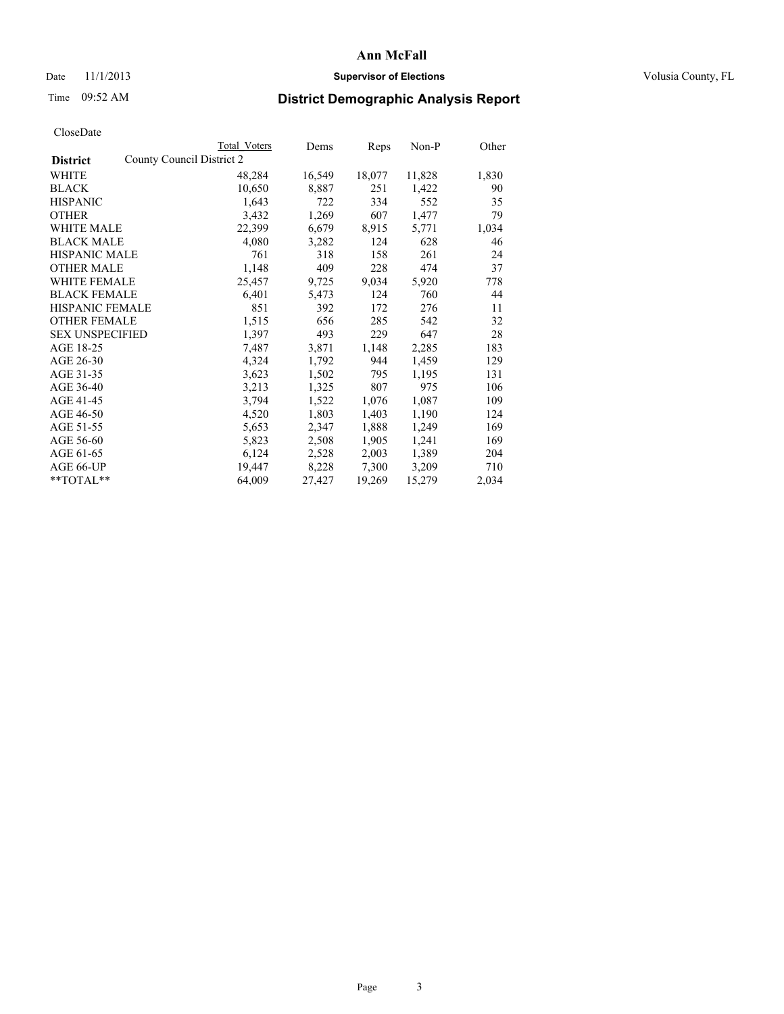### Date 11/1/2013 **Supervisor of Elections Supervisor of Elections** Volusia County, FL

# Time 09:52 AM **District Demographic Analysis Report**

|                                              | Total Voters | Dems   | Reps   | Non-P  | Other |
|----------------------------------------------|--------------|--------|--------|--------|-------|
| County Council District 2<br><b>District</b> |              |        |        |        |       |
| <b>WHITE</b>                                 | 48,284       | 16,549 | 18,077 | 11,828 | 1,830 |
| <b>BLACK</b>                                 | 10,650       | 8,887  | 251    | 1,422  | 90    |
| <b>HISPANIC</b>                              | 1,643        | 722    | 334    | 552    | 35    |
| <b>OTHER</b>                                 | 3,432        | 1,269  | 607    | 1,477  | 79    |
| <b>WHITE MALE</b>                            | 22,399       | 6,679  | 8,915  | 5,771  | 1,034 |
| <b>BLACK MALE</b>                            | 4,080        | 3,282  | 124    | 628    | 46    |
| <b>HISPANIC MALE</b>                         | 761          | 318    | 158    | 261    | 24    |
| <b>OTHER MALE</b>                            | 1,148        | 409    | 228    | 474    | 37    |
| <b>WHITE FEMALE</b>                          | 25,457       | 9,725  | 9,034  | 5,920  | 778   |
| <b>BLACK FEMALE</b>                          | 6,401        | 5,473  | 124    | 760    | 44    |
| <b>HISPANIC FEMALE</b>                       | 851          | 392    | 172    | 276    | 11    |
| <b>OTHER FEMALE</b>                          | 1,515        | 656    | 285    | 542    | 32    |
| <b>SEX UNSPECIFIED</b>                       | 1,397        | 493    | 229    | 647    | 28    |
| AGE 18-25                                    | 7,487        | 3,871  | 1,148  | 2,285  | 183   |
| AGE 26-30                                    | 4,324        | 1,792  | 944    | 1,459  | 129   |
| AGE 31-35                                    | 3,623        | 1,502  | 795    | 1,195  | 131   |
| AGE 36-40                                    | 3,213        | 1,325  | 807    | 975    | 106   |
| AGE 41-45                                    | 3,794        | 1,522  | 1,076  | 1,087  | 109   |
| AGE 46-50                                    | 4,520        | 1,803  | 1,403  | 1,190  | 124   |
| AGE 51-55                                    | 5,653        | 2,347  | 1,888  | 1,249  | 169   |
| AGE 56-60                                    | 5,823        | 2,508  | 1,905  | 1,241  | 169   |
| AGE 61-65                                    | 6,124        | 2,528  | 2,003  | 1,389  | 204   |
| AGE 66-UP                                    | 19,447       | 8,228  | 7,300  | 3,209  | 710   |
| $*$ $TOTAL**$                                | 64,009       | 27,427 | 19,269 | 15,279 | 2,034 |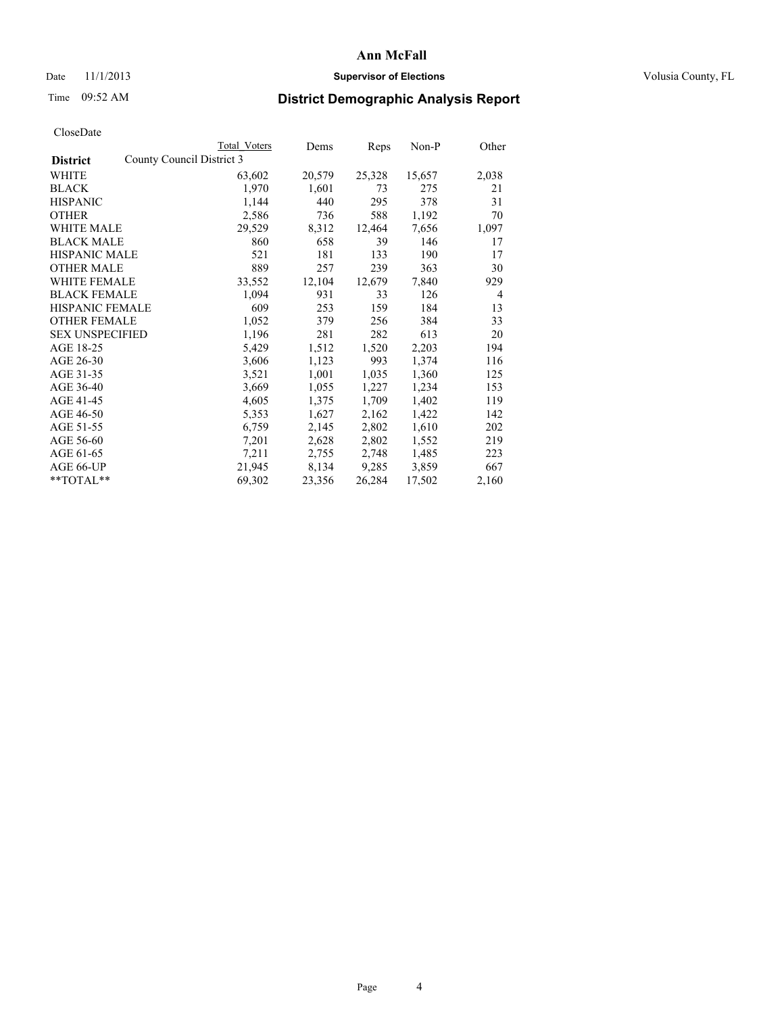### Date 11/1/2013 **Supervisor of Elections Supervisor of Elections** Volusia County, FL

## Time 09:52 AM **District Demographic Analysis Report**

| Total Voters | Dems                      | Reps   | Non-P  | Other          |
|--------------|---------------------------|--------|--------|----------------|
|              |                           |        |        |                |
| 63,602       | 20,579                    | 25,328 | 15,657 | 2,038          |
| 1,970        | 1,601                     | 73     | 275    | 21             |
| 1,144        | 440                       | 295    | 378    | 31             |
| 2,586        | 736                       | 588    | 1,192  | 70             |
| 29,529       | 8,312                     | 12,464 | 7,656  | 1,097          |
| 860          | 658                       | 39     | 146    | 17             |
| 521          | 181                       | 133    | 190    | 17             |
| 889          | 257                       | 239    | 363    | 30             |
| 33,552       | 12,104                    | 12,679 | 7,840  | 929            |
| 1,094        | 931                       | 33     | 126    | $\overline{4}$ |
| 609          | 253                       | 159    | 184    | 13             |
| 1,052        | 379                       | 256    | 384    | 33             |
| 1,196        | 281                       | 282    | 613    | 20             |
| 5,429        | 1,512                     | 1,520  | 2,203  | 194            |
| 3,606        | 1,123                     | 993    | 1,374  | 116            |
| 3,521        | 1,001                     | 1,035  | 1,360  | 125            |
| 3,669        | 1,055                     | 1,227  | 1,234  | 153            |
| 4,605        | 1,375                     | 1,709  | 1,402  | 119            |
| 5,353        | 1,627                     | 2,162  | 1,422  | 142            |
| 6,759        | 2,145                     | 2,802  | 1,610  | 202            |
| 7,201        | 2,628                     | 2,802  | 1,552  | 219            |
| 7,211        | 2,755                     | 2,748  | 1,485  | 223            |
| 21,945       | 8,134                     | 9,285  | 3,859  | 667            |
| 69,302       | 23,356                    | 26,284 | 17,502 | 2,160          |
|              | County Council District 3 |        |        |                |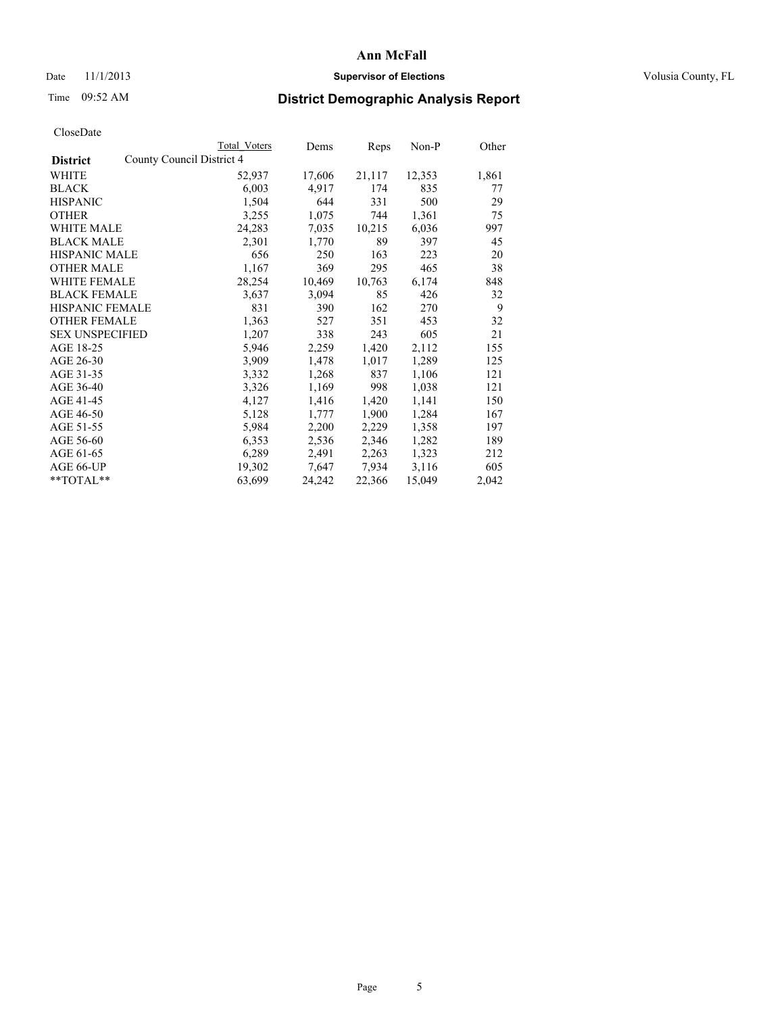### Date 11/1/2013 **Supervisor of Elections Supervisor of Elections** Volusia County, FL

# Time 09:52 AM **District Demographic Analysis Report**

|                                              | Total Voters | Dems   | Reps   | Non-P  | Other |
|----------------------------------------------|--------------|--------|--------|--------|-------|
| County Council District 4<br><b>District</b> |              |        |        |        |       |
| <b>WHITE</b>                                 | 52,937       | 17,606 | 21,117 | 12,353 | 1,861 |
| <b>BLACK</b>                                 | 6,003        | 4,917  | 174    | 835    | 77    |
| <b>HISPANIC</b>                              | 1,504        | 644    | 331    | 500    | 29    |
| <b>OTHER</b>                                 | 3,255        | 1,075  | 744    | 1,361  | 75    |
| <b>WHITE MALE</b>                            | 24,283       | 7,035  | 10,215 | 6,036  | 997   |
| <b>BLACK MALE</b>                            | 2,301        | 1,770  | 89     | 397    | 45    |
| <b>HISPANIC MALE</b>                         | 656          | 250    | 163    | 223    | 20    |
| <b>OTHER MALE</b>                            | 1,167        | 369    | 295    | 465    | 38    |
| <b>WHITE FEMALE</b>                          | 28,254       | 10,469 | 10,763 | 6,174  | 848   |
| <b>BLACK FEMALE</b>                          | 3,637        | 3,094  | 85     | 426    | 32    |
| <b>HISPANIC FEMALE</b>                       | 831          | 390    | 162    | 270    | 9     |
| <b>OTHER FEMALE</b>                          | 1,363        | 527    | 351    | 453    | 32    |
| <b>SEX UNSPECIFIED</b>                       | 1,207        | 338    | 243    | 605    | 21    |
| AGE 18-25                                    | 5,946        | 2,259  | 1,420  | 2,112  | 155   |
| AGE 26-30                                    | 3,909        | 1,478  | 1,017  | 1,289  | 125   |
| AGE 31-35                                    | 3,332        | 1,268  | 837    | 1,106  | 121   |
| AGE 36-40                                    | 3,326        | 1,169  | 998    | 1,038  | 121   |
| AGE 41-45                                    | 4,127        | 1,416  | 1,420  | 1,141  | 150   |
| AGE 46-50                                    | 5,128        | 1,777  | 1,900  | 1,284  | 167   |
| AGE 51-55                                    | 5,984        | 2,200  | 2,229  | 1,358  | 197   |
| AGE 56-60                                    | 6,353        | 2,536  | 2,346  | 1,282  | 189   |
| AGE 61-65                                    | 6,289        | 2,491  | 2,263  | 1,323  | 212   |
| AGE 66-UP                                    | 19,302       | 7,647  | 7,934  | 3,116  | 605   |
| $*$ $TOTAL**$                                | 63,699       | 24,242 | 22,366 | 15,049 | 2,042 |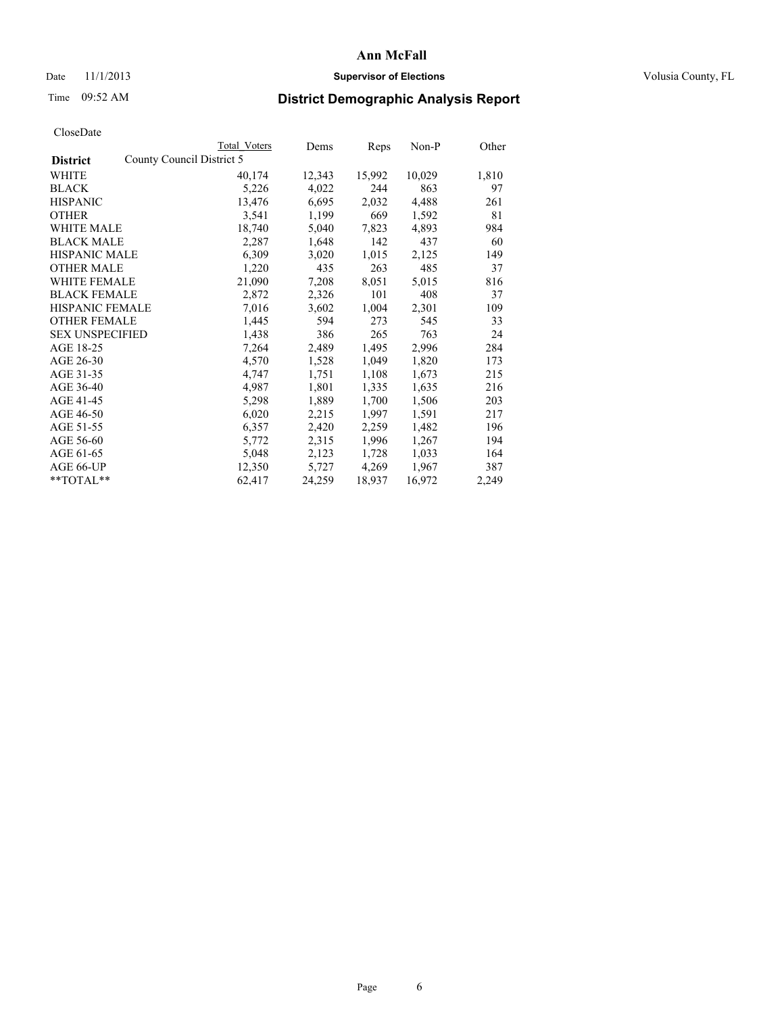### Date 11/1/2013 **Supervisor of Elections Supervisor of Elections** Volusia County, FL

## Time 09:52 AM **District Demographic Analysis Report**

|                        |                           | <b>Total Voters</b> | Dems   | <b>Reps</b> | Non-P  | Other |
|------------------------|---------------------------|---------------------|--------|-------------|--------|-------|
| <b>District</b>        | County Council District 5 |                     |        |             |        |       |
| <b>WHITE</b>           |                           | 40,174              | 12,343 | 15,992      | 10,029 | 1,810 |
| <b>BLACK</b>           |                           | 5,226               | 4,022  | 244         | 863    | 97    |
| <b>HISPANIC</b>        |                           | 13,476              | 6,695  | 2,032       | 4,488  | 261   |
| <b>OTHER</b>           |                           | 3,541               | 1,199  | 669         | 1,592  | 81    |
| <b>WHITE MALE</b>      |                           | 18,740              | 5,040  | 7,823       | 4,893  | 984   |
| <b>BLACK MALE</b>      |                           | 2,287               | 1,648  | 142         | 437    | 60    |
| <b>HISPANIC MALE</b>   |                           | 6,309               | 3,020  | 1,015       | 2,125  | 149   |
| <b>OTHER MALE</b>      |                           | 1,220               | 435    | 263         | 485    | 37    |
| <b>WHITE FEMALE</b>    |                           | 21,090              | 7,208  | 8,051       | 5,015  | 816   |
| <b>BLACK FEMALE</b>    |                           | 2,872               | 2,326  | 101         | 408    | 37    |
| <b>HISPANIC FEMALE</b> |                           | 7,016               | 3,602  | 1,004       | 2,301  | 109   |
| <b>OTHER FEMALE</b>    |                           | 1,445               | 594    | 273         | 545    | 33    |
| <b>SEX UNSPECIFIED</b> |                           | 1,438               | 386    | 265         | 763    | 24    |
| AGE 18-25              |                           | 7,264               | 2,489  | 1,495       | 2,996  | 284   |
| AGE 26-30              |                           | 4,570               | 1,528  | 1,049       | 1,820  | 173   |
| AGE 31-35              |                           | 4,747               | 1,751  | 1,108       | 1,673  | 215   |
| AGE 36-40              |                           | 4,987               | 1,801  | 1,335       | 1,635  | 216   |
| AGE 41-45              |                           | 5,298               | 1,889  | 1,700       | 1,506  | 203   |
| AGE 46-50              |                           | 6,020               | 2,215  | 1,997       | 1,591  | 217   |
| AGE 51-55              |                           | 6,357               | 2,420  | 2,259       | 1,482  | 196   |
| AGE 56-60              |                           | 5,772               | 2,315  | 1,996       | 1,267  | 194   |
| AGE 61-65              |                           | 5,048               | 2,123  | 1,728       | 1,033  | 164   |
| AGE 66-UP              |                           | 12,350              | 5,727  | 4,269       | 1,967  | 387   |
| $*$ $TOTAL**$          |                           | 62,417              | 24,259 | 18,937      | 16,972 | 2,249 |
|                        |                           |                     |        |             |        |       |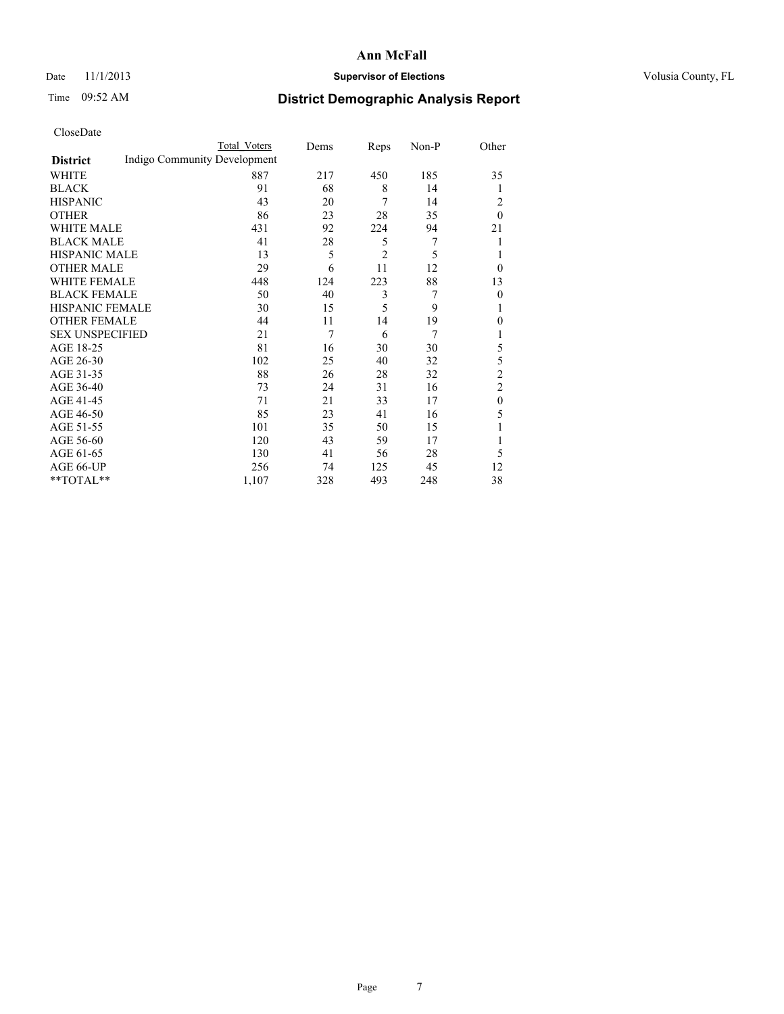### Date 11/1/2013 **Supervisor of Elections Supervisor of Elections** Volusia County, FL

# Time 09:52 AM **District Demographic Analysis Report**

|                        |                              | Total Voters | Dems | Reps           | Non-P | Other            |
|------------------------|------------------------------|--------------|------|----------------|-------|------------------|
| <b>District</b>        | Indigo Community Development |              |      |                |       |                  |
| WHITE                  |                              | 887          | 217  | 450            | 185   | 35               |
| <b>BLACK</b>           |                              | 91           | 68   | 8              | 14    | 1                |
| <b>HISPANIC</b>        |                              | 43           | 20   | 7              | 14    | 2                |
| <b>OTHER</b>           |                              | 86           | 23   | 28             | 35    | $\theta$         |
| WHITE MALE             |                              | 431          | 92   | 224            | 94    | 21               |
| <b>BLACK MALE</b>      |                              | 41           | 28   | 5              | 7     | 1                |
| <b>HISPANIC MALE</b>   |                              | 13           | 5    | $\overline{2}$ | 5     | 1                |
| <b>OTHER MALE</b>      |                              | 29           | 6    | 11             | 12    | $\theta$         |
| <b>WHITE FEMALE</b>    |                              | 448          | 124  | 223            | 88    | 13               |
| <b>BLACK FEMALE</b>    |                              | 50           | 40   | 3              | 7     | $\theta$         |
| <b>HISPANIC FEMALE</b> |                              | 30           | 15   | 5              | 9     | 1                |
| <b>OTHER FEMALE</b>    |                              | 44           | 11   | 14             | 19    | $\theta$         |
| <b>SEX UNSPECIFIED</b> |                              | 21           | 7    | 6              | 7     | 1                |
| AGE 18-25              |                              | 81           | 16   | 30             | 30    | 5                |
| AGE 26-30              |                              | 102          | 25   | 40             | 32    | 5                |
| AGE 31-35              |                              | 88           | 26   | 28             | 32    | $\overline{c}$   |
| AGE 36-40              |                              | 73           | 24   | 31             | 16    | $\overline{c}$   |
| AGE 41-45              |                              | 71           | 21   | 33             | 17    | $\boldsymbol{0}$ |
| AGE 46-50              |                              | 85           | 23   | 41             | 16    | 5                |
| AGE 51-55              |                              | 101          | 35   | 50             | 15    | 1                |
| AGE 56-60              |                              | 120          | 43   | 59             | 17    | 1                |
| AGE 61-65              |                              | 130          | 41   | 56             | 28    | 5                |
| AGE 66-UP              |                              | 256          | 74   | 125            | 45    | 12               |
| **TOTAL**              |                              | 1,107        | 328  | 493            | 248   | 38               |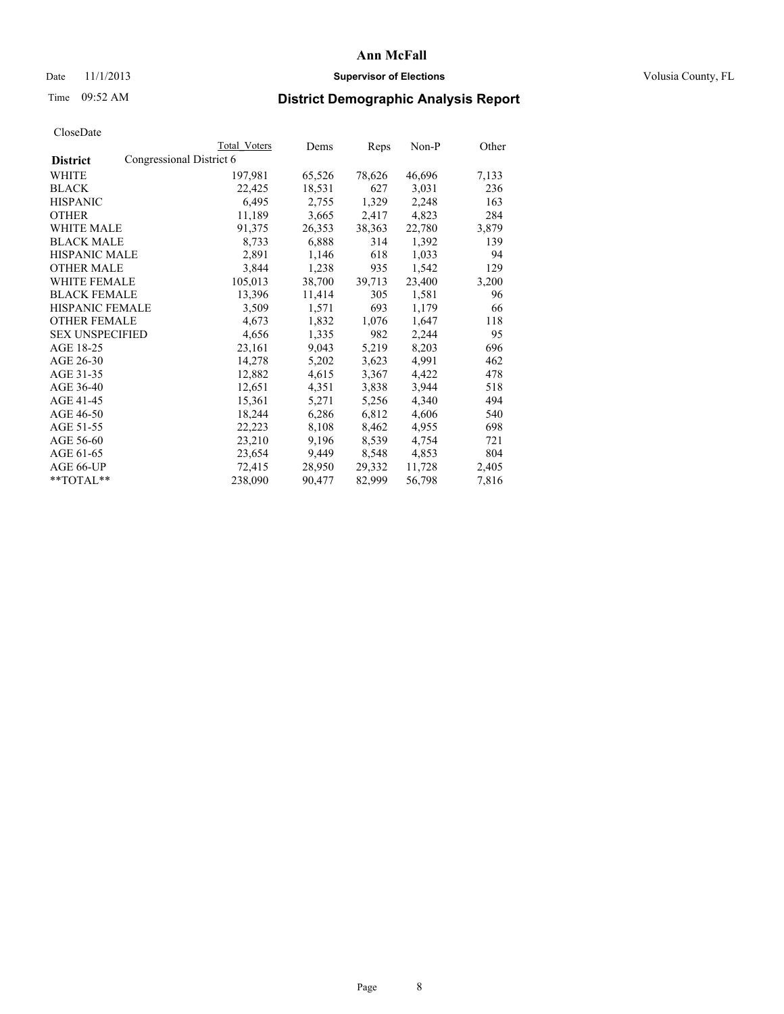### Date 11/1/2013 **Supervisor of Elections Supervisor of Elections** Volusia County, FL

# Time 09:52 AM **District Demographic Analysis Report**

|                        |                          | Total Voters | Dems   | <b>Reps</b> | Non-P  | Other |
|------------------------|--------------------------|--------------|--------|-------------|--------|-------|
| <b>District</b>        | Congressional District 6 |              |        |             |        |       |
| WHITE                  |                          | 197,981      | 65,526 | 78,626      | 46,696 | 7,133 |
| <b>BLACK</b>           |                          | 22,425       | 18,531 | 627         | 3,031  | 236   |
| <b>HISPANIC</b>        |                          | 6,495        | 2,755  | 1,329       | 2,248  | 163   |
| <b>OTHER</b>           |                          | 11,189       | 3,665  | 2,417       | 4,823  | 284   |
| WHITE MALE             |                          | 91,375       | 26,353 | 38,363      | 22,780 | 3,879 |
| <b>BLACK MALE</b>      |                          | 8,733        | 6,888  | 314         | 1,392  | 139   |
| <b>HISPANIC MALE</b>   |                          | 2,891        | 1,146  | 618         | 1,033  | 94    |
| <b>OTHER MALE</b>      |                          | 3,844        | 1,238  | 935         | 1,542  | 129   |
| <b>WHITE FEMALE</b>    |                          | 105,013      | 38,700 | 39,713      | 23,400 | 3,200 |
| <b>BLACK FEMALE</b>    |                          | 13,396       | 11,414 | 305         | 1,581  | 96    |
| HISPANIC FEMALE        |                          | 3,509        | 1,571  | 693         | 1,179  | 66    |
| <b>OTHER FEMALE</b>    |                          | 4,673        | 1,832  | 1,076       | 1,647  | 118   |
| <b>SEX UNSPECIFIED</b> |                          | 4,656        | 1,335  | 982         | 2,244  | 95    |
| AGE 18-25              |                          | 23,161       | 9,043  | 5,219       | 8,203  | 696   |
| AGE 26-30              |                          | 14,278       | 5,202  | 3,623       | 4,991  | 462   |
| AGE 31-35              |                          | 12,882       | 4,615  | 3,367       | 4,422  | 478   |
| AGE 36-40              |                          | 12,651       | 4,351  | 3,838       | 3,944  | 518   |
| AGE 41-45              |                          | 15,361       | 5,271  | 5,256       | 4,340  | 494   |
| AGE 46-50              |                          | 18,244       | 6,286  | 6,812       | 4,606  | 540   |
| AGE 51-55              |                          | 22,223       | 8,108  | 8,462       | 4,955  | 698   |
| AGE 56-60              |                          | 23,210       | 9,196  | 8,539       | 4,754  | 721   |
| AGE 61-65              |                          | 23,654       | 9,449  | 8,548       | 4,853  | 804   |
| AGE 66-UP              |                          | 72,415       | 28,950 | 29,332      | 11,728 | 2,405 |
| $*$ $TOTAL**$          |                          | 238,090      | 90,477 | 82,999      | 56,798 | 7,816 |
|                        |                          |              |        |             |        |       |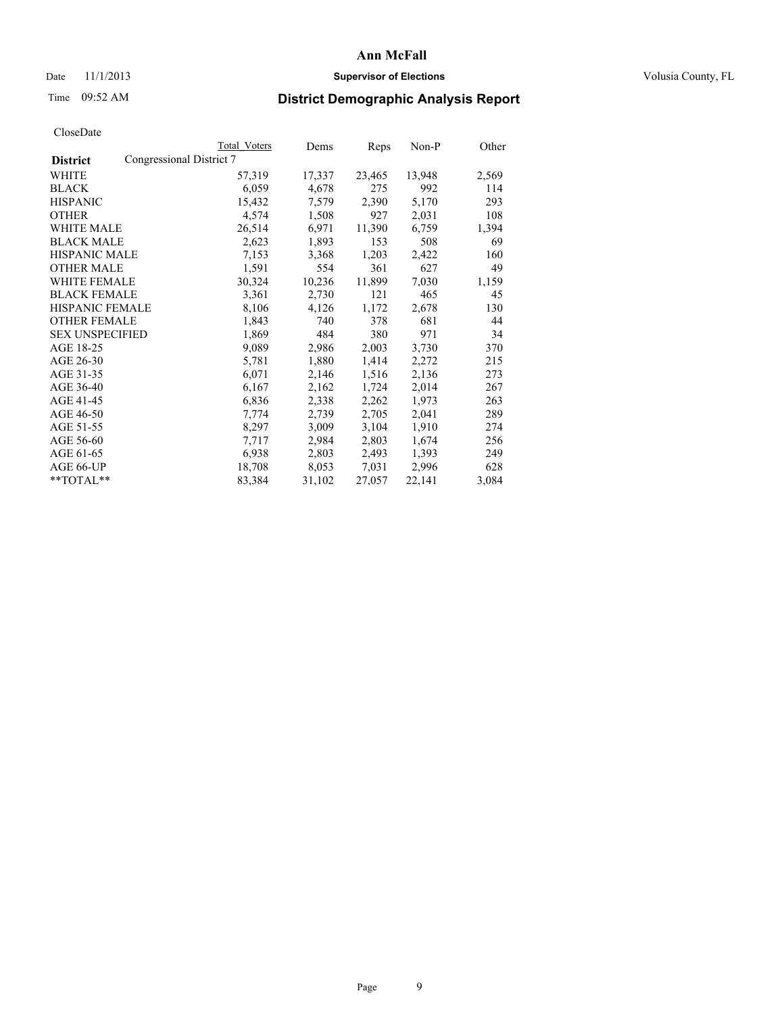### Date 11/1/2013 **Supervisor of Elections Supervisor of Elections** Volusia County, FL

## Time 09:52 AM **District Demographic Analysis Report**

|                        |                          | <b>Total Voters</b> | Dems   | Reps   | Non-P  | Other |
|------------------------|--------------------------|---------------------|--------|--------|--------|-------|
| <b>District</b>        | Congressional District 7 |                     |        |        |        |       |
| <b>WHITE</b>           |                          | 57,319              | 17,337 | 23,465 | 13,948 | 2,569 |
| <b>BLACK</b>           |                          | 6,059               | 4,678  | 275    | 992    | 114   |
| <b>HISPANIC</b>        |                          | 15,432              | 7,579  | 2,390  | 5,170  | 293   |
| <b>OTHER</b>           |                          | 4,574               | 1,508  | 927    | 2,031  | 108   |
| <b>WHITE MALE</b>      |                          | 26,514              | 6,971  | 11,390 | 6,759  | 1,394 |
| <b>BLACK MALE</b>      |                          | 2,623               | 1,893  | 153    | 508    | 69    |
| <b>HISPANIC MALE</b>   |                          | 7,153               | 3,368  | 1,203  | 2,422  | 160   |
| <b>OTHER MALE</b>      |                          | 1,591               | 554    | 361    | 627    | 49    |
| <b>WHITE FEMALE</b>    |                          | 30,324              | 10,236 | 11,899 | 7,030  | 1,159 |
| <b>BLACK FEMALE</b>    |                          | 3,361               | 2,730  | 121    | 465    | 45    |
| <b>HISPANIC FEMALE</b> |                          | 8,106               | 4,126  | 1,172  | 2,678  | 130   |
| <b>OTHER FEMALE</b>    |                          | 1,843               | 740    | 378    | 681    | 44    |
| <b>SEX UNSPECIFIED</b> |                          | 1,869               | 484    | 380    | 971    | 34    |
| AGE 18-25              |                          | 9,089               | 2,986  | 2,003  | 3,730  | 370   |
| AGE 26-30              |                          | 5,781               | 1,880  | 1,414  | 2,272  | 215   |
| AGE 31-35              |                          | 6,071               | 2,146  | 1,516  | 2,136  | 273   |
| AGE 36-40              |                          | 6,167               | 2,162  | 1,724  | 2,014  | 267   |
| AGE 41-45              |                          | 6,836               | 2,338  | 2,262  | 1,973  | 263   |
| AGE 46-50              |                          | 7,774               | 2,739  | 2,705  | 2,041  | 289   |
| AGE 51-55              |                          | 8,297               | 3,009  | 3,104  | 1,910  | 274   |
| AGE 56-60              |                          | 7,717               | 2,984  | 2,803  | 1,674  | 256   |
| AGE 61-65              |                          | 6,938               | 2,803  | 2,493  | 1,393  | 249   |
| AGE 66-UP              |                          | 18,708              | 8,053  | 7,031  | 2,996  | 628   |
| $*$ $TOTAL**$          |                          | 83,384              | 31,102 | 27,057 | 22,141 | 3,084 |
|                        |                          |                     |        |        |        |       |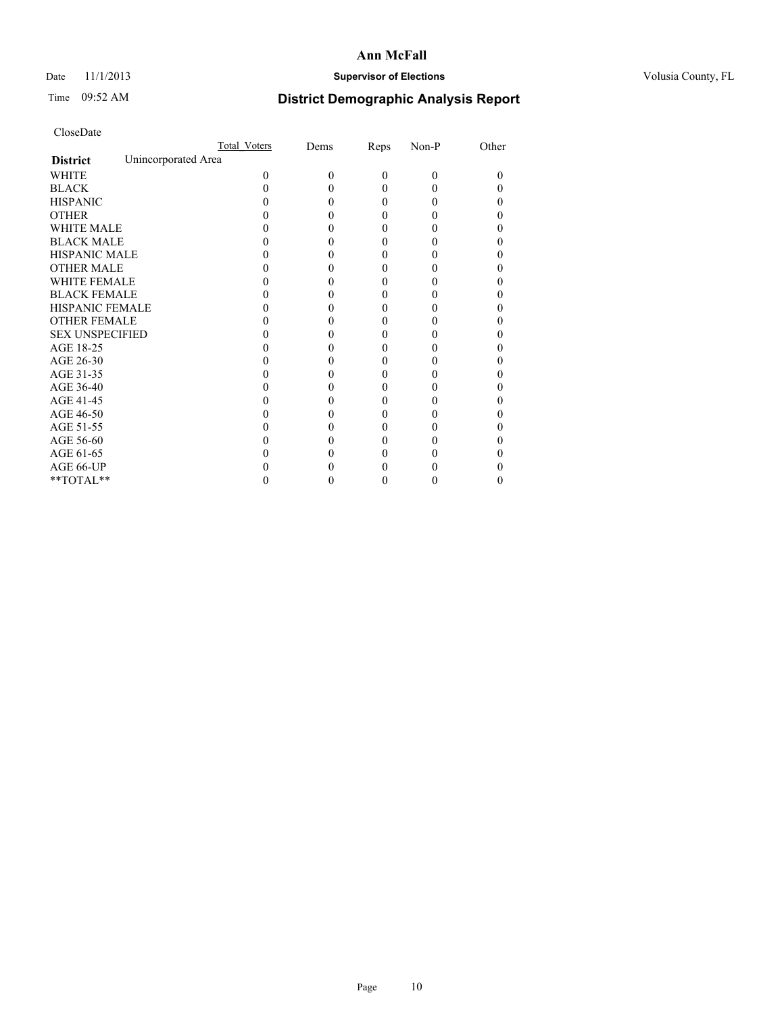## Date 11/1/2013 **Supervisor of Elections Supervisor of Elections** Volusia County, FL

# Time 09:52 AM **District Demographic Analysis Report**

|                        | Total Voters        | Dems | Reps     | Non-P    | Other |
|------------------------|---------------------|------|----------|----------|-------|
| <b>District</b>        | Unincorporated Area |      |          |          |       |
| <b>WHITE</b>           | 0                   | 0    | $\theta$ | $\theta$ | 0     |
| <b>BLACK</b>           |                     |      | 0        | 0        |       |
| <b>HISPANIC</b>        |                     |      | 0        | 0        |       |
| <b>OTHER</b>           |                     |      |          |          |       |
| <b>WHITE MALE</b>      |                     |      |          |          |       |
| <b>BLACK MALE</b>      |                     |      | 0        |          |       |
| <b>HISPANIC MALE</b>   |                     |      |          |          |       |
| <b>OTHER MALE</b>      |                     |      | 0        |          |       |
| <b>WHITE FEMALE</b>    |                     |      |          |          |       |
| <b>BLACK FEMALE</b>    |                     |      | 0        |          |       |
| <b>HISPANIC FEMALE</b> |                     |      |          |          |       |
| <b>OTHER FEMALE</b>    |                     |      |          |          |       |
| <b>SEX UNSPECIFIED</b> |                     |      |          |          |       |
| AGE 18-25              |                     |      |          |          |       |
| AGE 26-30              |                     |      | 0        |          |       |
| AGE 31-35              |                     |      |          |          |       |
| AGE 36-40              |                     |      | 0        |          |       |
| AGE 41-45              |                     |      |          |          |       |
| AGE 46-50              |                     |      | 0        |          |       |
| AGE 51-55              |                     |      |          |          |       |
| AGE 56-60              |                     |      |          |          |       |
| AGE 61-65              |                     |      |          |          |       |
| AGE 66-UP              |                     |      |          |          |       |
| $**TOTAL**$            |                     |      | 0        | 0        | 0     |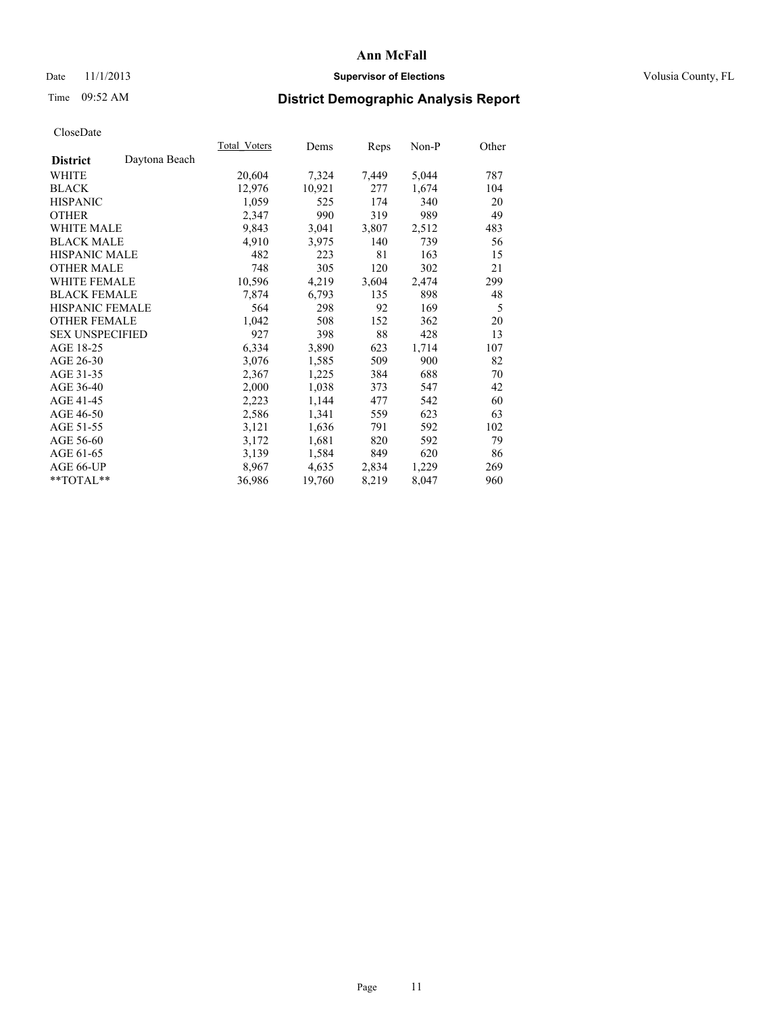### Date 11/1/2013 **Supervisor of Elections Supervisor of Elections** Volusia County, FL

# Time 09:52 AM **District Demographic Analysis Report**

|                        |               | Total Voters | Dems   | Reps  | Non-P | Other |
|------------------------|---------------|--------------|--------|-------|-------|-------|
| <b>District</b>        | Daytona Beach |              |        |       |       |       |
| <b>WHITE</b>           |               | 20,604       | 7,324  | 7,449 | 5,044 | 787   |
| <b>BLACK</b>           |               | 12,976       | 10,921 | 277   | 1,674 | 104   |
| <b>HISPANIC</b>        |               | 1,059        | 525    | 174   | 340   | 20    |
| <b>OTHER</b>           |               | 2,347        | 990    | 319   | 989   | 49    |
| <b>WHITE MALE</b>      |               | 9,843        | 3,041  | 3,807 | 2,512 | 483   |
| <b>BLACK MALE</b>      |               | 4,910        | 3,975  | 140   | 739   | 56    |
| <b>HISPANIC MALE</b>   |               | 482          | 223    | 81    | 163   | 15    |
| <b>OTHER MALE</b>      |               | 748          | 305    | 120   | 302   | 21    |
| <b>WHITE FEMALE</b>    |               | 10,596       | 4,219  | 3,604 | 2,474 | 299   |
| <b>BLACK FEMALE</b>    |               | 7,874        | 6,793  | 135   | 898   | 48    |
| HISPANIC FEMALE        |               | 564          | 298    | 92    | 169   | 5     |
| <b>OTHER FEMALE</b>    |               | 1,042        | 508    | 152   | 362   | 20    |
| <b>SEX UNSPECIFIED</b> |               | 927          | 398    | 88    | 428   | 13    |
| AGE 18-25              |               | 6,334        | 3,890  | 623   | 1,714 | 107   |
| AGE 26-30              |               | 3,076        | 1,585  | 509   | 900   | 82    |
| AGE 31-35              |               | 2,367        | 1,225  | 384   | 688   | 70    |
| AGE 36-40              |               | 2,000        | 1,038  | 373   | 547   | 42    |
| AGE 41-45              |               | 2,223        | 1,144  | 477   | 542   | 60    |
| AGE 46-50              |               | 2,586        | 1,341  | 559   | 623   | 63    |
| AGE 51-55              |               | 3,121        | 1,636  | 791   | 592   | 102   |
| AGE 56-60              |               | 3,172        | 1,681  | 820   | 592   | 79    |
| AGE 61-65              |               | 3,139        | 1,584  | 849   | 620   | 86    |
| AGE 66-UP              |               | 8,967        | 4,635  | 2,834 | 1,229 | 269   |
| $*$ $TOTAL**$          |               | 36,986       | 19,760 | 8,219 | 8,047 | 960   |
|                        |               |              |        |       |       |       |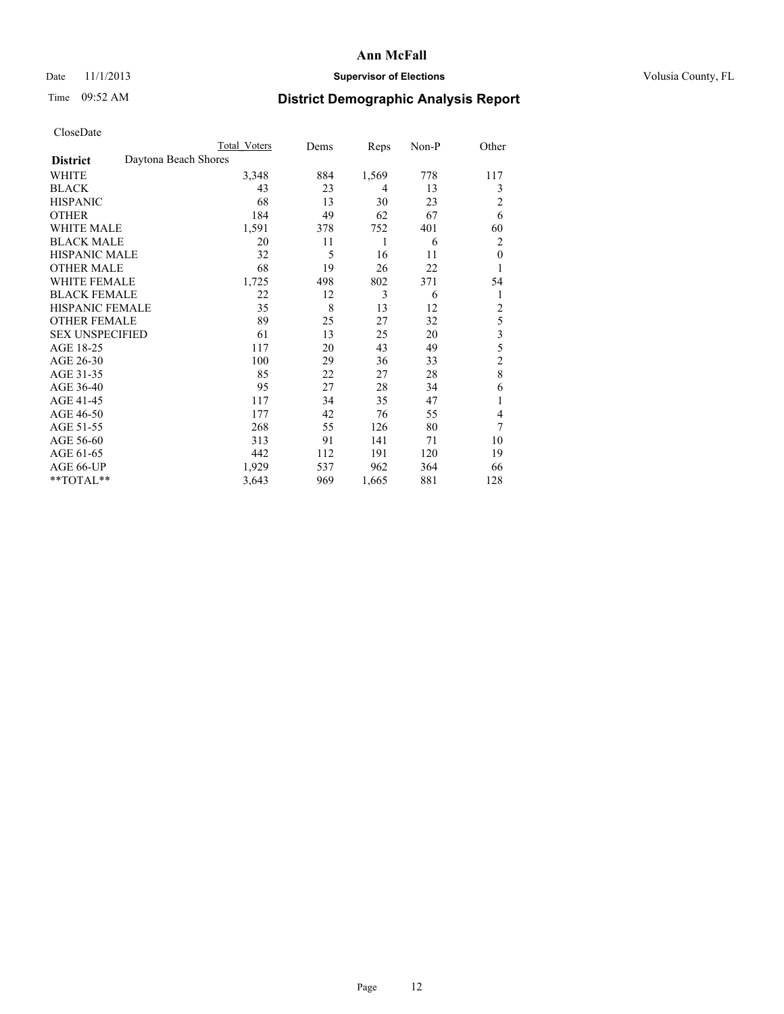## Date 11/1/2013 **Supervisor of Elections Supervisor of Elections** Volusia County, FL

# Time 09:52 AM **District Demographic Analysis Report**

|                        | <b>Total Voters</b>  | Dems | Reps  | Non-P | Other          |
|------------------------|----------------------|------|-------|-------|----------------|
| <b>District</b>        | Daytona Beach Shores |      |       |       |                |
| WHITE                  | 3,348                | 884  | 1,569 | 778   | 117            |
| <b>BLACK</b>           | 43                   | 23   | 4     | 13    | 3              |
| <b>HISPANIC</b>        | 68                   | 13   | 30    | 23    | $\overline{c}$ |
| <b>OTHER</b>           | 184                  | 49   | 62    | 67    | 6              |
| WHITE MALE             | 1,591                | 378  | 752   | 401   | 60             |
| <b>BLACK MALE</b>      | 20                   | 11   | 1     | 6     | $\overline{2}$ |
| <b>HISPANIC MALE</b>   | 32                   | 5    | 16    | 11    | $\mathbf{0}$   |
| <b>OTHER MALE</b>      | 68                   | 19   | 26    | 22    | 1              |
| WHITE FEMALE           | 1,725                | 498  | 802   | 371   | 54             |
| <b>BLACK FEMALE</b>    | 22                   | 12   | 3     | 6     | 1              |
| <b>HISPANIC FEMALE</b> | 35                   | 8    | 13    | 12    | $\overline{c}$ |
| <b>OTHER FEMALE</b>    | 89                   | 25   | 27    | 32    | 5              |
| <b>SEX UNSPECIFIED</b> | 61                   | 13   | 25    | 20    | 3              |
| AGE 18-25              | 117                  | 20   | 43    | 49    | 5              |
| AGE 26-30              | 100                  | 29   | 36    | 33    | $\overline{c}$ |
| AGE 31-35              | 85                   | 22   | 27    | 28    | 8              |
| AGE 36-40              | 95                   | 27   | 28    | 34    | 6              |
| AGE 41-45              | 117                  | 34   | 35    | 47    | 1              |
| AGE 46-50              | 177                  | 42   | 76    | 55    | 4              |
| AGE 51-55              | 268                  | 55   | 126   | 80    | 7              |
| AGE 56-60              | 313                  | 91   | 141   | 71    | 10             |
| AGE 61-65              | 442                  | 112  | 191   | 120   | 19             |
| AGE 66-UP              | 1,929                | 537  | 962   | 364   | 66             |
| **TOTAL**              | 3,643                | 969  | 1,665 | 881   | 128            |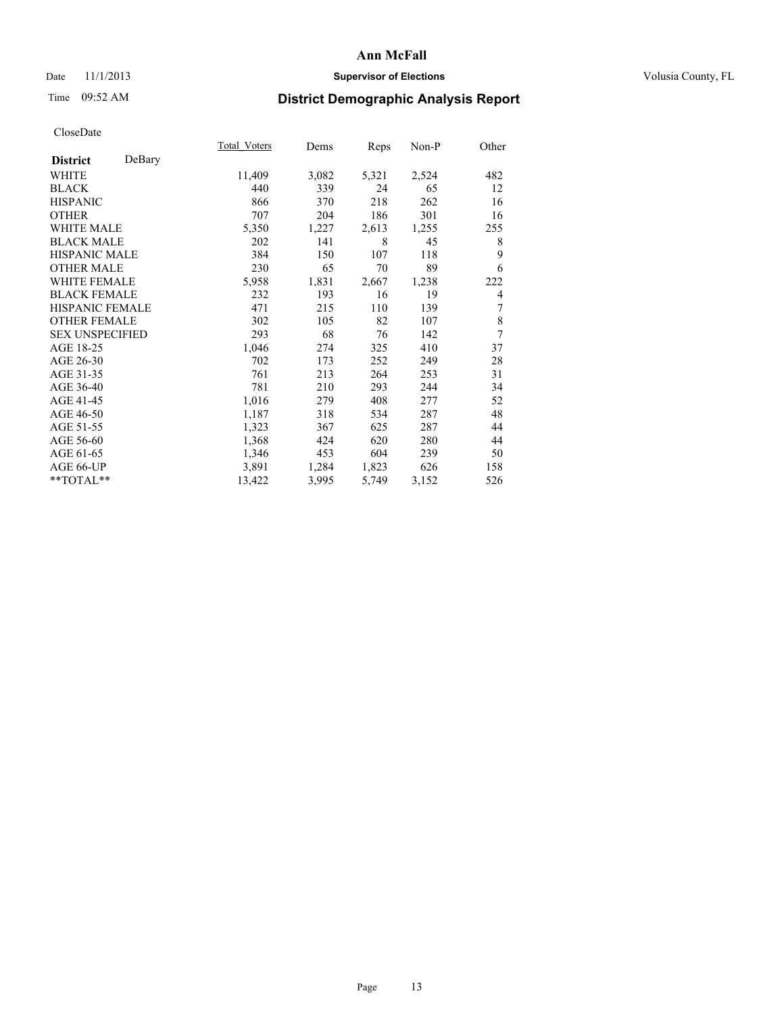## Date 11/1/2013 **Supervisor of Elections Supervisor of Elections** Volusia County, FL

## Time 09:52 AM **District Demographic Analysis Report**

|                        |        | Total Voters | Dems  | Reps  | Non-P | Other |
|------------------------|--------|--------------|-------|-------|-------|-------|
| <b>District</b>        | DeBary |              |       |       |       |       |
| WHITE                  |        | 11,409       | 3,082 | 5,321 | 2,524 | 482   |
| <b>BLACK</b>           |        | 440          | 339   | 24    | 65    | 12    |
| <b>HISPANIC</b>        |        | 866          | 370   | 218   | 262   | 16    |
| <b>OTHER</b>           |        | 707          | 204   | 186   | 301   | 16    |
| WHITE MALE             |        | 5,350        | 1,227 | 2,613 | 1,255 | 255   |
| <b>BLACK MALE</b>      |        | 202          | 141   | 8     | 45    | 8     |
| <b>HISPANIC MALE</b>   |        | 384          | 150   | 107   | 118   | 9     |
| <b>OTHER MALE</b>      |        | 230          | 65    | 70    | 89    | 6     |
| <b>WHITE FEMALE</b>    |        | 5,958        | 1,831 | 2,667 | 1,238 | 222   |
| <b>BLACK FEMALE</b>    |        | 232          | 193   | 16    | 19    | 4     |
| <b>HISPANIC FEMALE</b> |        | 471          | 215   | 110   | 139   | 7     |
| <b>OTHER FEMALE</b>    |        | 302          | 105   | 82    | 107   | 8     |
| <b>SEX UNSPECIFIED</b> |        | 293          | 68    | 76    | 142   | 7     |
| AGE 18-25              |        | 1,046        | 274   | 325   | 410   | 37    |
| AGE 26-30              |        | 702          | 173   | 252   | 249   | 28    |
| AGE 31-35              |        | 761          | 213   | 264   | 253   | 31    |
| AGE 36-40              |        | 781          | 210   | 293   | 244   | 34    |
| AGE 41-45              |        | 1,016        | 279   | 408   | 277   | 52    |
| AGE 46-50              |        | 1,187        | 318   | 534   | 287   | 48    |
| AGE 51-55              |        | 1,323        | 367   | 625   | 287   | 44    |
| AGE 56-60              |        | 1,368        | 424   | 620   | 280   | 44    |
| AGE 61-65              |        | 1,346        | 453   | 604   | 239   | 50    |
| AGE 66-UP              |        | 3,891        | 1,284 | 1,823 | 626   | 158   |
| **TOTAL**              |        | 13,422       | 3,995 | 5,749 | 3,152 | 526   |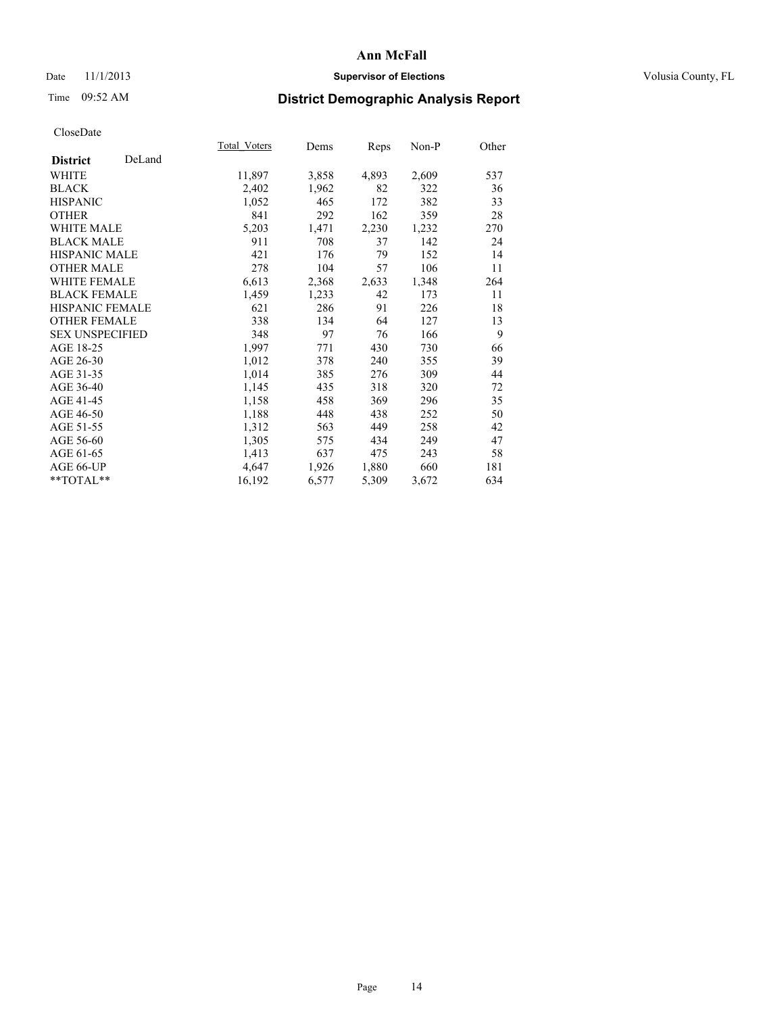## Date 11/1/2013 **Supervisor of Elections Supervisor of Elections** Volusia County, FL

# Time 09:52 AM **District Demographic Analysis Report**

|                        |        | <b>Total Voters</b> | Dems  | Reps  | Non-P | Other |
|------------------------|--------|---------------------|-------|-------|-------|-------|
| <b>District</b>        | DeLand |                     |       |       |       |       |
| WHITE                  |        | 11,897              | 3,858 | 4,893 | 2,609 | 537   |
| <b>BLACK</b>           |        | 2,402               | 1,962 | 82    | 322   | 36    |
| <b>HISPANIC</b>        |        | 1,052               | 465   | 172   | 382   | 33    |
| <b>OTHER</b>           |        | 841                 | 292   | 162   | 359   | 28    |
| <b>WHITE MALE</b>      |        | 5,203               | 1,471 | 2,230 | 1,232 | 270   |
| <b>BLACK MALE</b>      |        | 911                 | 708   | 37    | 142   | 24    |
| <b>HISPANIC MALE</b>   |        | 421                 | 176   | 79    | 152   | 14    |
| <b>OTHER MALE</b>      |        | 278                 | 104   | 57    | 106   | 11    |
| WHITE FEMALE           |        | 6,613               | 2,368 | 2,633 | 1,348 | 264   |
| <b>BLACK FEMALE</b>    |        | 1,459               | 1,233 | 42    | 173   | 11    |
| HISPANIC FEMALE        |        | 621                 | 286   | 91    | 226   | 18    |
| <b>OTHER FEMALE</b>    |        | 338                 | 134   | 64    | 127   | 13    |
| <b>SEX UNSPECIFIED</b> |        | 348                 | 97    | 76    | 166   | 9     |
| AGE 18-25              |        | 1,997               | 771   | 430   | 730   | 66    |
| AGE 26-30              |        | 1,012               | 378   | 240   | 355   | 39    |
| AGE 31-35              |        | 1,014               | 385   | 276   | 309   | 44    |
| AGE 36-40              |        | 1,145               | 435   | 318   | 320   | 72    |
| AGE 41-45              |        | 1,158               | 458   | 369   | 296   | 35    |
| AGE 46-50              |        | 1,188               | 448   | 438   | 252   | 50    |
| AGE 51-55              |        | 1,312               | 563   | 449   | 258   | 42    |
| AGE 56-60              |        | 1,305               | 575   | 434   | 249   | 47    |
| AGE 61-65              |        | 1,413               | 637   | 475   | 243   | 58    |
| AGE 66-UP              |        | 4,647               | 1,926 | 1,880 | 660   | 181   |
| $*$ TOTAL $*$          |        | 16,192              | 6,577 | 5,309 | 3,672 | 634   |
|                        |        |                     |       |       |       |       |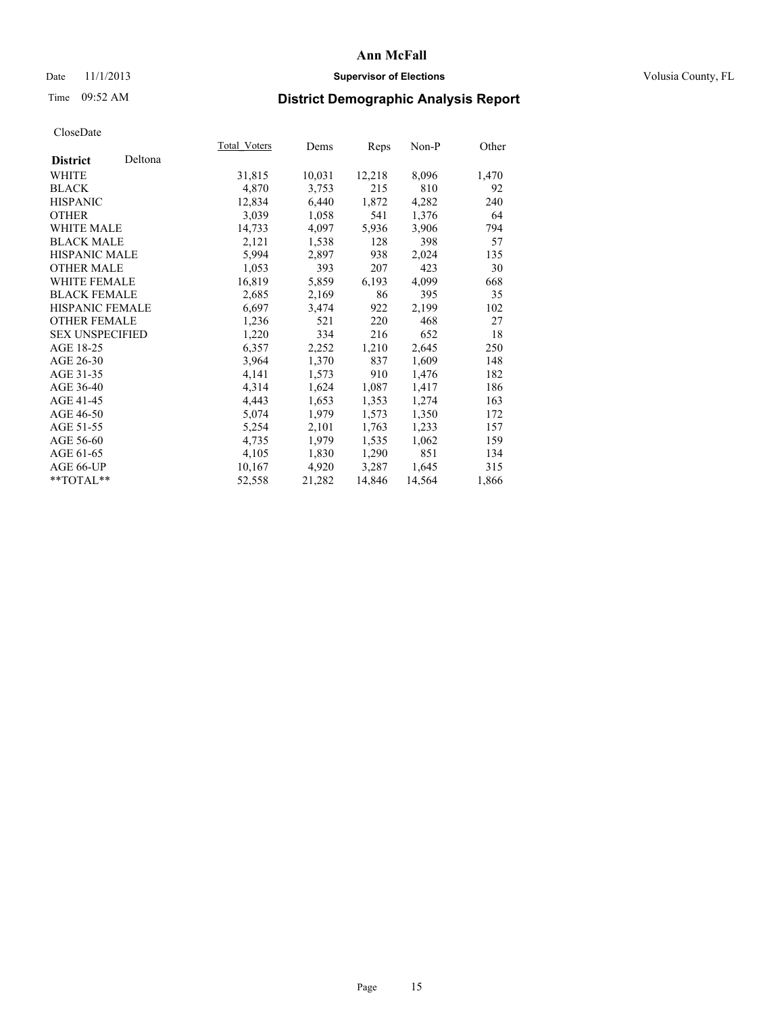## Date 11/1/2013 **Supervisor of Elections Supervisor of Elections** Volusia County, FL

# Time 09:52 AM **District Demographic Analysis Report**

|                        |         | Total Voters | Dems   | Reps   | Non-P  | Other |
|------------------------|---------|--------------|--------|--------|--------|-------|
| <b>District</b>        | Deltona |              |        |        |        |       |
| <b>WHITE</b>           |         | 31,815       | 10,031 | 12,218 | 8,096  | 1,470 |
| <b>BLACK</b>           |         | 4,870        | 3,753  | 215    | 810    | 92    |
| <b>HISPANIC</b>        |         | 12,834       | 6,440  | 1,872  | 4,282  | 240   |
| <b>OTHER</b>           |         | 3,039        | 1,058  | 541    | 1,376  | 64    |
| <b>WHITE MALE</b>      |         | 14,733       | 4,097  | 5,936  | 3,906  | 794   |
| <b>BLACK MALE</b>      |         | 2,121        | 1,538  | 128    | 398    | 57    |
| <b>HISPANIC MALE</b>   |         | 5,994        | 2,897  | 938    | 2,024  | 135   |
| <b>OTHER MALE</b>      |         | 1,053        | 393    | 207    | 423    | 30    |
| <b>WHITE FEMALE</b>    |         | 16,819       | 5,859  | 6,193  | 4,099  | 668   |
| <b>BLACK FEMALE</b>    |         | 2,685        | 2,169  | 86     | 395    | 35    |
| HISPANIC FEMALE        |         | 6,697        | 3,474  | 922    | 2,199  | 102   |
| <b>OTHER FEMALE</b>    |         | 1,236        | 521    | 220    | 468    | 27    |
| <b>SEX UNSPECIFIED</b> |         | 1,220        | 334    | 216    | 652    | 18    |
| AGE 18-25              |         | 6,357        | 2,252  | 1,210  | 2,645  | 250   |
| AGE 26-30              |         | 3,964        | 1,370  | 837    | 1,609  | 148   |
| AGE 31-35              |         | 4,141        | 1,573  | 910    | 1,476  | 182   |
| AGE 36-40              |         | 4,314        | 1,624  | 1,087  | 1,417  | 186   |
| AGE 41-45              |         | 4,443        | 1,653  | 1,353  | 1,274  | 163   |
| AGE 46-50              |         | 5,074        | 1,979  | 1,573  | 1,350  | 172   |
| AGE 51-55              |         | 5,254        | 2,101  | 1,763  | 1,233  | 157   |
| AGE 56-60              |         | 4,735        | 1,979  | 1,535  | 1,062  | 159   |
| AGE 61-65              |         | 4,105        | 1,830  | 1,290  | 851    | 134   |
| AGE 66-UP              |         | 10,167       | 4,920  | 3,287  | 1,645  | 315   |
| **TOTAL**              |         | 52,558       | 21,282 | 14,846 | 14,564 | 1,866 |
|                        |         |              |        |        |        |       |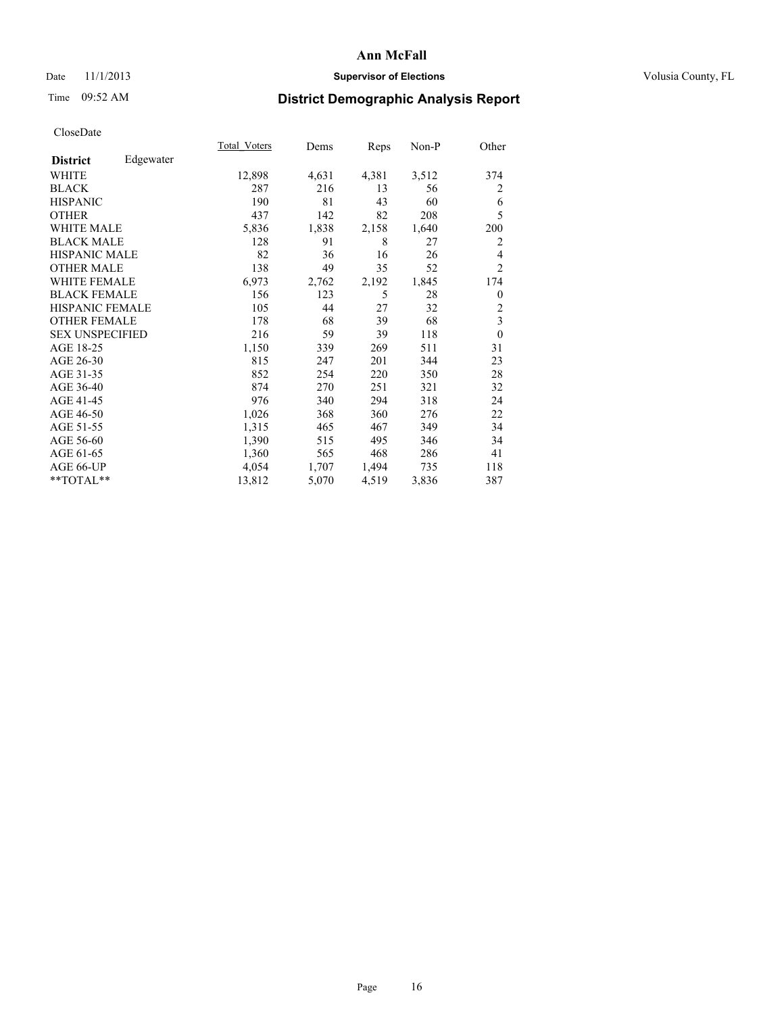## Date 11/1/2013 **Supervisor of Elections Supervisor of Elections** Volusia County, FL

## Time 09:52 AM **District Demographic Analysis Report**

|                        |           | Total Voters | Dems  | Reps  | Non-P | Other          |
|------------------------|-----------|--------------|-------|-------|-------|----------------|
| <b>District</b>        | Edgewater |              |       |       |       |                |
| WHITE                  |           | 12,898       | 4,631 | 4,381 | 3,512 | 374            |
| <b>BLACK</b>           |           | 287          | 216   | 13    | 56    | 2              |
| <b>HISPANIC</b>        |           | 190          | 81    | 43    | 60    | 6              |
| <b>OTHER</b>           |           | 437          | 142   | 82    | 208   | 5              |
| WHITE MALE             |           | 5,836        | 1,838 | 2,158 | 1,640 | 200            |
| <b>BLACK MALE</b>      |           | 128          | 91    | 8     | 27    | $\overline{2}$ |
| <b>HISPANIC MALE</b>   |           | 82           | 36    | 16    | 26    | 4              |
| <b>OTHER MALE</b>      |           | 138          | 49    | 35    | 52    | $\overline{c}$ |
| <b>WHITE FEMALE</b>    |           | 6,973        | 2,762 | 2,192 | 1,845 | 174            |
| <b>BLACK FEMALE</b>    |           | 156          | 123   | 5     | 28    | $\overline{0}$ |
| <b>HISPANIC FEMALE</b> |           | 105          | 44    | 27    | 32    | $\overline{c}$ |
| <b>OTHER FEMALE</b>    |           | 178          | 68    | 39    | 68    | 3              |
| <b>SEX UNSPECIFIED</b> |           | 216          | 59    | 39    | 118   | $\theta$       |
| AGE 18-25              |           | 1,150        | 339   | 269   | 511   | 31             |
| AGE 26-30              |           | 815          | 247   | 201   | 344   | 23             |
| AGE 31-35              |           | 852          | 254   | 220   | 350   | 28             |
| AGE 36-40              |           | 874          | 270   | 251   | 321   | 32             |
| AGE 41-45              |           | 976          | 340   | 294   | 318   | 24             |
| AGE 46-50              |           | 1,026        | 368   | 360   | 276   | 22             |
| AGE 51-55              |           | 1,315        | 465   | 467   | 349   | 34             |
| AGE 56-60              |           | 1,390        | 515   | 495   | 346   | 34             |
| AGE 61-65              |           | 1,360        | 565   | 468   | 286   | 41             |
| AGE 66-UP              |           | 4,054        | 1,707 | 1,494 | 735   | 118            |
| **TOTAL**              |           | 13,812       | 5,070 | 4,519 | 3,836 | 387            |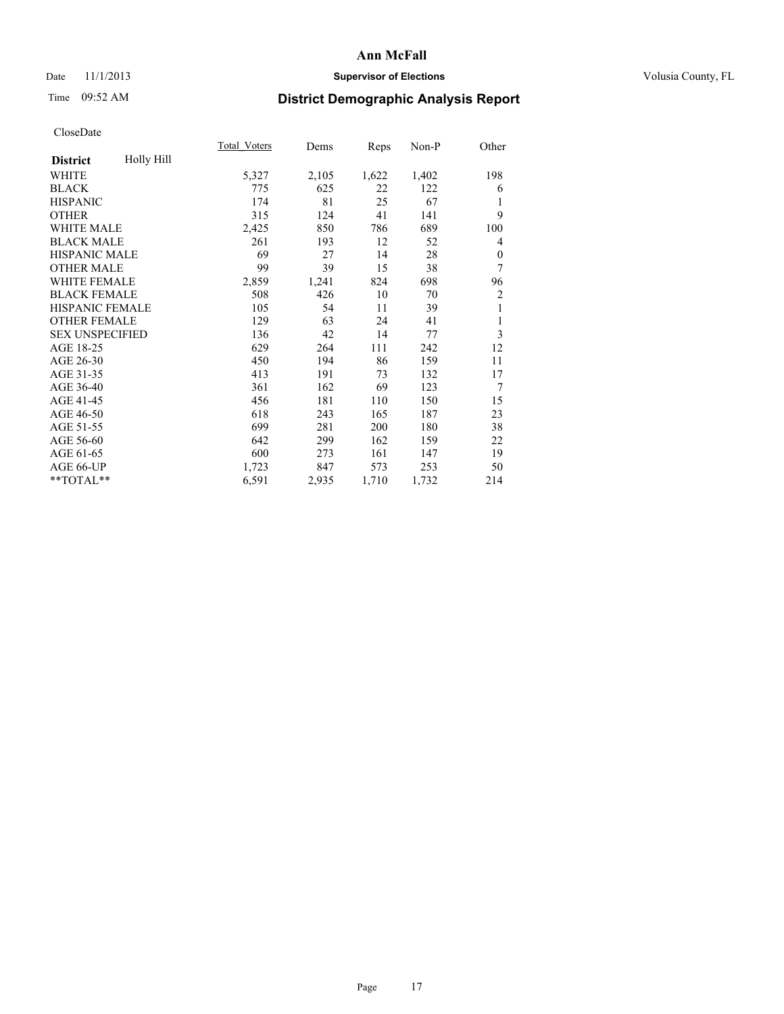## Date 11/1/2013 **Supervisor of Elections Supervisor of Elections** Volusia County, FL

# Time 09:52 AM **District Demographic Analysis Report**

|                                      | <b>Total Voters</b> | Dems  | Reps  | Non-P | Other          |
|--------------------------------------|---------------------|-------|-------|-------|----------------|
| <b>Holly Hill</b><br><b>District</b> |                     |       |       |       |                |
| WHITE                                | 5,327               | 2,105 | 1,622 | 1,402 | 198            |
| <b>BLACK</b>                         | 775                 | 625   | 22    | 122   | 6              |
| <b>HISPANIC</b>                      | 174                 | 81    | 25    | 67    | 1              |
| <b>OTHER</b>                         | 315                 | 124   | 41    | 141   | 9              |
| <b>WHITE MALE</b>                    | 2,425               | 850   | 786   | 689   | 100            |
| <b>BLACK MALE</b>                    | 261                 | 193   | 12    | 52    | 4              |
| <b>HISPANIC MALE</b>                 | 69                  | 27    | 14    | 28    | $\mathbf{0}$   |
| <b>OTHER MALE</b>                    | 99                  | 39    | 15    | 38    | 7              |
| WHITE FEMALE                         | 2,859               | 1,241 | 824   | 698   | 96             |
| <b>BLACK FEMALE</b>                  | 508                 | 426   | 10    | 70    | $\overline{c}$ |
| HISPANIC FEMALE                      | 105                 | 54    | 11    | 39    | 1              |
| <b>OTHER FEMALE</b>                  | 129                 | 63    | 24    | 41    | 1              |
| <b>SEX UNSPECIFIED</b>               | 136                 | 42    | 14    | 77    | 3              |
| AGE 18-25                            | 629                 | 264   | 111   | 242   | 12             |
| AGE 26-30                            | 450                 | 194   | 86    | 159   | 11             |
| AGE 31-35                            | 413                 | 191   | 73    | 132   | 17             |
| AGE 36-40                            | 361                 | 162   | 69    | 123   | 7              |
| AGE 41-45                            | 456                 | 181   | 110   | 150   | 15             |
| AGE 46-50                            | 618                 | 243   | 165   | 187   | 23             |
| AGE 51-55                            | 699                 | 281   | 200   | 180   | 38             |
| AGE 56-60                            | 642                 | 299   | 162   | 159   | 22             |
| AGE 61-65                            | 600                 | 273   | 161   | 147   | 19             |
| AGE 66-UP                            | 1,723               | 847   | 573   | 253   | 50             |
| **TOTAL**                            | 6,591               | 2,935 | 1,710 | 1,732 | 214            |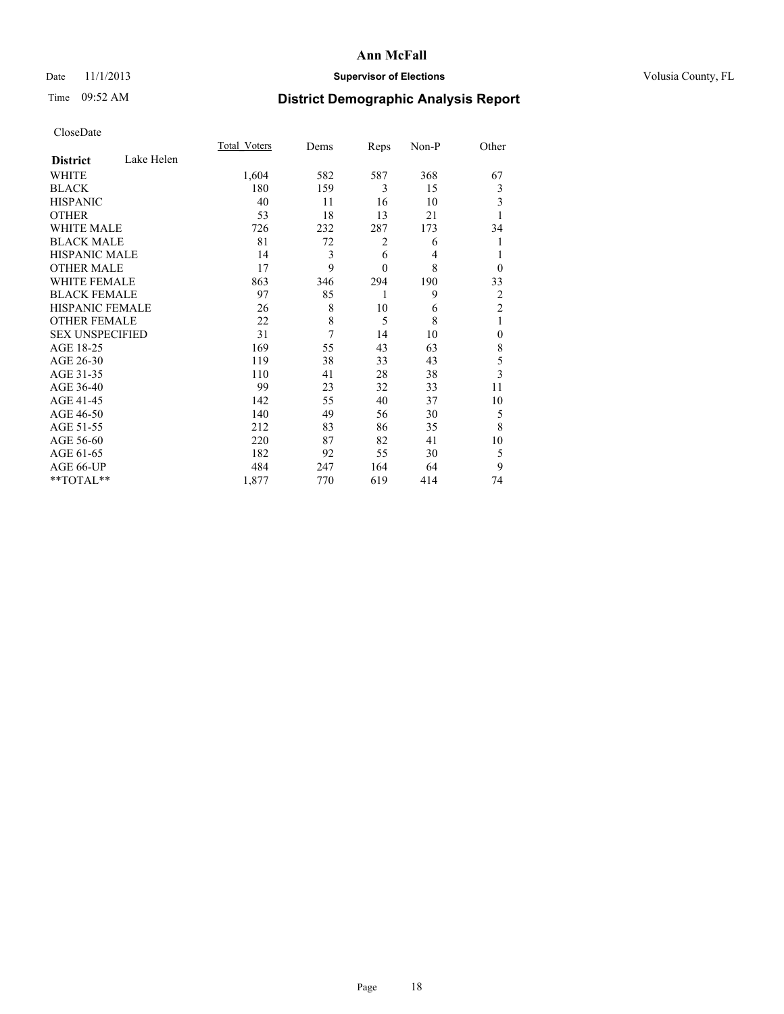## Date 11/1/2013 **Supervisor of Elections Supervisor of Elections** Volusia County, FL

# Time 09:52 AM **District Demographic Analysis Report**

|                        |            | <b>Total Voters</b> | Dems | Reps           | Non-P | Other                   |
|------------------------|------------|---------------------|------|----------------|-------|-------------------------|
| <b>District</b>        | Lake Helen |                     |      |                |       |                         |
| <b>WHITE</b>           |            | 1,604               | 582  | 587            | 368   | 67                      |
| <b>BLACK</b>           |            | 180                 | 159  | 3              | 15    | 3                       |
| <b>HISPANIC</b>        |            | 40                  | 11   | 16             | 10    | 3                       |
| <b>OTHER</b>           |            | 53                  | 18   | 13             | 21    |                         |
| WHITE MALE             |            | 726                 | 232  | 287            | 173   | 34                      |
| <b>BLACK MALE</b>      |            | 81                  | 72   | $\overline{c}$ | 6     | 1                       |
| <b>HISPANIC MALE</b>   |            | 14                  | 3    | 6              | 4     | 1                       |
| <b>OTHER MALE</b>      |            | 17                  | 9    | $\mathbf{0}$   | 8     | $\theta$                |
| <b>WHITE FEMALE</b>    |            | 863                 | 346  | 294            | 190   | 33                      |
| <b>BLACK FEMALE</b>    |            | 97                  | 85   | 1              | 9     | $\overline{c}$          |
| <b>HISPANIC FEMALE</b> |            | 26                  | 8    | 10             | 6     | $\overline{2}$          |
| <b>OTHER FEMALE</b>    |            | 22                  | 8    | 5              | 8     | 1                       |
| <b>SEX UNSPECIFIED</b> |            | 31                  | 7    | 14             | 10    | $\mathbf{0}$            |
| AGE 18-25              |            | 169                 | 55   | 43             | 63    | 8                       |
| AGE 26-30              |            | 119                 | 38   | 33             | 43    | 5                       |
| AGE 31-35              |            | 110                 | 41   | 28             | 38    | $\overline{\mathbf{3}}$ |
| AGE 36-40              |            | 99                  | 23   | 32             | 33    | 11                      |
| AGE 41-45              |            | 142                 | 55   | 40             | 37    | 10                      |
| AGE 46-50              |            | 140                 | 49   | 56             | 30    | 5                       |
| AGE 51-55              |            | 212                 | 83   | 86             | 35    | 8                       |
| AGE 56-60              |            | 220                 | 87   | 82             | 41    | 10                      |
| AGE 61-65              |            | 182                 | 92   | 55             | 30    | 5                       |
| AGE 66-UP              |            | 484                 | 247  | 164            | 64    | 9                       |
| **TOTAL**              |            | 1,877               | 770  | 619            | 414   | 74                      |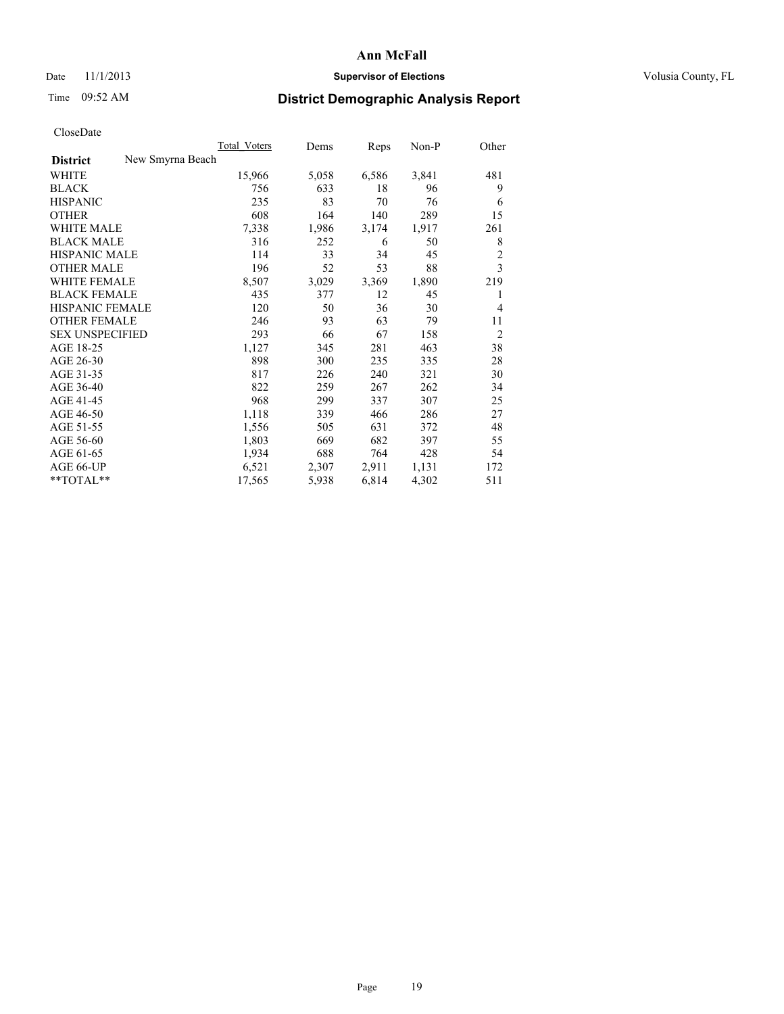### Date 11/1/2013 **Supervisor of Elections Supervisor of Elections** Volusia County, FL

# Time 09:52 AM **District Demographic Analysis Report**

|                                     | <b>Total Voters</b> | Dems  | Reps  | Non-P | Other          |
|-------------------------------------|---------------------|-------|-------|-------|----------------|
| New Smyrna Beach<br><b>District</b> |                     |       |       |       |                |
| WHITE                               | 15,966              | 5,058 | 6,586 | 3,841 | 481            |
| <b>BLACK</b>                        | 756                 | 633   | 18    | 96    | 9              |
| <b>HISPANIC</b>                     | 235                 | 83    | 70    | 76    | 6              |
| <b>OTHER</b>                        | 608                 | 164   | 140   | 289   | 15             |
| <b>WHITE MALE</b>                   | 7,338               | 1,986 | 3,174 | 1,917 | 261            |
| <b>BLACK MALE</b>                   | 316                 | 252   | 6     | 50    | 8              |
| <b>HISPANIC MALE</b>                | 114                 | 33    | 34    | 45    | 2              |
| <b>OTHER MALE</b>                   | 196                 | 52    | 53    | 88    | 3              |
| <b>WHITE FEMALE</b>                 | 8,507               | 3,029 | 3,369 | 1,890 | 219            |
| <b>BLACK FEMALE</b>                 | 435                 | 377   | 12    | 45    | 1              |
| HISPANIC FEMALE                     | 120                 | 50    | 36    | 30    | $\overline{4}$ |
| <b>OTHER FEMALE</b>                 | 246                 | 93    | 63    | 79    | 11             |
| <b>SEX UNSPECIFIED</b>              | 293                 | 66    | 67    | 158   | $\overline{2}$ |
| AGE 18-25                           | 1,127               | 345   | 281   | 463   | 38             |
| AGE 26-30                           | 898                 | 300   | 235   | 335   | 28             |
| AGE 31-35                           | 817                 | 226   | 240   | 321   | 30             |
| AGE 36-40                           | 822                 | 259   | 267   | 262   | 34             |
| AGE 41-45                           | 968                 | 299   | 337   | 307   | 25             |
| AGE 46-50                           | 1,118               | 339   | 466   | 286   | 27             |
| AGE 51-55                           | 1,556               | 505   | 631   | 372   | 48             |
| AGE 56-60                           | 1,803               | 669   | 682   | 397   | 55             |
| AGE 61-65                           | 1,934               | 688   | 764   | 428   | 54             |
| AGE 66-UP                           | 6,521               | 2,307 | 2,911 | 1,131 | 172            |
| $*$ $TOTAL**$                       | 17,565              | 5,938 | 6,814 | 4,302 | 511            |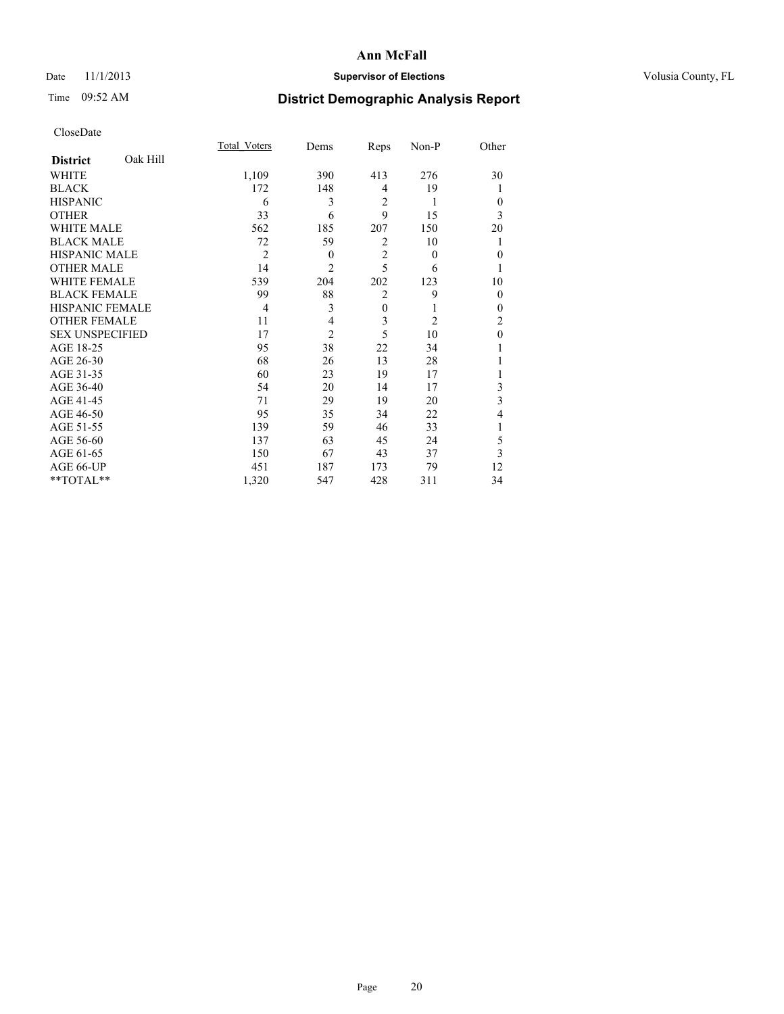## Date 11/1/2013 **Supervisor of Elections Supervisor of Elections** Volusia County, FL

# Time 09:52 AM **District Demographic Analysis Report**

|                        |          | <b>Total Voters</b> | Dems           | Reps           | Non-P          | Other        |
|------------------------|----------|---------------------|----------------|----------------|----------------|--------------|
| <b>District</b>        | Oak Hill |                     |                |                |                |              |
| WHITE                  |          | 1,109               | 390            | 413            | 276            | 30           |
| <b>BLACK</b>           |          | 172                 | 148            | $\overline{4}$ | 19             |              |
| <b>HISPANIC</b>        |          | 6                   | 3              | $\overline{2}$ | 1              | $\theta$     |
| <b>OTHER</b>           |          | 33                  | 6              | 9              | 15             | 3            |
| WHITE MALE             |          | 562                 | 185            | 207            | 150            | 20           |
| <b>BLACK MALE</b>      |          | 72                  | 59             | $\overline{2}$ | 10             |              |
| <b>HISPANIC MALE</b>   |          | $\overline{2}$      | $\theta$       | $\overline{2}$ | $\theta$       | $\mathbf{0}$ |
| <b>OTHER MALE</b>      |          | 14                  | $\overline{c}$ | 5              | 6              | 1            |
| WHITE FEMALE           |          | 539                 | 204            | 202            | 123            | 10           |
| <b>BLACK FEMALE</b>    |          | 99                  | 88             | $\overline{2}$ | 9              | $\theta$     |
| <b>HISPANIC FEMALE</b> |          | $\overline{4}$      | 3              | $\mathbf{0}$   |                | $\theta$     |
| <b>OTHER FEMALE</b>    |          | 11                  | 4              | 3              | $\overline{c}$ | 2            |
| <b>SEX UNSPECIFIED</b> |          | 17                  | $\overline{2}$ | 5              | 10             | $\mathbf{0}$ |
| AGE 18-25              |          | 95                  | 38             | 22             | 34             |              |
| AGE 26-30              |          | 68                  | 26             | 13             | 28             |              |
| AGE 31-35              |          | 60                  | 23             | 19             | 17             |              |
| AGE 36-40              |          | 54                  | 20             | 14             | 17             | 3            |
| AGE 41-45              |          | 71                  | 29             | 19             | 20             | 3            |
| AGE 46-50              |          | 95                  | 35             | 34             | 22             | 4            |
| AGE 51-55              |          | 139                 | 59             | 46             | 33             | 1            |
| AGE 56-60              |          | 137                 | 63             | 45             | 24             | 5            |
| AGE 61-65              |          | 150                 | 67             | 43             | 37             | 3            |
| AGE 66-UP              |          | 451                 | 187            | 173            | 79             | 12           |
| **TOTAL**              |          | 1,320               | 547            | 428            | 311            | 34           |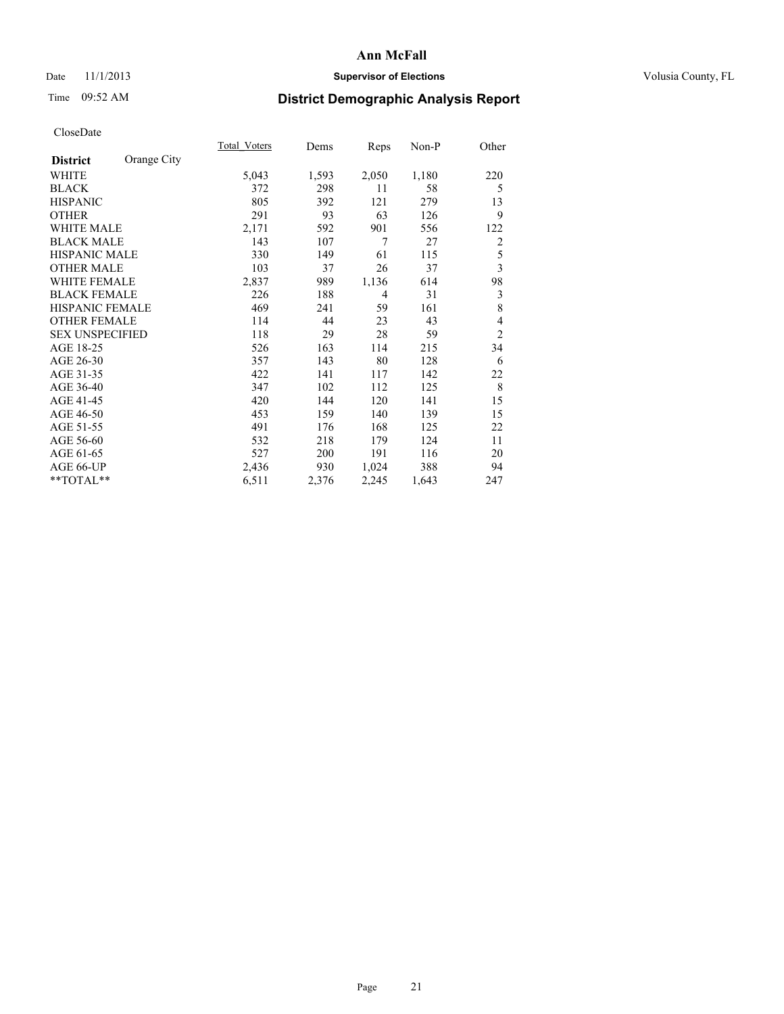### Date 11/1/2013 **Supervisor of Elections Supervisor of Elections** Volusia County, FL

# Time 09:52 AM **District Demographic Analysis Report**

|                        |             | <b>Total Voters</b> | Dems  | Reps  | Non-P | Other          |
|------------------------|-------------|---------------------|-------|-------|-------|----------------|
| <b>District</b>        | Orange City |                     |       |       |       |                |
| <b>WHITE</b>           |             | 5,043               | 1,593 | 2,050 | 1,180 | 220            |
| <b>BLACK</b>           |             | 372                 | 298   | 11    | 58    | 5              |
| <b>HISPANIC</b>        |             | 805                 | 392   | 121   | 279   | 13             |
| <b>OTHER</b>           |             | 291                 | 93    | 63    | 126   | 9              |
| <b>WHITE MALE</b>      |             | 2,171               | 592   | 901   | 556   | 122            |
| <b>BLACK MALE</b>      |             | 143                 | 107   | 7     | 27    | $\overline{2}$ |
| HISPANIC MALE          |             | 330                 | 149   | 61    | 115   | 5              |
| <b>OTHER MALE</b>      |             | 103                 | 37    | 26    | 37    | 3              |
| <b>WHITE FEMALE</b>    |             | 2,837               | 989   | 1,136 | 614   | 98             |
| <b>BLACK FEMALE</b>    |             | 226                 | 188   | 4     | 31    | $\mathfrak{Z}$ |
| <b>HISPANIC FEMALE</b> |             | 469                 | 241   | 59    | 161   | 8              |
| <b>OTHER FEMALE</b>    |             | 114                 | 44    | 23    | 43    | $\overline{4}$ |
| <b>SEX UNSPECIFIED</b> |             | 118                 | 29    | 28    | 59    | $\overline{2}$ |
| AGE 18-25              |             | 526                 | 163   | 114   | 215   | 34             |
| AGE 26-30              |             | 357                 | 143   | 80    | 128   | 6              |
| AGE 31-35              |             | 422                 | 141   | 117   | 142   | 22             |
| AGE 36-40              |             | 347                 | 102   | 112   | 125   | 8              |
| AGE 41-45              |             | 420                 | 144   | 120   | 141   | 15             |
| AGE 46-50              |             | 453                 | 159   | 140   | 139   | 15             |
| AGE 51-55              |             | 491                 | 176   | 168   | 125   | 22             |
| AGE 56-60              |             | 532                 | 218   | 179   | 124   | 11             |
| AGE 61-65              |             | 527                 | 200   | 191   | 116   | 20             |
| AGE 66-UP              |             | 2,436               | 930   | 1,024 | 388   | 94             |
| **TOTAL**              |             | 6,511               | 2,376 | 2,245 | 1,643 | 247            |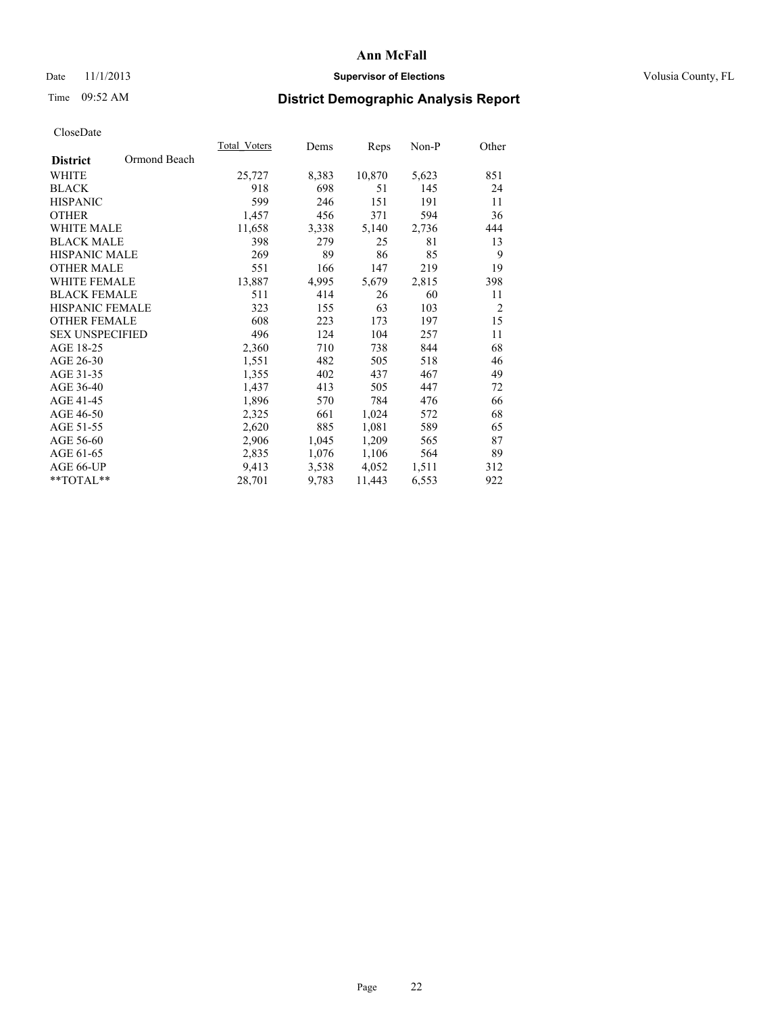## Date 11/1/2013 **Supervisor of Elections Supervisor of Elections** Volusia County, FL

## Time 09:52 AM **District Demographic Analysis Report**

|                                 | Total Voters | Dems  | <b>Reps</b> | Non-P | Other          |
|---------------------------------|--------------|-------|-------------|-------|----------------|
| Ormond Beach<br><b>District</b> |              |       |             |       |                |
| WHITE                           | 25,727       | 8,383 | 10,870      | 5,623 | 851            |
| <b>BLACK</b>                    | 918          | 698   | 51          | 145   | 24             |
| <b>HISPANIC</b>                 | 599          | 246   | 151         | 191   | 11             |
| <b>OTHER</b>                    | 1,457        | 456   | 371         | 594   | 36             |
| <b>WHITE MALE</b>               | 11,658       | 3,338 | 5,140       | 2,736 | 444            |
| <b>BLACK MALE</b>               | 398          | 279   | 25          | 81    | 13             |
| <b>HISPANIC MALE</b>            | 269          | 89    | 86          | 85    | 9              |
| <b>OTHER MALE</b>               | 551          | 166   | 147         | 219   | 19             |
| <b>WHITE FEMALE</b>             | 13,887       | 4,995 | 5,679       | 2,815 | 398            |
| <b>BLACK FEMALE</b>             | 511          | 414   | 26          | 60    | 11             |
| <b>HISPANIC FEMALE</b>          | 323          | 155   | 63          | 103   | $\overline{2}$ |
| <b>OTHER FEMALE</b>             | 608          | 223   | 173         | 197   | 15             |
| <b>SEX UNSPECIFIED</b>          | 496          | 124   | 104         | 257   | 11             |
| AGE 18-25                       | 2,360        | 710   | 738         | 844   | 68             |
| AGE 26-30                       | 1,551        | 482   | 505         | 518   | 46             |
| AGE 31-35                       | 1,355        | 402   | 437         | 467   | 49             |
| AGE 36-40                       | 1,437        | 413   | 505         | 447   | 72             |
| AGE 41-45                       | 1,896        | 570   | 784         | 476   | 66             |
| AGE 46-50                       | 2,325        | 661   | 1,024       | 572   | 68             |
| AGE 51-55                       | 2,620        | 885   | 1,081       | 589   | 65             |
| AGE 56-60                       | 2,906        | 1,045 | 1,209       | 565   | 87             |
| AGE 61-65                       | 2,835        | 1,076 | 1,106       | 564   | 89             |
| AGE 66-UP                       | 9,413        | 3,538 | 4,052       | 1,511 | 312            |
| $*$ $TOTAL**$                   | 28,701       | 9,783 | 11,443      | 6,553 | 922            |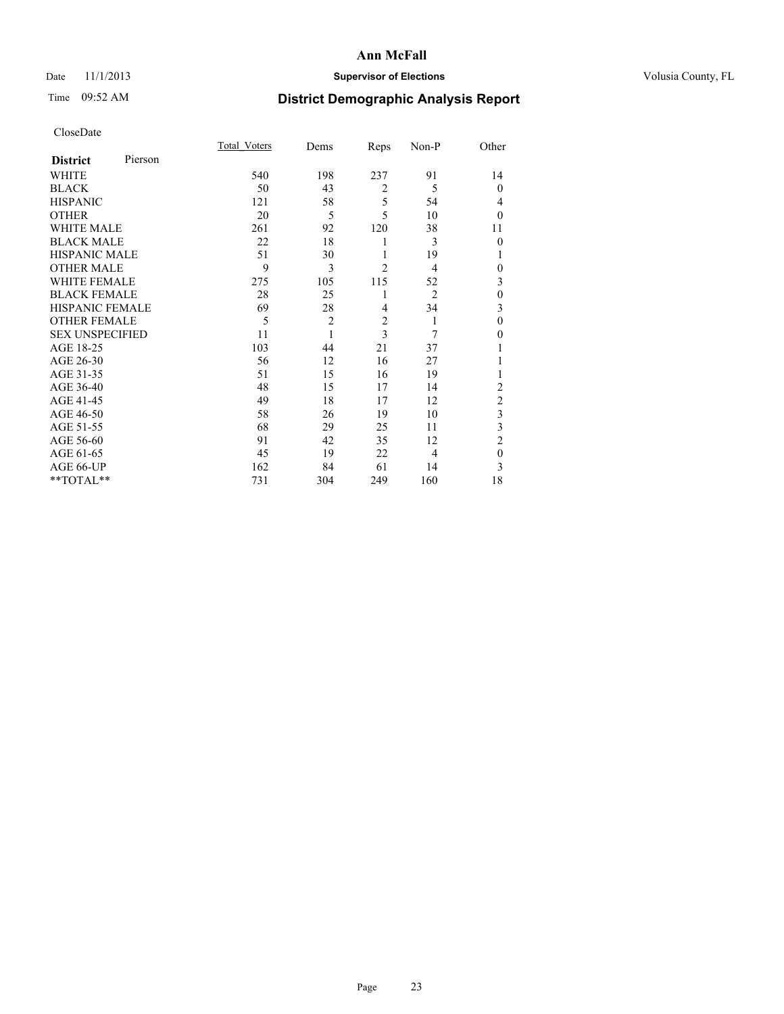## Date 11/1/2013 **Supervisor of Elections Supervisor of Elections** Volusia County, FL

# Time 09:52 AM **District Demographic Analysis Report**

|                        |         | <b>Total Voters</b> | Dems           | Reps           | Non-P          | Other          |
|------------------------|---------|---------------------|----------------|----------------|----------------|----------------|
| <b>District</b>        | Pierson |                     |                |                |                |                |
| WHITE                  |         | 540                 | 198            | 237            | 91             | 14             |
| <b>BLACK</b>           |         | 50                  | 43             | $\overline{2}$ | 5              | $\theta$       |
| <b>HISPANIC</b>        |         | 121                 | 58             | 5              | 54             | 4              |
| <b>OTHER</b>           |         | 20                  | 5              | 5              | 10             | $\theta$       |
| WHITE MALE             |         | 261                 | 92             | 120            | 38             | 11             |
| <b>BLACK MALE</b>      |         | 22                  | 18             | 1              | 3              | $\theta$       |
| <b>HISPANIC MALE</b>   |         | 51                  | 30             | 1              | 19             | 1              |
| <b>OTHER MALE</b>      |         | 9                   | 3              | $\overline{2}$ | 4              | $\theta$       |
| WHITE FEMALE           |         | 275                 | 105            | 115            | 52             | 3              |
| <b>BLACK FEMALE</b>    |         | 28                  | 25             | 1              | $\overline{2}$ | $\mathbf{0}$   |
| <b>HISPANIC FEMALE</b> |         | 69                  | 28             | 4              | 34             | 3              |
| <b>OTHER FEMALE</b>    |         | 5                   | $\overline{c}$ | $\overline{c}$ | 1              | $\theta$       |
| <b>SEX UNSPECIFIED</b> |         | 11                  | 1              | 3              | 7              | $\theta$       |
| AGE 18-25              |         | 103                 | 44             | 21             | 37             |                |
| AGE 26-30              |         | 56                  | 12             | 16             | 27             | 1              |
| AGE 31-35              |         | 51                  | 15             | 16             | 19             | 1              |
| AGE 36-40              |         | 48                  | 15             | 17             | 14             | $\overline{c}$ |
| AGE 41-45              |         | 49                  | 18             | 17             | 12             | $\overline{c}$ |
| AGE 46-50              |         | 58                  | 26             | 19             | 10             | 3              |
| AGE 51-55              |         | 68                  | 29             | 25             | 11             | 3              |
| AGE 56-60              |         | 91                  | 42             | 35             | 12             | $\overline{2}$ |
| AGE 61-65              |         | 45                  | 19             | 22             | 4              | $\mathbf{0}$   |
| AGE 66-UP              |         | 162                 | 84             | 61             | 14             | 3              |
| **TOTAL**              |         | 731                 | 304            | 249            | 160            | 18             |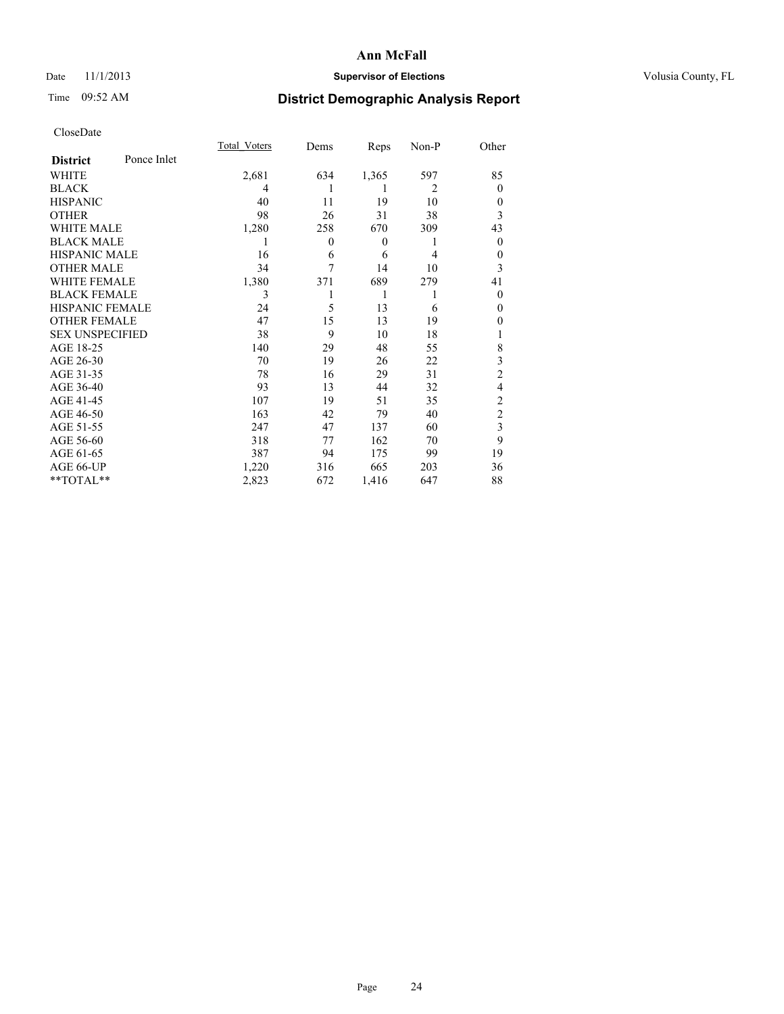## Date 11/1/2013 **Supervisor of Elections Supervisor of Elections** Volusia County, FL

# Time 09:52 AM **District Demographic Analysis Report**

|                        |             | Total Voters | Dems             | Reps             | Non-P          | Other          |
|------------------------|-------------|--------------|------------------|------------------|----------------|----------------|
| <b>District</b>        | Ponce Inlet |              |                  |                  |                |                |
| WHITE                  |             | 2,681        | 634              | 1,365            | 597            | 85             |
| <b>BLACK</b>           |             | 4            | 1                | 1                | $\overline{2}$ | $\theta$       |
| <b>HISPANIC</b>        |             | 40           | 11               | 19               | 10             | $\theta$       |
| <b>OTHER</b>           |             | 98           | 26               | 31               | 38             | 3              |
| WHITE MALE             |             | 1,280        | 258              | 670              | 309            | 43             |
| <b>BLACK MALE</b>      |             | 1            | $\boldsymbol{0}$ | $\boldsymbol{0}$ | 1              | $\overline{0}$ |
| <b>HISPANIC MALE</b>   |             | 16           | 6                | 6                | 4              | $\theta$       |
| <b>OTHER MALE</b>      |             | 34           | 7                | 14               | 10             | 3              |
| <b>WHITE FEMALE</b>    |             | 1,380        | 371              | 689              | 279            | 41             |
| <b>BLACK FEMALE</b>    |             | 3            |                  | 1                | 1              | $\theta$       |
| <b>HISPANIC FEMALE</b> |             | 24           | 5                | 13               | 6              | $\theta$       |
| <b>OTHER FEMALE</b>    |             | 47           | 15               | 13               | 19             | 0              |
| <b>SEX UNSPECIFIED</b> |             | 38           | 9                | 10               | 18             |                |
| AGE 18-25              |             | 140          | 29               | 48               | 55             | 8              |
| AGE 26-30              |             | 70           | 19               | 26               | 22             | 3              |
| AGE 31-35              |             | 78           | 16               | 29               | 31             | $\overline{c}$ |
| AGE 36-40              |             | 93           | 13               | 44               | 32             | 4              |
| AGE 41-45              |             | 107          | 19               | 51               | 35             | $\overline{c}$ |
| AGE 46-50              |             | 163          | 42               | 79               | 40             | $\overline{2}$ |
| AGE 51-55              |             | 247          | 47               | 137              | 60             | 3              |
| AGE 56-60              |             | 318          | 77               | 162              | 70             | 9              |
| AGE 61-65              |             | 387          | 94               | 175              | 99             | 19             |
| AGE 66-UP              |             | 1,220        | 316              | 665              | 203            | 36             |
| **TOTAL**              |             | 2,823        | 672              | 1,416            | 647            | 88             |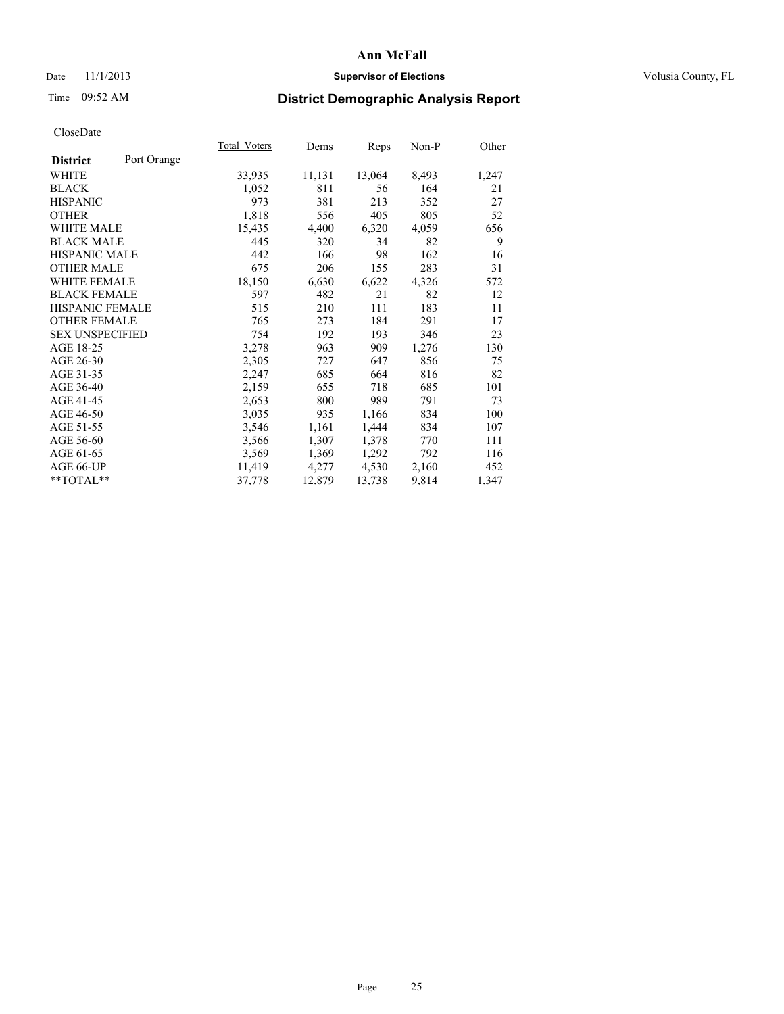## Date 11/1/2013 **Supervisor of Elections Supervisor of Elections** Volusia County, FL

# Time 09:52 AM **District Demographic Analysis Report**

|                                | Total Voters | Dems   | Reps   | Non-P | Other |
|--------------------------------|--------------|--------|--------|-------|-------|
| Port Orange<br><b>District</b> |              |        |        |       |       |
| WHITE                          | 33,935       | 11,131 | 13,064 | 8,493 | 1,247 |
| <b>BLACK</b>                   | 1,052        | 811    | 56     | 164   | 21    |
| <b>HISPANIC</b>                | 973          | 381    | 213    | 352   | 27    |
| <b>OTHER</b>                   | 1,818        | 556    | 405    | 805   | 52    |
| <b>WHITE MALE</b>              | 15,435       | 4,400  | 6,320  | 4,059 | 656   |
| <b>BLACK MALE</b>              | 445          | 320    | 34     | 82    | 9     |
| <b>HISPANIC MALE</b>           | 442          | 166    | 98     | 162   | 16    |
| <b>OTHER MALE</b>              | 675          | 206    | 155    | 283   | 31    |
| <b>WHITE FEMALE</b>            | 18,150       | 6,630  | 6,622  | 4,326 | 572   |
| <b>BLACK FEMALE</b>            | 597          | 482    | 21     | 82    | 12    |
| HISPANIC FEMALE                | 515          | 210    | 111    | 183   | 11    |
| <b>OTHER FEMALE</b>            | 765          | 273    | 184    | 291   | 17    |
| <b>SEX UNSPECIFIED</b>         | 754          | 192    | 193    | 346   | 23    |
| AGE 18-25                      | 3,278        | 963    | 909    | 1,276 | 130   |
| AGE 26-30                      | 2,305        | 727    | 647    | 856   | 75    |
| AGE 31-35                      | 2,247        | 685    | 664    | 816   | 82    |
| AGE 36-40                      | 2,159        | 655    | 718    | 685   | 101   |
| AGE 41-45                      | 2,653        | 800    | 989    | 791   | 73    |
| AGE 46-50                      | 3,035        | 935    | 1,166  | 834   | 100   |
| AGE 51-55                      | 3,546        | 1,161  | 1,444  | 834   | 107   |
| AGE 56-60                      | 3,566        | 1,307  | 1,378  | 770   | 111   |
| AGE 61-65                      | 3,569        | 1,369  | 1,292  | 792   | 116   |
| AGE 66-UP                      | 11,419       | 4,277  | 4,530  | 2,160 | 452   |
| **TOTAL**                      | 37,778       | 12,879 | 13,738 | 9,814 | 1,347 |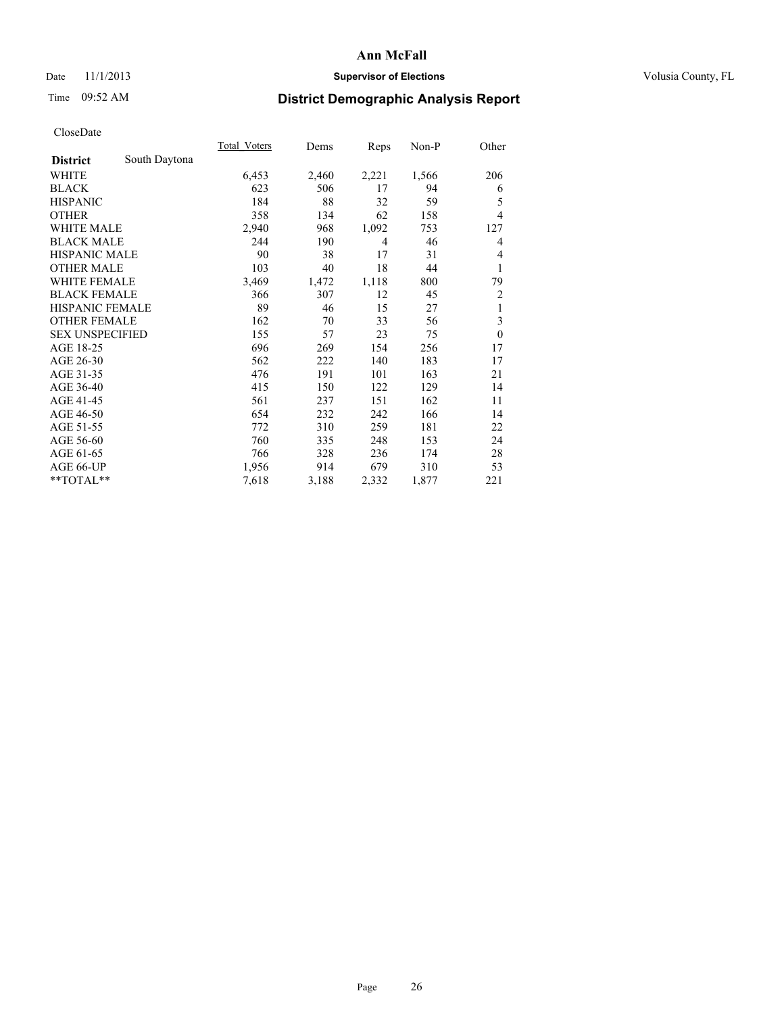## Date 11/1/2013 **Supervisor of Elections Supervisor of Elections** Volusia County, FL

# Time 09:52 AM **District Demographic Analysis Report**

|                        |               | Total Voters | Dems  | Reps  | $Non-P$ | Other          |
|------------------------|---------------|--------------|-------|-------|---------|----------------|
| <b>District</b>        | South Daytona |              |       |       |         |                |
| WHITE                  |               | 6,453        | 2,460 | 2,221 | 1,566   | 206            |
| <b>BLACK</b>           |               | 623          | 506   | 17    | 94      | 6              |
| <b>HISPANIC</b>        |               | 184          | 88    | 32    | 59      | 5              |
| <b>OTHER</b>           |               | 358          | 134   | 62    | 158     | 4              |
| WHITE MALE             |               | 2,940        | 968   | 1,092 | 753     | 127            |
| <b>BLACK MALE</b>      |               | 244          | 190   | 4     | 46      | 4              |
| <b>HISPANIC MALE</b>   |               | 90           | 38    | 17    | 31      | 4              |
| <b>OTHER MALE</b>      |               | 103          | 40    | 18    | 44      | 1              |
| WHITE FEMALE           |               | 3,469        | 1,472 | 1,118 | 800     | 79             |
| <b>BLACK FEMALE</b>    |               | 366          | 307   | 12    | 45      | $\overline{c}$ |
| <b>HISPANIC FEMALE</b> |               | 89           | 46    | 15    | 27      | 1              |
| <b>OTHER FEMALE</b>    |               | 162          | 70    | 33    | 56      | 3              |
| <b>SEX UNSPECIFIED</b> |               | 155          | 57    | 23    | 75      | $\mathbf{0}$   |
| AGE 18-25              |               | 696          | 269   | 154   | 256     | 17             |
| AGE 26-30              |               | 562          | 222   | 140   | 183     | 17             |
| AGE 31-35              |               | 476          | 191   | 101   | 163     | 21             |
| AGE 36-40              |               | 415          | 150   | 122   | 129     | 14             |
| AGE 41-45              |               | 561          | 237   | 151   | 162     | 11             |
| AGE 46-50              |               | 654          | 232   | 242   | 166     | 14             |
| AGE 51-55              |               | 772          | 310   | 259   | 181     | 22             |
| AGE 56-60              |               | 760          | 335   | 248   | 153     | 24             |
| AGE 61-65              |               | 766          | 328   | 236   | 174     | 28             |
| AGE 66-UP              |               | 1,956        | 914   | 679   | 310     | 53             |
| **TOTAL**              |               | 7,618        | 3,188 | 2,332 | 1,877   | 221            |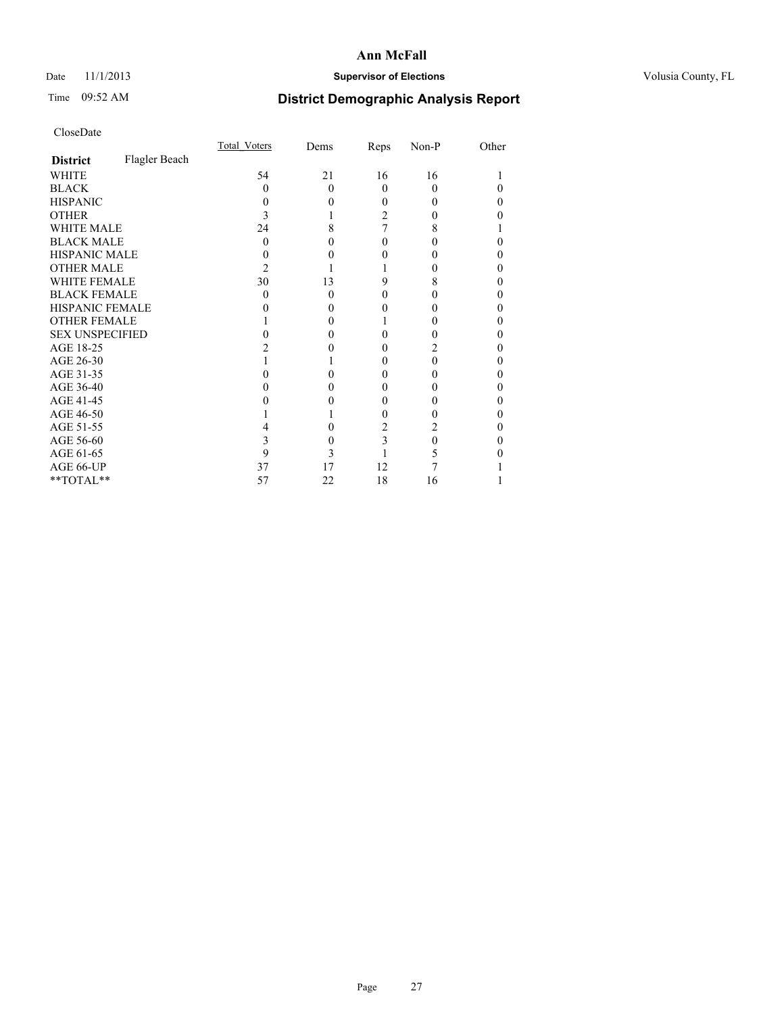## Date 11/1/2013 **Supervisor of Elections Supervisor of Elections** Volusia County, FL

# Time 09:52 AM **District Demographic Analysis Report**

|                        |               | Total Voters | Dems     | Reps     | Non-P    | Other |
|------------------------|---------------|--------------|----------|----------|----------|-------|
| <b>District</b>        | Flagler Beach |              |          |          |          |       |
| <b>WHITE</b>           |               | 54           | 21       | 16       | 16       |       |
| <b>BLACK</b>           |               | 0            | $\Omega$ | $\Omega$ | $\Omega$ |       |
| <b>HISPANIC</b>        |               | 0            | 0        | 0        | $\theta$ | 0     |
| <b>OTHER</b>           |               |              |          | 2        | 0        |       |
| <b>WHITE MALE</b>      |               | 24           | 8        |          | 8        |       |
| <b>BLACK MALE</b>      |               | 0            |          | 0        | 0        |       |
| <b>HISPANIC MALE</b>   |               |              |          |          |          |       |
| <b>OTHER MALE</b>      |               | 2            |          |          | 0        | 0     |
| <b>WHITE FEMALE</b>    |               | 30           | 13       | 9        | 8        | 0     |
| <b>BLACK FEMALE</b>    |               | 0            | $\Omega$ | 0        | $\theta$ | 0     |
| <b>HISPANIC FEMALE</b> |               |              |          |          |          |       |
| <b>OTHER FEMALE</b>    |               |              | 0        |          |          | 0     |
| <b>SEX UNSPECIFIED</b> |               |              |          |          |          |       |
| AGE 18-25              |               |              |          | 0        |          |       |
| AGE 26-30              |               |              |          | 0        | 0        | 0     |
| AGE 31-35              |               |              |          |          | 0        |       |
| AGE 36-40              |               |              | 0        | 0        | 0        | 0     |
| AGE 41-45              |               |              |          | 0        |          | 0     |
| AGE 46-50              |               |              |          | 0        |          | 0     |
| AGE 51-55              |               |              |          | 2        | 2        |       |
| AGE 56-60              |               |              | 0        | 3        | 0        |       |
| AGE 61-65              |               | 9            | 3        |          | 5        |       |
| AGE 66-UP              |               | 37           | 17       | 12       |          |       |
| **TOTAL**              |               | 57           | 22       | 18       | 16       |       |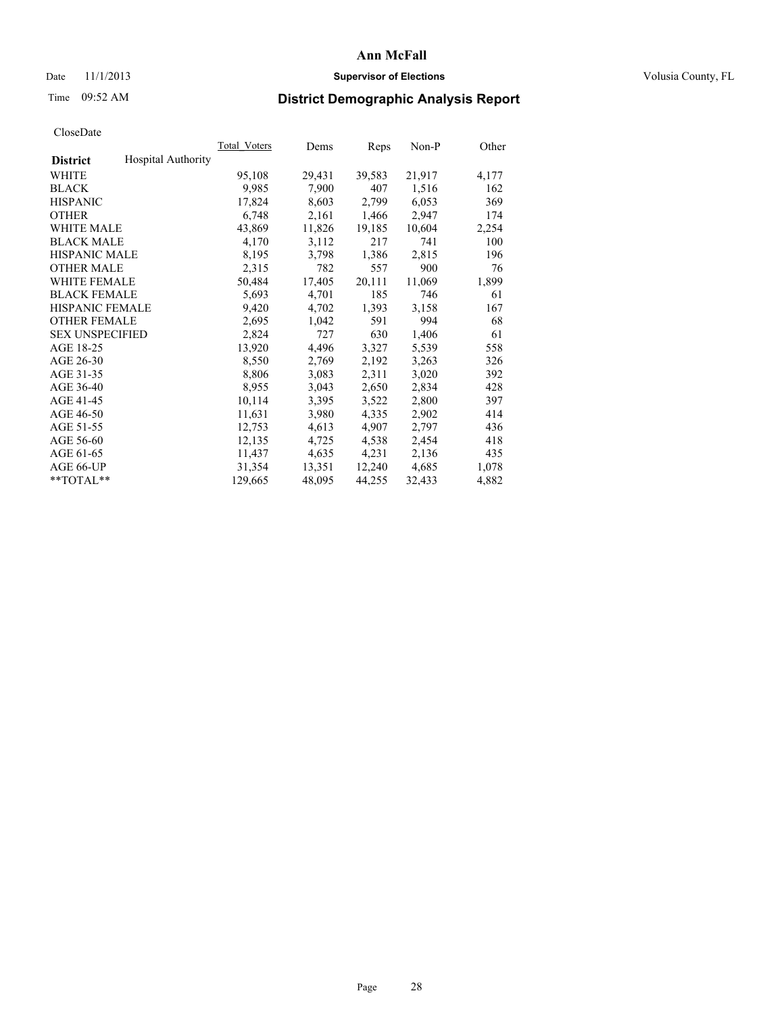### Date 11/1/2013 **Supervisor of Elections Supervisor of Elections** Volusia County, FL

# Time 09:52 AM **District Demographic Analysis Report**

|                        |                           | Total Voters | Dems   | Reps   | Non-P  | Other |
|------------------------|---------------------------|--------------|--------|--------|--------|-------|
| <b>District</b>        | <b>Hospital Authority</b> |              |        |        |        |       |
| <b>WHITE</b>           |                           | 95,108       | 29,431 | 39,583 | 21,917 | 4,177 |
| <b>BLACK</b>           |                           | 9.985        | 7,900  | 407    | 1,516  | 162   |
| <b>HISPANIC</b>        |                           | 17,824       | 8,603  | 2,799  | 6,053  | 369   |
| <b>OTHER</b>           |                           | 6,748        | 2,161  | 1,466  | 2,947  | 174   |
| <b>WHITE MALE</b>      |                           | 43,869       | 11,826 | 19,185 | 10,604 | 2,254 |
| <b>BLACK MALE</b>      |                           | 4,170        | 3,112  | 217    | 741    | 100   |
| <b>HISPANIC MALE</b>   |                           | 8,195        | 3,798  | 1,386  | 2,815  | 196   |
| <b>OTHER MALE</b>      |                           | 2,315        | 782    | 557    | 900    | 76    |
| <b>WHITE FEMALE</b>    |                           | 50,484       | 17,405 | 20,111 | 11,069 | 1,899 |
| <b>BLACK FEMALE</b>    |                           | 5,693        | 4,701  | 185    | 746    | 61    |
| <b>HISPANIC FEMALE</b> |                           | 9,420        | 4,702  | 1,393  | 3,158  | 167   |
| <b>OTHER FEMALE</b>    |                           | 2,695        | 1,042  | 591    | 994    | 68    |
| <b>SEX UNSPECIFIED</b> |                           | 2,824        | 727    | 630    | 1,406  | 61    |
| AGE 18-25              |                           | 13,920       | 4,496  | 3,327  | 5,539  | 558   |
| AGE 26-30              |                           | 8,550        | 2,769  | 2,192  | 3,263  | 326   |
| AGE 31-35              |                           | 8,806        | 3,083  | 2,311  | 3,020  | 392   |
| AGE 36-40              |                           | 8,955        | 3,043  | 2,650  | 2,834  | 428   |
| AGE 41-45              |                           | 10,114       | 3,395  | 3,522  | 2,800  | 397   |
| AGE 46-50              |                           | 11,631       | 3,980  | 4,335  | 2,902  | 414   |
| AGE 51-55              |                           | 12,753       | 4,613  | 4,907  | 2,797  | 436   |
| AGE 56-60              |                           | 12,135       | 4,725  | 4,538  | 2,454  | 418   |
| AGE 61-65              |                           | 11,437       | 4,635  | 4,231  | 2,136  | 435   |
| AGE 66-UP              |                           | 31,354       | 13,351 | 12,240 | 4,685  | 1,078 |
| $*$ $TOTAL**$          |                           | 129,665      | 48,095 | 44,255 | 32,433 | 4,882 |
|                        |                           |              |        |        |        |       |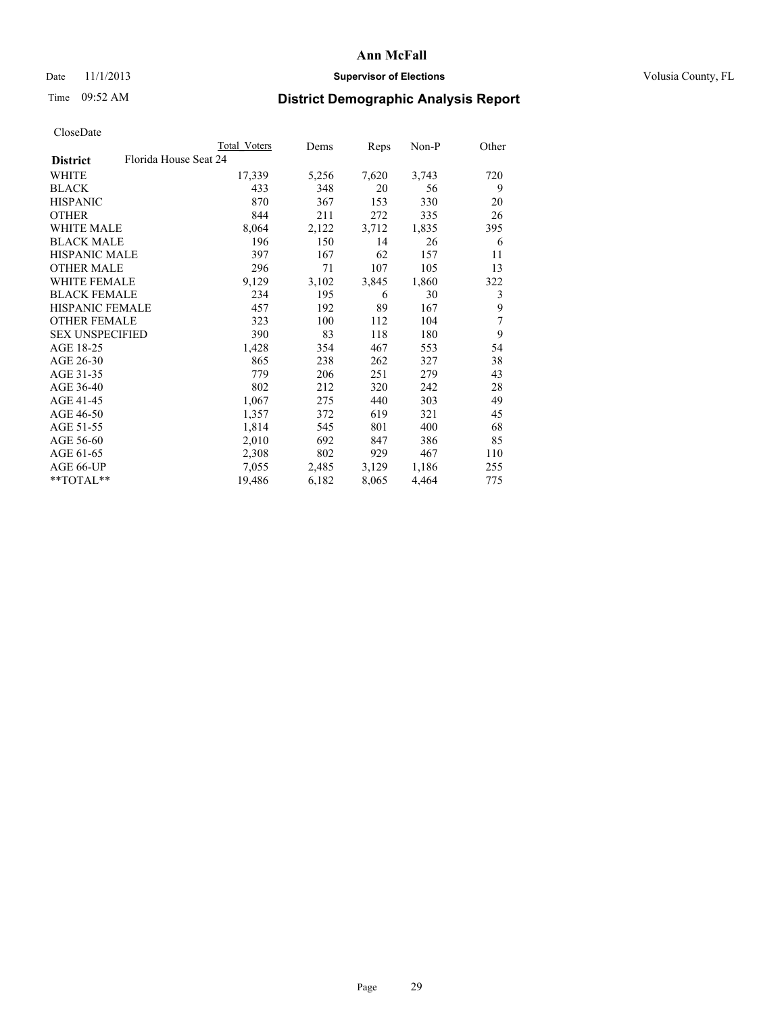## Date 11/1/2013 **Supervisor of Elections Supervisor of Elections** Volusia County, FL

# Time 09:52 AM **District Demographic Analysis Report**

|                        |                       | Total Voters | Dems  | <b>Reps</b> | $Non-P$ | Other |
|------------------------|-----------------------|--------------|-------|-------------|---------|-------|
| <b>District</b>        | Florida House Seat 24 |              |       |             |         |       |
| WHITE                  |                       | 17,339       | 5,256 | 7,620       | 3,743   | 720   |
| <b>BLACK</b>           |                       | 433          | 348   | 20          | 56      | 9     |
| <b>HISPANIC</b>        |                       | 870          | 367   | 153         | 330     | 20    |
| <b>OTHER</b>           |                       | 844          | 211   | 272         | 335     | 26    |
| <b>WHITE MALE</b>      |                       | 8,064        | 2,122 | 3,712       | 1,835   | 395   |
| <b>BLACK MALE</b>      |                       | 196          | 150   | 14          | 26      | 6     |
| <b>HISPANIC MALE</b>   |                       | 397          | 167   | 62          | 157     | 11    |
| <b>OTHER MALE</b>      |                       | 296          | 71    | 107         | 105     | 13    |
| <b>WHITE FEMALE</b>    |                       | 9,129        | 3,102 | 3,845       | 1,860   | 322   |
| <b>BLACK FEMALE</b>    |                       | 234          | 195   | 6           | 30      | 3     |
| HISPANIC FEMALE        |                       | 457          | 192   | 89          | 167     | 9     |
| <b>OTHER FEMALE</b>    |                       | 323          | 100   | 112         | 104     | 7     |
| <b>SEX UNSPECIFIED</b> |                       | 390          | 83    | 118         | 180     | 9     |
| AGE 18-25              |                       | 1,428        | 354   | 467         | 553     | 54    |
| AGE 26-30              |                       | 865          | 238   | 262         | 327     | 38    |
| AGE 31-35              |                       | 779          | 206   | 251         | 279     | 43    |
| AGE 36-40              |                       | 802          | 212   | 320         | 242     | 28    |
| AGE 41-45              |                       | 1,067        | 275   | 440         | 303     | 49    |
| AGE 46-50              |                       | 1,357        | 372   | 619         | 321     | 45    |
| AGE 51-55              |                       | 1,814        | 545   | 801         | 400     | 68    |
| AGE 56-60              |                       | 2,010        | 692   | 847         | 386     | 85    |
| AGE 61-65              |                       | 2,308        | 802   | 929         | 467     | 110   |
| AGE 66-UP              |                       | 7,055        | 2,485 | 3,129       | 1,186   | 255   |
| $*$ $TOTAL**$          |                       | 19,486       | 6,182 | 8,065       | 4,464   | 775   |
|                        |                       |              |       |             |         |       |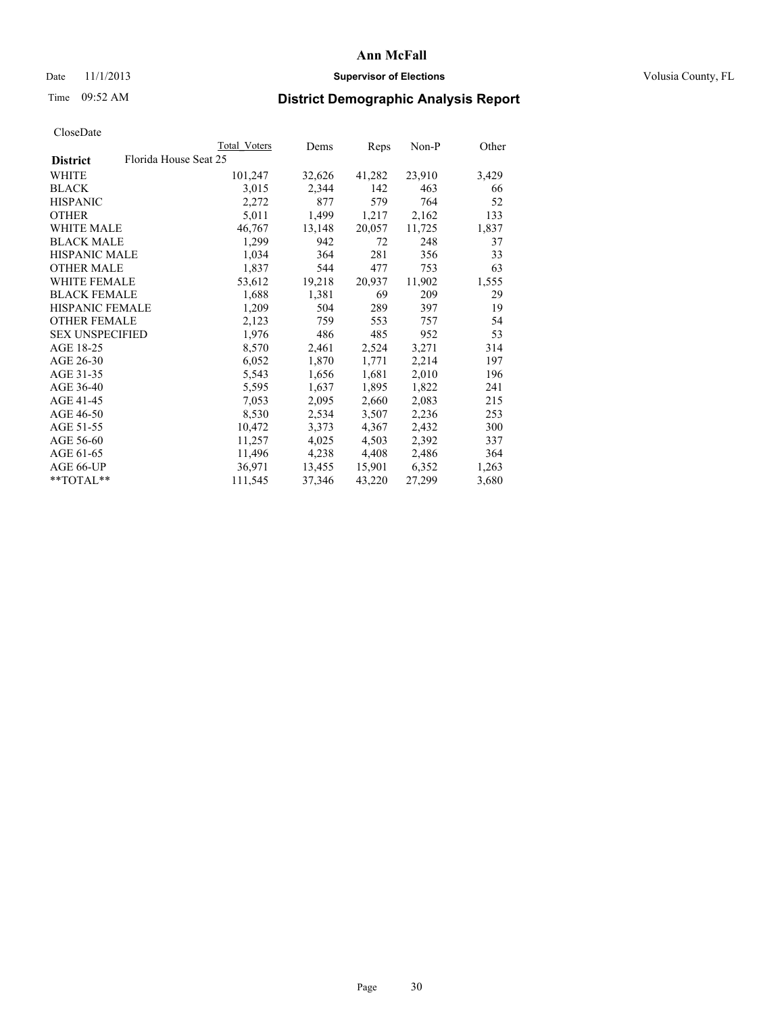### Date 11/1/2013 **Supervisor of Elections Supervisor of Elections** Volusia County, FL

# Time 09:52 AM **District Demographic Analysis Report**

|                                          | Total Voters | Dems   | Reps   | Non-P  | Other |
|------------------------------------------|--------------|--------|--------|--------|-------|
| Florida House Seat 25<br><b>District</b> |              |        |        |        |       |
| WHITE                                    | 101,247      | 32,626 | 41,282 | 23,910 | 3,429 |
| <b>BLACK</b>                             | 3,015        | 2,344  | 142    | 463    | 66    |
| <b>HISPANIC</b>                          | 2,272        | 877    | 579    | 764    | 52    |
| <b>OTHER</b>                             | 5,011        | 1,499  | 1,217  | 2,162  | 133   |
| WHITE MALE                               | 46,767       | 13,148 | 20,057 | 11,725 | 1,837 |
| <b>BLACK MALE</b>                        | 1,299        | 942    | 72     | 248    | 37    |
| <b>HISPANIC MALE</b>                     | 1,034        | 364    | 281    | 356    | 33    |
| <b>OTHER MALE</b>                        | 1,837        | 544    | 477    | 753    | 63    |
| WHITE FEMALE                             | 53,612       | 19,218 | 20,937 | 11,902 | 1,555 |
| <b>BLACK FEMALE</b>                      | 1,688        | 1,381  | 69     | 209    | 29    |
| <b>HISPANIC FEMALE</b>                   | 1,209        | 504    | 289    | 397    | 19    |
| <b>OTHER FEMALE</b>                      | 2,123        | 759    | 553    | 757    | 54    |
| <b>SEX UNSPECIFIED</b>                   | 1,976        | 486    | 485    | 952    | 53    |
| AGE 18-25                                | 8,570        | 2,461  | 2,524  | 3,271  | 314   |
| AGE 26-30                                | 6,052        | 1,870  | 1,771  | 2,214  | 197   |
| AGE 31-35                                | 5,543        | 1,656  | 1,681  | 2,010  | 196   |
| AGE 36-40                                | 5,595        | 1,637  | 1,895  | 1,822  | 241   |
| AGE 41-45                                | 7,053        | 2,095  | 2,660  | 2,083  | 215   |
| AGE 46-50                                | 8,530        | 2,534  | 3,507  | 2,236  | 253   |
| AGE 51-55                                | 10,472       | 3,373  | 4,367  | 2,432  | 300   |
| AGE 56-60                                | 11,257       | 4,025  | 4,503  | 2,392  | 337   |
| AGE 61-65                                | 11,496       | 4,238  | 4,408  | 2,486  | 364   |
| AGE 66-UP                                | 36,971       | 13,455 | 15,901 | 6,352  | 1,263 |
| $*$ TOTAL $*$                            | 111,545      | 37,346 | 43,220 | 27,299 | 3,680 |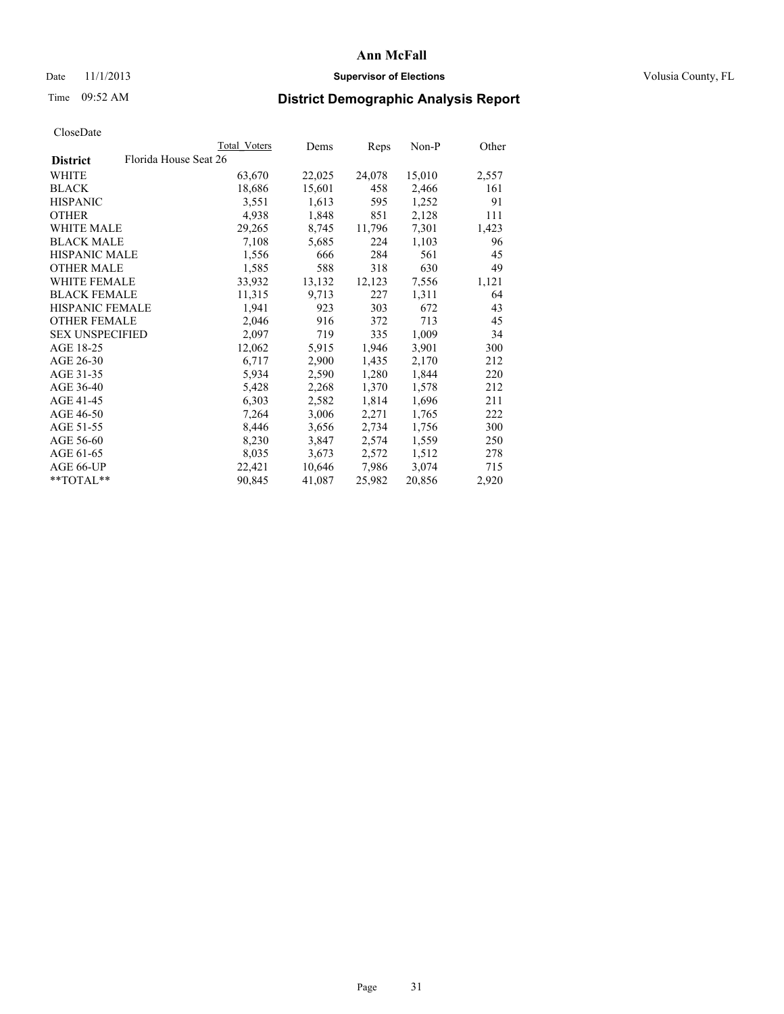### Date 11/1/2013 **Supervisor of Elections Supervisor of Elections** Volusia County, FL

## Time 09:52 AM **District Demographic Analysis Report**

|                        |                       | Total Voters | Dems   | <b>Reps</b> | Non-P  | Other |
|------------------------|-----------------------|--------------|--------|-------------|--------|-------|
| <b>District</b>        | Florida House Seat 26 |              |        |             |        |       |
| WHITE                  |                       | 63,670       | 22,025 | 24,078      | 15,010 | 2,557 |
| <b>BLACK</b>           |                       | 18,686       | 15,601 | 458         | 2,466  | 161   |
| <b>HISPANIC</b>        |                       | 3,551        | 1,613  | 595         | 1,252  | 91    |
| <b>OTHER</b>           |                       | 4,938        | 1,848  | 851         | 2,128  | 111   |
| <b>WHITE MALE</b>      |                       | 29,265       | 8,745  | 11,796      | 7,301  | 1,423 |
| <b>BLACK MALE</b>      |                       | 7,108        | 5,685  | 224         | 1,103  | 96    |
| <b>HISPANIC MALE</b>   |                       | 1,556        | 666    | 284         | 561    | 45    |
| <b>OTHER MALE</b>      |                       | 1,585        | 588    | 318         | 630    | 49    |
| <b>WHITE FEMALE</b>    |                       | 33,932       | 13,132 | 12,123      | 7,556  | 1,121 |
| <b>BLACK FEMALE</b>    |                       | 11,315       | 9,713  | 227         | 1,311  | 64    |
| <b>HISPANIC FEMALE</b> |                       | 1,941        | 923    | 303         | 672    | 43    |
| <b>OTHER FEMALE</b>    |                       | 2,046        | 916    | 372         | 713    | 45    |
| <b>SEX UNSPECIFIED</b> |                       | 2,097        | 719    | 335         | 1,009  | 34    |
| AGE 18-25              |                       | 12,062       | 5,915  | 1,946       | 3,901  | 300   |
| AGE 26-30              |                       | 6,717        | 2,900  | 1,435       | 2,170  | 212   |
| AGE 31-35              |                       | 5,934        | 2,590  | 1,280       | 1,844  | 220   |
| AGE 36-40              |                       | 5,428        | 2,268  | 1,370       | 1,578  | 212   |
| AGE 41-45              |                       | 6,303        | 2,582  | 1,814       | 1,696  | 211   |
| AGE 46-50              |                       | 7,264        | 3,006  | 2,271       | 1,765  | 222   |
| AGE 51-55              |                       | 8,446        | 3,656  | 2,734       | 1,756  | 300   |
| AGE 56-60              |                       | 8,230        | 3,847  | 2,574       | 1,559  | 250   |
| AGE 61-65              |                       | 8,035        | 3,673  | 2,572       | 1,512  | 278   |
| AGE 66-UP              |                       | 22,421       | 10,646 | 7,986       | 3,074  | 715   |
| $*$ $TOTAL**$          |                       | 90,845       | 41,087 | 25,982      | 20,856 | 2,920 |
|                        |                       |              |        |             |        |       |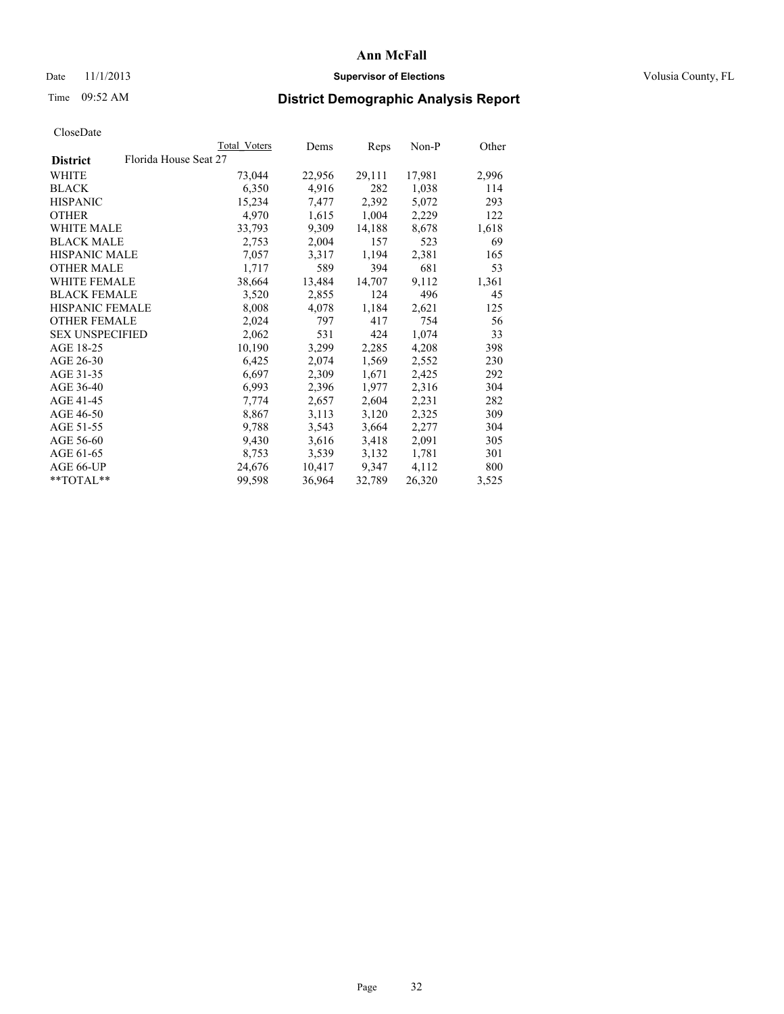## Date 11/1/2013 **Supervisor of Elections Supervisor of Elections** Volusia County, FL

# Time 09:52 AM **District Demographic Analysis Report**

|                        |                       | Total Voters | Dems   | Reps   | Non-P  | Other |
|------------------------|-----------------------|--------------|--------|--------|--------|-------|
| <b>District</b>        | Florida House Seat 27 |              |        |        |        |       |
| <b>WHITE</b>           |                       | 73,044       | 22,956 | 29,111 | 17,981 | 2,996 |
| <b>BLACK</b>           |                       | 6,350        | 4,916  | 282    | 1,038  | 114   |
| <b>HISPANIC</b>        |                       | 15,234       | 7,477  | 2,392  | 5,072  | 293   |
| <b>OTHER</b>           |                       | 4,970        | 1,615  | 1,004  | 2,229  | 122   |
| <b>WHITE MALE</b>      |                       | 33,793       | 9,309  | 14,188 | 8,678  | 1,618 |
| <b>BLACK MALE</b>      |                       | 2,753        | 2,004  | 157    | 523    | 69    |
| <b>HISPANIC MALE</b>   |                       | 7,057        | 3,317  | 1,194  | 2,381  | 165   |
| <b>OTHER MALE</b>      |                       | 1,717        | 589    | 394    | 681    | 53    |
| <b>WHITE FEMALE</b>    |                       | 38,664       | 13,484 | 14,707 | 9,112  | 1,361 |
| <b>BLACK FEMALE</b>    |                       | 3,520        | 2,855  | 124    | 496    | 45    |
| <b>HISPANIC FEMALE</b> |                       | 8,008        | 4,078  | 1,184  | 2,621  | 125   |
| <b>OTHER FEMALE</b>    |                       | 2,024        | 797    | 417    | 754    | 56    |
| <b>SEX UNSPECIFIED</b> |                       | 2,062        | 531    | 424    | 1,074  | 33    |
| AGE 18-25              |                       | 10,190       | 3,299  | 2,285  | 4,208  | 398   |
| AGE 26-30              |                       | 6,425        | 2,074  | 1,569  | 2,552  | 230   |
| AGE 31-35              |                       | 6,697        | 2,309  | 1,671  | 2,425  | 292   |
| AGE 36-40              |                       | 6,993        | 2,396  | 1,977  | 2,316  | 304   |
| AGE 41-45              |                       | 7,774        | 2,657  | 2,604  | 2,231  | 282   |
| AGE 46-50              |                       | 8,867        | 3,113  | 3,120  | 2,325  | 309   |
| AGE 51-55              |                       | 9,788        | 3,543  | 3,664  | 2,277  | 304   |
| AGE 56-60              |                       | 9,430        | 3,616  | 3,418  | 2,091  | 305   |
| AGE 61-65              |                       | 8,753        | 3,539  | 3,132  | 1,781  | 301   |
| AGE 66-UP              |                       | 24,676       | 10,417 | 9,347  | 4,112  | 800   |
| $*$ $TOTAL**$          |                       | 99,598       | 36,964 | 32,789 | 26,320 | 3,525 |
|                        |                       |              |        |        |        |       |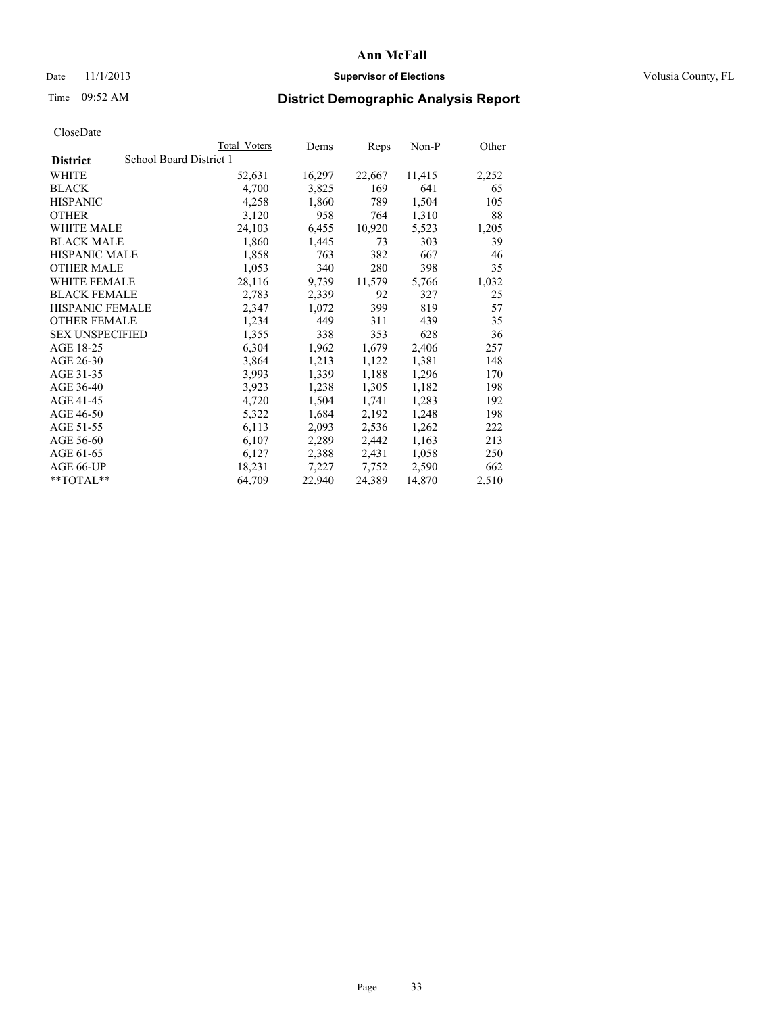### Date 11/1/2013 **Supervisor of Elections Supervisor of Elections** Volusia County, FL

## Time 09:52 AM **District Demographic Analysis Report**

|                        |                         | <b>Total Voters</b> | Dems   | Reps   | Non-P  | Other |
|------------------------|-------------------------|---------------------|--------|--------|--------|-------|
| <b>District</b>        | School Board District 1 |                     |        |        |        |       |
| WHITE                  |                         | 52,631              | 16,297 | 22,667 | 11,415 | 2,252 |
| <b>BLACK</b>           |                         | 4,700               | 3,825  | 169    | 641    | 65    |
| <b>HISPANIC</b>        |                         | 4,258               | 1,860  | 789    | 1,504  | 105   |
| <b>OTHER</b>           |                         | 3,120               | 958    | 764    | 1,310  | 88    |
| <b>WHITE MALE</b>      |                         | 24,103              | 6,455  | 10,920 | 5,523  | 1,205 |
| <b>BLACK MALE</b>      |                         | 1,860               | 1,445  | 73     | 303    | 39    |
| <b>HISPANIC MALE</b>   |                         | 1,858               | 763    | 382    | 667    | 46    |
| <b>OTHER MALE</b>      |                         | 1,053               | 340    | 280    | 398    | 35    |
| <b>WHITE FEMALE</b>    |                         | 28,116              | 9,739  | 11,579 | 5,766  | 1,032 |
| <b>BLACK FEMALE</b>    |                         | 2,783               | 2,339  | 92     | 327    | 25    |
| <b>HISPANIC FEMALE</b> |                         | 2,347               | 1,072  | 399    | 819    | 57    |
| <b>OTHER FEMALE</b>    |                         | 1,234               | 449    | 311    | 439    | 35    |
| <b>SEX UNSPECIFIED</b> |                         | 1,355               | 338    | 353    | 628    | 36    |
| AGE 18-25              |                         | 6,304               | 1,962  | 1,679  | 2,406  | 257   |
| AGE 26-30              |                         | 3,864               | 1,213  | 1,122  | 1,381  | 148   |
| AGE 31-35              |                         | 3,993               | 1,339  | 1,188  | 1,296  | 170   |
| AGE 36-40              |                         | 3,923               | 1,238  | 1,305  | 1,182  | 198   |
| AGE 41-45              |                         | 4,720               | 1,504  | 1,741  | 1,283  | 192   |
| AGE 46-50              |                         | 5,322               | 1,684  | 2,192  | 1,248  | 198   |
| AGE 51-55              |                         | 6,113               | 2,093  | 2,536  | 1,262  | 222   |
| AGE 56-60              |                         | 6,107               | 2,289  | 2,442  | 1,163  | 213   |
| AGE 61-65              |                         | 6,127               | 2,388  | 2,431  | 1,058  | 250   |
| AGE 66-UP              |                         | 18,231              | 7,227  | 7,752  | 2,590  | 662   |
| $*$ $TOTAL**$          |                         | 64,709              | 22,940 | 24,389 | 14,870 | 2,510 |
|                        |                         |                     |        |        |        |       |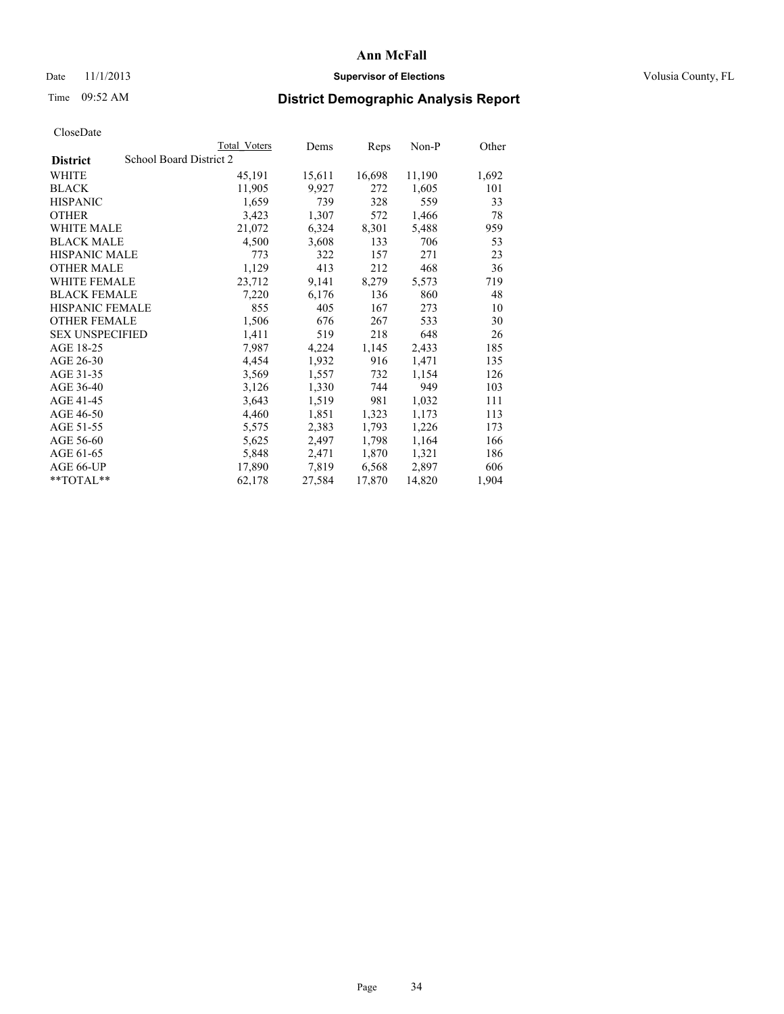## Date 11/1/2013 **Supervisor of Elections Supervisor of Elections** Volusia County, FL

# Time 09:52 AM **District Demographic Analysis Report**

|                        |                         | <b>Total Voters</b> | Dems   | Reps   | Non-P  | Other |
|------------------------|-------------------------|---------------------|--------|--------|--------|-------|
| <b>District</b>        | School Board District 2 |                     |        |        |        |       |
| WHITE                  |                         | 45,191              | 15,611 | 16,698 | 11,190 | 1,692 |
| <b>BLACK</b>           |                         | 11,905              | 9,927  | 272    | 1,605  | 101   |
| <b>HISPANIC</b>        |                         | 1,659               | 739    | 328    | 559    | 33    |
| <b>OTHER</b>           |                         | 3,423               | 1,307  | 572    | 1,466  | 78    |
| WHITE MALE             |                         | 21,072              | 6,324  | 8,301  | 5,488  | 959   |
| <b>BLACK MALE</b>      |                         | 4,500               | 3,608  | 133    | 706    | 53    |
| <b>HISPANIC MALE</b>   |                         | 773                 | 322    | 157    | 271    | 23    |
| <b>OTHER MALE</b>      |                         | 1,129               | 413    | 212    | 468    | 36    |
| <b>WHITE FEMALE</b>    |                         | 23,712              | 9,141  | 8,279  | 5,573  | 719   |
| <b>BLACK FEMALE</b>    |                         | 7,220               | 6,176  | 136    | 860    | 48    |
| <b>HISPANIC FEMALE</b> |                         | 855                 | 405    | 167    | 273    | 10    |
| <b>OTHER FEMALE</b>    |                         | 1,506               | 676    | 267    | 533    | 30    |
| <b>SEX UNSPECIFIED</b> |                         | 1,411               | 519    | 218    | 648    | 26    |
| AGE 18-25              |                         | 7.987               | 4,224  | 1,145  | 2,433  | 185   |
| AGE 26-30              |                         | 4,454               | 1,932  | 916    | 1,471  | 135   |
| AGE 31-35              |                         | 3,569               | 1,557  | 732    | 1,154  | 126   |
| AGE 36-40              |                         | 3,126               | 1,330  | 744    | 949    | 103   |
| AGE 41-45              |                         | 3,643               | 1,519  | 981    | 1,032  | 111   |
| AGE 46-50              |                         | 4,460               | 1,851  | 1,323  | 1,173  | 113   |
| AGE 51-55              |                         | 5,575               | 2,383  | 1,793  | 1,226  | 173   |
| AGE 56-60              |                         | 5,625               | 2,497  | 1,798  | 1,164  | 166   |
| AGE 61-65              |                         | 5,848               | 2,471  | 1,870  | 1,321  | 186   |
| AGE 66-UP              |                         | 17,890              | 7,819  | 6,568  | 2,897  | 606   |
| **TOTAL**              |                         | 62,178              | 27,584 | 17,870 | 14,820 | 1,904 |
|                        |                         |                     |        |        |        |       |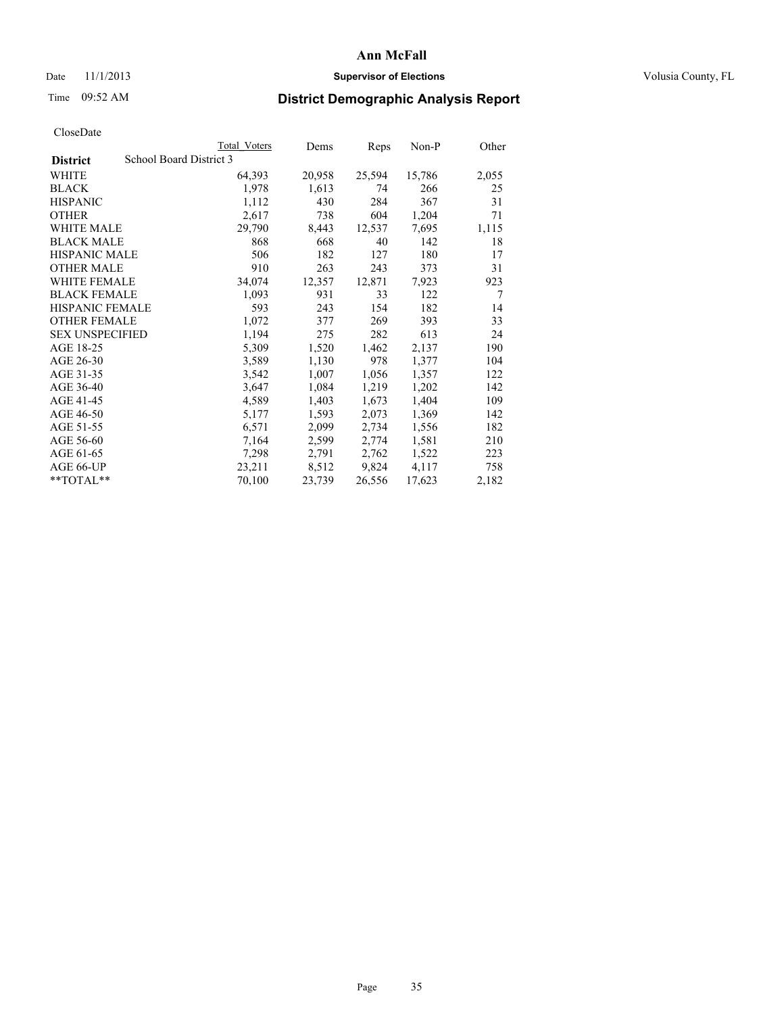### Date 11/1/2013 **Supervisor of Elections Supervisor of Elections** Volusia County, FL

## Time 09:52 AM **District Demographic Analysis Report**

|                        |                         | <b>Total Voters</b> | Dems   | Reps   | Non-P  | Other          |
|------------------------|-------------------------|---------------------|--------|--------|--------|----------------|
| <b>District</b>        | School Board District 3 |                     |        |        |        |                |
| WHITE                  |                         | 64,393              | 20,958 | 25,594 | 15,786 | 2,055          |
| <b>BLACK</b>           |                         | 1,978               | 1,613  | 74     | 266    | 25             |
| <b>HISPANIC</b>        |                         | 1,112               | 430    | 284    | 367    | 31             |
| <b>OTHER</b>           |                         | 2,617               | 738    | 604    | 1,204  | 71             |
| <b>WHITE MALE</b>      |                         | 29,790              | 8,443  | 12,537 | 7,695  | 1,115          |
| <b>BLACK MALE</b>      |                         | 868                 | 668    | 40     | 142    | 18             |
| <b>HISPANIC MALE</b>   |                         | 506                 | 182    | 127    | 180    | 17             |
| <b>OTHER MALE</b>      |                         | 910                 | 263    | 243    | 373    | 31             |
| <b>WHITE FEMALE</b>    |                         | 34,074              | 12,357 | 12,871 | 7,923  | 923            |
| <b>BLACK FEMALE</b>    |                         | 1,093               | 931    | 33     | 122    | $\overline{7}$ |
| <b>HISPANIC FEMALE</b> |                         | 593                 | 243    | 154    | 182    | 14             |
| <b>OTHER FEMALE</b>    |                         | 1,072               | 377    | 269    | 393    | 33             |
| <b>SEX UNSPECIFIED</b> |                         | 1,194               | 275    | 282    | 613    | 24             |
| AGE 18-25              |                         | 5,309               | 1,520  | 1,462  | 2,137  | 190            |
| AGE 26-30              |                         | 3,589               | 1,130  | 978    | 1,377  | 104            |
| AGE 31-35              |                         | 3,542               | 1,007  | 1,056  | 1,357  | 122            |
| AGE 36-40              |                         | 3,647               | 1,084  | 1,219  | 1,202  | 142            |
| AGE 41-45              |                         | 4,589               | 1,403  | 1,673  | 1,404  | 109            |
| AGE 46-50              |                         | 5,177               | 1,593  | 2,073  | 1,369  | 142            |
| AGE 51-55              |                         | 6,571               | 2,099  | 2,734  | 1,556  | 182            |
| AGE 56-60              |                         | 7,164               | 2,599  | 2,774  | 1,581  | 210            |
| AGE 61-65              |                         | 7,298               | 2,791  | 2,762  | 1,522  | 223            |
| AGE 66-UP              |                         | 23,211              | 8,512  | 9,824  | 4,117  | 758            |
| $*$ $TOTAL**$          |                         | 70,100              | 23,739 | 26,556 | 17,623 | 2,182          |
|                        |                         |                     |        |        |        |                |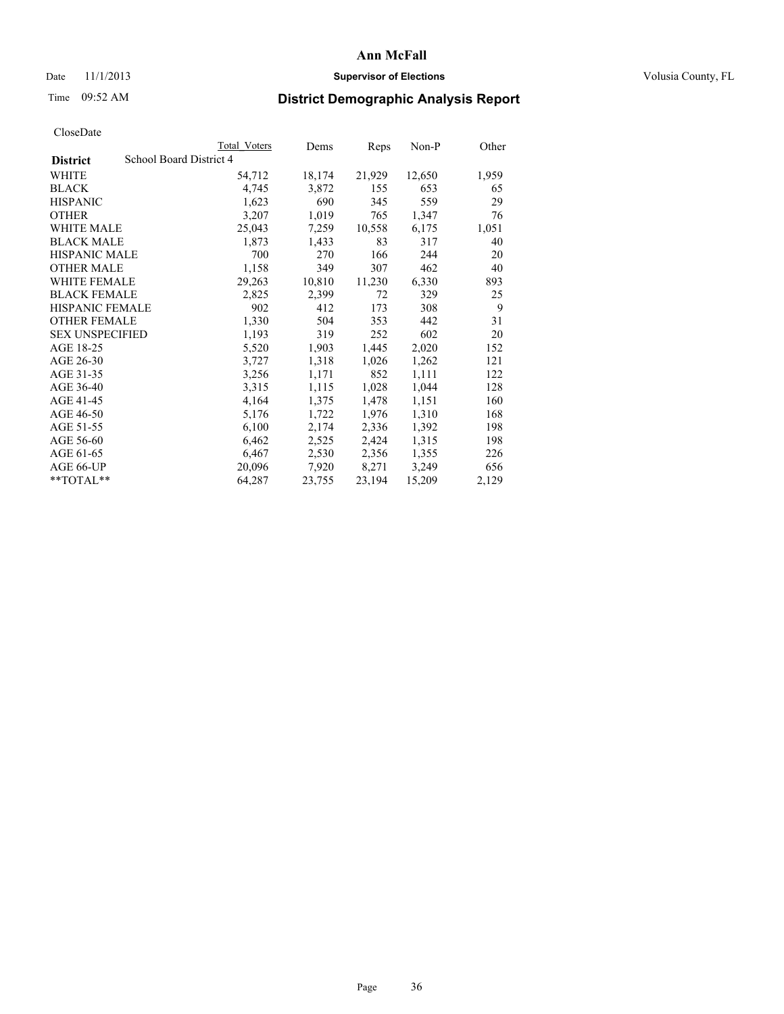### Date 11/1/2013 **Supervisor of Elections Supervisor of Elections** Volusia County, FL

## Time 09:52 AM **District Demographic Analysis Report**

|                                            | Total Voters | Dems   | Reps   | Non-P  | Other |
|--------------------------------------------|--------------|--------|--------|--------|-------|
| School Board District 4<br><b>District</b> |              |        |        |        |       |
| WHITE                                      | 54,712       | 18,174 | 21,929 | 12,650 | 1,959 |
| <b>BLACK</b>                               | 4,745        | 3,872  | 155    | 653    | 65    |
| <b>HISPANIC</b>                            | 1,623        | 690    | 345    | 559    | 29    |
| <b>OTHER</b>                               | 3,207        | 1,019  | 765    | 1,347  | 76    |
| <b>WHITE MALE</b>                          | 25,043       | 7,259  | 10,558 | 6,175  | 1,051 |
| <b>BLACK MALE</b>                          | 1,873        | 1,433  | 83     | 317    | 40    |
| <b>HISPANIC MALE</b>                       | 700          | 270    | 166    | 244    | 20    |
| <b>OTHER MALE</b>                          | 1,158        | 349    | 307    | 462    | 40    |
| <b>WHITE FEMALE</b>                        | 29,263       | 10,810 | 11,230 | 6,330  | 893   |
| <b>BLACK FEMALE</b>                        | 2,825        | 2,399  | 72     | 329    | 25    |
| <b>HISPANIC FEMALE</b>                     | 902          | 412    | 173    | 308    | 9     |
| <b>OTHER FEMALE</b>                        | 1,330        | 504    | 353    | 442    | 31    |
| <b>SEX UNSPECIFIED</b>                     | 1,193        | 319    | 252    | 602    | 20    |
| AGE 18-25                                  | 5,520        | 1,903  | 1,445  | 2,020  | 152   |
| AGE 26-30                                  | 3,727        | 1,318  | 1,026  | 1,262  | 121   |
| AGE 31-35                                  | 3,256        | 1,171  | 852    | 1,111  | 122   |
| AGE 36-40                                  | 3,315        | 1,115  | 1,028  | 1,044  | 128   |
| AGE 41-45                                  | 4,164        | 1,375  | 1,478  | 1,151  | 160   |
| AGE 46-50                                  | 5,176        | 1,722  | 1,976  | 1,310  | 168   |
| AGE 51-55                                  | 6,100        | 2,174  | 2,336  | 1,392  | 198   |
| AGE 56-60                                  | 6,462        | 2,525  | 2,424  | 1,315  | 198   |
| AGE 61-65                                  | 6,467        | 2,530  | 2,356  | 1,355  | 226   |
| AGE 66-UP                                  | 20,096       | 7,920  | 8,271  | 3,249  | 656   |
| $*$ $TOTAL**$                              | 64,287       | 23,755 | 23,194 | 15,209 | 2,129 |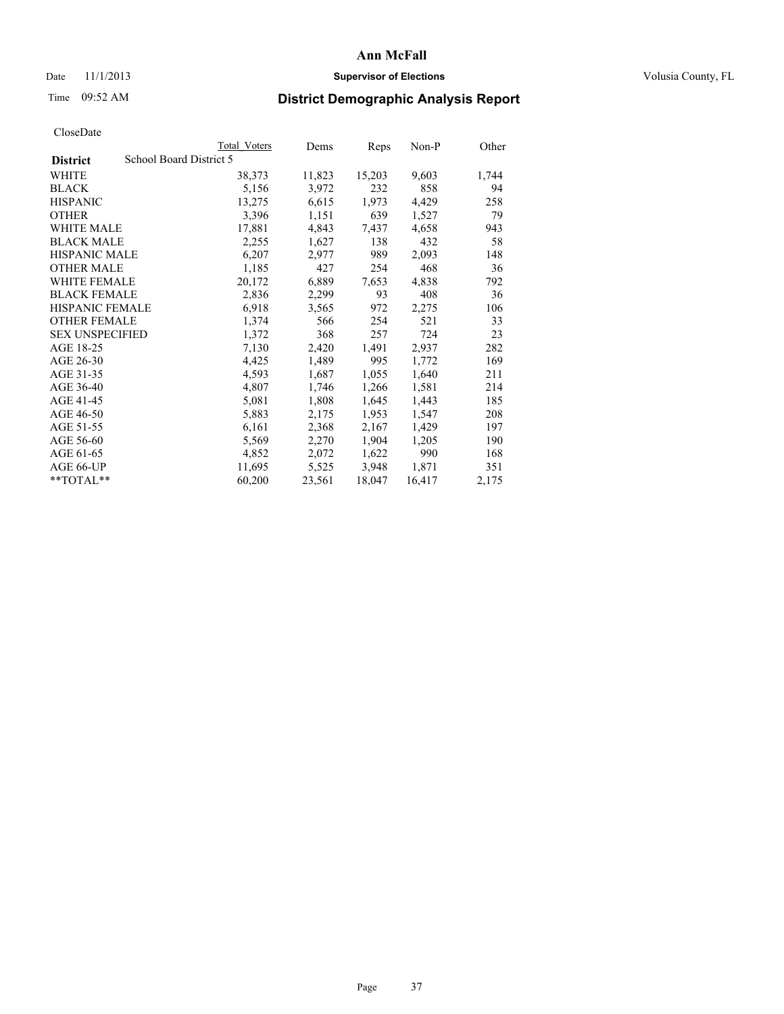### Date 11/1/2013 **Supervisor of Elections Supervisor of Elections** Volusia County, FL

# Time 09:52 AM **District Demographic Analysis Report**

| <b>Total Voters</b>     | Dems   |        |        | Other   |
|-------------------------|--------|--------|--------|---------|
| School Board District 5 |        |        |        |         |
| 38,373                  | 11,823 | 15,203 | 9,603  | 1,744   |
| 5,156                   | 3,972  | 232    | 858    | 94      |
| 13,275                  | 6,615  | 1,973  | 4,429  | 258     |
| 3,396                   | 1,151  | 639    | 1,527  | 79      |
| 17,881                  | 4,843  | 7.437  | 4,658  | 943     |
| 2,255                   | 1,627  | 138    | 432    | 58      |
| 6,207                   | 2,977  | 989    | 2,093  | 148     |
| 1,185                   | 427    | 254    | 468    | 36      |
| 20,172                  | 6,889  | 7,653  | 4,838  | 792     |
| 2,836                   | 2,299  | 93     | 408    | 36      |
| 6.918                   | 3,565  | 972    | 2,275  | 106     |
| 1,374                   | 566    | 254    | 521    | 33      |
| 1,372                   | 368    | 257    | 724    | 23      |
| 7,130                   | 2,420  | 1,491  | 2,937  | 282     |
| 4,425                   | 1,489  | 995    | 1,772  | 169     |
| 4,593                   | 1,687  | 1,055  | 1,640  | 211     |
| 4,807                   | 1,746  | 1,266  | 1,581  | 214     |
| 5,081                   | 1,808  | 1,645  | 1,443  | 185     |
| 5,883                   | 2,175  | 1,953  | 1,547  | 208     |
| 6,161                   | 2,368  | 2,167  | 1,429  | 197     |
| 5,569                   | 2,270  | 1,904  | 1,205  | 190     |
| 4,852                   | 2,072  | 1,622  | 990    | 168     |
| 11,695                  | 5,525  | 3,948  | 1,871  | 351     |
| 60,200                  | 23,561 | 18,047 | 16,417 | 2,175   |
|                         |        |        | Reps   | $Non-P$ |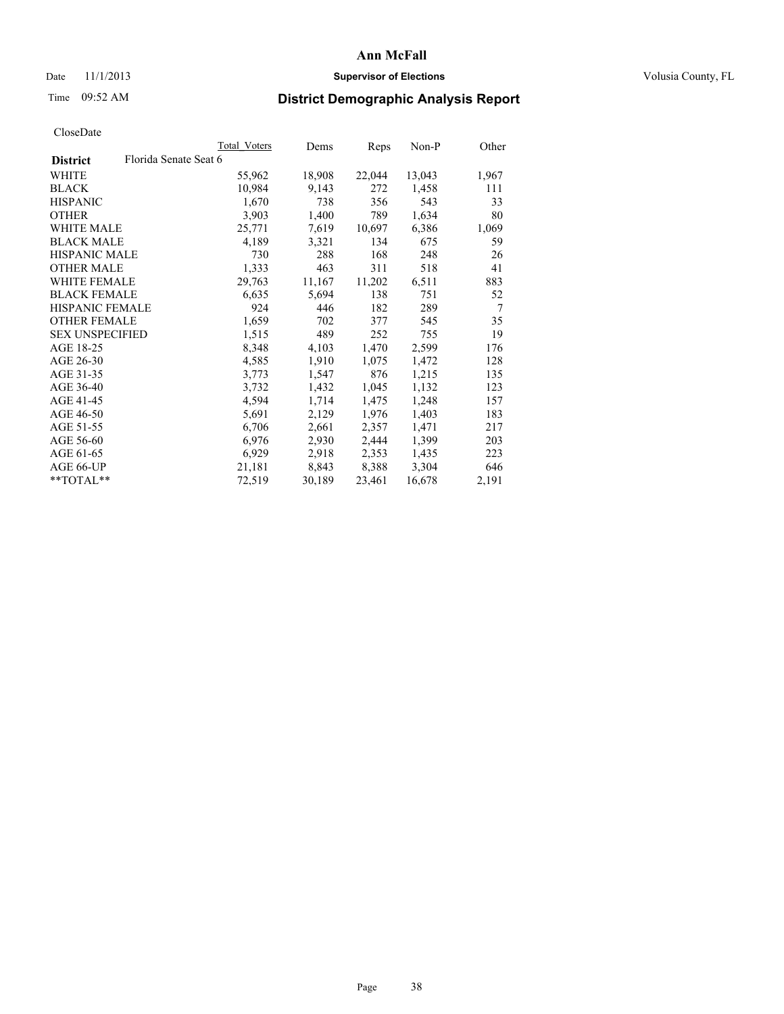### Date 11/1/2013 **Supervisor of Elections Supervisor of Elections** Volusia County, FL

# Time 09:52 AM **District Demographic Analysis Report**

|                        |                       | Total Voters | Dems   | Reps   | Non-P  | Other          |
|------------------------|-----------------------|--------------|--------|--------|--------|----------------|
| <b>District</b>        | Florida Senate Seat 6 |              |        |        |        |                |
| WHITE                  |                       | 55,962       | 18,908 | 22,044 | 13,043 | 1,967          |
| <b>BLACK</b>           |                       | 10,984       | 9,143  | 272    | 1,458  | 111            |
| <b>HISPANIC</b>        |                       | 1,670        | 738    | 356    | 543    | 33             |
| <b>OTHER</b>           |                       | 3,903        | 1,400  | 789    | 1,634  | 80             |
| WHITE MALE             |                       | 25,771       | 7,619  | 10,697 | 6,386  | 1,069          |
| <b>BLACK MALE</b>      |                       | 4,189        | 3,321  | 134    | 675    | 59             |
| <b>HISPANIC MALE</b>   |                       | 730          | 288    | 168    | 248    | 26             |
| <b>OTHER MALE</b>      |                       | 1,333        | 463    | 311    | 518    | 41             |
| <b>WHITE FEMALE</b>    |                       | 29,763       | 11,167 | 11,202 | 6,511  | 883            |
| <b>BLACK FEMALE</b>    |                       | 6,635        | 5,694  | 138    | 751    | 52             |
| <b>HISPANIC FEMALE</b> |                       | 924          | 446    | 182    | 289    | $\overline{7}$ |
| <b>OTHER FEMALE</b>    |                       | 1,659        | 702    | 377    | 545    | 35             |
| <b>SEX UNSPECIFIED</b> |                       | 1,515        | 489    | 252    | 755    | 19             |
| AGE 18-25              |                       | 8,348        | 4,103  | 1,470  | 2,599  | 176            |
| AGE 26-30              |                       | 4,585        | 1,910  | 1,075  | 1,472  | 128            |
| AGE 31-35              |                       | 3,773        | 1,547  | 876    | 1,215  | 135            |
| AGE 36-40              |                       | 3,732        | 1,432  | 1,045  | 1,132  | 123            |
| AGE 41-45              |                       | 4,594        | 1,714  | 1,475  | 1,248  | 157            |
| AGE 46-50              |                       | 5,691        | 2,129  | 1,976  | 1,403  | 183            |
| AGE 51-55              |                       | 6,706        | 2,661  | 2,357  | 1,471  | 217            |
| AGE 56-60              |                       | 6,976        | 2,930  | 2,444  | 1,399  | 203            |
| AGE 61-65              |                       | 6,929        | 2,918  | 2,353  | 1,435  | 223            |
| AGE 66-UP              |                       | 21,181       | 8,843  | 8,388  | 3,304  | 646            |
| **TOTAL**              |                       | 72,519       | 30,189 | 23,461 | 16,678 | 2,191          |
|                        |                       |              |        |        |        |                |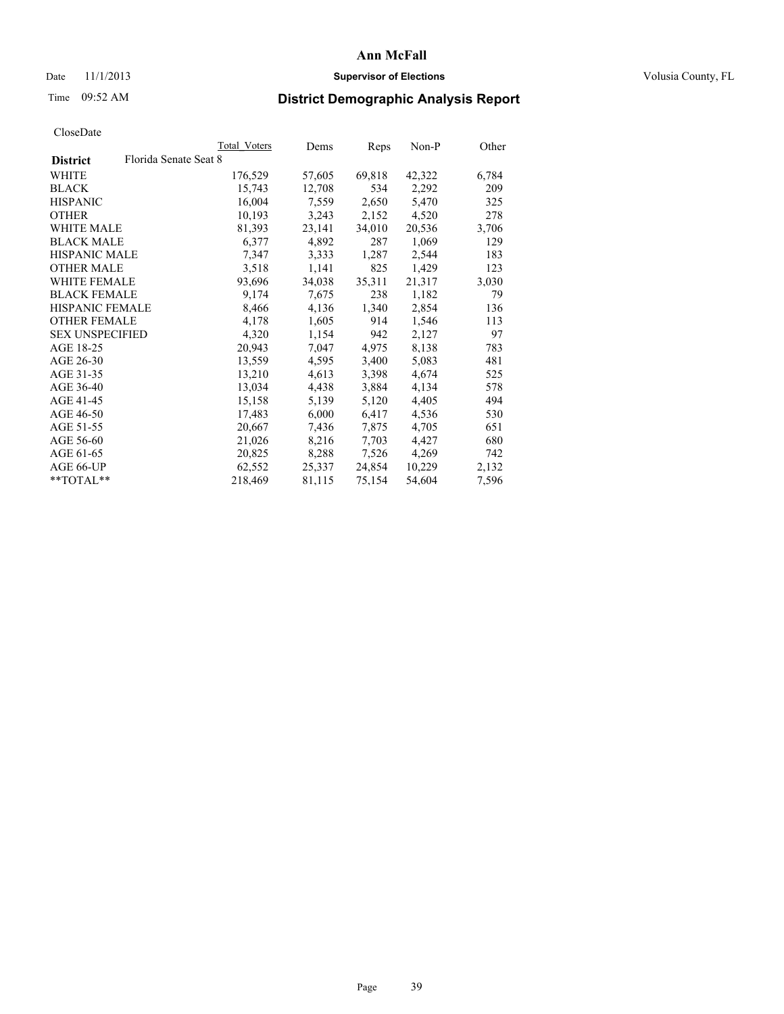### Date 11/1/2013 **Supervisor of Elections Supervisor of Elections** Volusia County, FL

# Time 09:52 AM **District Demographic Analysis Report**

|                                          | Total Voters | Dems   | <b>Reps</b> | Non-P  | Other |
|------------------------------------------|--------------|--------|-------------|--------|-------|
| Florida Senate Seat 8<br><b>District</b> |              |        |             |        |       |
| WHITE                                    | 176,529      | 57,605 | 69,818      | 42,322 | 6,784 |
| <b>BLACK</b>                             | 15,743       | 12,708 | 534         | 2,292  | 209   |
| <b>HISPANIC</b>                          | 16,004       | 7,559  | 2,650       | 5,470  | 325   |
| <b>OTHER</b>                             | 10,193       | 3,243  | 2,152       | 4,520  | 278   |
| <b>WHITE MALE</b>                        | 81,393       | 23,141 | 34,010      | 20,536 | 3,706 |
| <b>BLACK MALE</b>                        | 6,377        | 4,892  | 287         | 1,069  | 129   |
| <b>HISPANIC MALE</b>                     | 7,347        | 3,333  | 1,287       | 2,544  | 183   |
| <b>OTHER MALE</b>                        | 3,518        | 1,141  | 825         | 1,429  | 123   |
| WHITE FEMALE                             | 93,696       | 34,038 | 35,311      | 21,317 | 3,030 |
| <b>BLACK FEMALE</b>                      | 9,174        | 7,675  | 238         | 1,182  | 79    |
| <b>HISPANIC FEMALE</b>                   | 8,466        | 4,136  | 1,340       | 2,854  | 136   |
| <b>OTHER FEMALE</b>                      | 4,178        | 1,605  | 914         | 1,546  | 113   |
| <b>SEX UNSPECIFIED</b>                   | 4,320        | 1,154  | 942         | 2,127  | 97    |
| AGE 18-25                                | 20,943       | 7,047  | 4,975       | 8,138  | 783   |
| AGE 26-30                                | 13,559       | 4,595  | 3,400       | 5,083  | 481   |
| AGE 31-35                                | 13,210       | 4,613  | 3,398       | 4,674  | 525   |
| AGE 36-40                                | 13,034       | 4,438  | 3,884       | 4,134  | 578   |
| AGE 41-45                                | 15,158       | 5,139  | 5,120       | 4,405  | 494   |
| AGE 46-50                                | 17,483       | 6,000  | 6,417       | 4,536  | 530   |
| AGE 51-55                                | 20,667       | 7,436  | 7,875       | 4,705  | 651   |
| AGE 56-60                                | 21,026       | 8,216  | 7,703       | 4,427  | 680   |
| AGE 61-65                                | 20,825       | 8,288  | 7,526       | 4,269  | 742   |
| AGE 66-UP                                | 62,552       | 25,337 | 24,854      | 10,229 | 2,132 |
| $*$ TOTAL $*$                            | 218,469      | 81,115 | 75,154      | 54,604 | 7,596 |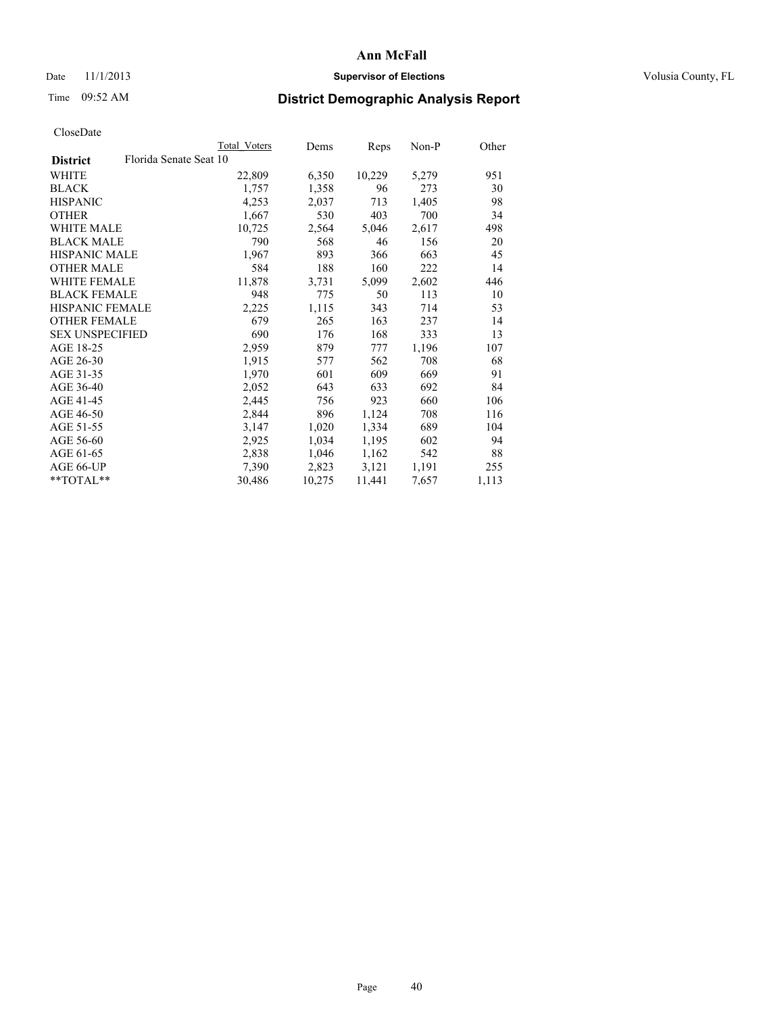### Date 11/1/2013 **Supervisor of Elections Supervisor of Elections** Volusia County, FL

## Time 09:52 AM **District Demographic Analysis Report**

|                        | Total Voters           | Dems   | Reps   | Non-P | Other |
|------------------------|------------------------|--------|--------|-------|-------|
| <b>District</b>        | Florida Senate Seat 10 |        |        |       |       |
| WHITE                  | 22,809                 | 6,350  | 10,229 | 5,279 | 951   |
| <b>BLACK</b>           | 1,757                  | 1,358  | 96     | 273   | 30    |
| <b>HISPANIC</b>        | 4,253                  | 2,037  | 713    | 1,405 | 98    |
| <b>OTHER</b>           | 1,667                  | 530    | 403    | 700   | 34    |
| <b>WHITE MALE</b>      | 10,725                 | 2,564  | 5,046  | 2,617 | 498   |
| <b>BLACK MALE</b>      | 790                    | 568    | 46     | 156   | 20    |
| <b>HISPANIC MALE</b>   | 1,967                  | 893    | 366    | 663   | 45    |
| <b>OTHER MALE</b>      | 584                    | 188    | 160    | 222   | 14    |
| WHITE FEMALE           | 11,878                 | 3,731  | 5,099  | 2,602 | 446   |
| <b>BLACK FEMALE</b>    | 948                    | 775    | 50     | 113   | 10    |
| <b>HISPANIC FEMALE</b> | 2,225                  | 1,115  | 343    | 714   | 53    |
| <b>OTHER FEMALE</b>    | 679                    | 265    | 163    | 237   | 14    |
| <b>SEX UNSPECIFIED</b> | 690                    | 176    | 168    | 333   | 13    |
| AGE 18-25              | 2,959                  | 879    | 777    | 1,196 | 107   |
| AGE 26-30              | 1,915                  | 577    | 562    | 708   | 68    |
| AGE 31-35              | 1,970                  | 601    | 609    | 669   | 91    |
| AGE 36-40              | 2,052                  | 643    | 633    | 692   | 84    |
| AGE 41-45              | 2,445                  | 756    | 923    | 660   | 106   |
| AGE 46-50              | 2,844                  | 896    | 1,124  | 708   | 116   |
| AGE 51-55              | 3,147                  | 1,020  | 1,334  | 689   | 104   |
| AGE 56-60              | 2,925                  | 1,034  | 1,195  | 602   | 94    |
| AGE 61-65              | 2,838                  | 1,046  | 1,162  | 542   | 88    |
| AGE 66-UP              | 7,390                  | 2,823  | 3,121  | 1,191 | 255   |
| $*$ TOTAL $*$          | 30,486                 | 10,275 | 11,441 | 7,657 | 1,113 |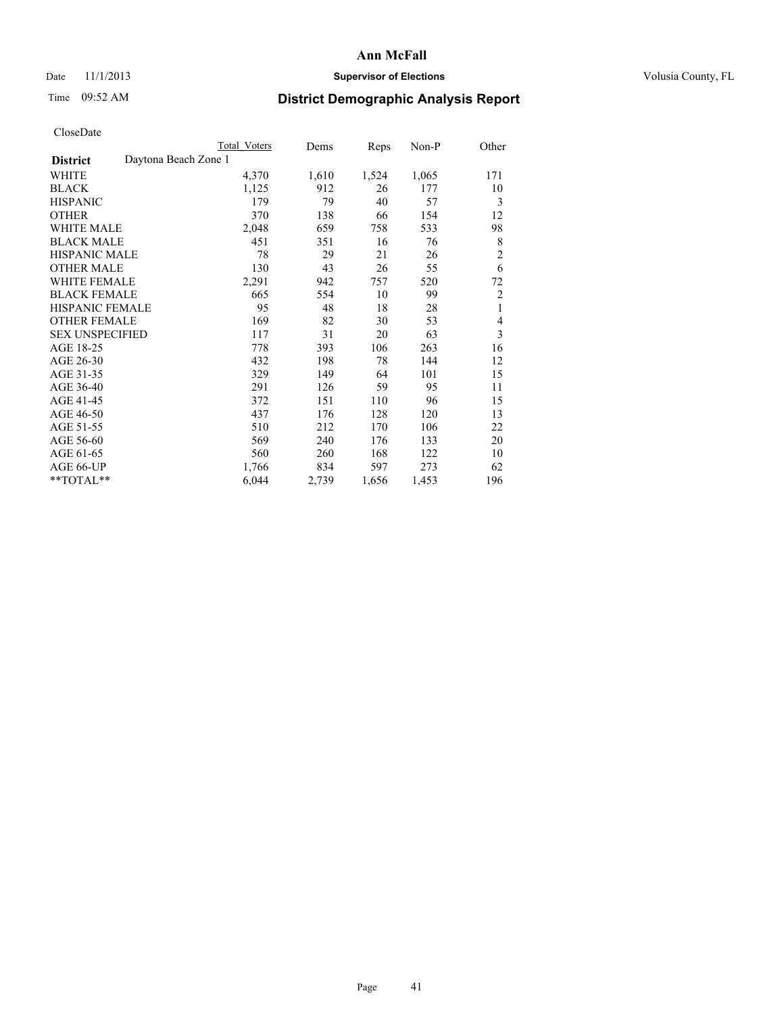### Date 11/1/2013 **Supervisor of Elections Supervisor of Elections** Volusia County, FL

## Time 09:52 AM **District Demographic Analysis Report**

|                                         | <b>Total Voters</b> | Dems  | Reps  | Non-P | Other          |
|-----------------------------------------|---------------------|-------|-------|-------|----------------|
| Daytona Beach Zone 1<br><b>District</b> |                     |       |       |       |                |
| WHITE                                   | 4,370               | 1,610 | 1,524 | 1,065 | 171            |
| <b>BLACK</b>                            | 1,125               | 912   | 26    | 177   | 10             |
| <b>HISPANIC</b>                         | 179                 | 79    | 40    | 57    | 3              |
| <b>OTHER</b>                            | 370                 | 138   | 66    | 154   | 12             |
| WHITE MALE                              | 2,048               | 659   | 758   | 533   | 98             |
| <b>BLACK MALE</b>                       | 451                 | 351   | 16    | 76    | 8              |
| HISPANIC MALE                           | 78                  | 29    | 21    | 26    | $\overline{c}$ |
| <b>OTHER MALE</b>                       | 130                 | 43    | 26    | 55    | 6              |
| WHITE FEMALE                            | 2,291               | 942   | 757   | 520   | 72             |
| <b>BLACK FEMALE</b>                     | 665                 | 554   | 10    | 99    | $\overline{c}$ |
| <b>HISPANIC FEMALE</b>                  | 95                  | 48    | 18    | 28    | 1              |
| <b>OTHER FEMALE</b>                     | 169                 | 82    | 30    | 53    | 4              |
| <b>SEX UNSPECIFIED</b>                  | 117                 | 31    | 20    | 63    | 3              |
| AGE 18-25                               | 778                 | 393   | 106   | 263   | 16             |
| AGE 26-30                               | 432                 | 198   | 78    | 144   | 12             |
| AGE 31-35                               | 329                 | 149   | 64    | 101   | 15             |
| AGE 36-40                               | 291                 | 126   | 59    | 95    | 11             |
| AGE 41-45                               | 372                 | 151   | 110   | 96    | 15             |
| AGE 46-50                               | 437                 | 176   | 128   | 120   | 13             |
| AGE 51-55                               | 510                 | 212   | 170   | 106   | 22             |
| AGE 56-60                               | 569                 | 240   | 176   | 133   | 20             |
| AGE 61-65                               | 560                 | 260   | 168   | 122   | 10             |
| AGE 66-UP                               | 1,766               | 834   | 597   | 273   | 62             |
| **TOTAL**                               | 6,044               | 2,739 | 1,656 | 1,453 | 196            |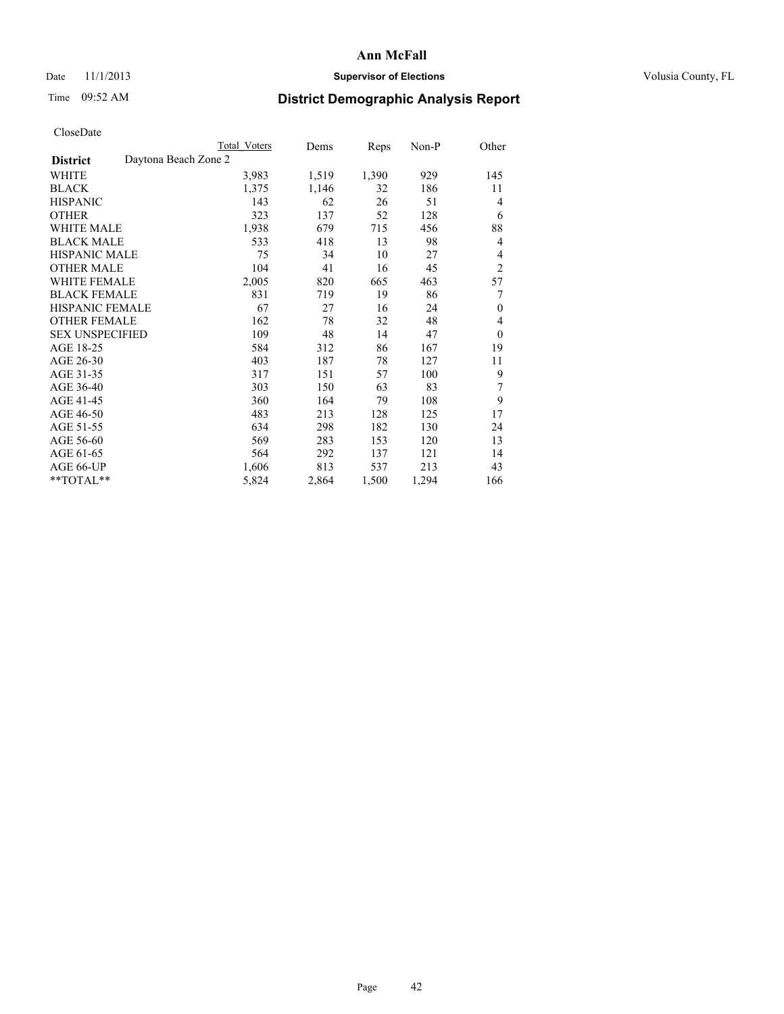### Date 11/1/2013 **Supervisor of Elections Supervisor of Elections** Volusia County, FL

# Time 09:52 AM **District Demographic Analysis Report**

|                                         | <b>Total Voters</b> | Dems  | Reps  | $Non-P$ | Other          |
|-----------------------------------------|---------------------|-------|-------|---------|----------------|
| Daytona Beach Zone 2<br><b>District</b> |                     |       |       |         |                |
| WHITE                                   | 3,983               | 1,519 | 1,390 | 929     | 145            |
| <b>BLACK</b>                            | 1,375               | 1,146 | 32    | 186     | 11             |
| <b>HISPANIC</b>                         | 143                 | 62    | 26    | 51      | 4              |
| <b>OTHER</b>                            | 323                 | 137   | 52    | 128     | 6              |
| <b>WHITE MALE</b>                       | 1,938               | 679   | 715   | 456     | 88             |
| <b>BLACK MALE</b>                       | 533                 | 418   | 13    | 98      | 4              |
| <b>HISPANIC MALE</b>                    | 75                  | 34    | 10    | 27      | 4              |
| <b>OTHER MALE</b>                       | 104                 | 41    | 16    | 45      | $\overline{2}$ |
| <b>WHITE FEMALE</b>                     | 2,005               | 820   | 665   | 463     | 57             |
| <b>BLACK FEMALE</b>                     | 831                 | 719   | 19    | 86      | 7              |
| HISPANIC FEMALE                         | 67                  | 27    | 16    | 24      | $\mathbf{0}$   |
| <b>OTHER FEMALE</b>                     | 162                 | 78    | 32    | 48      | 4              |
| <b>SEX UNSPECIFIED</b>                  | 109                 | 48    | 14    | 47      | $\theta$       |
| AGE 18-25                               | 584                 | 312   | 86    | 167     | 19             |
| AGE 26-30                               | 403                 | 187   | 78    | 127     | 11             |
| AGE 31-35                               | 317                 | 151   | 57    | 100     | 9              |
| AGE 36-40                               | 303                 | 150   | 63    | 83      | 7              |
| AGE 41-45                               | 360                 | 164   | 79    | 108     | 9              |
| AGE 46-50                               | 483                 | 213   | 128   | 125     | 17             |
| AGE 51-55                               | 634                 | 298   | 182   | 130     | 24             |
| AGE 56-60                               | 569                 | 283   | 153   | 120     | 13             |
| AGE 61-65                               | 564                 | 292   | 137   | 121     | 14             |
| AGE 66-UP                               | 1,606               | 813   | 537   | 213     | 43             |
| **TOTAL**                               | 5,824               | 2,864 | 1,500 | 1,294   | 166            |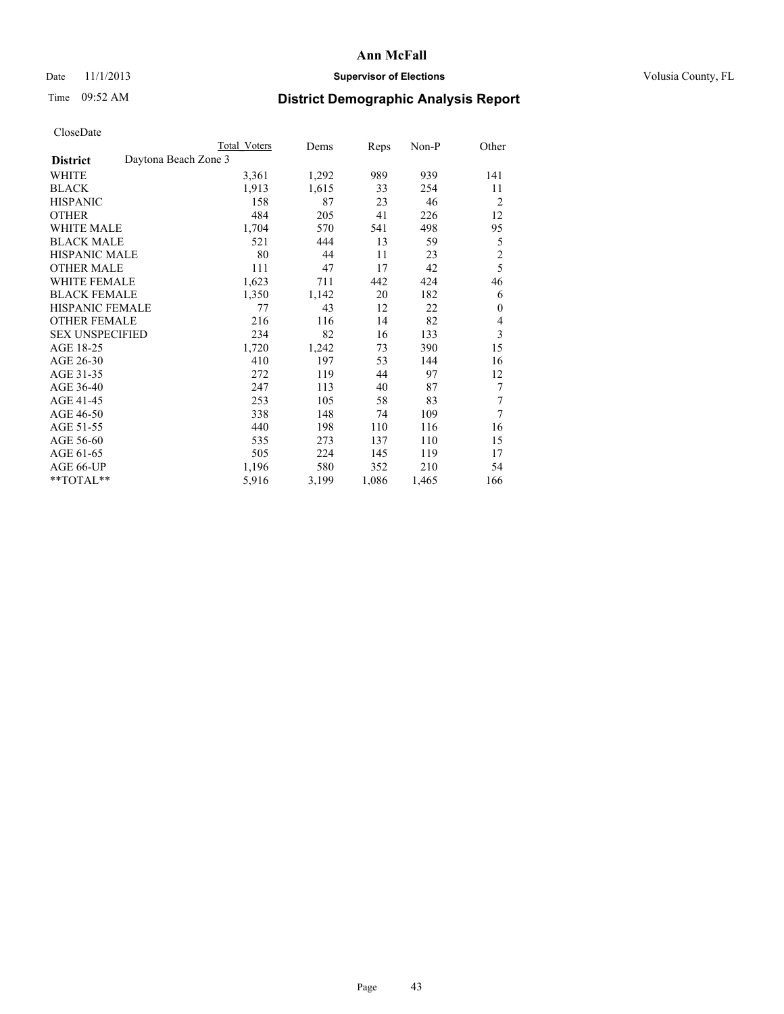### Date 11/1/2013 **Supervisor of Elections Supervisor of Elections** Volusia County, FL

# Time 09:52 AM **District Demographic Analysis Report**

|                        |                      | <b>Total Voters</b> | Dems  | Reps  | Non-P | Other          |
|------------------------|----------------------|---------------------|-------|-------|-------|----------------|
| <b>District</b>        | Daytona Beach Zone 3 |                     |       |       |       |                |
| WHITE                  |                      | 3,361               | 1,292 | 989   | 939   | 141            |
| <b>BLACK</b>           |                      | 1,913               | 1,615 | 33    | 254   | 11             |
| <b>HISPANIC</b>        |                      | 158                 | 87    | 23    | 46    | $\overline{2}$ |
| <b>OTHER</b>           |                      | 484                 | 205   | 41    | 226   | 12             |
| <b>WHITE MALE</b>      |                      | 1,704               | 570   | 541   | 498   | 95             |
| <b>BLACK MALE</b>      |                      | 521                 | 444   | 13    | 59    | 5              |
| <b>HISPANIC MALE</b>   |                      | 80                  | 44    | 11    | 23    | $\overline{c}$ |
| <b>OTHER MALE</b>      |                      | 111                 | 47    | 17    | 42    | 5              |
| <b>WHITE FEMALE</b>    |                      | 1,623               | 711   | 442   | 424   | 46             |
| <b>BLACK FEMALE</b>    |                      | 1,350               | 1,142 | 20    | 182   | 6              |
| <b>HISPANIC FEMALE</b> |                      | 77                  | 43    | 12    | 22    | $\theta$       |
| <b>OTHER FEMALE</b>    |                      | 216                 | 116   | 14    | 82    | 4              |
| <b>SEX UNSPECIFIED</b> |                      | 234                 | 82    | 16    | 133   | 3              |
| AGE 18-25              |                      | 1,720               | 1,242 | 73    | 390   | 15             |
| AGE 26-30              |                      | 410                 | 197   | 53    | 144   | 16             |
| AGE 31-35              |                      | 272                 | 119   | 44    | 97    | 12             |
| AGE 36-40              |                      | 247                 | 113   | 40    | 87    | 7              |
| AGE 41-45              |                      | 253                 | 105   | 58    | 83    | 7              |
| AGE 46-50              |                      | 338                 | 148   | 74    | 109   | $\overline{7}$ |
| AGE 51-55              |                      | 440                 | 198   | 110   | 116   | 16             |
| AGE 56-60              |                      | 535                 | 273   | 137   | 110   | 15             |
| AGE 61-65              |                      | 505                 | 224   | 145   | 119   | 17             |
| AGE 66-UP              |                      | 1,196               | 580   | 352   | 210   | 54             |
| **TOTAL**              |                      | 5,916               | 3,199 | 1,086 | 1,465 | 166            |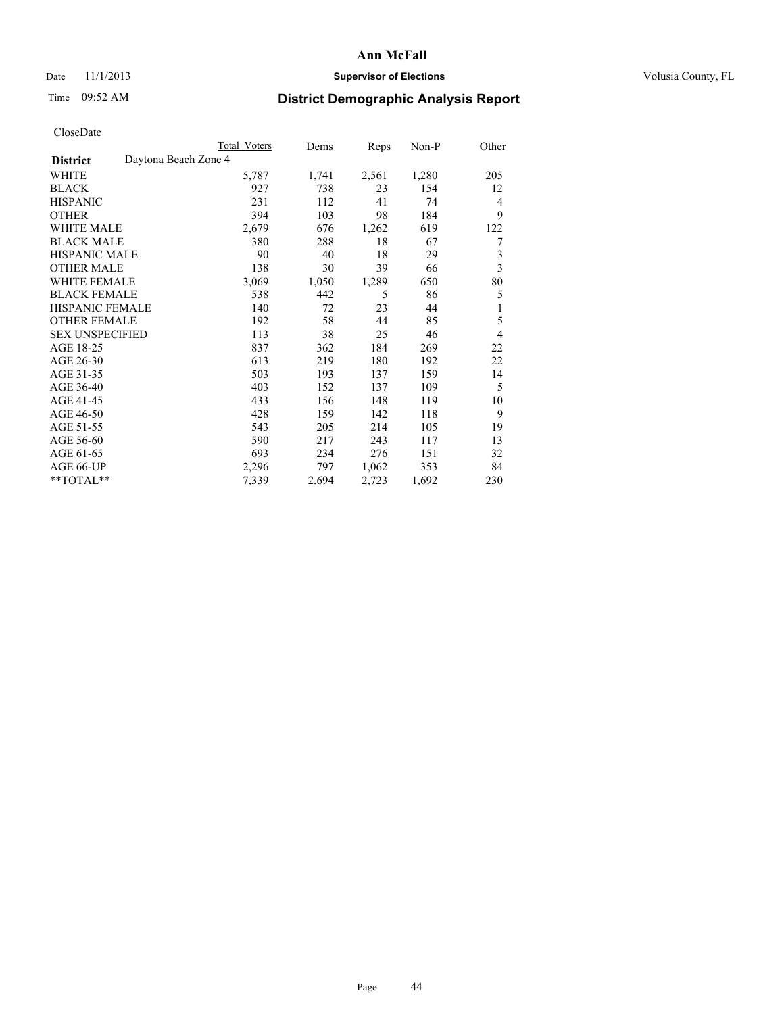### Date 11/1/2013 **Supervisor of Elections Supervisor of Elections** Volusia County, FL

## Time 09:52 AM **District Demographic Analysis Report**

|                                         | <b>Total Voters</b> | Dems  | Reps  | Non-P | Other          |
|-----------------------------------------|---------------------|-------|-------|-------|----------------|
| Daytona Beach Zone 4<br><b>District</b> |                     |       |       |       |                |
| WHITE                                   | 5,787               | 1,741 | 2,561 | 1,280 | 205            |
| <b>BLACK</b>                            | 927                 | 738   | 23    | 154   | 12             |
| <b>HISPANIC</b>                         | 231                 | 112   | 41    | 74    | $\overline{4}$ |
| <b>OTHER</b>                            | 394                 | 103   | 98    | 184   | 9              |
| WHITE MALE                              | 2,679               | 676   | 1,262 | 619   | 122            |
| <b>BLACK MALE</b>                       | 380                 | 288   | 18    | 67    | 7              |
| HISPANIC MALE                           | 90                  | 40    | 18    | 29    | 3              |
| <b>OTHER MALE</b>                       | 138                 | 30    | 39    | 66    | $\mathfrak{Z}$ |
| <b>WHITE FEMALE</b>                     | 3,069               | 1,050 | 1,289 | 650   | 80             |
| <b>BLACK FEMALE</b>                     | 538                 | 442   | 5     | 86    | 5              |
| <b>HISPANIC FEMALE</b>                  | 140                 | 72    | 23    | 44    | 1              |
| <b>OTHER FEMALE</b>                     | 192                 | 58    | 44    | 85    | 5              |
| <b>SEX UNSPECIFIED</b>                  | 113                 | 38    | 25    | 46    | $\overline{4}$ |
| AGE 18-25                               | 837                 | 362   | 184   | 269   | 22             |
| AGE 26-30                               | 613                 | 219   | 180   | 192   | 22             |
| AGE 31-35                               | 503                 | 193   | 137   | 159   | 14             |
| AGE 36-40                               | 403                 | 152   | 137   | 109   | 5              |
| AGE 41-45                               | 433                 | 156   | 148   | 119   | 10             |
| AGE 46-50                               | 428                 | 159   | 142   | 118   | 9              |
| AGE 51-55                               | 543                 | 205   | 214   | 105   | 19             |
| AGE 56-60                               | 590                 | 217   | 243   | 117   | 13             |
| AGE 61-65                               | 693                 | 234   | 276   | 151   | 32             |
| AGE 66-UP                               | 2,296               | 797   | 1,062 | 353   | 84             |
| **TOTAL**                               | 7,339               | 2,694 | 2,723 | 1,692 | 230            |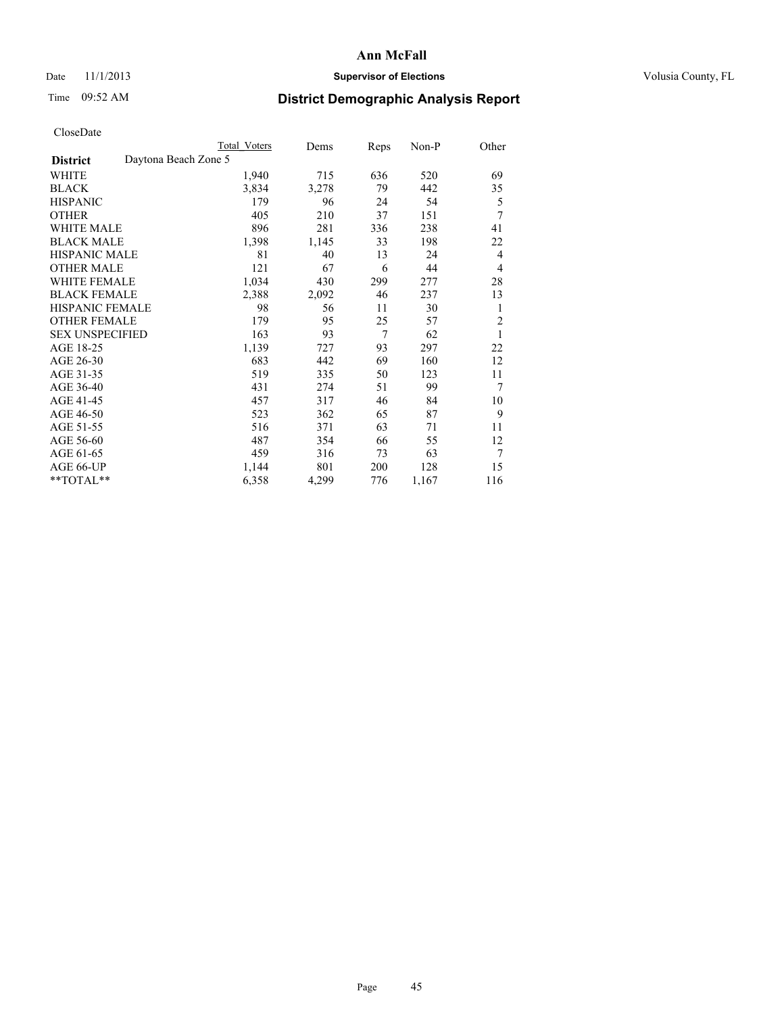### Date 11/1/2013 **Supervisor of Elections Supervisor of Elections** Volusia County, FL

# Time 09:52 AM **District Demographic Analysis Report**

|                                         | <b>Total Voters</b> | Dems  | Reps           | Non-P | Other          |
|-----------------------------------------|---------------------|-------|----------------|-------|----------------|
| Daytona Beach Zone 5<br><b>District</b> |                     |       |                |       |                |
| WHITE                                   | 1,940               | 715   | 636            | 520   | 69             |
| <b>BLACK</b>                            | 3,834               | 3,278 | 79             | 442   | 35             |
| <b>HISPANIC</b>                         | 179                 | 96    | 24             | 54    | 5              |
| <b>OTHER</b>                            | 405                 | 210   | 37             | 151   | 7              |
| <b>WHITE MALE</b>                       | 896                 | 281   | 336            | 238   | 41             |
| <b>BLACK MALE</b>                       | 1,398               | 1,145 | 33             | 198   | 22             |
| HISPANIC MALE                           | 81                  | 40    | 13             | 24    | 4              |
| <b>OTHER MALE</b>                       | 121                 | 67    | 6              | 44    | 4              |
| <b>WHITE FEMALE</b>                     | 1,034               | 430   | 299            | 277   | 28             |
| <b>BLACK FEMALE</b>                     | 2,388               | 2,092 | 46             | 237   | 13             |
| <b>HISPANIC FEMALE</b>                  | 98                  | 56    | 11             | 30    | 1              |
| <b>OTHER FEMALE</b>                     | 179                 | 95    | 25             | 57    | $\overline{2}$ |
| <b>SEX UNSPECIFIED</b>                  | 163                 | 93    | $\overline{7}$ | 62    | 1              |
| AGE 18-25                               | 1,139               | 727   | 93             | 297   | 22             |
| AGE 26-30                               | 683                 | 442   | 69             | 160   | 12             |
| AGE 31-35                               | 519                 | 335   | 50             | 123   | 11             |
| AGE 36-40                               | 431                 | 274   | 51             | 99    | 7              |
| AGE 41-45                               | 457                 | 317   | 46             | 84    | 10             |
| AGE 46-50                               | 523                 | 362   | 65             | 87    | 9              |
| AGE 51-55                               | 516                 | 371   | 63             | 71    | 11             |
| AGE 56-60                               | 487                 | 354   | 66             | 55    | 12             |
| AGE 61-65                               | 459                 | 316   | 73             | 63    | 7              |
| AGE 66-UP                               | 1,144               | 801   | 200            | 128   | 15             |
| **TOTAL**                               | 6,358               | 4,299 | 776            | 1,167 | 116            |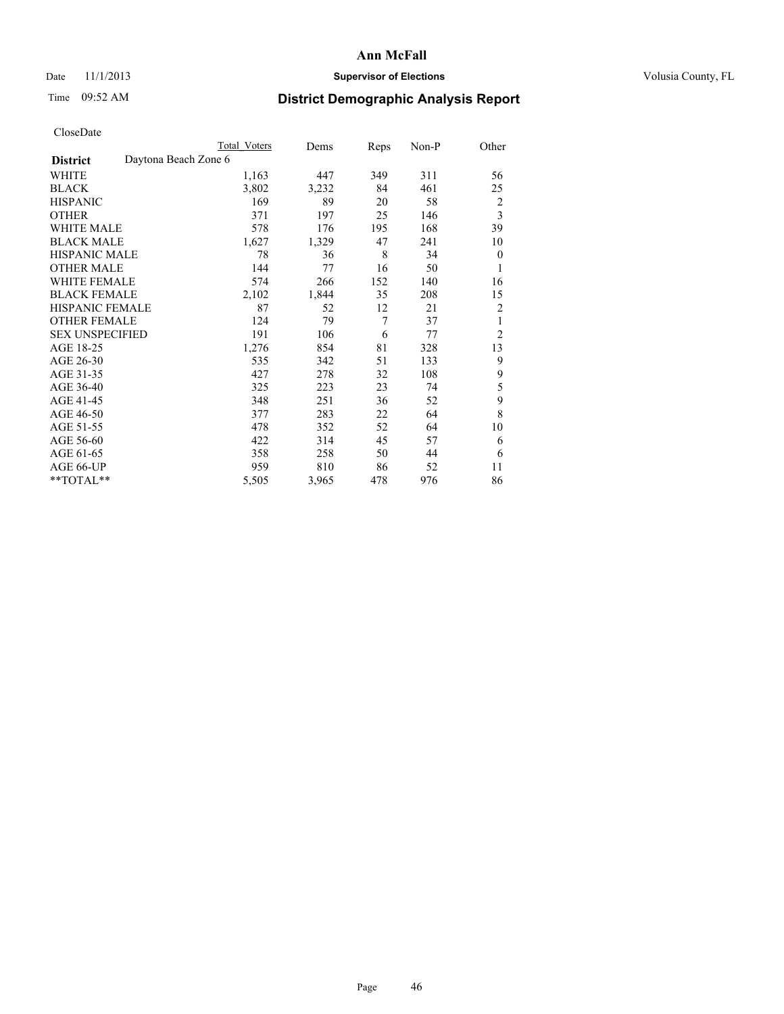### Date 11/1/2013 **Supervisor of Elections Supervisor of Elections** Volusia County, FL

## Time 09:52 AM **District Demographic Analysis Report**

|                                         | <b>Total Voters</b> | Dems  | Reps           | Non-P | Other                   |
|-----------------------------------------|---------------------|-------|----------------|-------|-------------------------|
| Daytona Beach Zone 6<br><b>District</b> |                     |       |                |       |                         |
| WHITE                                   | 1,163               | 447   | 349            | 311   | 56                      |
| <b>BLACK</b>                            | 3,802               | 3,232 | 84             | 461   | 25                      |
| <b>HISPANIC</b>                         | 169                 | 89    | 20             | 58    | $\overline{c}$          |
| <b>OTHER</b>                            | 371                 | 197   | 25             | 146   | $\overline{\mathbf{3}}$ |
| WHITE MALE                              | 578                 | 176   | 195            | 168   | 39                      |
| <b>BLACK MALE</b>                       | 1,627               | 1,329 | 47             | 241   | 10                      |
| <b>HISPANIC MALE</b>                    | 78                  | 36    | 8              | 34    | $\boldsymbol{0}$        |
| <b>OTHER MALE</b>                       | 144                 | 77    | 16             | 50    | 1                       |
| WHITE FEMALE                            | 574                 | 266   | 152            | 140   | 16                      |
| <b>BLACK FEMALE</b>                     | 2,102               | 1,844 | 35             | 208   | 15                      |
| <b>HISPANIC FEMALE</b>                  | 87                  | 52    | 12             | 21    | $\overline{2}$          |
| <b>OTHER FEMALE</b>                     | 124                 | 79    | $\overline{7}$ | 37    | 1                       |
| <b>SEX UNSPECIFIED</b>                  | 191                 | 106   | 6              | 77    | $\overline{c}$          |
| AGE 18-25                               | 1,276               | 854   | 81             | 328   | 13                      |
| AGE 26-30                               | 535                 | 342   | 51             | 133   | 9                       |
| AGE 31-35                               | 427                 | 278   | 32             | 108   | 9                       |
| AGE 36-40                               | 325                 | 223   | 23             | 74    | 5                       |
| AGE 41-45                               | 348                 | 251   | 36             | 52    | 9                       |
| AGE 46-50                               | 377                 | 283   | 22             | 64    | 8                       |
| AGE 51-55                               | 478                 | 352   | 52             | 64    | 10                      |
| AGE 56-60                               | 422                 | 314   | 45             | 57    | 6                       |
| AGE 61-65                               | 358                 | 258   | 50             | 44    | 6                       |
| AGE 66-UP                               | 959                 | 810   | 86             | 52    | 11                      |
| **TOTAL**                               | 5,505               | 3,965 | 478            | 976   | 86                      |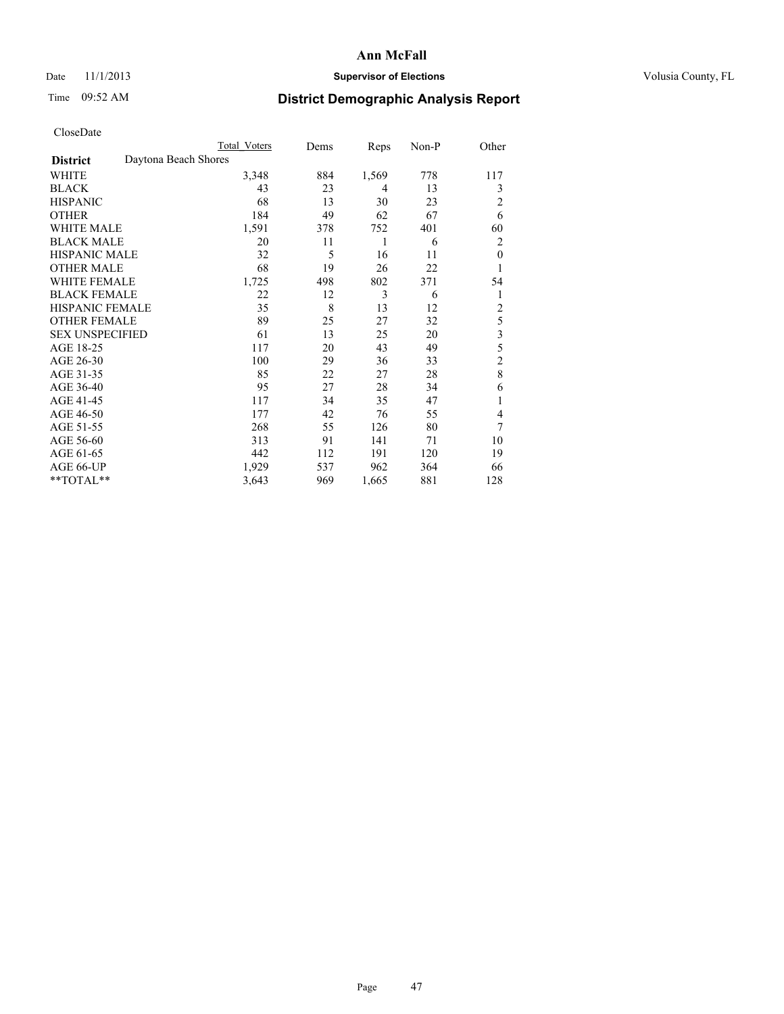### Date 11/1/2013 **Supervisor of Elections Supervisor of Elections** Volusia County, FL

## Time 09:52 AM **District Demographic Analysis Report**

|                        | <b>Total Voters</b>  | Dems | Reps  | Non-P | Other          |
|------------------------|----------------------|------|-------|-------|----------------|
| <b>District</b>        | Daytona Beach Shores |      |       |       |                |
| WHITE                  | 3,348                | 884  | 1,569 | 778   | 117            |
| <b>BLACK</b>           | 43                   | 23   | 4     | 13    | 3              |
| <b>HISPANIC</b>        | 68                   | 13   | 30    | 23    | $\overline{c}$ |
| <b>OTHER</b>           | 184                  | 49   | 62    | 67    | 6              |
| WHITE MALE             | 1,591                | 378  | 752   | 401   | 60             |
| <b>BLACK MALE</b>      | 20                   | 11   | 1     | 6     | $\overline{2}$ |
| <b>HISPANIC MALE</b>   | 32                   | 5    | 16    | 11    | $\mathbf{0}$   |
| <b>OTHER MALE</b>      | 68                   | 19   | 26    | 22    | 1              |
| WHITE FEMALE           | 1,725                | 498  | 802   | 371   | 54             |
| <b>BLACK FEMALE</b>    | 22                   | 12   | 3     | 6     | 1              |
| <b>HISPANIC FEMALE</b> | 35                   | 8    | 13    | 12    | $\overline{c}$ |
| <b>OTHER FEMALE</b>    | 89                   | 25   | 27    | 32    | 5              |
| <b>SEX UNSPECIFIED</b> | 61                   | 13   | 25    | 20    | 3              |
| AGE 18-25              | 117                  | 20   | 43    | 49    | 5              |
| AGE 26-30              | 100                  | 29   | 36    | 33    | $\overline{c}$ |
| AGE 31-35              | 85                   | 22   | 27    | 28    | 8              |
| AGE 36-40              | 95                   | 27   | 28    | 34    | 6              |
| AGE 41-45              | 117                  | 34   | 35    | 47    | 1              |
| AGE 46-50              | 177                  | 42   | 76    | 55    | 4              |
| AGE 51-55              | 268                  | 55   | 126   | 80    | 7              |
| AGE 56-60              | 313                  | 91   | 141   | 71    | 10             |
| AGE 61-65              | 442                  | 112  | 191   | 120   | 19             |
| AGE 66-UP              | 1,929                | 537  | 962   | 364   | 66             |
| **TOTAL**              | 3,643                | 969  | 1,665 | 881   | 128            |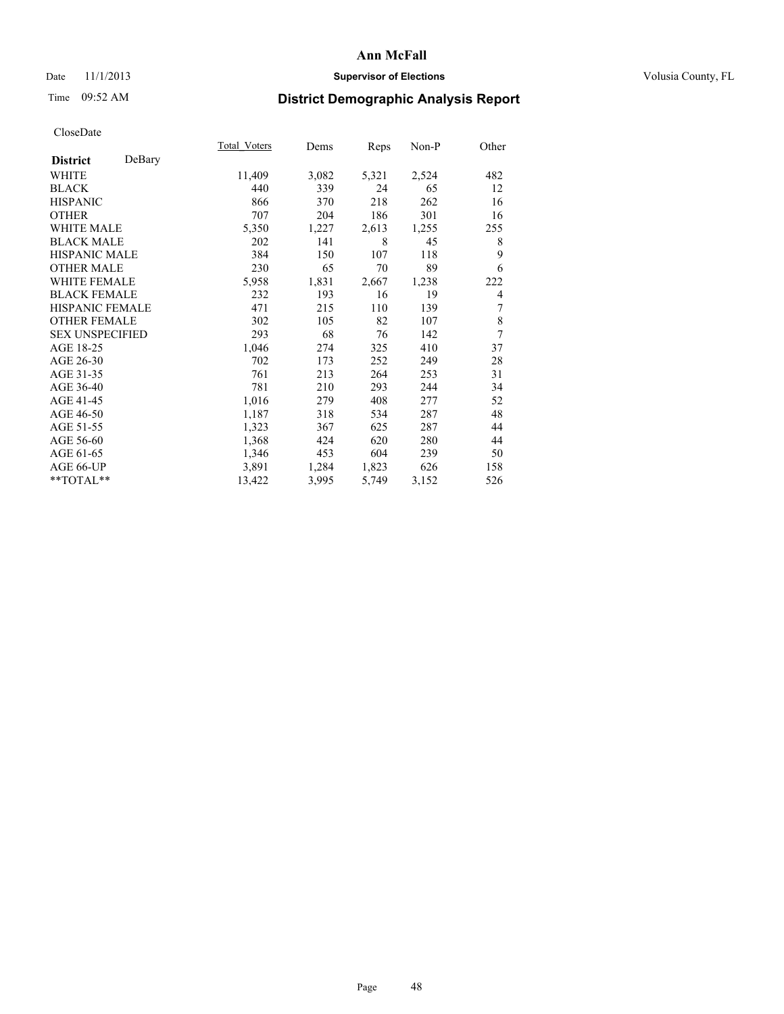### Date 11/1/2013 **Supervisor of Elections Supervisor of Elections** Volusia County, FL

## Time 09:52 AM **District Demographic Analysis Report**

|                           | Total Voters | Dems  | Reps  | Non-P | Other |
|---------------------------|--------------|-------|-------|-------|-------|
| DeBary<br><b>District</b> |              |       |       |       |       |
| <b>WHITE</b>              | 11,409       | 3,082 | 5,321 | 2,524 | 482   |
| <b>BLACK</b>              | 440          | 339   | 24    | 65    | 12    |
| <b>HISPANIC</b>           | 866          | 370   | 218   | 262   | 16    |
| <b>OTHER</b>              | 707          | 204   | 186   | 301   | 16    |
| <b>WHITE MALE</b>         | 5,350        | 1,227 | 2,613 | 1,255 | 255   |
| <b>BLACK MALE</b>         | 202          | 141   | 8     | 45    | 8     |
| HISPANIC MALE             | 384          | 150   | 107   | 118   | 9     |
| <b>OTHER MALE</b>         | 230          | 65    | 70    | 89    | 6     |
| <b>WHITE FEMALE</b>       | 5,958        | 1,831 | 2,667 | 1,238 | 222   |
| <b>BLACK FEMALE</b>       | 232          | 193   | 16    | 19    | 4     |
| <b>HISPANIC FEMALE</b>    | 471          | 215   | 110   | 139   | 7     |
| <b>OTHER FEMALE</b>       | 302          | 105   | 82    | 107   | 8     |
| <b>SEX UNSPECIFIED</b>    | 293          | 68    | 76    | 142   | 7     |
| AGE 18-25                 | 1,046        | 274   | 325   | 410   | 37    |
| AGE 26-30                 | 702          | 173   | 252   | 249   | 28    |
| AGE 31-35                 | 761          | 213   | 264   | 253   | 31    |
| AGE 36-40                 | 781          | 210   | 293   | 244   | 34    |
| AGE 41-45                 | 1,016        | 279   | 408   | 277   | 52    |
| AGE 46-50                 | 1,187        | 318   | 534   | 287   | 48    |
| AGE 51-55                 | 1,323        | 367   | 625   | 287   | 44    |
| AGE 56-60                 | 1,368        | 424   | 620   | 280   | 44    |
| AGE 61-65                 | 1,346        | 453   | 604   | 239   | 50    |
| AGE 66-UP                 | 3,891        | 1,284 | 1,823 | 626   | 158   |
| **TOTAL**                 | 13,422       | 3,995 | 5,749 | 3,152 | 526   |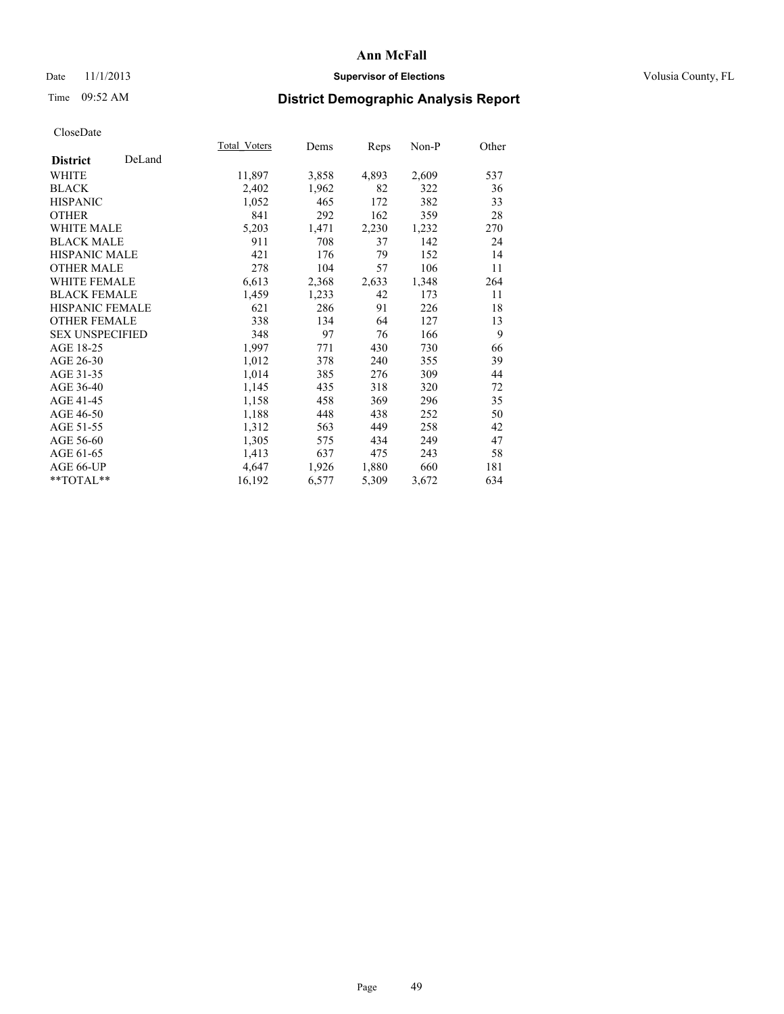### Date 11/1/2013 **Supervisor of Elections Supervisor of Elections** Volusia County, FL

# Time 09:52 AM **District Demographic Analysis Report**

|                           | Total Voters | Dems  | <b>Reps</b> | Non-P | Other |
|---------------------------|--------------|-------|-------------|-------|-------|
| DeLand<br><b>District</b> |              |       |             |       |       |
| <b>WHITE</b>              | 11,897       | 3,858 | 4,893       | 2,609 | 537   |
| <b>BLACK</b>              | 2,402        | 1,962 | 82          | 322   | 36    |
| <b>HISPANIC</b>           | 1,052        | 465   | 172         | 382   | 33    |
| <b>OTHER</b>              | 841          | 292   | 162         | 359   | 28    |
| <b>WHITE MALE</b>         | 5,203        | 1,471 | 2,230       | 1,232 | 270   |
| <b>BLACK MALE</b>         | 911          | 708   | 37          | 142   | 24    |
| HISPANIC MALE             | 421          | 176   | 79          | 152   | 14    |
| <b>OTHER MALE</b>         | 278          | 104   | 57          | 106   | 11    |
| <b>WHITE FEMALE</b>       | 6,613        | 2,368 | 2,633       | 1,348 | 264   |
| <b>BLACK FEMALE</b>       | 1,459        | 1,233 | 42          | 173   | 11    |
| <b>HISPANIC FEMALE</b>    | 621          | 286   | 91          | 226   | 18    |
| <b>OTHER FEMALE</b>       | 338          | 134   | 64          | 127   | 13    |
| <b>SEX UNSPECIFIED</b>    | 348          | 97    | 76          | 166   | 9     |
| AGE 18-25                 | 1,997        | 771   | 430         | 730   | 66    |
| AGE 26-30                 | 1,012        | 378   | 240         | 355   | 39    |
| AGE 31-35                 | 1,014        | 385   | 276         | 309   | 44    |
| AGE 36-40                 | 1,145        | 435   | 318         | 320   | 72    |
| AGE 41-45                 | 1,158        | 458   | 369         | 296   | 35    |
| AGE 46-50                 | 1,188        | 448   | 438         | 252   | 50    |
| AGE 51-55                 | 1,312        | 563   | 449         | 258   | 42    |
| AGE 56-60                 | 1,305        | 575   | 434         | 249   | 47    |
| AGE 61-65                 | 1,413        | 637   | 475         | 243   | 58    |
| AGE 66-UP                 | 4,647        | 1,926 | 1,880       | 660   | 181   |
| **TOTAL**                 | 16,192       | 6,577 | 5,309       | 3,672 | 634   |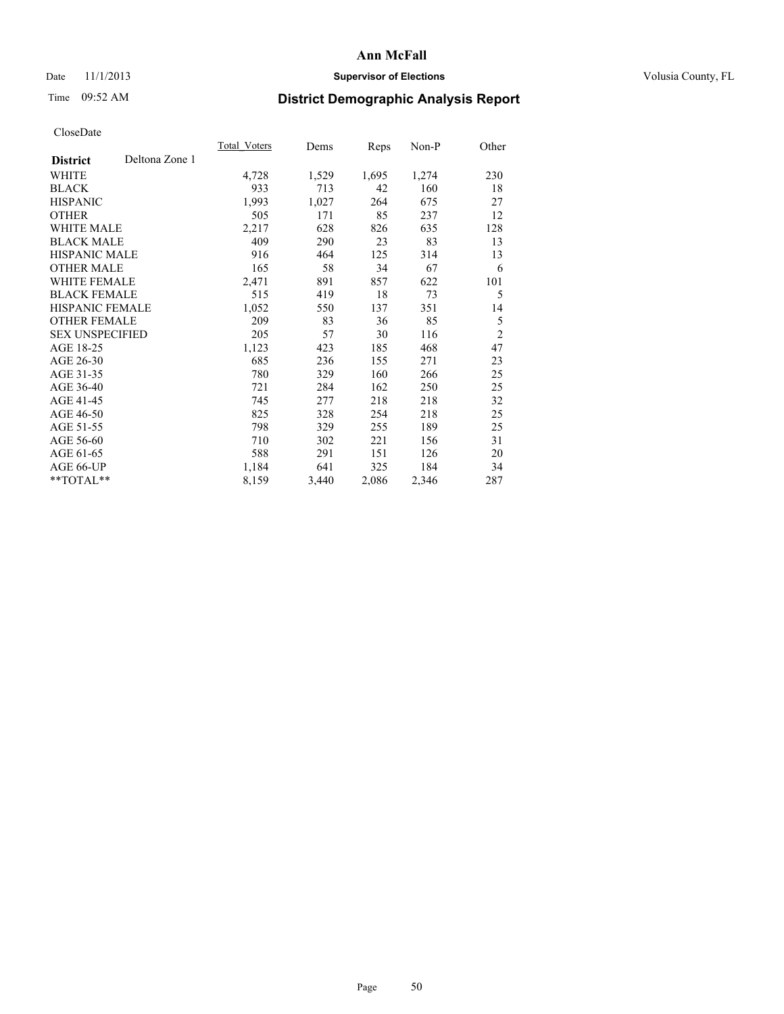### Date 11/1/2013 **Supervisor of Elections Supervisor of Elections** Volusia County, FL

# Time 09:52 AM **District Demographic Analysis Report**

|                                   | Total Voters | Dems  | <b>Reps</b> | Non-P | Other          |
|-----------------------------------|--------------|-------|-------------|-------|----------------|
| Deltona Zone 1<br><b>District</b> |              |       |             |       |                |
| WHITE                             | 4,728        | 1,529 | 1,695       | 1,274 | 230            |
| <b>BLACK</b>                      | 933          | 713   | 42          | 160   | 18             |
| <b>HISPANIC</b>                   | 1,993        | 1,027 | 264         | 675   | 27             |
| <b>OTHER</b>                      | 505          | 171   | 85          | 237   | 12             |
| <b>WHITE MALE</b>                 | 2,217        | 628   | 826         | 635   | 128            |
| <b>BLACK MALE</b>                 | 409          | 290   | 23          | 83    | 13             |
| <b>HISPANIC MALE</b>              | 916          | 464   | 125         | 314   | 13             |
| <b>OTHER MALE</b>                 | 165          | 58    | 34          | 67    | 6              |
| <b>WHITE FEMALE</b>               | 2,471        | 891   | 857         | 622   | 101            |
| <b>BLACK FEMALE</b>               | 515          | 419   | 18          | 73    | 5              |
| <b>HISPANIC FEMALE</b>            | 1,052        | 550   | 137         | 351   | 14             |
| <b>OTHER FEMALE</b>               | 209          | 83    | 36          | 85    | 5              |
| <b>SEX UNSPECIFIED</b>            | 205          | 57    | 30          | 116   | $\overline{2}$ |
| AGE 18-25                         | 1,123        | 423   | 185         | 468   | 47             |
| AGE 26-30                         | 685          | 236   | 155         | 271   | 23             |
| AGE 31-35                         | 780          | 329   | 160         | 266   | 25             |
| AGE 36-40                         | 721          | 284   | 162         | 250   | 25             |
| AGE 41-45                         | 745          | 277   | 218         | 218   | 32             |
| AGE 46-50                         | 825          | 328   | 254         | 218   | 25             |
| AGE 51-55                         | 798          | 329   | 255         | 189   | 25             |
| AGE 56-60                         | 710          | 302   | 221         | 156   | 31             |
| AGE 61-65                         | 588          | 291   | 151         | 126   | 20             |
| AGE 66-UP                         | 1,184        | 641   | 325         | 184   | 34             |
| **TOTAL**                         | 8,159        | 3,440 | 2,086       | 2,346 | 287            |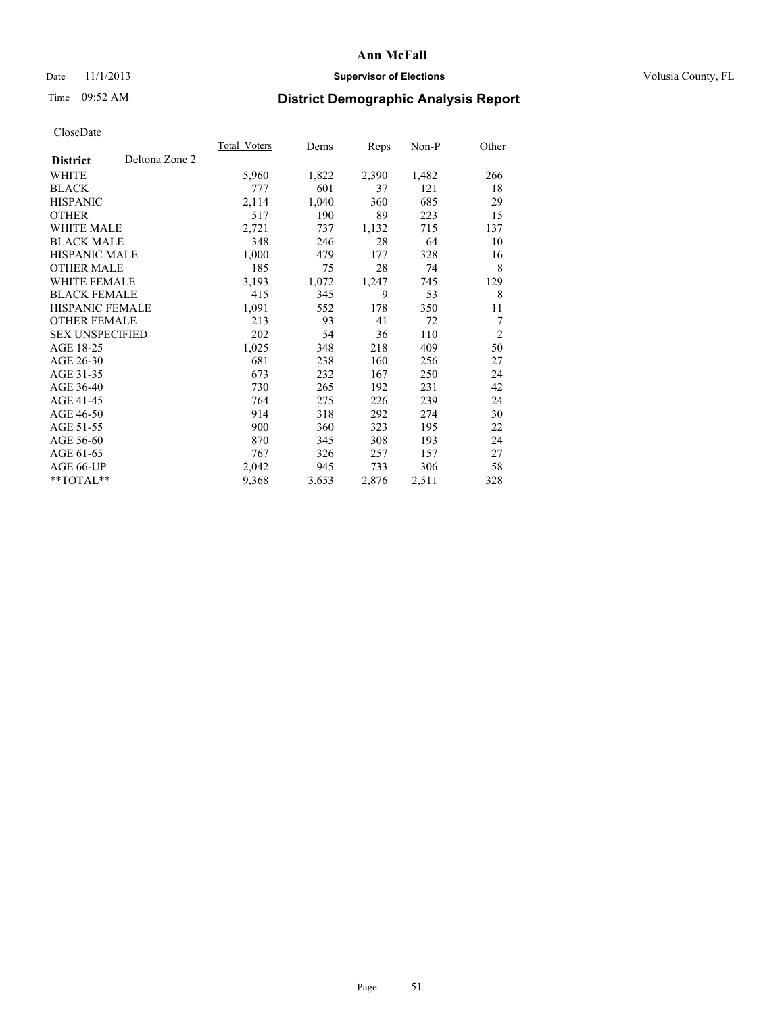### Date 11/1/2013 **Supervisor of Elections Supervisor of Elections** Volusia County, FL

## Time 09:52 AM **District Demographic Analysis Report**

|                        |                | Total Voters | Dems  | Reps  | Non-P | Other          |
|------------------------|----------------|--------------|-------|-------|-------|----------------|
| <b>District</b>        | Deltona Zone 2 |              |       |       |       |                |
| WHITE                  |                | 5,960        | 1,822 | 2,390 | 1,482 | 266            |
| <b>BLACK</b>           |                | 777          | 601   | 37    | 121   | 18             |
| <b>HISPANIC</b>        |                | 2,114        | 1,040 | 360   | 685   | 29             |
| <b>OTHER</b>           |                | 517          | 190   | 89    | 223   | 15             |
| <b>WHITE MALE</b>      |                | 2,721        | 737   | 1,132 | 715   | 137            |
| <b>BLACK MALE</b>      |                | 348          | 246   | 28    | 64    | 10             |
| HISPANIC MALE          |                | 1,000        | 479   | 177   | 328   | 16             |
| <b>OTHER MALE</b>      |                | 185          | 75    | 28    | 74    | 8              |
| <b>WHITE FEMALE</b>    |                | 3,193        | 1,072 | 1,247 | 745   | 129            |
| <b>BLACK FEMALE</b>    |                | 415          | 345   | 9     | 53    | 8              |
| <b>HISPANIC FEMALE</b> |                | 1,091        | 552   | 178   | 350   | 11             |
| <b>OTHER FEMALE</b>    |                | 213          | 93    | 41    | 72    | 7              |
| <b>SEX UNSPECIFIED</b> |                | 202          | 54    | 36    | 110   | $\overline{c}$ |
| AGE 18-25              |                | 1,025        | 348   | 218   | 409   | 50             |
| AGE 26-30              |                | 681          | 238   | 160   | 256   | 27             |
| AGE 31-35              |                | 673          | 232   | 167   | 250   | 24             |
| AGE 36-40              |                | 730          | 265   | 192   | 231   | 42             |
| AGE 41-45              |                | 764          | 275   | 226   | 239   | 24             |
| AGE 46-50              |                | 914          | 318   | 292   | 274   | 30             |
| AGE 51-55              |                | 900          | 360   | 323   | 195   | 22             |
| AGE 56-60              |                | 870          | 345   | 308   | 193   | 24             |
| AGE 61-65              |                | 767          | 326   | 257   | 157   | 27             |
| AGE 66-UP              |                | 2,042        | 945   | 733   | 306   | 58             |
| **TOTAL**              |                | 9,368        | 3,653 | 2,876 | 2,511 | 328            |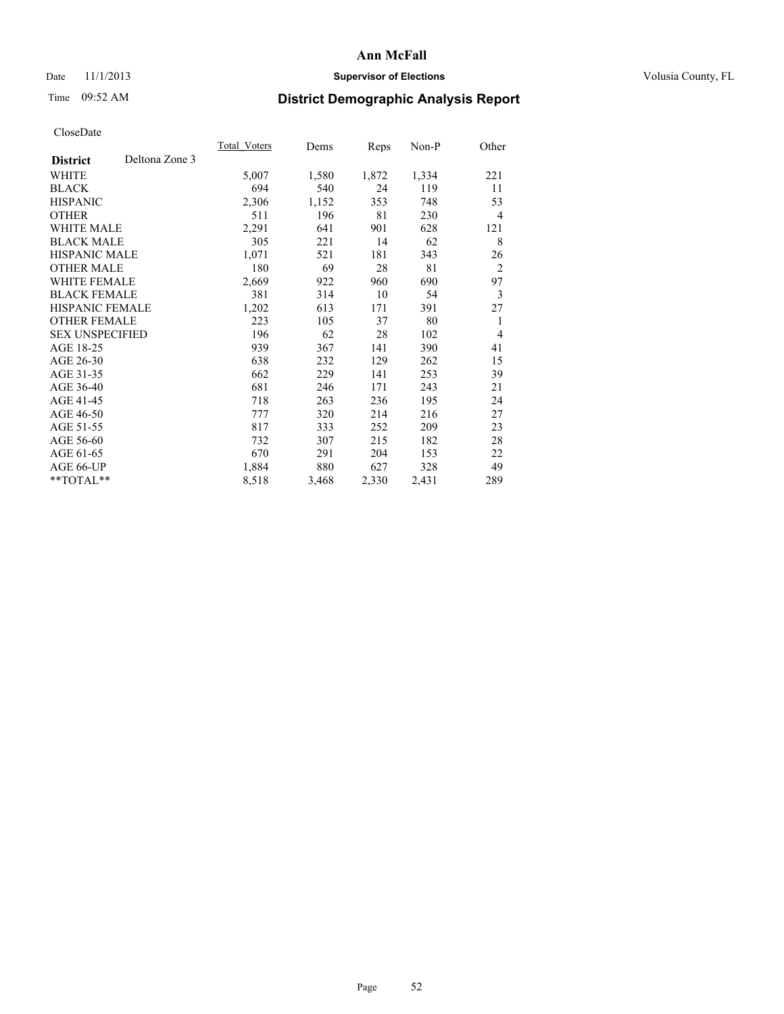### Date 11/1/2013 **Supervisor of Elections Supervisor of Elections** Volusia County, FL

# Time 09:52 AM **District Demographic Analysis Report**

|                        |                | Total Voters | Dems  | Reps  | Non-P | Other          |
|------------------------|----------------|--------------|-------|-------|-------|----------------|
| <b>District</b>        | Deltona Zone 3 |              |       |       |       |                |
| WHITE                  |                | 5,007        | 1,580 | 1,872 | 1,334 | 221            |
| <b>BLACK</b>           |                | 694          | 540   | 24    | 119   | 11             |
| <b>HISPANIC</b>        |                | 2,306        | 1,152 | 353   | 748   | 53             |
| <b>OTHER</b>           |                | 511          | 196   | 81    | 230   | $\overline{4}$ |
| <b>WHITE MALE</b>      |                | 2,291        | 641   | 901   | 628   | 121            |
| <b>BLACK MALE</b>      |                | 305          | 221   | 14    | 62    | 8              |
| <b>HISPANIC MALE</b>   |                | 1,071        | 521   | 181   | 343   | 26             |
| <b>OTHER MALE</b>      |                | 180          | 69    | 28    | 81    | $\overline{2}$ |
| <b>WHITE FEMALE</b>    |                | 2,669        | 922   | 960   | 690   | 97             |
| <b>BLACK FEMALE</b>    |                | 381          | 314   | 10    | 54    | 3              |
| <b>HISPANIC FEMALE</b> |                | 1,202        | 613   | 171   | 391   | 27             |
| <b>OTHER FEMALE</b>    |                | 223          | 105   | 37    | 80    | 1              |
| <b>SEX UNSPECIFIED</b> |                | 196          | 62    | 28    | 102   | $\overline{4}$ |
| AGE 18-25              |                | 939          | 367   | 141   | 390   | 41             |
| AGE 26-30              |                | 638          | 232   | 129   | 262   | 15             |
| AGE 31-35              |                | 662          | 229   | 141   | 253   | 39             |
| AGE 36-40              |                | 681          | 246   | 171   | 243   | 21             |
| AGE 41-45              |                | 718          | 263   | 236   | 195   | 24             |
| AGE 46-50              |                | 777          | 320   | 214   | 216   | 27             |
| AGE 51-55              |                | 817          | 333   | 252   | 209   | 23             |
| AGE 56-60              |                | 732          | 307   | 215   | 182   | 28             |
| AGE 61-65              |                | 670          | 291   | 204   | 153   | 22             |
| AGE 66-UP              |                | 1,884        | 880   | 627   | 328   | 49             |
| **TOTAL**              |                | 8,518        | 3,468 | 2,330 | 2,431 | 289            |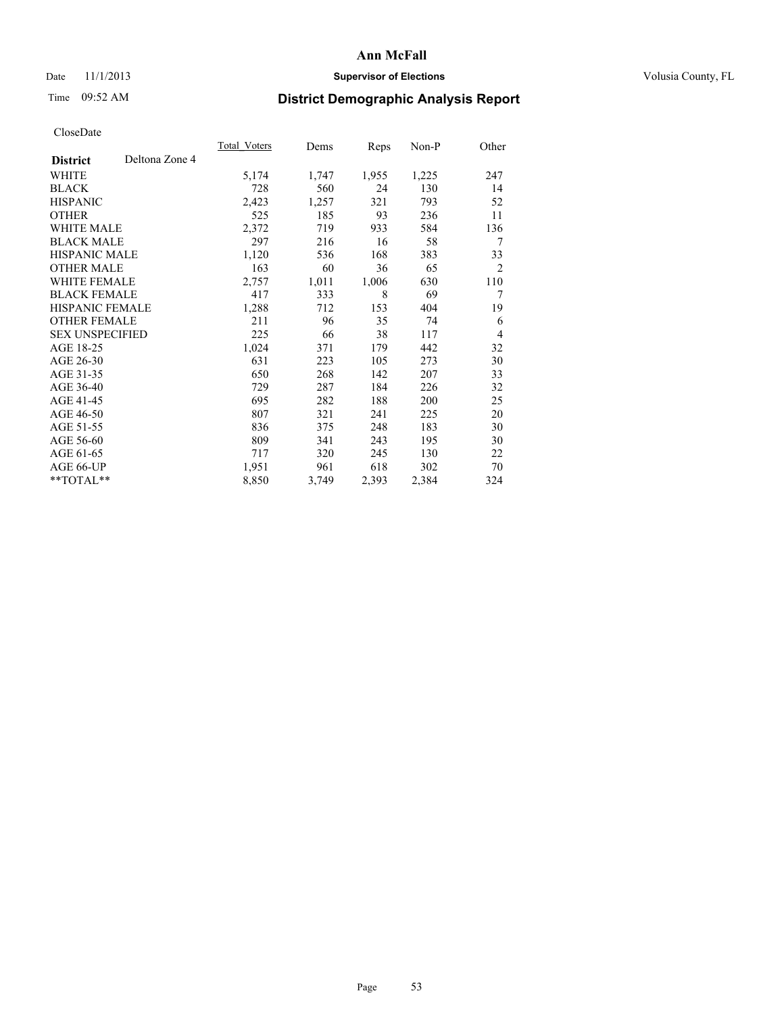### Date 11/1/2013 **Supervisor of Elections Supervisor of Elections** Volusia County, FL

## Time 09:52 AM **District Demographic Analysis Report**

|                                   | Total Voters | Dems  | <b>Reps</b> | Non-P | Other          |
|-----------------------------------|--------------|-------|-------------|-------|----------------|
| Deltona Zone 4<br><b>District</b> |              |       |             |       |                |
| WHITE                             | 5,174        | 1,747 | 1,955       | 1,225 | 247            |
| <b>BLACK</b>                      | 728          | 560   | 24          | 130   | 14             |
| <b>HISPANIC</b>                   | 2,423        | 1,257 | 321         | 793   | 52             |
| <b>OTHER</b>                      | 525          | 185   | 93          | 236   | 11             |
| WHITE MALE                        | 2,372        | 719   | 933         | 584   | 136            |
| <b>BLACK MALE</b>                 | 297          | 216   | 16          | 58    | 7              |
| HISPANIC MALE                     | 1,120        | 536   | 168         | 383   | 33             |
| <b>OTHER MALE</b>                 | 163          | 60    | 36          | 65    | $\overline{2}$ |
| <b>WHITE FEMALE</b>               | 2,757        | 1,011 | 1,006       | 630   | 110            |
| <b>BLACK FEMALE</b>               | 417          | 333   | 8           | 69    | 7              |
| <b>HISPANIC FEMALE</b>            | 1,288        | 712   | 153         | 404   | 19             |
| <b>OTHER FEMALE</b>               | 211          | 96    | 35          | 74    | 6              |
| <b>SEX UNSPECIFIED</b>            | 225          | 66    | 38          | 117   | 4              |
| AGE 18-25                         | 1,024        | 371   | 179         | 442   | 32             |
| AGE 26-30                         | 631          | 223   | 105         | 273   | 30             |
| AGE 31-35                         | 650          | 268   | 142         | 207   | 33             |
| AGE 36-40                         | 729          | 287   | 184         | 226   | 32             |
| AGE 41-45                         | 695          | 282   | 188         | 200   | 25             |
| AGE 46-50                         | 807          | 321   | 241         | 225   | 20             |
| AGE 51-55                         | 836          | 375   | 248         | 183   | 30             |
| AGE 56-60                         | 809          | 341   | 243         | 195   | 30             |
| AGE 61-65                         | 717          | 320   | 245         | 130   | 22             |
| AGE 66-UP                         | 1,951        | 961   | 618         | 302   | 70             |
| **TOTAL**                         | 8,850        | 3,749 | 2,393       | 2,384 | 324            |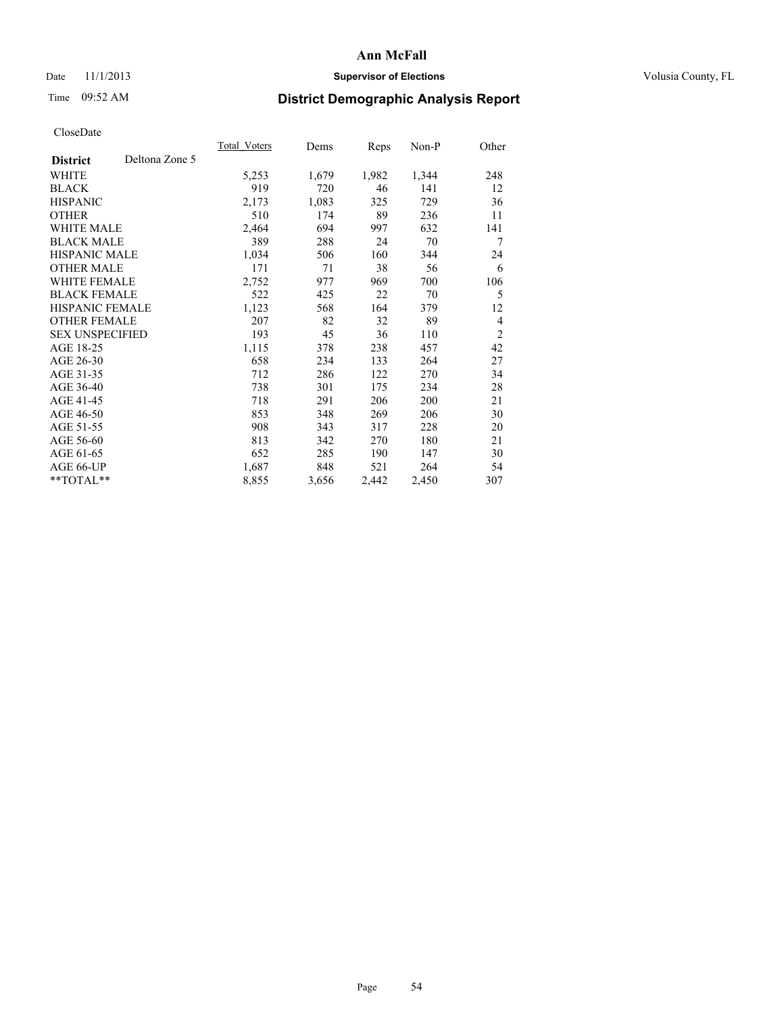### Date 11/1/2013 **Supervisor of Elections Supervisor of Elections** Volusia County, FL

# Time 09:52 AM **District Demographic Analysis Report**

|                        |                | Total Voters | Dems  | Reps  | Non-P | Other          |
|------------------------|----------------|--------------|-------|-------|-------|----------------|
| <b>District</b>        | Deltona Zone 5 |              |       |       |       |                |
| WHITE                  |                | 5,253        | 1,679 | 1,982 | 1,344 | 248            |
| <b>BLACK</b>           |                | 919          | 720   | 46    | 141   | 12             |
| <b>HISPANIC</b>        |                | 2,173        | 1,083 | 325   | 729   | 36             |
| <b>OTHER</b>           |                | 510          | 174   | 89    | 236   | 11             |
| <b>WHITE MALE</b>      |                | 2,464        | 694   | 997   | 632   | 141            |
| <b>BLACK MALE</b>      |                | 389          | 288   | 24    | 70    | 7              |
| <b>HISPANIC MALE</b>   |                | 1,034        | 506   | 160   | 344   | 24             |
| <b>OTHER MALE</b>      |                | 171          | 71    | 38    | 56    | 6              |
| <b>WHITE FEMALE</b>    |                | 2,752        | 977   | 969   | 700   | 106            |
| <b>BLACK FEMALE</b>    |                | 522          | 425   | 22    | 70    | 5              |
| HISPANIC FEMALE        |                | 1,123        | 568   | 164   | 379   | 12             |
| <b>OTHER FEMALE</b>    |                | 207          | 82    | 32    | 89    | $\overline{4}$ |
| <b>SEX UNSPECIFIED</b> |                | 193          | 45    | 36    | 110   | $\overline{2}$ |
| AGE 18-25              |                | 1,115        | 378   | 238   | 457   | 42             |
| AGE 26-30              |                | 658          | 234   | 133   | 264   | 27             |
| AGE 31-35              |                | 712          | 286   | 122   | 270   | 34             |
| AGE 36-40              |                | 738          | 301   | 175   | 234   | 28             |
| AGE 41-45              |                | 718          | 291   | 206   | 200   | 21             |
| AGE 46-50              |                | 853          | 348   | 269   | 206   | 30             |
| AGE 51-55              |                | 908          | 343   | 317   | 228   | 20             |
| AGE 56-60              |                | 813          | 342   | 270   | 180   | 21             |
| AGE 61-65              |                | 652          | 285   | 190   | 147   | 30             |
| AGE 66-UP              |                | 1,687        | 848   | 521   | 264   | 54             |
| **TOTAL**              |                | 8,855        | 3,656 | 2,442 | 2,450 | 307            |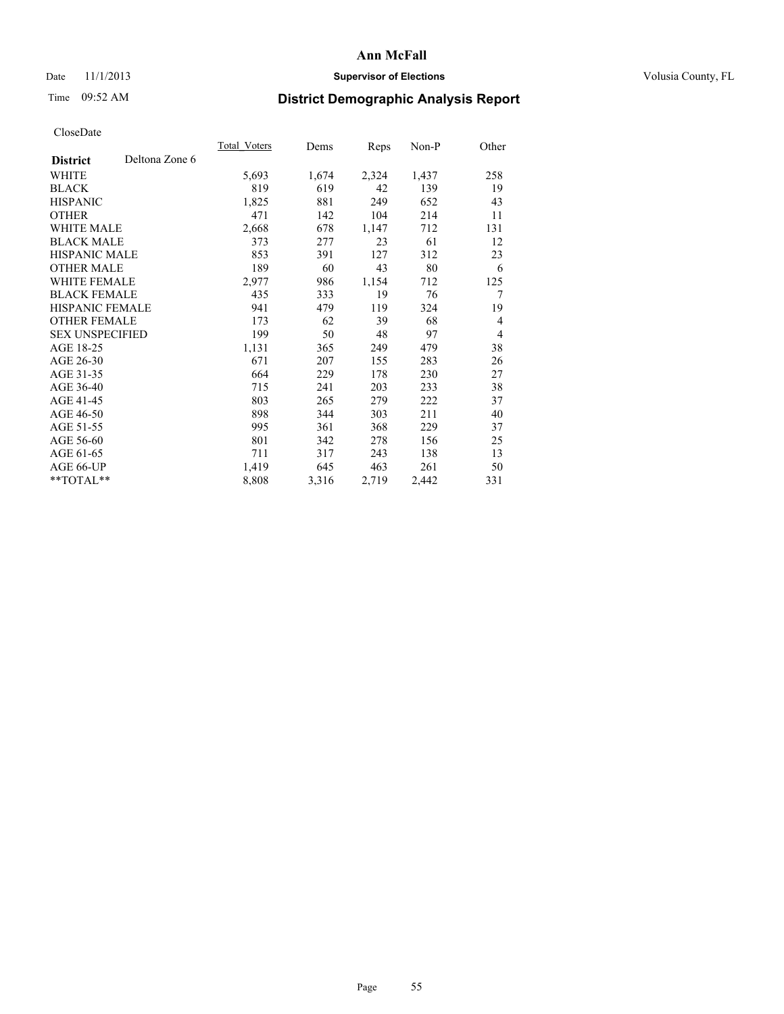### Date 11/1/2013 **Supervisor of Elections Supervisor of Elections** Volusia County, FL

# Time 09:52 AM **District Demographic Analysis Report**

|                                   | Total Voters | Dems  | Reps  | Non-P | Other |
|-----------------------------------|--------------|-------|-------|-------|-------|
| Deltona Zone 6<br><b>District</b> |              |       |       |       |       |
| WHITE                             | 5,693        | 1,674 | 2,324 | 1,437 | 258   |
| <b>BLACK</b>                      | 819          | 619   | 42    | 139   | 19    |
| <b>HISPANIC</b>                   | 1,825        | 881   | 249   | 652   | 43    |
| <b>OTHER</b>                      | 471          | 142   | 104   | 214   | 11    |
| WHITE MALE                        | 2,668        | 678   | 1,147 | 712   | 131   |
| <b>BLACK MALE</b>                 | 373          | 277   | 23    | 61    | 12    |
| <b>HISPANIC MALE</b>              | 853          | 391   | 127   | 312   | 23    |
| <b>OTHER MALE</b>                 | 189          | 60    | 43    | 80    | 6     |
| WHITE FEMALE                      | 2,977        | 986   | 1,154 | 712   | 125   |
| <b>BLACK FEMALE</b>               | 435          | 333   | 19    | 76    | 7     |
| <b>HISPANIC FEMALE</b>            | 941          | 479   | 119   | 324   | 19    |
| <b>OTHER FEMALE</b>               | 173          | 62    | 39    | 68    | 4     |
| <b>SEX UNSPECIFIED</b>            | 199          | 50    | 48    | 97    | 4     |
| AGE 18-25                         | 1,131        | 365   | 249   | 479   | 38    |
| AGE 26-30                         | 671          | 207   | 155   | 283   | 26    |
| AGE 31-35                         | 664          | 229   | 178   | 230   | 27    |
| AGE 36-40                         | 715          | 241   | 203   | 233   | 38    |
| AGE 41-45                         | 803          | 265   | 279   | 222   | 37    |
| AGE 46-50                         | 898          | 344   | 303   | 211   | 40    |
| AGE 51-55                         | 995          | 361   | 368   | 229   | 37    |
| AGE 56-60                         | 801          | 342   | 278   | 156   | 25    |
| AGE 61-65                         | 711          | 317   | 243   | 138   | 13    |
| AGE 66-UP                         | 1,419        | 645   | 463   | 261   | 50    |
| **TOTAL**                         | 8,808        | 3,316 | 2,719 | 2,442 | 331   |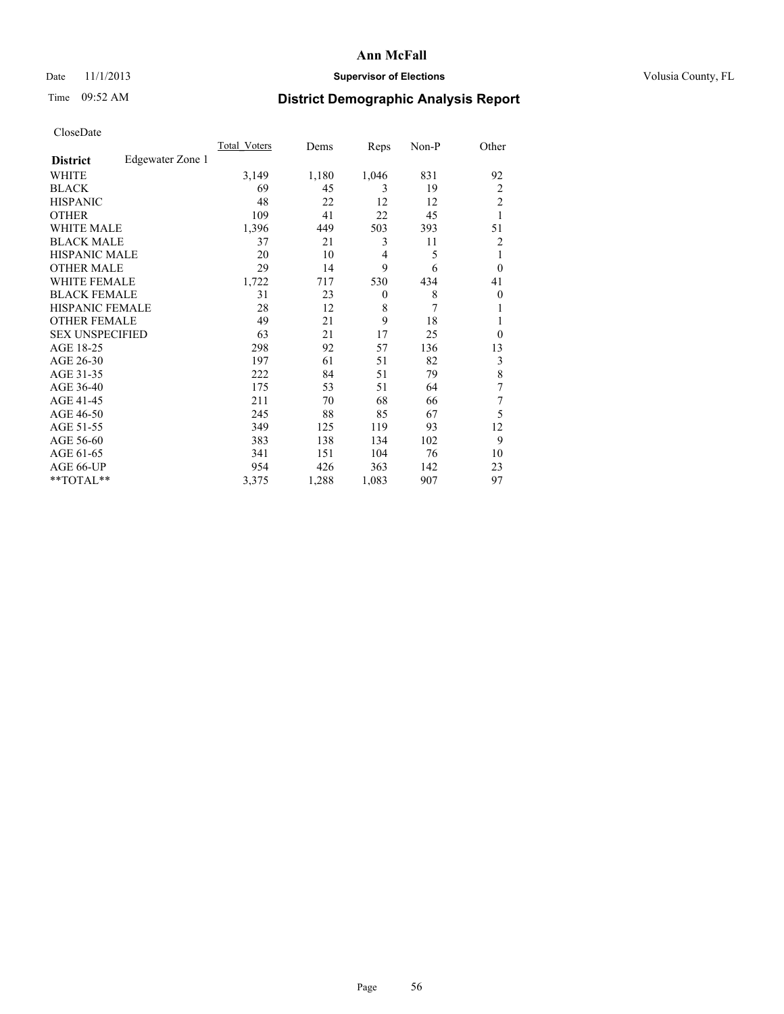### Date 11/1/2013 **Supervisor of Elections Supervisor of Elections** Volusia County, FL

## Time 09:52 AM **District Demographic Analysis Report**

|                        |                  | <b>Total Voters</b> | Dems  | Reps         | Non-P | Other          |
|------------------------|------------------|---------------------|-------|--------------|-------|----------------|
| <b>District</b>        | Edgewater Zone 1 |                     |       |              |       |                |
| WHITE                  |                  | 3,149               | 1,180 | 1,046        | 831   | 92             |
| <b>BLACK</b>           |                  | 69                  | 45    | 3            | 19    | $\overline{2}$ |
| <b>HISPANIC</b>        |                  | 48                  | 22    | 12           | 12    | $\overline{c}$ |
| <b>OTHER</b>           |                  | 109                 | 41    | 22           | 45    | 1              |
| WHITE MALE             |                  | 1,396               | 449   | 503          | 393   | 51             |
| <b>BLACK MALE</b>      |                  | 37                  | 21    | 3            | 11    | 2              |
| <b>HISPANIC MALE</b>   |                  | 20                  | 10    | 4            | 5     | 1              |
| <b>OTHER MALE</b>      |                  | 29                  | 14    | 9            | 6     | $\theta$       |
| WHITE FEMALE           |                  | 1,722               | 717   | 530          | 434   | 41             |
| <b>BLACK FEMALE</b>    |                  | 31                  | 23    | $\mathbf{0}$ | 8     | $\overline{0}$ |
| <b>HISPANIC FEMALE</b> |                  | 28                  | 12    | 8            | 7     | 1              |
| <b>OTHER FEMALE</b>    |                  | 49                  | 21    | 9            | 18    | 1              |
| <b>SEX UNSPECIFIED</b> |                  | 63                  | 21    | 17           | 25    | $\theta$       |
| AGE 18-25              |                  | 298                 | 92    | 57           | 136   | 13             |
| AGE 26-30              |                  | 197                 | 61    | 51           | 82    | 3              |
| AGE 31-35              |                  | 222                 | 84    | 51           | 79    | 8              |
| AGE 36-40              |                  | 175                 | 53    | 51           | 64    | 7              |
| AGE 41-45              |                  | 211                 | 70    | 68           | 66    | 7              |
| AGE 46-50              |                  | 245                 | 88    | 85           | 67    | 5              |
| AGE 51-55              |                  | 349                 | 125   | 119          | 93    | 12             |
| AGE 56-60              |                  | 383                 | 138   | 134          | 102   | 9              |
| AGE 61-65              |                  | 341                 | 151   | 104          | 76    | 10             |
| AGE 66-UP              |                  | 954                 | 426   | 363          | 142   | 23             |
| **TOTAL**              |                  | 3,375               | 1,288 | 1,083        | 907   | 97             |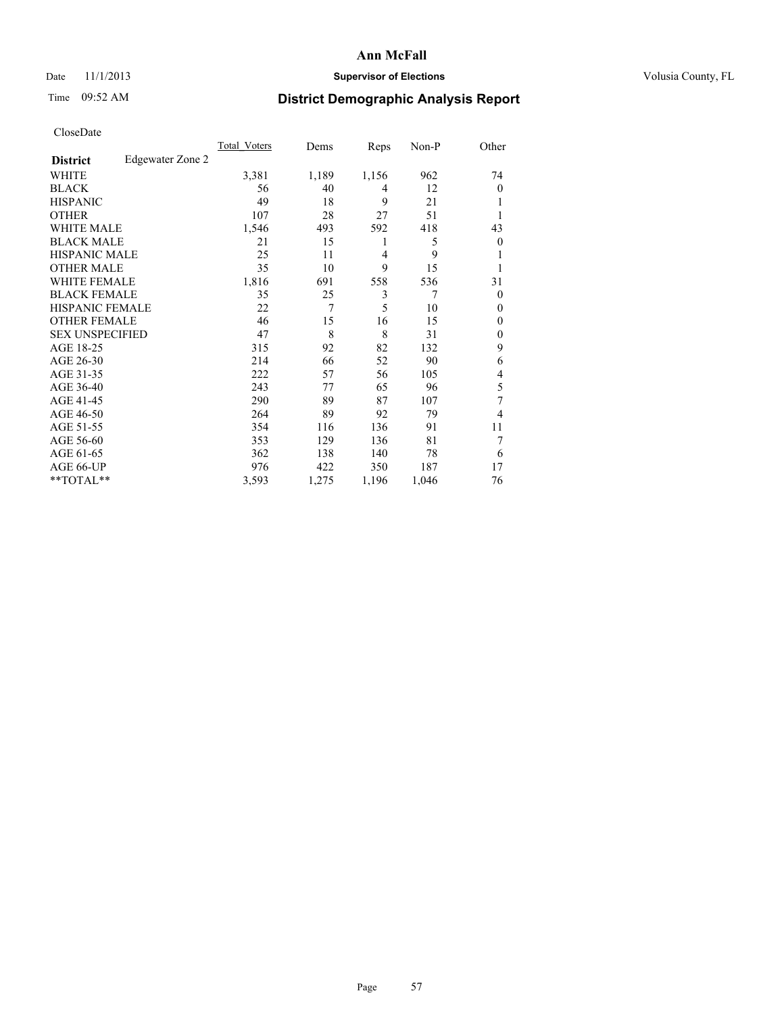### Date 11/1/2013 **Supervisor of Elections Supervisor of Elections** Volusia County, FL

## Time 09:52 AM **District Demographic Analysis Report**

|                        |                  | <b>Total Voters</b> | Dems  | Reps  | Non-P | Other          |
|------------------------|------------------|---------------------|-------|-------|-------|----------------|
| <b>District</b>        | Edgewater Zone 2 |                     |       |       |       |                |
| WHITE                  |                  | 3,381               | 1,189 | 1,156 | 962   | 74             |
| <b>BLACK</b>           |                  | 56                  | 40    | 4     | 12    | $\theta$       |
| <b>HISPANIC</b>        |                  | 49                  | 18    | 9     | 21    | 1              |
| <b>OTHER</b>           |                  | 107                 | 28    | 27    | 51    | 1              |
| WHITE MALE             |                  | 1,546               | 493   | 592   | 418   | 43             |
| <b>BLACK MALE</b>      |                  | 21                  | 15    | 1     | 5     | $\overline{0}$ |
| <b>HISPANIC MALE</b>   |                  | 25                  | 11    | 4     | 9     | 1              |
| <b>OTHER MALE</b>      |                  | 35                  | 10    | 9     | 15    | 1              |
| <b>WHITE FEMALE</b>    |                  | 1,816               | 691   | 558   | 536   | 31             |
| <b>BLACK FEMALE</b>    |                  | 35                  | 25    | 3     | 7     | $\Omega$       |
| <b>HISPANIC FEMALE</b> |                  | 22                  | 7     | 5     | 10    | $\theta$       |
| <b>OTHER FEMALE</b>    |                  | 46                  | 15    | 16    | 15    | $\theta$       |
| <b>SEX UNSPECIFIED</b> |                  | 47                  | 8     | 8     | 31    | $\mathbf{0}$   |
| AGE 18-25              |                  | 315                 | 92    | 82    | 132   | 9              |
| AGE 26-30              |                  | 214                 | 66    | 52    | 90    | 6              |
| AGE 31-35              |                  | 222                 | 57    | 56    | 105   | 4              |
| AGE 36-40              |                  | 243                 | 77    | 65    | 96    | 5              |
| AGE 41-45              |                  | 290                 | 89    | 87    | 107   | 7              |
| AGE 46-50              |                  | 264                 | 89    | 92    | 79    | 4              |
| AGE 51-55              |                  | 354                 | 116   | 136   | 91    | 11             |
| AGE 56-60              |                  | 353                 | 129   | 136   | 81    | 7              |
| AGE 61-65              |                  | 362                 | 138   | 140   | 78    | 6              |
| AGE 66-UP              |                  | 976                 | 422   | 350   | 187   | 17             |
| **TOTAL**              |                  | 3,593               | 1,275 | 1,196 | 1,046 | 76             |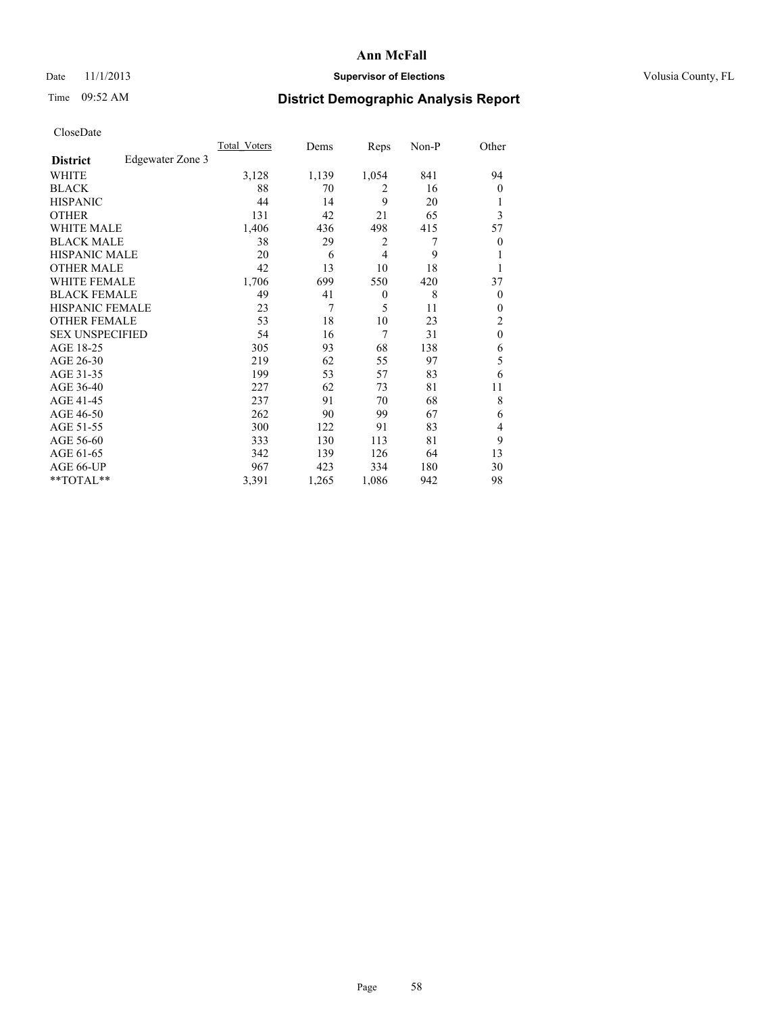### Date 11/1/2013 **Supervisor of Elections Supervisor of Elections** Volusia County, FL

## Time 09:52 AM **District Demographic Analysis Report**

|                        |                  | Total Voters | Dems  | Reps           | Non-P | Other            |
|------------------------|------------------|--------------|-------|----------------|-------|------------------|
| <b>District</b>        | Edgewater Zone 3 |              |       |                |       |                  |
| WHITE                  |                  | 3,128        | 1,139 | 1,054          | 841   | 94               |
| <b>BLACK</b>           |                  | 88           | 70    | 2              | 16    | $\Omega$         |
| <b>HISPANIC</b>        |                  | 44           | 14    | 9              | 20    | 1                |
| <b>OTHER</b>           |                  | 131          | 42    | 21             | 65    | 3                |
| WHITE MALE             |                  | 1,406        | 436   | 498            | 415   | 57               |
| <b>BLACK MALE</b>      |                  | 38           | 29    | 2              | 7     | $\boldsymbol{0}$ |
| <b>HISPANIC MALE</b>   |                  | 20           | 6     | $\overline{4}$ | 9     | 1                |
| <b>OTHER MALE</b>      |                  | 42           | 13    | 10             | 18    | 1                |
| WHITE FEMALE           |                  | 1,706        | 699   | 550            | 420   | 37               |
| <b>BLACK FEMALE</b>    |                  | 49           | 41    | $\mathbf{0}$   | 8     | $\overline{0}$   |
| <b>HISPANIC FEMALE</b> |                  | 23           | 7     | 5              | 11    | $\theta$         |
| <b>OTHER FEMALE</b>    |                  | 53           | 18    | 10             | 23    | 2                |
| <b>SEX UNSPECIFIED</b> |                  | 54           | 16    | 7              | 31    | $\mathbf{0}$     |
| AGE 18-25              |                  | 305          | 93    | 68             | 138   | 6                |
| AGE 26-30              |                  | 219          | 62    | 55             | 97    | 5                |
| AGE 31-35              |                  | 199          | 53    | 57             | 83    | 6                |
| AGE 36-40              |                  | 227          | 62    | 73             | 81    | 11               |
| AGE 41-45              |                  | 237          | 91    | 70             | 68    | 8                |
| AGE 46-50              |                  | 262          | 90    | 99             | 67    | 6                |
| AGE 51-55              |                  | 300          | 122   | 91             | 83    | 4                |
| AGE 56-60              |                  | 333          | 130   | 113            | 81    | 9                |
| AGE 61-65              |                  | 342          | 139   | 126            | 64    | 13               |
| AGE 66-UP              |                  | 967          | 423   | 334            | 180   | 30               |
| **TOTAL**              |                  | 3,391        | 1,265 | 1,086          | 942   | 98               |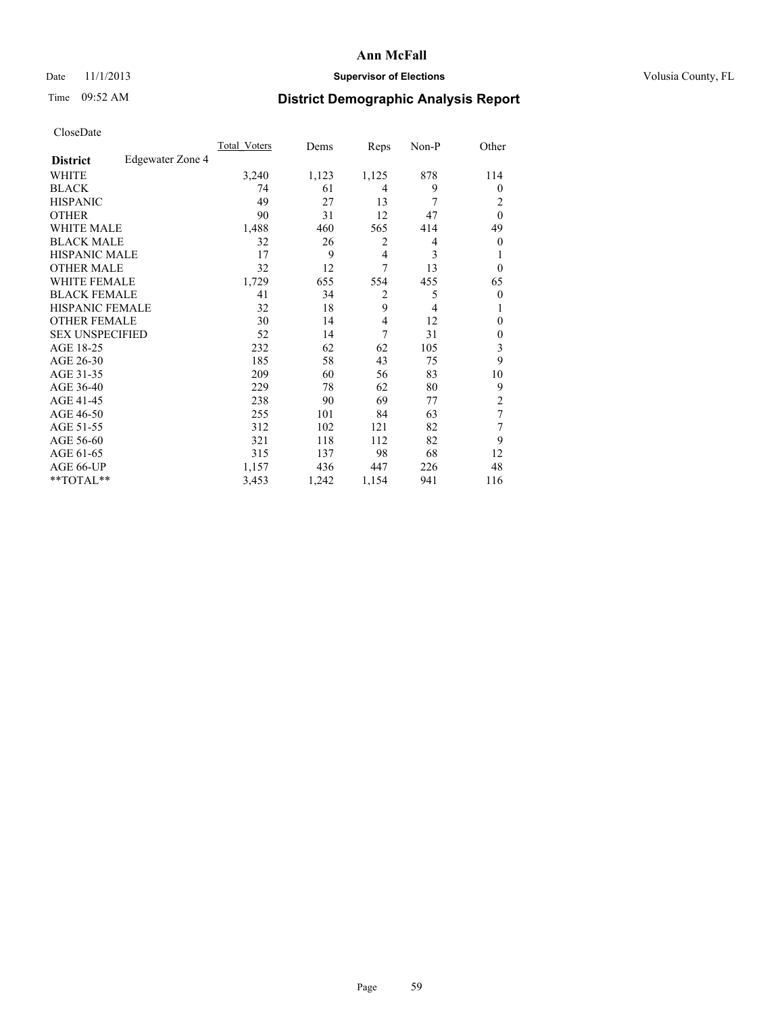### Date 11/1/2013 **Supervisor of Elections Supervisor of Elections** Volusia County, FL

## Time 09:52 AM **District Demographic Analysis Report**

|                        |                  | Total Voters | Dems  | Reps           | Non-P | Other          |
|------------------------|------------------|--------------|-------|----------------|-------|----------------|
| <b>District</b>        | Edgewater Zone 4 |              |       |                |       |                |
| WHITE                  |                  | 3,240        | 1,123 | 1,125          | 878   | 114            |
| <b>BLACK</b>           |                  | 74           | 61    | 4              | 9     | $\Omega$       |
| <b>HISPANIC</b>        |                  | 49           | 27    | 13             | 7     | 2              |
| <b>OTHER</b>           |                  | 90           | 31    | 12             | 47    | $\theta$       |
| WHITE MALE             |                  | 1,488        | 460   | 565            | 414   | 49             |
| <b>BLACK MALE</b>      |                  | 32           | 26    | 2              | 4     | $\overline{0}$ |
| <b>HISPANIC MALE</b>   |                  | 17           | 9     | 4              | 3     |                |
| <b>OTHER MALE</b>      |                  | 32           | 12    | 7              | 13    | $\overline{0}$ |
| <b>WHITE FEMALE</b>    |                  | 1,729        | 655   | 554            | 455   | 65             |
| <b>BLACK FEMALE</b>    |                  | 41           | 34    | $\overline{2}$ | 5     | $\overline{0}$ |
| <b>HISPANIC FEMALE</b> |                  | 32           | 18    | 9              | 4     |                |
| <b>OTHER FEMALE</b>    |                  | 30           | 14    | $\overline{4}$ | 12    | $\Omega$       |
| <b>SEX UNSPECIFIED</b> |                  | 52           | 14    | 7              | 31    | $\overline{0}$ |
| AGE 18-25              |                  | 232          | 62    | 62             | 105   | 3              |
| AGE 26-30              |                  | 185          | 58    | 43             | 75    | 9              |
| AGE 31-35              |                  | 209          | 60    | 56             | 83    | 10             |
| AGE 36-40              |                  | 229          | 78    | 62             | 80    | 9              |
| AGE 41-45              |                  | 238          | 90    | 69             | 77    | $\overline{2}$ |
| AGE 46-50              |                  | 255          | 101   | 84             | 63    | 7              |
| AGE 51-55              |                  | 312          | 102   | 121            | 82    | 7              |
| AGE 56-60              |                  | 321          | 118   | 112            | 82    | 9              |
| AGE 61-65              |                  | 315          | 137   | 98             | 68    | 12             |
| AGE 66-UP              |                  | 1,157        | 436   | 447            | 226   | 48             |
| **TOTAL**              |                  | 3,453        | 1,242 | 1,154          | 941   | 116            |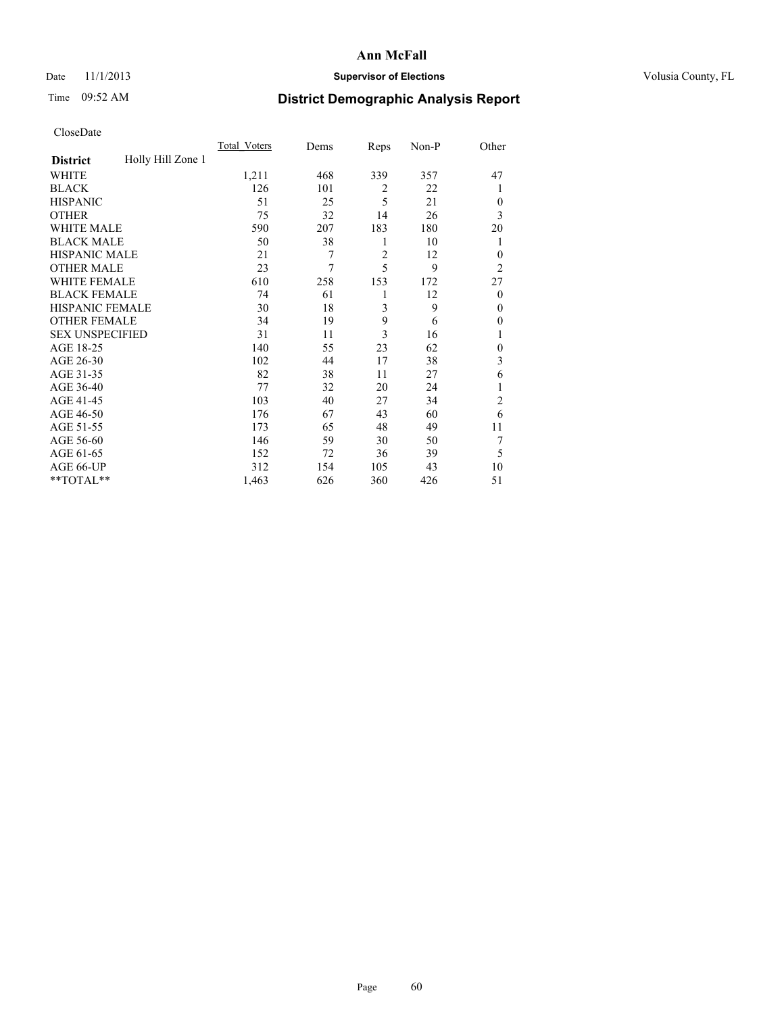### Date 11/1/2013 **Supervisor of Elections Supervisor of Elections** Volusia County, FL

## Time 09:52 AM **District Demographic Analysis Report**

|                        |                   | <b>Total Voters</b> | Dems | Reps           | Non-P | Other          |
|------------------------|-------------------|---------------------|------|----------------|-------|----------------|
| <b>District</b>        | Holly Hill Zone 1 |                     |      |                |       |                |
| WHITE                  |                   | 1,211               | 468  | 339            | 357   | 47             |
| <b>BLACK</b>           |                   | 126                 | 101  | 2              | 22    | 1              |
| <b>HISPANIC</b>        |                   | 51                  | 25   | 5              | 21    | $\Omega$       |
| <b>OTHER</b>           |                   | 75                  | 32   | 14             | 26    | 3              |
| WHITE MALE             |                   | 590                 | 207  | 183            | 180   | 20             |
| <b>BLACK MALE</b>      |                   | 50                  | 38   | 1              | 10    | 1              |
| <b>HISPANIC MALE</b>   |                   | 21                  | 7    | $\overline{2}$ | 12    | $\overline{0}$ |
| <b>OTHER MALE</b>      |                   | 23                  | 7    | 5              | 9     | $\overline{2}$ |
| WHITE FEMALE           |                   | 610                 | 258  | 153            | 172   | 27             |
| <b>BLACK FEMALE</b>    |                   | 74                  | 61   | 1              | 12    | $\overline{0}$ |
| <b>HISPANIC FEMALE</b> |                   | 30                  | 18   | 3              | 9     | $\theta$       |
| <b>OTHER FEMALE</b>    |                   | 34                  | 19   | 9              | 6     | $\Omega$       |
| <b>SEX UNSPECIFIED</b> |                   | 31                  | 11   | 3              | 16    | 1              |
| AGE 18-25              |                   | 140                 | 55   | 23             | 62    | $\theta$       |
| AGE 26-30              |                   | 102                 | 44   | 17             | 38    | 3              |
| AGE 31-35              |                   | 82                  | 38   | 11             | 27    | 6              |
| AGE 36-40              |                   | 77                  | 32   | 20             | 24    | 1              |
| AGE 41-45              |                   | 103                 | 40   | 27             | 34    | $\overline{c}$ |
| AGE 46-50              |                   | 176                 | 67   | 43             | 60    | 6              |
| AGE 51-55              |                   | 173                 | 65   | 48             | 49    | 11             |
| AGE 56-60              |                   | 146                 | 59   | 30             | 50    | 7              |
| AGE 61-65              |                   | 152                 | 72   | 36             | 39    | 5              |
| AGE 66-UP              |                   | 312                 | 154  | 105            | 43    | 10             |
| **TOTAL**              |                   | 1,463               | 626  | 360            | 426   | 51             |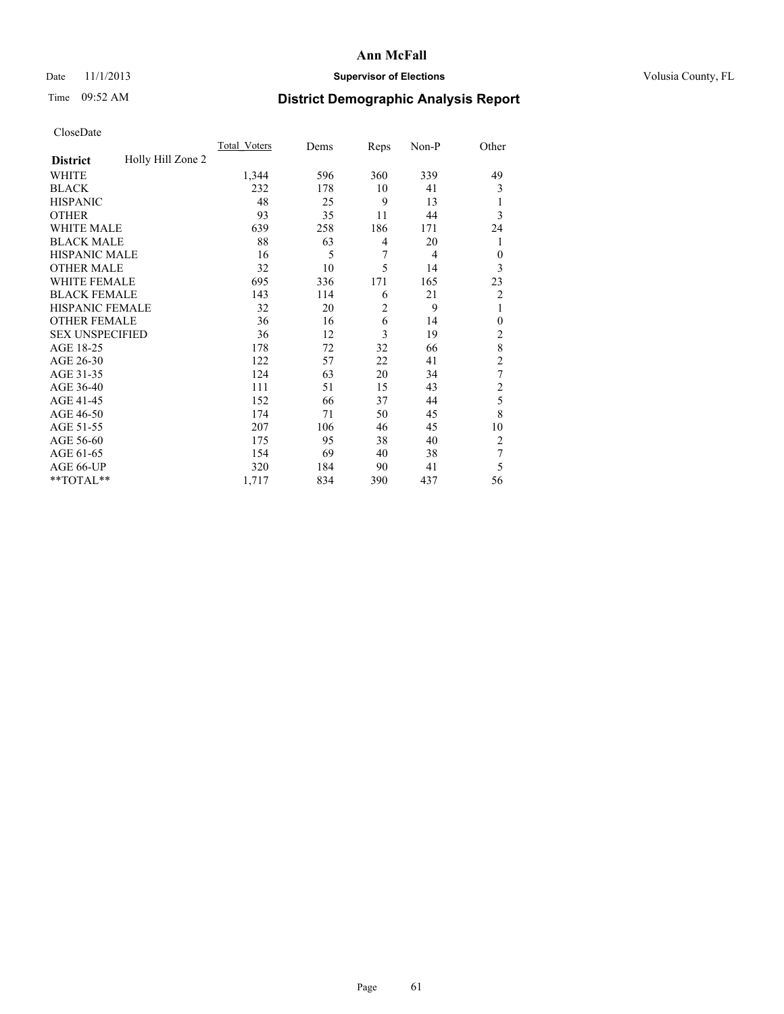### Date 11/1/2013 **Supervisor of Elections Supervisor of Elections** Volusia County, FL

## Time 09:52 AM **District Demographic Analysis Report**

|                        |                   | <b>Total Voters</b> | Dems | Reps           | Non-P          | Other          |
|------------------------|-------------------|---------------------|------|----------------|----------------|----------------|
| <b>District</b>        | Holly Hill Zone 2 |                     |      |                |                |                |
| WHITE                  |                   | 1,344               | 596  | 360            | 339            | 49             |
| <b>BLACK</b>           |                   | 232                 | 178  | 10             | 41             | 3              |
| <b>HISPANIC</b>        |                   | 48                  | 25   | 9              | 13             | 1              |
| <b>OTHER</b>           |                   | 93                  | 35   | 11             | 44             | 3              |
| WHITE MALE             |                   | 639                 | 258  | 186            | 171            | 24             |
| <b>BLACK MALE</b>      |                   | 88                  | 63   | 4              | 20             | 1              |
| <b>HISPANIC MALE</b>   |                   | 16                  | 5    | 7              | $\overline{4}$ | $\mathbf{0}$   |
| <b>OTHER MALE</b>      |                   | 32                  | 10   | 5              | 14             | 3              |
| WHITE FEMALE           |                   | 695                 | 336  | 171            | 165            | 23             |
| <b>BLACK FEMALE</b>    |                   | 143                 | 114  | 6              | 21             | $\overline{2}$ |
| <b>HISPANIC FEMALE</b> |                   | 32                  | 20   | $\overline{c}$ | 9              | 1              |
| <b>OTHER FEMALE</b>    |                   | 36                  | 16   | 6              | 14             | $\theta$       |
| <b>SEX UNSPECIFIED</b> |                   | 36                  | 12   | 3              | 19             | $\overline{2}$ |
| AGE 18-25              |                   | 178                 | 72   | 32             | 66             | 8              |
| AGE 26-30              |                   | 122                 | 57   | 22             | 41             | $\overline{c}$ |
| AGE 31-35              |                   | 124                 | 63   | 20             | 34             | 7              |
| AGE 36-40              |                   | 111                 | 51   | 15             | 43             | $\overline{c}$ |
| AGE 41-45              |                   | 152                 | 66   | 37             | 44             | 5              |
| AGE 46-50              |                   | 174                 | 71   | 50             | 45             | 8              |
| AGE 51-55              |                   | 207                 | 106  | 46             | 45             | 10             |
| AGE 56-60              |                   | 175                 | 95   | 38             | 40             | $\overline{2}$ |
| AGE 61-65              |                   | 154                 | 69   | 40             | 38             | 7              |
| AGE 66-UP              |                   | 320                 | 184  | 90             | 41             | 5              |
| **TOTAL**              |                   | 1,717               | 834  | 390            | 437            | 56             |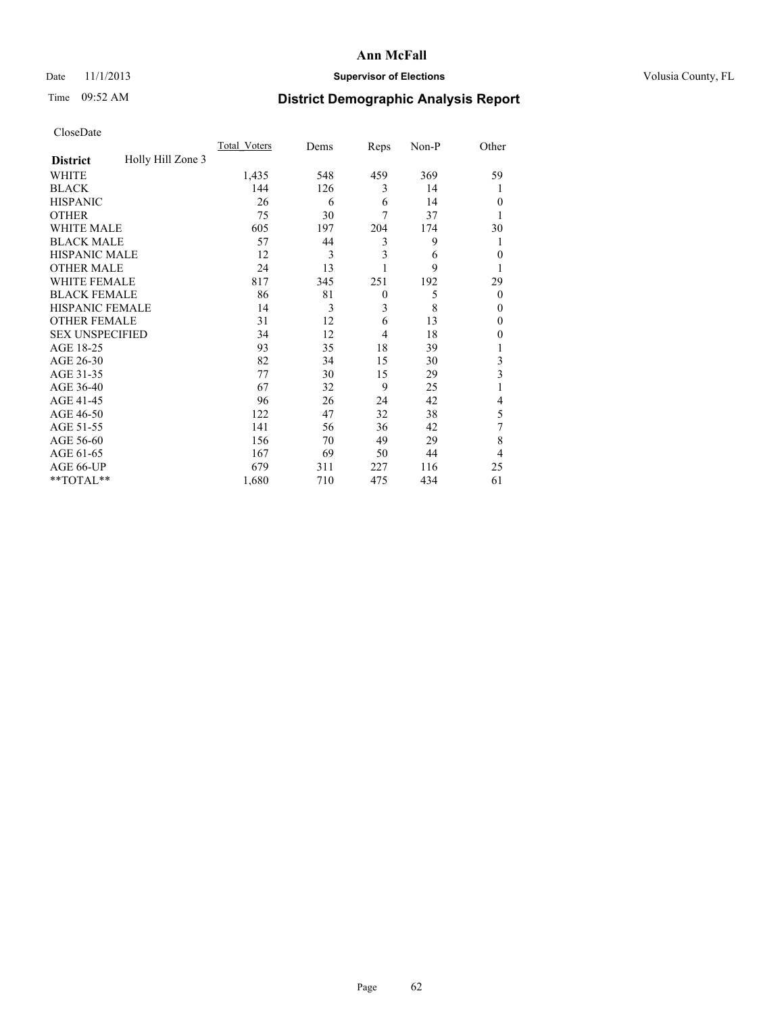### Date 11/1/2013 **Supervisor of Elections Supervisor of Elections** Volusia County, FL

## Time 09:52 AM **District Demographic Analysis Report**

|                        |                   | <b>Total Voters</b> | Dems | Reps           | Non-P | Other          |
|------------------------|-------------------|---------------------|------|----------------|-------|----------------|
| <b>District</b>        | Holly Hill Zone 3 |                     |      |                |       |                |
| WHITE                  |                   | 1,435               | 548  | 459            | 369   | 59             |
| <b>BLACK</b>           |                   | 144                 | 126  | 3              | 14    |                |
| <b>HISPANIC</b>        |                   | 26                  | 6    | 6              | 14    | $\Omega$       |
| <b>OTHER</b>           |                   | 75                  | 30   | 7              | 37    |                |
| WHITE MALE             |                   | 605                 | 197  | 204            | 174   | 30             |
| <b>BLACK MALE</b>      |                   | 57                  | 44   | 3              | 9     | 1              |
| <b>HISPANIC MALE</b>   |                   | 12                  | 3    | 3              | 6     | $\overline{0}$ |
| <b>OTHER MALE</b>      |                   | 24                  | 13   |                | 9     | 1              |
| WHITE FEMALE           |                   | 817                 | 345  | 251            | 192   | 29             |
| <b>BLACK FEMALE</b>    |                   | 86                  | 81   | $\mathbf{0}$   | 5     | $\overline{0}$ |
| <b>HISPANIC FEMALE</b> |                   | 14                  | 3    | 3              | 8     | $\Omega$       |
| <b>OTHER FEMALE</b>    |                   | 31                  | 12   | 6              | 13    | $\Omega$       |
| <b>SEX UNSPECIFIED</b> |                   | 34                  | 12   | $\overline{4}$ | 18    | $\Omega$       |
| AGE 18-25              |                   | 93                  | 35   | 18             | 39    |                |
| AGE 26-30              |                   | 82                  | 34   | 15             | 30    | 3              |
| AGE 31-35              |                   | 77                  | 30   | 15             | 29    | 3              |
| AGE 36-40              |                   | 67                  | 32   | 9              | 25    |                |
| AGE 41-45              |                   | 96                  | 26   | 24             | 42    | 4              |
| AGE 46-50              |                   | 122                 | 47   | 32             | 38    | 5              |
| AGE 51-55              |                   | 141                 | 56   | 36             | 42    | 7              |
| AGE 56-60              |                   | 156                 | 70   | 49             | 29    | 8              |
| AGE 61-65              |                   | 167                 | 69   | 50             | 44    | $\overline{4}$ |
| AGE 66-UP              |                   | 679                 | 311  | 227            | 116   | 25             |
| **TOTAL**              |                   | 1,680               | 710  | 475            | 434   | 61             |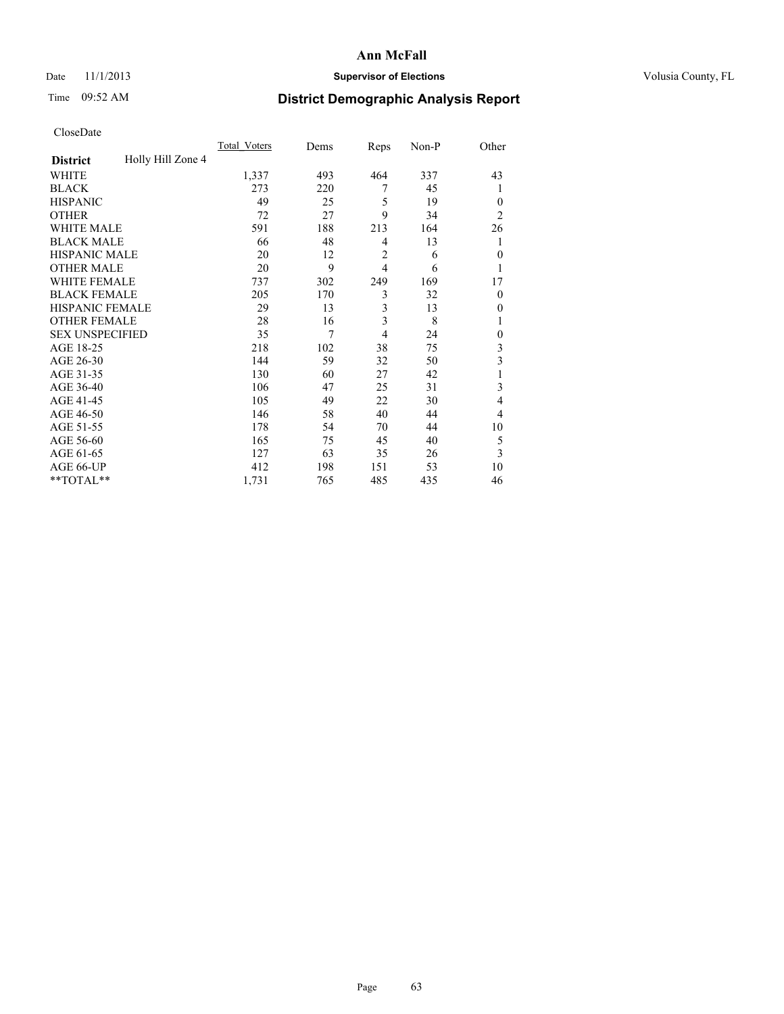### Date 11/1/2013 **Supervisor of Elections Supervisor of Elections** Volusia County, FL

## Time 09:52 AM **District Demographic Analysis Report**

|                        |                   | <b>Total Voters</b> | Dems | Reps           | Non-P | Other          |
|------------------------|-------------------|---------------------|------|----------------|-------|----------------|
| <b>District</b>        | Holly Hill Zone 4 |                     |      |                |       |                |
| WHITE                  |                   | 1,337               | 493  | 464            | 337   | 43             |
| <b>BLACK</b>           |                   | 273                 | 220  | 7              | 45    | 1              |
| <b>HISPANIC</b>        |                   | 49                  | 25   | 5              | 19    | $\Omega$       |
| <b>OTHER</b>           |                   | 72                  | 27   | 9              | 34    | $\overline{2}$ |
| WHITE MALE             |                   | 591                 | 188  | 213            | 164   | 26             |
| <b>BLACK MALE</b>      |                   | 66                  | 48   | 4              | 13    | 1              |
| <b>HISPANIC MALE</b>   |                   | 20                  | 12   | 2              | 6     | $\overline{0}$ |
| <b>OTHER MALE</b>      |                   | 20                  | 9    | $\overline{4}$ | 6     | 1              |
| WHITE FEMALE           |                   | 737                 | 302  | 249            | 169   | 17             |
| <b>BLACK FEMALE</b>    |                   | 205                 | 170  | 3              | 32    | $\overline{0}$ |
| <b>HISPANIC FEMALE</b> |                   | 29                  | 13   | 3              | 13    | $\Omega$       |
| <b>OTHER FEMALE</b>    |                   | 28                  | 16   | 3              | 8     |                |
| <b>SEX UNSPECIFIED</b> |                   | 35                  | 7    | $\overline{4}$ | 24    | $\theta$       |
| AGE 18-25              |                   | 218                 | 102  | 38             | 75    | 3              |
| AGE 26-30              |                   | 144                 | 59   | 32             | 50    | 3              |
| AGE 31-35              |                   | 130                 | 60   | 27             | 42    |                |
| AGE 36-40              |                   | 106                 | 47   | 25             | 31    | 3              |
| AGE 41-45              |                   | 105                 | 49   | 22             | 30    | 4              |
| AGE 46-50              |                   | 146                 | 58   | 40             | 44    | $\overline{4}$ |
| AGE 51-55              |                   | 178                 | 54   | 70             | 44    | 10             |
| AGE 56-60              |                   | 165                 | 75   | 45             | 40    | 5              |
| AGE 61-65              |                   | 127                 | 63   | 35             | 26    | 3              |
| AGE 66-UP              |                   | 412                 | 198  | 151            | 53    | 10             |
| **TOTAL**              |                   | 1,731               | 765  | 485            | 435   | 46             |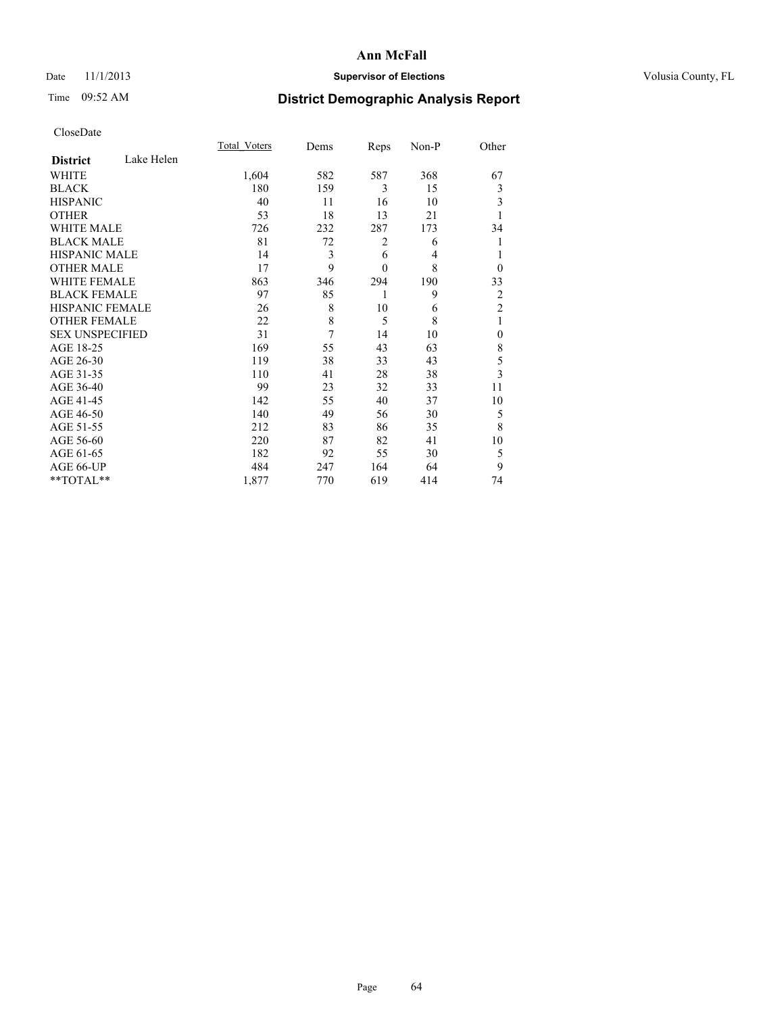### Date 11/1/2013 **Supervisor of Elections Supervisor of Elections** Volusia County, FL

## Time 09:52 AM **District Demographic Analysis Report**

|                        |            | <b>Total Voters</b> | Dems | Reps           | Non-P | Other                   |
|------------------------|------------|---------------------|------|----------------|-------|-------------------------|
| <b>District</b>        | Lake Helen |                     |      |                |       |                         |
| <b>WHITE</b>           |            | 1,604               | 582  | 587            | 368   | 67                      |
| <b>BLACK</b>           |            | 180                 | 159  | 3              | 15    | 3                       |
| <b>HISPANIC</b>        |            | 40                  | 11   | 16             | 10    | 3                       |
| <b>OTHER</b>           |            | 53                  | 18   | 13             | 21    |                         |
| WHITE MALE             |            | 726                 | 232  | 287            | 173   | 34                      |
| <b>BLACK MALE</b>      |            | 81                  | 72   | $\overline{c}$ | 6     | 1                       |
| <b>HISPANIC MALE</b>   |            | 14                  | 3    | 6              | 4     | 1                       |
| <b>OTHER MALE</b>      |            | 17                  | 9    | $\mathbf{0}$   | 8     | $\theta$                |
| <b>WHITE FEMALE</b>    |            | 863                 | 346  | 294            | 190   | 33                      |
| <b>BLACK FEMALE</b>    |            | 97                  | 85   | 1              | 9     | $\overline{c}$          |
| <b>HISPANIC FEMALE</b> |            | 26                  | 8    | 10             | 6     | $\overline{2}$          |
| <b>OTHER FEMALE</b>    |            | 22                  | 8    | 5              | 8     | 1                       |
| <b>SEX UNSPECIFIED</b> |            | 31                  | 7    | 14             | 10    | $\mathbf{0}$            |
| AGE 18-25              |            | 169                 | 55   | 43             | 63    | 8                       |
| AGE 26-30              |            | 119                 | 38   | 33             | 43    | 5                       |
| AGE 31-35              |            | 110                 | 41   | 28             | 38    | $\overline{\mathbf{3}}$ |
| AGE 36-40              |            | 99                  | 23   | 32             | 33    | 11                      |
| AGE 41-45              |            | 142                 | 55   | 40             | 37    | 10                      |
| AGE 46-50              |            | 140                 | 49   | 56             | 30    | 5                       |
| AGE 51-55              |            | 212                 | 83   | 86             | 35    | 8                       |
| AGE 56-60              |            | 220                 | 87   | 82             | 41    | 10                      |
| AGE 61-65              |            | 182                 | 92   | 55             | 30    | 5                       |
| AGE 66-UP              |            | 484                 | 247  | 164            | 64    | 9                       |
| **TOTAL**              |            | 1,877               | 770  | 619            | 414   | 74                      |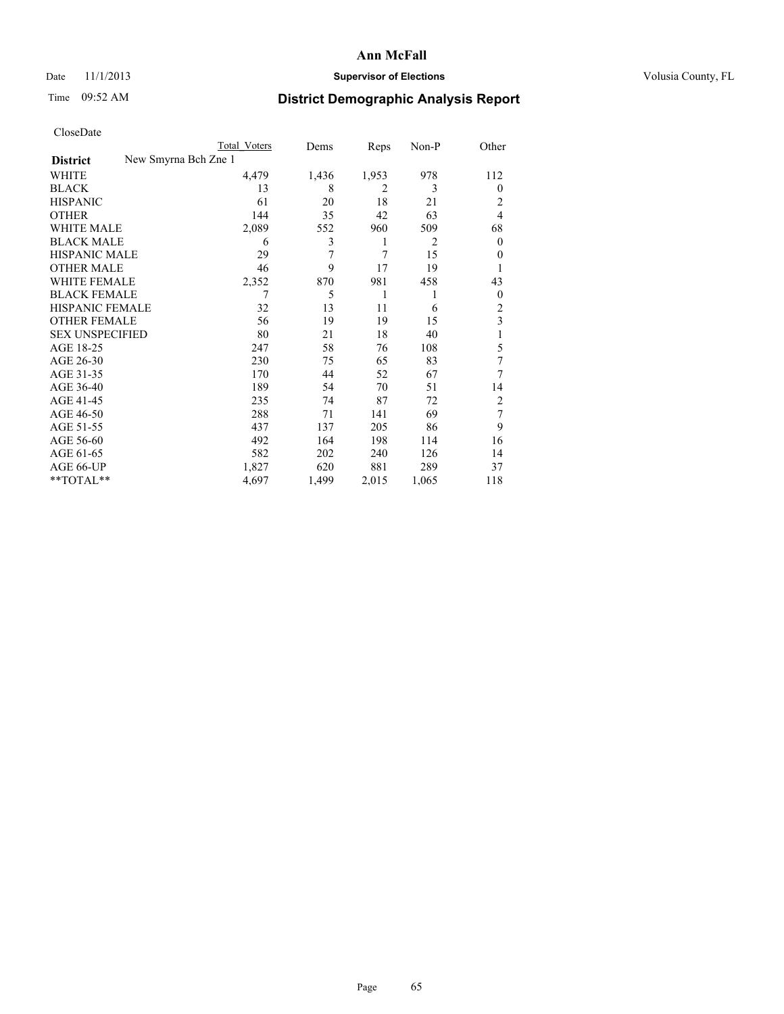### Date 11/1/2013 **Supervisor of Elections Supervisor of Elections** Volusia County, FL

# Time 09:52 AM **District Demographic Analysis Report**

|                        | Total Voters         | Dems  | Reps           | Non-P | Other          |
|------------------------|----------------------|-------|----------------|-------|----------------|
| <b>District</b>        | New Smyrna Bch Zne 1 |       |                |       |                |
| WHITE                  | 4,479                | 1,436 | 1,953          | 978   | 112            |
| <b>BLACK</b>           | 13                   | 8     | $\overline{2}$ | 3     | $\theta$       |
| <b>HISPANIC</b>        | 61                   | 20    | 18             | 21    | 2              |
| <b>OTHER</b>           | 144                  | 35    | 42             | 63    | 4              |
| WHITE MALE             | 2,089                | 552   | 960            | 509   | 68             |
| <b>BLACK MALE</b>      | 6                    | 3     | 1              | 2     | $\mathbf{0}$   |
| <b>HISPANIC MALE</b>   | 29                   | 7     | 7              | 15    | 0              |
| <b>OTHER MALE</b>      | 46                   | 9     | 17             | 19    | 1              |
| <b>WHITE FEMALE</b>    | 2,352                | 870   | 981            | 458   | 43             |
| <b>BLACK FEMALE</b>    | 7                    | 5     | 1              | 1     | $\overline{0}$ |
| HISPANIC FEMALE        | 32                   | 13    | 11             | 6     | $\overline{2}$ |
| <b>OTHER FEMALE</b>    | 56                   | 19    | 19             | 15    | 3              |
| <b>SEX UNSPECIFIED</b> | 80                   | 21    | 18             | 40    | 1              |
| AGE 18-25              | 247                  | 58    | 76             | 108   | 5              |
| AGE 26-30              | 230                  | 75    | 65             | 83    | 7              |
| AGE 31-35              | 170                  | 44    | 52             | 67    | 7              |
| AGE 36-40              | 189                  | 54    | 70             | 51    | 14             |
| AGE 41-45              | 235                  | 74    | 87             | 72    | 2              |
| AGE 46-50              | 288                  | 71    | 141            | 69    | 7              |
| AGE 51-55              | 437                  | 137   | 205            | 86    | 9              |
| AGE 56-60              | 492                  | 164   | 198            | 114   | 16             |
| AGE 61-65              | 582                  | 202   | 240            | 126   | 14             |
| AGE 66-UP              | 1,827                | 620   | 881            | 289   | 37             |
| **TOTAL**              | 4,697                | 1,499 | 2,015          | 1,065 | 118            |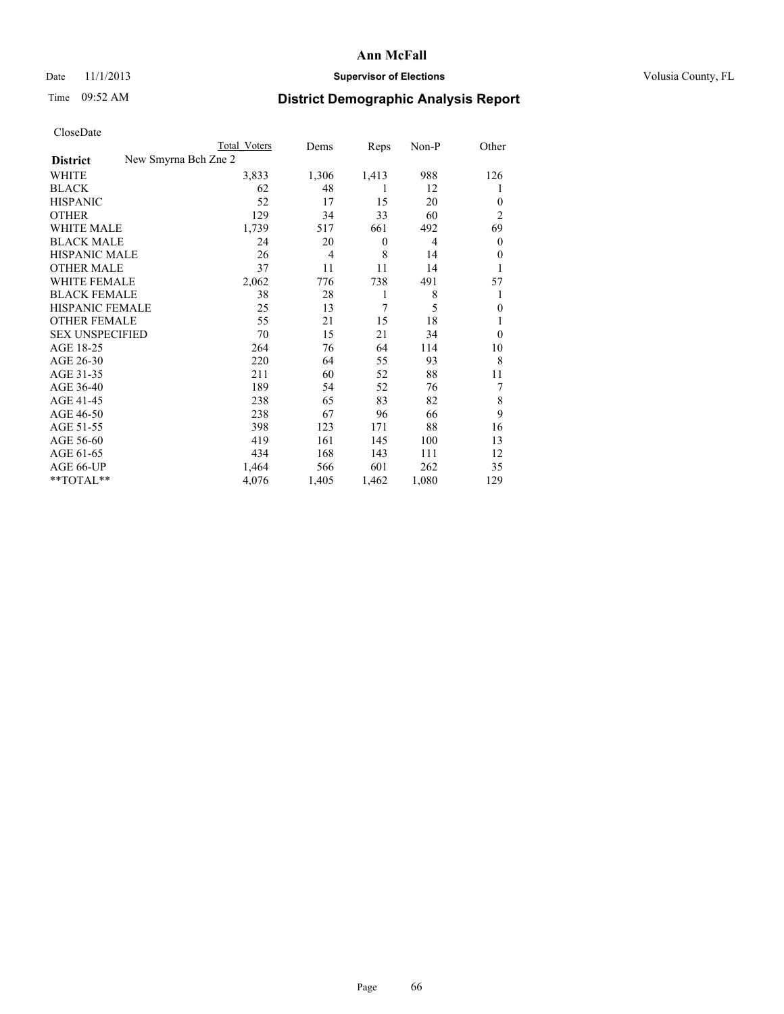### Date 11/1/2013 **Supervisor of Elections Supervisor of Elections** Volusia County, FL

## Time 09:52 AM **District Demographic Analysis Report**

|                                         | <b>Total Voters</b> | Dems  | Reps     | Non-P | Other          |
|-----------------------------------------|---------------------|-------|----------|-------|----------------|
| New Smyrna Bch Zne 2<br><b>District</b> |                     |       |          |       |                |
| WHITE                                   | 3,833               | 1,306 | 1,413    | 988   | 126            |
| <b>BLACK</b>                            | 62                  | 48    | 1        | 12    | 1              |
| <b>HISPANIC</b>                         | 52                  | 17    | 15       | 20    | $\theta$       |
| <b>OTHER</b>                            | 129                 | 34    | 33       | 60    | $\overline{2}$ |
| WHITE MALE                              | 1,739               | 517   | 661      | 492   | 69             |
| <b>BLACK MALE</b>                       | 24                  | 20    | $\theta$ | 4     | $\overline{0}$ |
| <b>HISPANIC MALE</b>                    | 26                  | 4     | 8        | 14    | $\theta$       |
| <b>OTHER MALE</b>                       | 37                  | 11    | 11       | 14    | 1              |
| WHITE FEMALE                            | 2,062               | 776   | 738      | 491   | 57             |
| <b>BLACK FEMALE</b>                     | 38                  | 28    | 1        | 8     | 1              |
| <b>HISPANIC FEMALE</b>                  | 25                  | 13    | 7        | 5     | $\theta$       |
| <b>OTHER FEMALE</b>                     | 55                  | 21    | 15       | 18    | 1              |
| <b>SEX UNSPECIFIED</b>                  | 70                  | 15    | 21       | 34    | $\theta$       |
| AGE 18-25                               | 264                 | 76    | 64       | 114   | 10             |
| AGE 26-30                               | 220                 | 64    | 55       | 93    | 8              |
| AGE 31-35                               | 211                 | 60    | 52       | 88    | 11             |
| AGE 36-40                               | 189                 | 54    | 52       | 76    | 7              |
| AGE 41-45                               | 238                 | 65    | 83       | 82    | 8              |
| AGE 46-50                               | 238                 | 67    | 96       | 66    | 9              |
| AGE 51-55                               | 398                 | 123   | 171      | 88    | 16             |
| AGE 56-60                               | 419                 | 161   | 145      | 100   | 13             |
| AGE 61-65                               | 434                 | 168   | 143      | 111   | 12             |
| AGE 66-UP                               | 1,464               | 566   | 601      | 262   | 35             |
| **TOTAL**                               | 4,076               | 1,405 | 1,462    | 1,080 | 129            |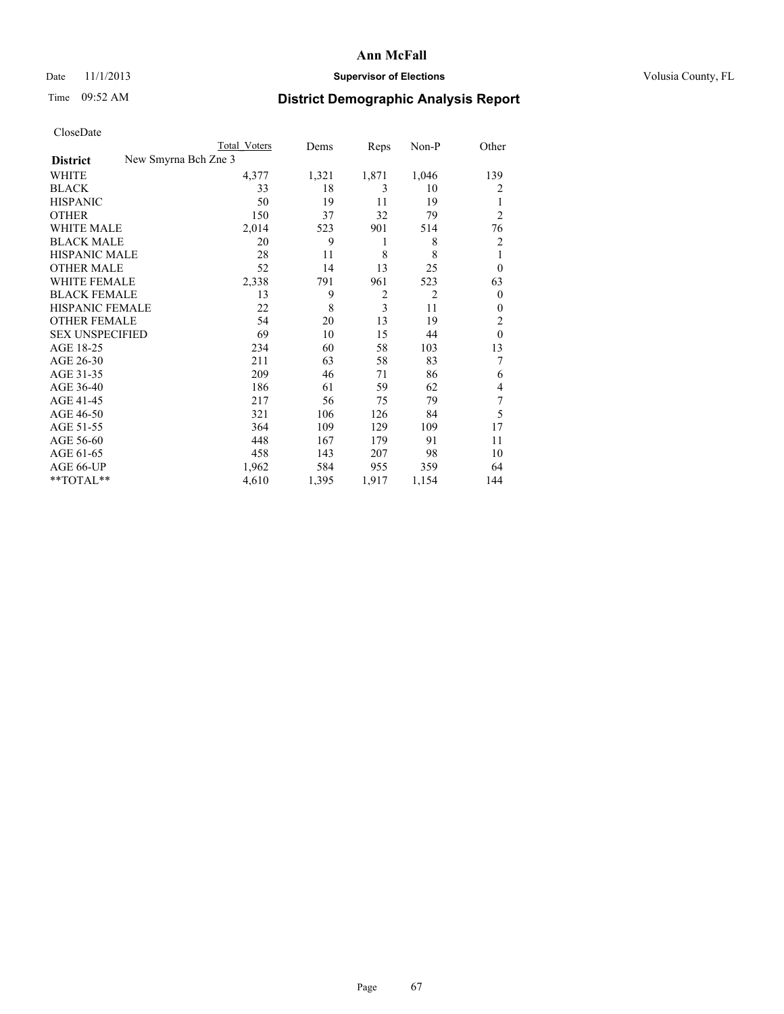### Date 11/1/2013 **Supervisor of Elections Supervisor of Elections** Volusia County, FL

## Time 09:52 AM **District Demographic Analysis Report**

|                        |                      | <b>Total Voters</b> | Dems  | Reps           | Non-P          | Other          |
|------------------------|----------------------|---------------------|-------|----------------|----------------|----------------|
| <b>District</b>        | New Smyrna Bch Zne 3 |                     |       |                |                |                |
| WHITE                  |                      | 4,377               | 1,321 | 1,871          | 1,046          | 139            |
| <b>BLACK</b>           |                      | 33                  | 18    | 3              | 10             | 2              |
| <b>HISPANIC</b>        |                      | 50                  | 19    | 11             | 19             | 1              |
| <b>OTHER</b>           |                      | 150                 | 37    | 32             | 79             | $\overline{2}$ |
| WHITE MALE             |                      | 2,014               | 523   | 901            | 514            | 76             |
| <b>BLACK MALE</b>      |                      | 20                  | 9     | 1              | 8              | 2              |
| <b>HISPANIC MALE</b>   |                      | 28                  | 11    | 8              | 8              | 1              |
| <b>OTHER MALE</b>      |                      | 52                  | 14    | 13             | 25             | $\overline{0}$ |
| <b>WHITE FEMALE</b>    |                      | 2,338               | 791   | 961            | 523            | 63             |
| <b>BLACK FEMALE</b>    |                      | 13                  | 9     | $\overline{2}$ | $\overline{2}$ | $\overline{0}$ |
| HISPANIC FEMALE        |                      | 22                  | 8     | $\overline{3}$ | 11             | $\theta$       |
| <b>OTHER FEMALE</b>    |                      | 54                  | 20    | 13             | 19             | 2              |
| <b>SEX UNSPECIFIED</b> |                      | 69                  | 10    | 15             | 44             | $\theta$       |
| AGE 18-25              |                      | 234                 | 60    | 58             | 103            | 13             |
| AGE 26-30              |                      | 211                 | 63    | 58             | 83             | 7              |
| AGE 31-35              |                      | 209                 | 46    | 71             | 86             | 6              |
| AGE 36-40              |                      | 186                 | 61    | 59             | 62             | 4              |
| AGE 41-45              |                      | 217                 | 56    | 75             | 79             | 7              |
| AGE 46-50              |                      | 321                 | 106   | 126            | 84             | 5              |
| AGE 51-55              |                      | 364                 | 109   | 129            | 109            | 17             |
| AGE 56-60              |                      | 448                 | 167   | 179            | 91             | 11             |
| AGE 61-65              |                      | 458                 | 143   | 207            | 98             | 10             |
| AGE 66-UP              |                      | 1,962               | 584   | 955            | 359            | 64             |
| **TOTAL**              |                      | 4,610               | 1,395 | 1,917          | 1,154          | 144            |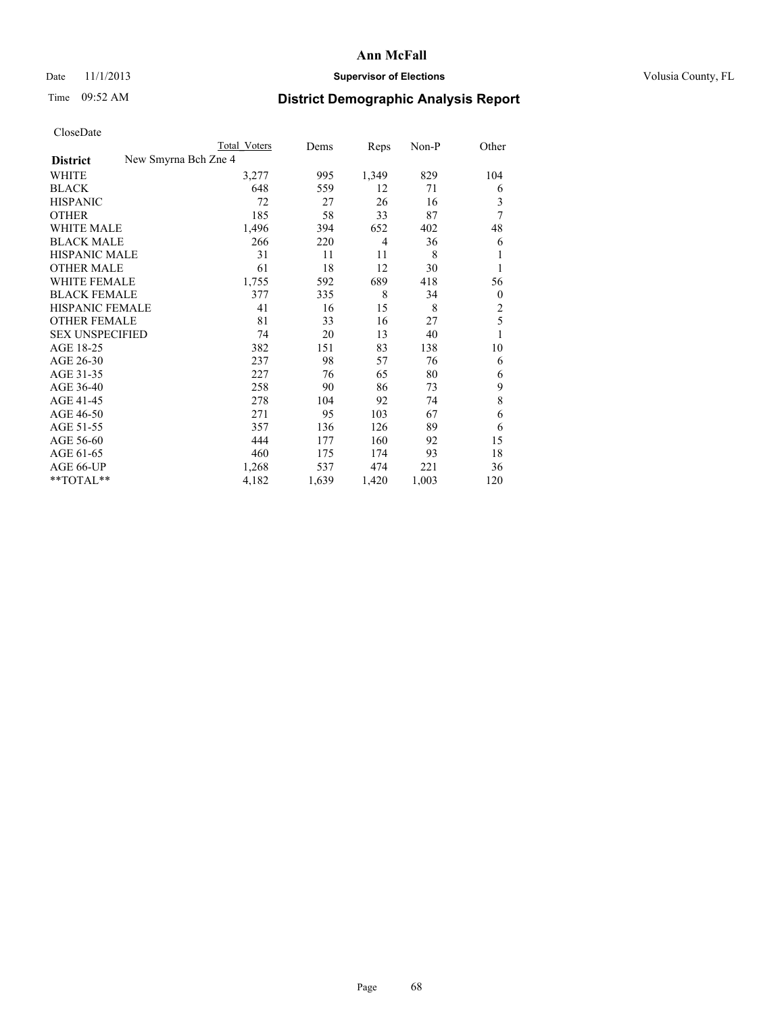### Date 11/1/2013 **Supervisor of Elections Supervisor of Elections** Volusia County, FL

## Time 09:52 AM **District Demographic Analysis Report**

|                                         | <b>Total Voters</b> | Dems  | Reps           | Non-P | Other          |
|-----------------------------------------|---------------------|-------|----------------|-------|----------------|
| New Smyrna Bch Zne 4<br><b>District</b> |                     |       |                |       |                |
| WHITE                                   | 3,277               | 995   | 1,349          | 829   | 104            |
| <b>BLACK</b>                            | 648                 | 559   | 12             | 71    | 6              |
| <b>HISPANIC</b>                         | 72                  | 27    | 26             | 16    | 3              |
| <b>OTHER</b>                            | 185                 | 58    | 33             | 87    | 7              |
| <b>WHITE MALE</b>                       | 1,496               | 394   | 652            | 402   | 48             |
| <b>BLACK MALE</b>                       | 266                 | 220   | $\overline{4}$ | 36    | 6              |
| HISPANIC MALE                           | 31                  | 11    | 11             | 8     |                |
| <b>OTHER MALE</b>                       | 61                  | 18    | 12             | 30    |                |
| <b>WHITE FEMALE</b>                     | 1,755               | 592   | 689            | 418   | 56             |
| <b>BLACK FEMALE</b>                     | 377                 | 335   | 8              | 34    | $\theta$       |
| <b>HISPANIC FEMALE</b>                  | 41                  | 16    | 15             | 8     | $\overline{c}$ |
| <b>OTHER FEMALE</b>                     | 81                  | 33    | 16             | 27    | 5              |
| <b>SEX UNSPECIFIED</b>                  | 74                  | 20    | 13             | 40    | 1              |
| AGE 18-25                               | 382                 | 151   | 83             | 138   | 10             |
| AGE 26-30                               | 237                 | 98    | 57             | 76    | 6              |
| AGE 31-35                               | 227                 | 76    | 65             | 80    | 6              |
| AGE 36-40                               | 258                 | 90    | 86             | 73    | 9              |
| AGE 41-45                               | 278                 | 104   | 92             | 74    | 8              |
| AGE 46-50                               | 271                 | 95    | 103            | 67    | 6              |
| AGE 51-55                               | 357                 | 136   | 126            | 89    | 6              |
| AGE 56-60                               | 444                 | 177   | 160            | 92    | 15             |
| AGE 61-65                               | 460                 | 175   | 174            | 93    | 18             |
| AGE 66-UP                               | 1,268               | 537   | 474            | 221   | 36             |
| **TOTAL**                               | 4,182               | 1,639 | 1,420          | 1,003 | 120            |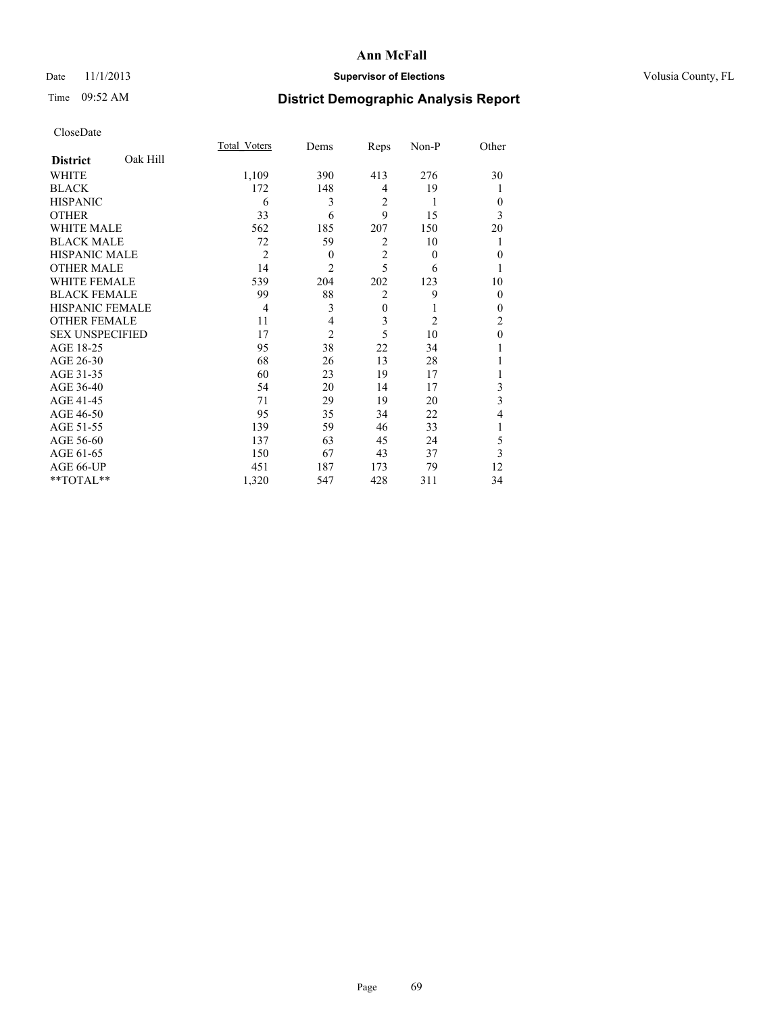### Date 11/1/2013 **Supervisor of Elections Supervisor of Elections** Volusia County, FL

## Time 09:52 AM **District Demographic Analysis Report**

|                        |          | Total Voters   | Dems           | Reps           | Non-P          | Other        |
|------------------------|----------|----------------|----------------|----------------|----------------|--------------|
| <b>District</b>        | Oak Hill |                |                |                |                |              |
| WHITE                  |          | 1,109          | 390            | 413            | 276            | 30           |
| <b>BLACK</b>           |          | 172            | 148            | $\overline{4}$ | 19             |              |
| <b>HISPANIC</b>        |          | 6              | 3              | $\overline{2}$ | 1              | $\theta$     |
| <b>OTHER</b>           |          | 33             | 6              | 9              | 15             | 3            |
| WHITE MALE             |          | 562            | 185            | 207            | 150            | 20           |
| <b>BLACK MALE</b>      |          | 72             | 59             | $\overline{2}$ | 10             |              |
| <b>HISPANIC MALE</b>   |          | $\overline{2}$ | $\theta$       | $\overline{2}$ | $\theta$       | $\mathbf{0}$ |
| <b>OTHER MALE</b>      |          | 14             | $\overline{c}$ | 5              | 6              | 1            |
| WHITE FEMALE           |          | 539            | 204            | 202            | 123            | 10           |
| <b>BLACK FEMALE</b>    |          | 99             | 88             | $\overline{2}$ | 9              | $\theta$     |
| <b>HISPANIC FEMALE</b> |          | $\overline{4}$ | 3              | $\mathbf{0}$   |                | $\theta$     |
| <b>OTHER FEMALE</b>    |          | 11             | 4              | 3              | $\overline{2}$ | 2            |
| <b>SEX UNSPECIFIED</b> |          | 17             | $\overline{2}$ | 5              | 10             | $\mathbf{0}$ |
| AGE 18-25              |          | 95             | 38             | 22             | 34             |              |
| AGE 26-30              |          | 68             | 26             | 13             | 28             |              |
| AGE 31-35              |          | 60             | 23             | 19             | 17             |              |
| AGE 36-40              |          | 54             | 20             | 14             | 17             | 3            |
| AGE 41-45              |          | 71             | 29             | 19             | 20             | 3            |
| AGE 46-50              |          | 95             | 35             | 34             | 22             | 4            |
| AGE 51-55              |          | 139            | 59             | 46             | 33             | 1            |
| AGE 56-60              |          | 137            | 63             | 45             | 24             | 5            |
| AGE 61-65              |          | 150            | 67             | 43             | 37             | 3            |
| AGE 66-UP              |          | 451            | 187            | 173            | 79             | 12           |
| **TOTAL**              |          | 1,320          | 547            | 428            | 311            | 34           |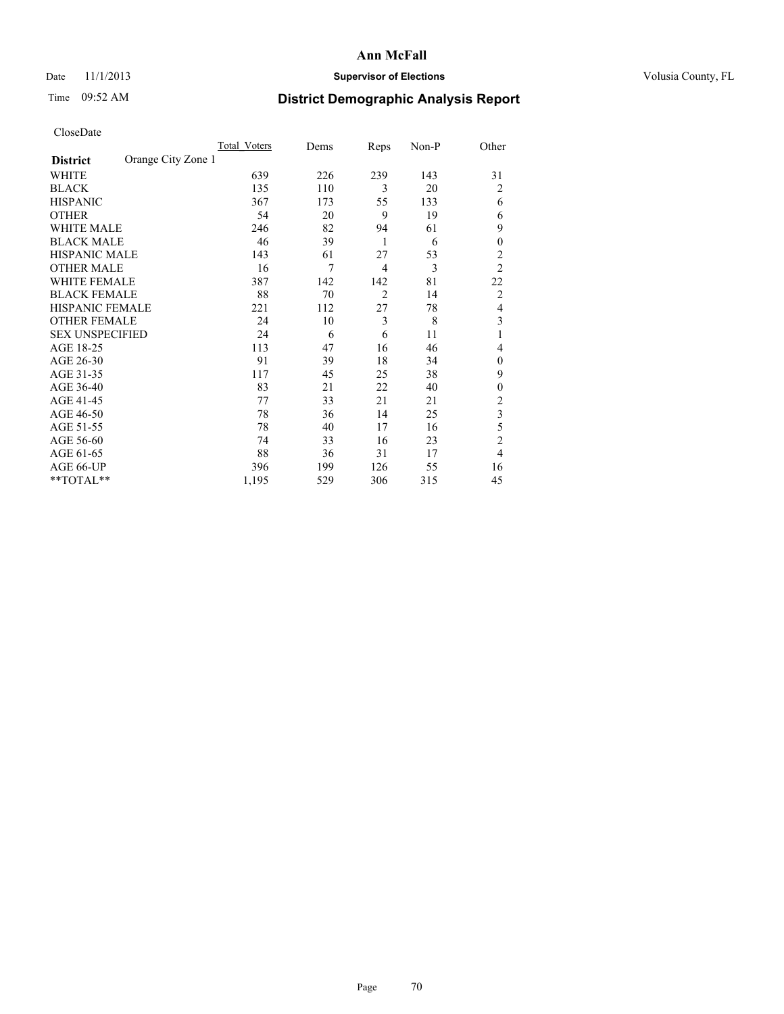### Date 11/1/2013 **Supervisor of Elections Supervisor of Elections** Volusia County, FL

## Time 09:52 AM **District Demographic Analysis Report**

|                        |                    | Total Voters | Dems | Reps           | Non-P | Other            |
|------------------------|--------------------|--------------|------|----------------|-------|------------------|
| <b>District</b>        | Orange City Zone 1 |              |      |                |       |                  |
| WHITE                  |                    | 639          | 226  | 239            | 143   | 31               |
| <b>BLACK</b>           |                    | 135          | 110  | 3              | 20    | $\overline{2}$   |
| <b>HISPANIC</b>        |                    | 367          | 173  | 55             | 133   | 6                |
| <b>OTHER</b>           |                    | 54           | 20   | 9              | 19    | 6                |
| WHITE MALE             |                    | 246          | 82   | 94             | 61    | 9                |
| <b>BLACK MALE</b>      |                    | 46           | 39   | 1              | 6     | $\boldsymbol{0}$ |
| <b>HISPANIC MALE</b>   |                    | 143          | 61   | 27             | 53    | $\overline{2}$   |
| <b>OTHER MALE</b>      |                    | 16           | 7    | 4              | 3     | $\overline{2}$   |
| WHITE FEMALE           |                    | 387          | 142  | 142            | 81    | 22               |
| <b>BLACK FEMALE</b>    |                    | 88           | 70   | $\overline{2}$ | 14    | $\overline{2}$   |
| HISPANIC FEMALE        |                    | 221          | 112  | 27             | 78    | $\overline{4}$   |
| <b>OTHER FEMALE</b>    |                    | 24           | 10   | 3              | 8     | 3                |
| <b>SEX UNSPECIFIED</b> |                    | 24           | 6    | 6              | 11    | 1                |
| AGE 18-25              |                    | 113          | 47   | 16             | 46    | 4                |
| AGE 26-30              |                    | 91           | 39   | 18             | 34    | $\theta$         |
| AGE 31-35              |                    | 117          | 45   | 25             | 38    | 9                |
| AGE 36-40              |                    | 83           | 21   | 22             | 40    | $\mathbf{0}$     |
| AGE 41-45              |                    | 77           | 33   | 21             | 21    | $\overline{2}$   |
| AGE 46-50              |                    | 78           | 36   | 14             | 25    | 3                |
| AGE 51-55              |                    | 78           | 40   | 17             | 16    | 5                |
| AGE 56-60              |                    | 74           | 33   | 16             | 23    | $\overline{c}$   |
| AGE 61-65              |                    | 88           | 36   | 31             | 17    | $\overline{4}$   |
| AGE 66-UP              |                    | 396          | 199  | 126            | 55    | 16               |
| **TOTAL**              |                    | 1,195        | 529  | 306            | 315   | 45               |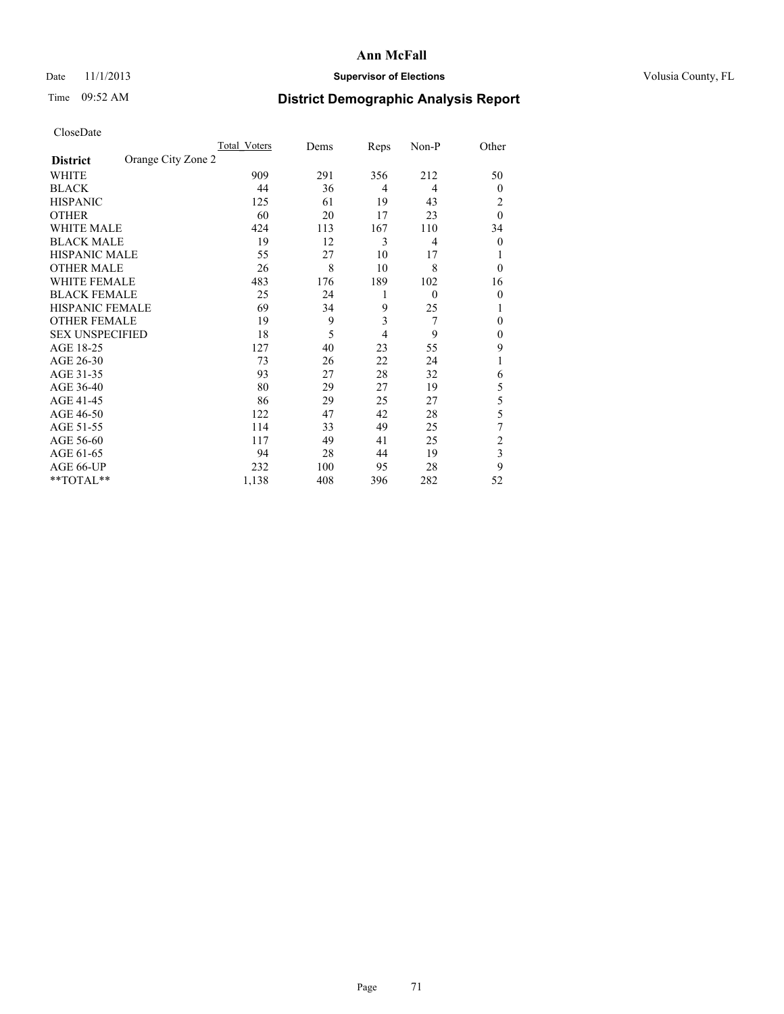### Date 11/1/2013 **Supervisor of Elections Supervisor of Elections** Volusia County, FL

## Time 09:52 AM **District Demographic Analysis Report**

|                        |                    | Total Voters | Dems | Reps           | Non-P          | Other                   |
|------------------------|--------------------|--------------|------|----------------|----------------|-------------------------|
| <b>District</b>        | Orange City Zone 2 |              |      |                |                |                         |
| WHITE                  |                    | 909          | 291  | 356            | 212            | 50                      |
| <b>BLACK</b>           |                    | 44           | 36   | 4              | 4              | $\Omega$                |
| <b>HISPANIC</b>        |                    | 125          | 61   | 19             | 43             | 2                       |
| <b>OTHER</b>           |                    | 60           | 20   | 17             | 23             | $\theta$                |
| WHITE MALE             |                    | 424          | 113  | 167            | 110            | 34                      |
| <b>BLACK MALE</b>      |                    | 19           | 12   | 3              | $\overline{4}$ | $\overline{0}$          |
| <b>HISPANIC MALE</b>   |                    | 55           | 27   | 10             | 17             |                         |
| <b>OTHER MALE</b>      |                    | 26           | 8    | 10             | 8              | $\Omega$                |
| WHITE FEMALE           |                    | 483          | 176  | 189            | 102            | 16                      |
| <b>BLACK FEMALE</b>    |                    | 25           | 24   | 1              | $\mathbf{0}$   | $\overline{0}$          |
| <b>HISPANIC FEMALE</b> |                    | 69           | 34   | 9              | 25             |                         |
| <b>OTHER FEMALE</b>    |                    | 19           | 9    | 3              | 7              | $\Omega$                |
| <b>SEX UNSPECIFIED</b> |                    | 18           | 5    | $\overline{4}$ | 9              | $\overline{0}$          |
| AGE 18-25              |                    | 127          | 40   | 23             | 55             | 9                       |
| AGE 26-30              |                    | 73           | 26   | 22             | 24             | 1                       |
| AGE 31-35              |                    | 93           | 27   | 28             | 32             | 6                       |
| AGE 36-40              |                    | 80           | 29   | 27             | 19             | 5                       |
| AGE 41-45              |                    | 86           | 29   | 25             | 27             | 5                       |
| AGE 46-50              |                    | 122          | 47   | 42             | 28             | 5                       |
| AGE 51-55              |                    | 114          | 33   | 49             | 25             | 7                       |
| AGE 56-60              |                    | 117          | 49   | 41             | 25             | $\overline{c}$          |
| AGE 61-65              |                    | 94           | 28   | 44             | 19             | $\overline{\mathbf{3}}$ |
| AGE 66-UP              |                    | 232          | 100  | 95             | 28             | 9                       |
| **TOTAL**              |                    | 1,138        | 408  | 396            | 282            | 52                      |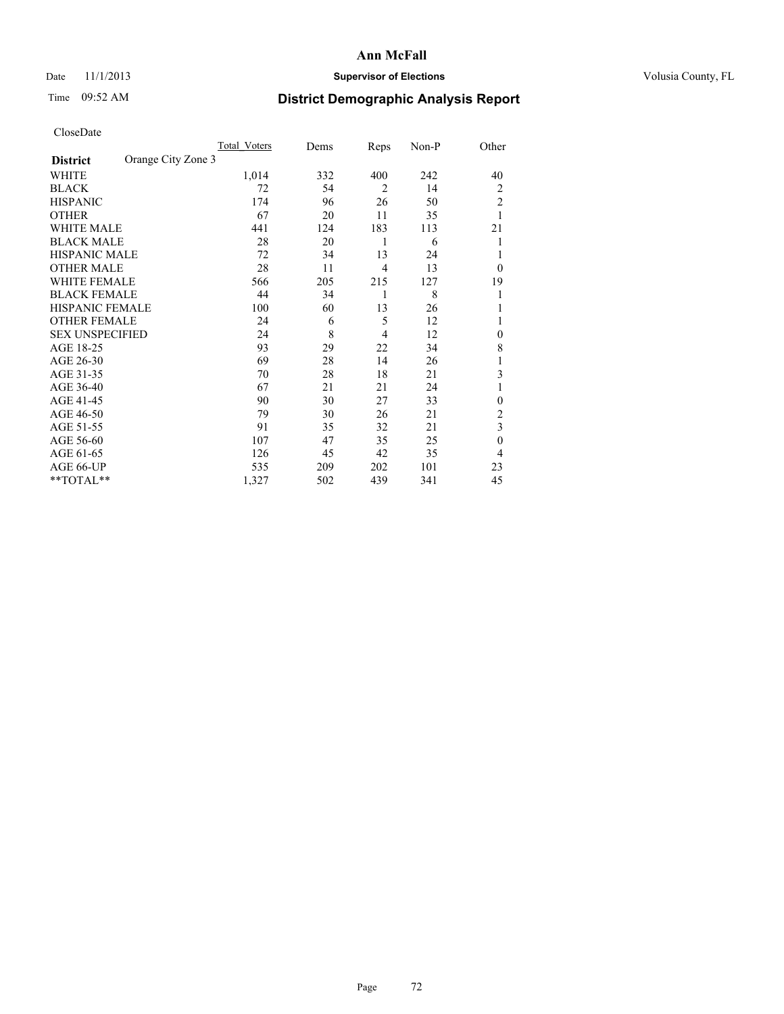### Date 11/1/2013 **Supervisor of Elections Supervisor of Elections** Volusia County, FL

## Time 09:52 AM **District Demographic Analysis Report**

| <b>UIUSUDUI</b> U      |                    |              |      |                |       |                |
|------------------------|--------------------|--------------|------|----------------|-------|----------------|
|                        |                    | Total Voters | Dems | Reps           | Non-P | Other          |
| <b>District</b>        | Orange City Zone 3 |              |      |                |       |                |
| WHITE                  |                    | 1,014        | 332  | 400            | 242   | 40             |
| <b>BLACK</b>           |                    | 72           | 54   | $\overline{2}$ | 14    | $\overline{2}$ |
| <b>HISPANIC</b>        |                    | 174          | 96   | 26             | 50    | $\overline{c}$ |
| <b>OTHER</b>           |                    | 67           | 20   | 11             | 35    |                |
| WHITE MALE             |                    | 441          | 124  | 183            | 113   | 21             |
| <b>BLACK MALE</b>      |                    | 28           | 20   | 1              | 6     |                |
| <b>HISPANIC MALE</b>   |                    | 72           | 34   | 13             | 24    | 1              |
| <b>OTHER MALE</b>      |                    | 28           | 11   | $\overline{4}$ | 13    | $\Omega$       |
| WHITE FEMALE           |                    | 566          | 205  | 215            | 127   | 19             |
| <b>BLACK FEMALE</b>    |                    | 44           | 34   | 1              | 8     | 1              |
| <b>HISPANIC FEMALE</b> |                    | 100          | 60   | 13             | 26    |                |
| <b>OTHER FEMALE</b>    |                    | 24           | 6    | 5              | 12    | 1              |
| <b>SEX UNSPECIFIED</b> |                    | 24           | 8    | $\overline{4}$ | 12    | $\overline{0}$ |
| AGE 18-25              |                    | 93           | 29   | 22             | 34    | 8              |
| AGE 26-30              |                    | 69           | 28   | 14             | 26    |                |
| AGE 31-35              |                    | 70           | 28   | 18             | 21    | 3              |
| AGE 36-40              |                    | 67           | 21   | 21             | 24    | 1              |
| AGE 41-45              |                    | 90           | 30   | 27             | 33    | $\overline{0}$ |
| AGE 46-50              |                    | 79           | 30   | 26             | 21    | $\overline{c}$ |
| AGE 51-55              |                    | 91           | 35   | 32             | 21    | 3              |
| AGE 56-60              |                    | 107          | 47   | 35             | 25    | $\theta$       |
| AGE 61-65              |                    | 126          | 45   | 42             | 35    | $\overline{4}$ |
| AGE 66-UP              |                    | 535          | 209  | 202            | 101   | 23             |
| $*$ TOTAL $*$          |                    | 1,327        | 502  | 439            | 341   | 45             |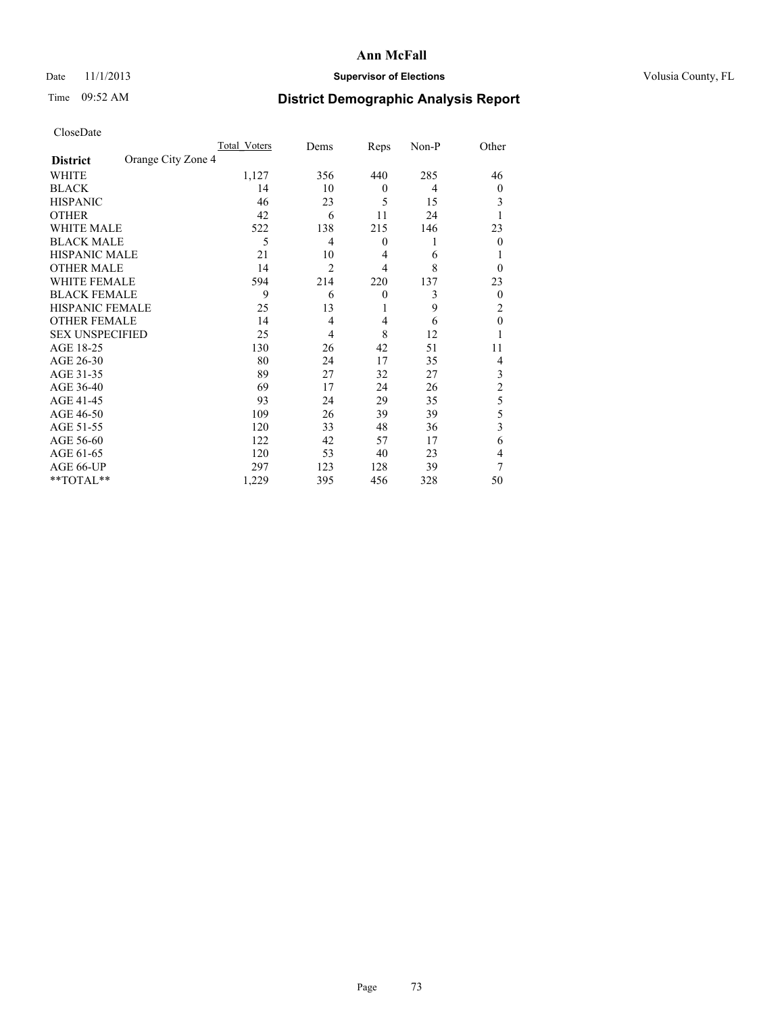# Date 11/1/2013 **Supervisor of Elections Supervisor of Elections** Volusia County, FL

# Time 09:52 AM **District Demographic Analysis Report**

|                        |                    | Total Voters | Dems           | Reps             | Non-P | Other          |
|------------------------|--------------------|--------------|----------------|------------------|-------|----------------|
| <b>District</b>        | Orange City Zone 4 |              |                |                  |       |                |
| WHITE                  |                    | 1,127        | 356            | 440              | 285   | 46             |
| <b>BLACK</b>           |                    | 14           | 10             | $\theta$         | 4     | $\overline{0}$ |
| <b>HISPANIC</b>        |                    | 46           | 23             | 5                | 15    | 3              |
| <b>OTHER</b>           |                    | 42           | 6              | 11               | 24    |                |
| WHITE MALE             |                    | 522          | 138            | 215              | 146   | 23             |
| <b>BLACK MALE</b>      |                    | 5            | 4              | $\boldsymbol{0}$ | 1     | $\Omega$       |
| <b>HISPANIC MALE</b>   |                    | 21           | 10             | 4                | 6     |                |
| <b>OTHER MALE</b>      |                    | 14           | $\overline{2}$ | $\overline{4}$   | 8     | $\Omega$       |
| WHITE FEMALE           |                    | 594          | 214            | 220              | 137   | 23             |
| <b>BLACK FEMALE</b>    |                    | 9            | 6              | $\theta$         | 3     | $\overline{0}$ |
| <b>HISPANIC FEMALE</b> |                    | 25           | 13             | 1                | 9     | 2              |
| <b>OTHER FEMALE</b>    |                    | 14           | 4              | $\overline{4}$   | 6     | $\theta$       |
| <b>SEX UNSPECIFIED</b> |                    | 25           | 4              | 8                | 12    |                |
| AGE 18-25              |                    | 130          | 26             | 42               | 51    | 11             |
| AGE 26-30              |                    | 80           | 24             | 17               | 35    | 4              |
| AGE 31-35              |                    | 89           | 27             | 32               | 27    | 3              |
| AGE 36-40              |                    | 69           | 17             | 24               | 26    | $\overline{c}$ |
| AGE 41-45              |                    | 93           | 24             | 29               | 35    | 5              |
| AGE 46-50              |                    | 109          | 26             | 39               | 39    | 5              |
| AGE 51-55              |                    | 120          | 33             | 48               | 36    | 3              |
| AGE 56-60              |                    | 122          | 42             | 57               | 17    | 6              |
| AGE 61-65              |                    | 120          | 53             | 40               | 23    | 4              |
| AGE 66-UP              |                    | 297          | 123            | 128              | 39    | 7              |
| **TOTAL**              |                    | 1,229        | 395            | 456              | 328   | 50             |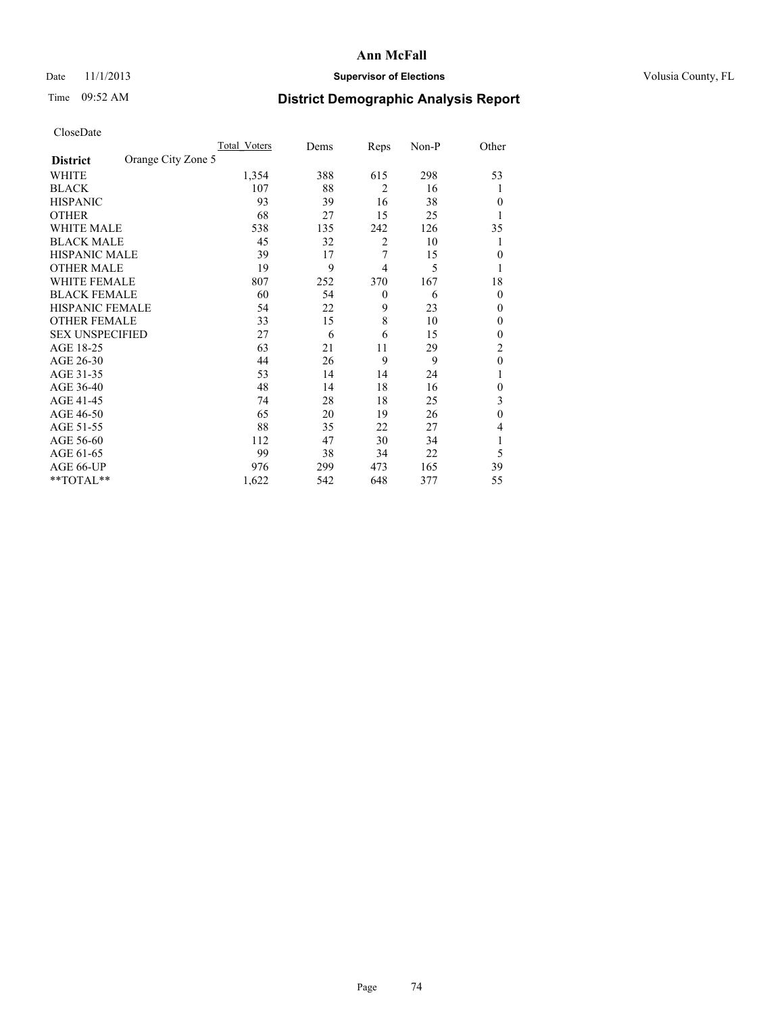## Date 11/1/2013 **Supervisor of Elections Supervisor of Elections** Volusia County, FL

# Time 09:52 AM **District Demographic Analysis Report**

| <b>UIUSUDUI</b> U      |                    |              |      |                |       |                |
|------------------------|--------------------|--------------|------|----------------|-------|----------------|
|                        |                    | Total Voters | Dems | Reps           | Non-P | Other          |
| <b>District</b>        | Orange City Zone 5 |              |      |                |       |                |
| WHITE                  |                    | 1,354        | 388  | 615            | 298   | 53             |
| <b>BLACK</b>           |                    | 107          | 88   | $\overline{2}$ | 16    | 1              |
| <b>HISPANIC</b>        |                    | 93           | 39   | 16             | 38    | $\Omega$       |
| <b>OTHER</b>           |                    | 68           | 27   | 15             | 25    |                |
| WHITE MALE             |                    | 538          | 135  | 242            | 126   | 35             |
| <b>BLACK MALE</b>      |                    | 45           | 32   | $\overline{2}$ | 10    |                |
| <b>HISPANIC MALE</b>   |                    | 39           | 17   | 7              | 15    | $\Omega$       |
| <b>OTHER MALE</b>      |                    | 19           | 9    | 4              | 5     | 1              |
| WHITE FEMALE           |                    | 807          | 252  | 370            | 167   | 18             |
| <b>BLACK FEMALE</b>    |                    | 60           | 54   | $\theta$       | 6     | $\Omega$       |
| HISPANIC FEMALE        |                    | 54           | 22   | 9              | 23    | $\Omega$       |
| <b>OTHER FEMALE</b>    |                    | 33           | 15   | 8              | 10    | $\theta$       |
| <b>SEX UNSPECIFIED</b> |                    | 27           | 6    | 6              | 15    | $\Omega$       |
| AGE 18-25              |                    | 63           | 21   | 11             | 29    | $\overline{c}$ |
| AGE 26-30              |                    | 44           | 26   | 9              | 9     | $\mathbf{0}$   |
| AGE 31-35              |                    | 53           | 14   | 14             | 24    |                |
| AGE 36-40              |                    | 48           | 14   | 18             | 16    | $\theta$       |
| AGE 41-45              |                    | 74           | 28   | 18             | 25    | 3              |
| AGE 46-50              |                    | 65           | 20   | 19             | 26    | $\theta$       |
| AGE 51-55              |                    | 88           | 35   | 22             | 27    | 4              |
| AGE 56-60              |                    | 112          | 47   | 30             | 34    | 1              |
| AGE 61-65              |                    | 99           | 38   | 34             | 22    | 5              |
| AGE 66-UP              |                    | 976          | 299  | 473            | 165   | 39             |
| $*$ TOTAL $*$          |                    | 1,622        | 542  | 648            | 377   | 55             |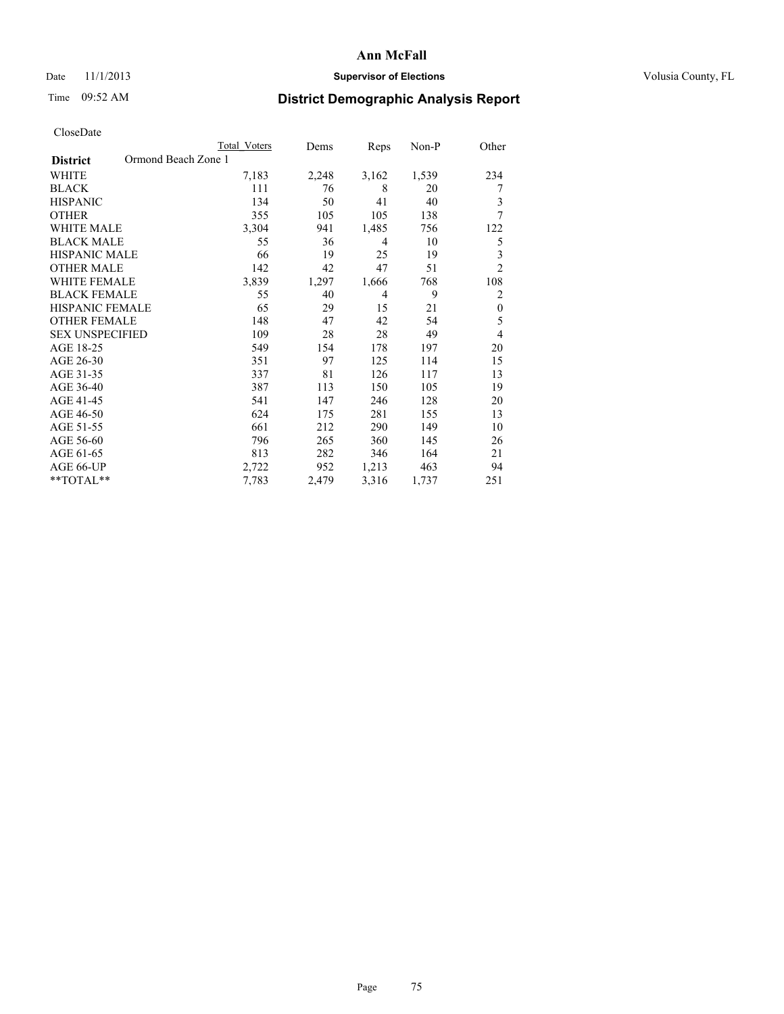## Date 11/1/2013 **Supervisor of Elections Supervisor of Elections** Volusia County, FL

# Time 09:52 AM **District Demographic Analysis Report**

|                                        | Total Voters | Dems  | Reps           | Non-P | Other            |
|----------------------------------------|--------------|-------|----------------|-------|------------------|
| Ormond Beach Zone 1<br><b>District</b> |              |       |                |       |                  |
| <b>WHITE</b>                           | 7,183        | 2,248 | 3,162          | 1,539 | 234              |
| <b>BLACK</b>                           | 111          | 76    | 8              | 20    | 7                |
| <b>HISPANIC</b>                        | 134          | 50    | 41             | 40    | 3                |
| <b>OTHER</b>                           | 355          | 105   | 105            | 138   | 7                |
| <b>WHITE MALE</b>                      | 3,304        | 941   | 1,485          | 756   | 122              |
| <b>BLACK MALE</b>                      | 55           | 36    | $\overline{4}$ | 10    | 5                |
| HISPANIC MALE                          | 66           | 19    | 25             | 19    | 3                |
| <b>OTHER MALE</b>                      | 142          | 42    | 47             | 51    | $\overline{2}$   |
| <b>WHITE FEMALE</b>                    | 3,839        | 1,297 | 1,666          | 768   | 108              |
| <b>BLACK FEMALE</b>                    | 55           | 40    | $\overline{4}$ | 9     | $\overline{2}$   |
| <b>HISPANIC FEMALE</b>                 | 65           | 29    | 15             | 21    | $\boldsymbol{0}$ |
| <b>OTHER FEMALE</b>                    | 148          | 47    | 42             | 54    | 5                |
| <b>SEX UNSPECIFIED</b>                 | 109          | 28    | 28             | 49    | 4                |
| AGE 18-25                              | 549          | 154   | 178            | 197   | 20               |
| AGE 26-30                              | 351          | 97    | 125            | 114   | 15               |
| AGE 31-35                              | 337          | 81    | 126            | 117   | 13               |
| AGE 36-40                              | 387          | 113   | 150            | 105   | 19               |
| AGE 41-45                              | 541          | 147   | 246            | 128   | 20               |
| AGE 46-50                              | 624          | 175   | 281            | 155   | 13               |
| AGE 51-55                              | 661          | 212   | 290            | 149   | 10               |
| AGE 56-60                              | 796          | 265   | 360            | 145   | 26               |
| AGE 61-65                              | 813          | 282   | 346            | 164   | 21               |
| AGE 66-UP                              | 2,722        | 952   | 1,213          | 463   | 94               |
| **TOTAL**                              | 7,783        | 2,479 | 3,316          | 1,737 | 251              |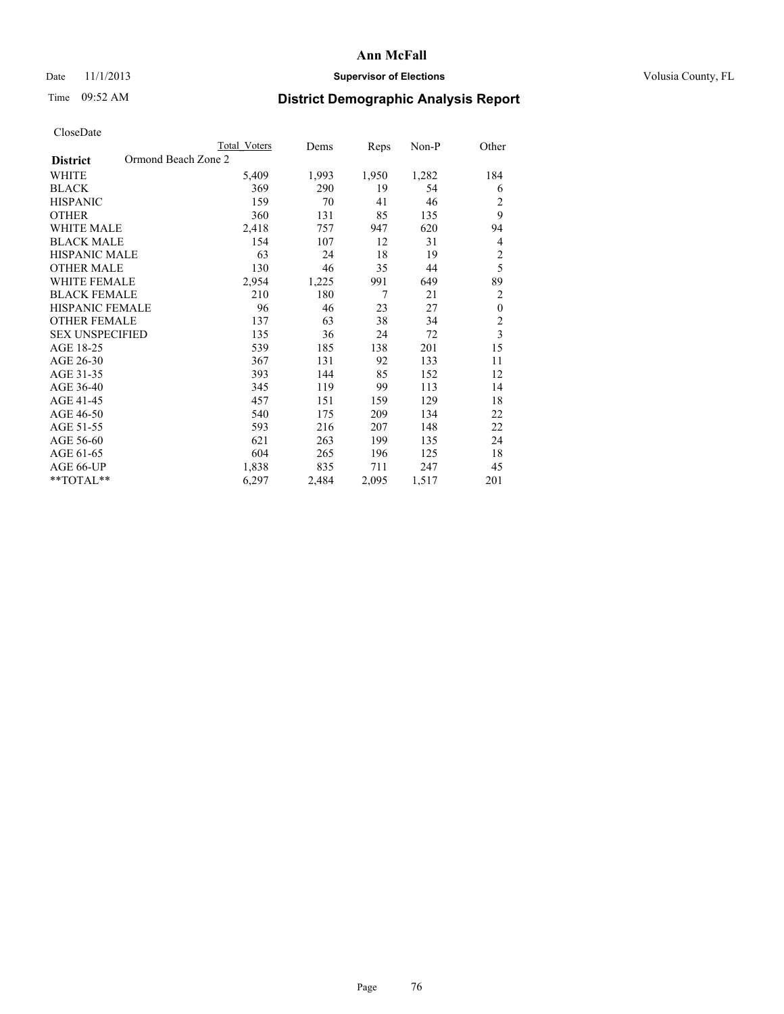## Date 11/1/2013 **Supervisor of Elections Supervisor of Elections** Volusia County, FL

# Time 09:52 AM **District Demographic Analysis Report**

|                                        | <b>Total Voters</b> | Dems  | Reps  | Non-P | Other            |
|----------------------------------------|---------------------|-------|-------|-------|------------------|
| Ormond Beach Zone 2<br><b>District</b> |                     |       |       |       |                  |
| <b>WHITE</b>                           | 5,409               | 1,993 | 1,950 | 1,282 | 184              |
| <b>BLACK</b>                           | 369                 | 290   | 19    | 54    | 6                |
| <b>HISPANIC</b>                        | 159                 | 70    | 41    | 46    | $\overline{2}$   |
| <b>OTHER</b>                           | 360                 | 131   | 85    | 135   | 9                |
| WHITE MALE                             | 2,418               | 757   | 947   | 620   | 94               |
| <b>BLACK MALE</b>                      | 154                 | 107   | 12    | 31    | 4                |
| HISPANIC MALE                          | 63                  | 24    | 18    | 19    | $\overline{c}$   |
| <b>OTHER MALE</b>                      | 130                 | 46    | 35    | 44    | 5                |
| WHITE FEMALE                           | 2,954               | 1,225 | 991   | 649   | 89               |
| <b>BLACK FEMALE</b>                    | 210                 | 180   | 7     | 21    | $\overline{2}$   |
| <b>HISPANIC FEMALE</b>                 | 96                  | 46    | 23    | 27    | $\boldsymbol{0}$ |
| <b>OTHER FEMALE</b>                    | 137                 | 63    | 38    | 34    | $\overline{2}$   |
| <b>SEX UNSPECIFIED</b>                 | 135                 | 36    | 24    | 72    | $\overline{3}$   |
| AGE 18-25                              | 539                 | 185   | 138   | 201   | 15               |
| AGE 26-30                              | 367                 | 131   | 92    | 133   | 11               |
| AGE 31-35                              | 393                 | 144   | 85    | 152   | 12               |
| AGE 36-40                              | 345                 | 119   | 99    | 113   | 14               |
| AGE 41-45                              | 457                 | 151   | 159   | 129   | 18               |
| AGE 46-50                              | 540                 | 175   | 209   | 134   | 22               |
| AGE 51-55                              | 593                 | 216   | 207   | 148   | 22               |
| AGE 56-60                              | 621                 | 263   | 199   | 135   | 24               |
| AGE 61-65                              | 604                 | 265   | 196   | 125   | 18               |
| AGE 66-UP                              | 1,838               | 835   | 711   | 247   | 45               |
| **TOTAL**                              | 6,297               | 2,484 | 2,095 | 1,517 | 201              |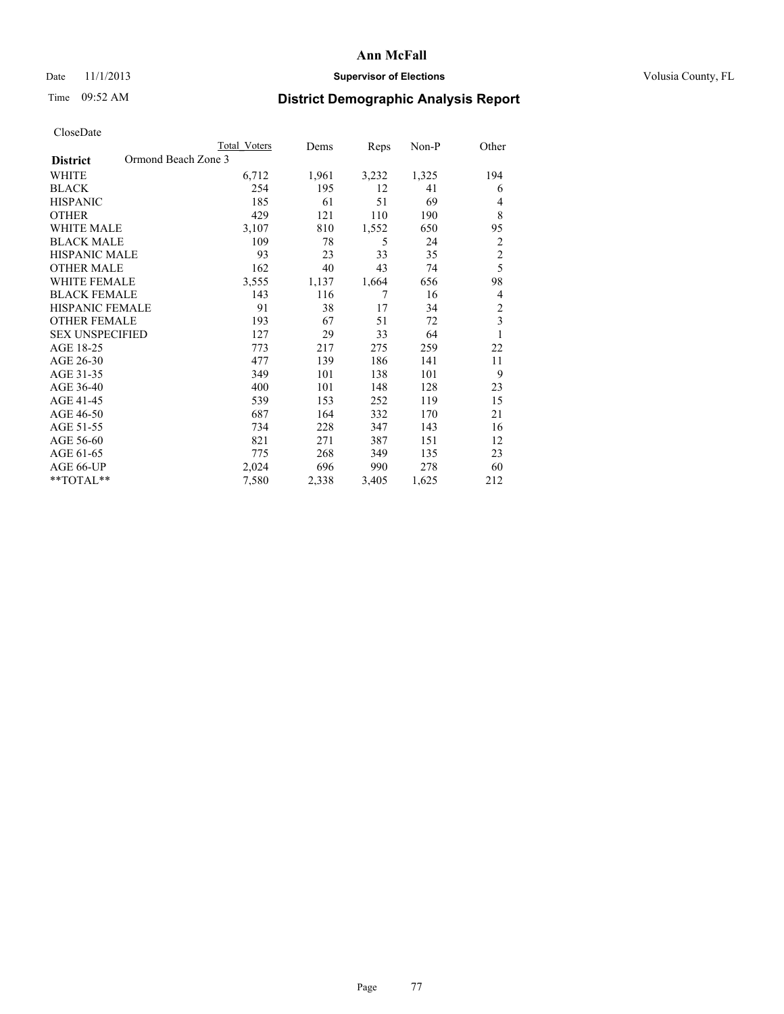# Date 11/1/2013 **Supervisor of Elections Supervisor of Elections** Volusia County, FL

# Time 09:52 AM **District Demographic Analysis Report**

|                                        | Total Voters | Dems  | Reps  | Non-P | Other          |
|----------------------------------------|--------------|-------|-------|-------|----------------|
| Ormond Beach Zone 3<br><b>District</b> |              |       |       |       |                |
| WHITE                                  | 6,712        | 1,961 | 3,232 | 1,325 | 194            |
| <b>BLACK</b>                           | 254          | 195   | 12    | 41    | 6              |
| <b>HISPANIC</b>                        | 185          | 61    | 51    | 69    | 4              |
| <b>OTHER</b>                           | 429          | 121   | 110   | 190   | 8              |
| WHITE MALE                             | 3,107        | 810   | 1,552 | 650   | 95             |
| <b>BLACK MALE</b>                      | 109          | 78    | 5     | 24    | $\overline{2}$ |
| <b>HISPANIC MALE</b>                   | 93           | 23    | 33    | 35    | $\overline{c}$ |
| <b>OTHER MALE</b>                      | 162          | 40    | 43    | 74    | 5              |
| WHITE FEMALE                           | 3,555        | 1,137 | 1,664 | 656   | 98             |
| <b>BLACK FEMALE</b>                    | 143          | 116   | 7     | 16    | 4              |
| <b>HISPANIC FEMALE</b>                 | 91           | 38    | 17    | 34    | $\overline{c}$ |
| <b>OTHER FEMALE</b>                    | 193          | 67    | 51    | 72    | 3              |
| <b>SEX UNSPECIFIED</b>                 | 127          | 29    | 33    | 64    | 1              |
| AGE 18-25                              | 773          | 217   | 275   | 259   | 22             |
| AGE 26-30                              | 477          | 139   | 186   | 141   | 11             |
| AGE 31-35                              | 349          | 101   | 138   | 101   | 9              |
| AGE 36-40                              | 400          | 101   | 148   | 128   | 23             |
| AGE 41-45                              | 539          | 153   | 252   | 119   | 15             |
| AGE 46-50                              | 687          | 164   | 332   | 170   | 21             |
| AGE 51-55                              | 734          | 228   | 347   | 143   | 16             |
| AGE 56-60                              | 821          | 271   | 387   | 151   | 12             |
| AGE 61-65                              | 775          | 268   | 349   | 135   | 23             |
| AGE 66-UP                              | 2,024        | 696   | 990   | 278   | 60             |
| **TOTAL**                              | 7,580        | 2,338 | 3,405 | 1,625 | 212            |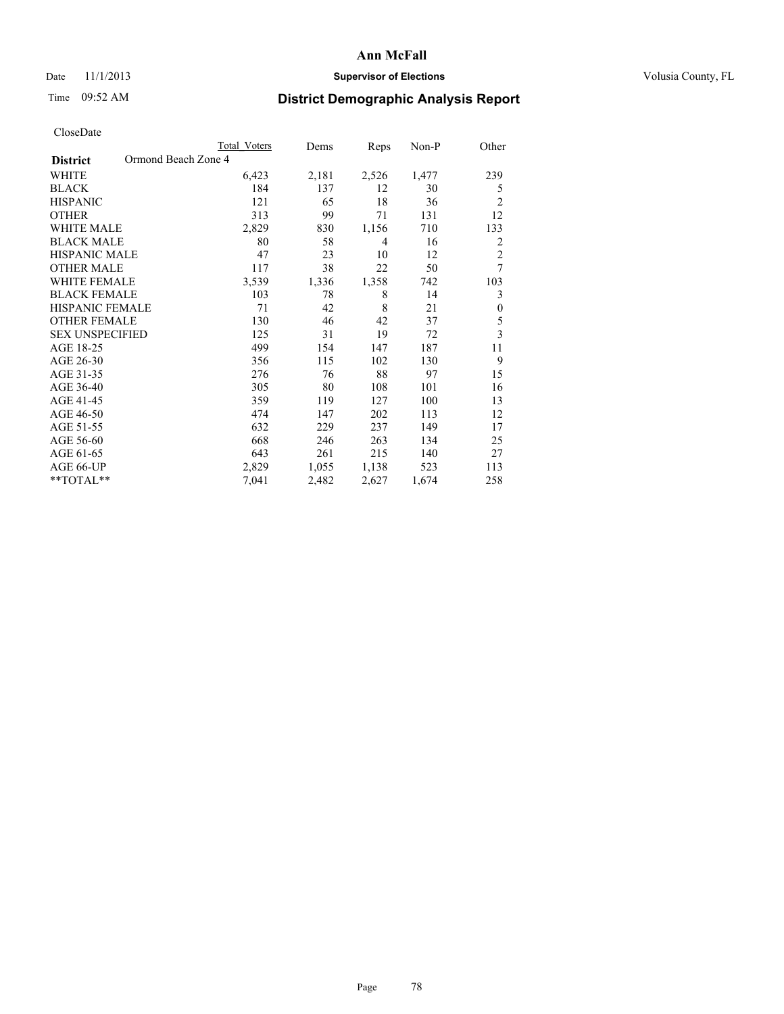# Date 11/1/2013 **Supervisor of Elections Supervisor of Elections** Volusia County, FL

# Time 09:52 AM **District Demographic Analysis Report**

|                        | Total Voters        | Dems  | Reps  | Non-P | Other          |
|------------------------|---------------------|-------|-------|-------|----------------|
| <b>District</b>        | Ormond Beach Zone 4 |       |       |       |                |
| WHITE                  | 6,423               | 2,181 | 2,526 | 1,477 | 239            |
| <b>BLACK</b>           | 184                 | 137   | 12    | 30    | 5              |
| <b>HISPANIC</b>        | 121                 | 65    | 18    | 36    | $\overline{c}$ |
| <b>OTHER</b>           | 313                 | 99    | 71    | 131   | 12             |
| <b>WHITE MALE</b>      | 2,829               | 830   | 1,156 | 710   | 133            |
| <b>BLACK MALE</b>      | 80                  | 58    | 4     | 16    | 2              |
| <b>HISPANIC MALE</b>   | 47                  | 23    | 10    | 12    | $\overline{2}$ |
| <b>OTHER MALE</b>      | 117                 | 38    | 22    | 50    | 7              |
| <b>WHITE FEMALE</b>    | 3,539               | 1,336 | 1,358 | 742   | 103            |
| <b>BLACK FEMALE</b>    | 103                 | 78    | 8     | 14    | 3              |
| HISPANIC FEMALE        | 71                  | 42    | 8     | 21    | $\mathbf{0}$   |
| <b>OTHER FEMALE</b>    | 130                 | 46    | 42    | 37    | 5              |
| <b>SEX UNSPECIFIED</b> | 125                 | 31    | 19    | 72    | 3              |
| AGE 18-25              | 499                 | 154   | 147   | 187   | 11             |
| AGE 26-30              | 356                 | 115   | 102   | 130   | 9              |
| AGE 31-35              | 276                 | 76    | 88    | 97    | 15             |
| AGE 36-40              | 305                 | 80    | 108   | 101   | 16             |
| AGE 41-45              | 359                 | 119   | 127   | 100   | 13             |
| AGE 46-50              | 474                 | 147   | 202   | 113   | 12             |
| AGE 51-55              | 632                 | 229   | 237   | 149   | 17             |
| AGE 56-60              | 668                 | 246   | 263   | 134   | 25             |
| AGE 61-65              | 643                 | 261   | 215   | 140   | 27             |
| AGE 66-UP              | 2,829               | 1,055 | 1,138 | 523   | 113            |
| **TOTAL**              | 7,041               | 2,482 | 2,627 | 1,674 | 258            |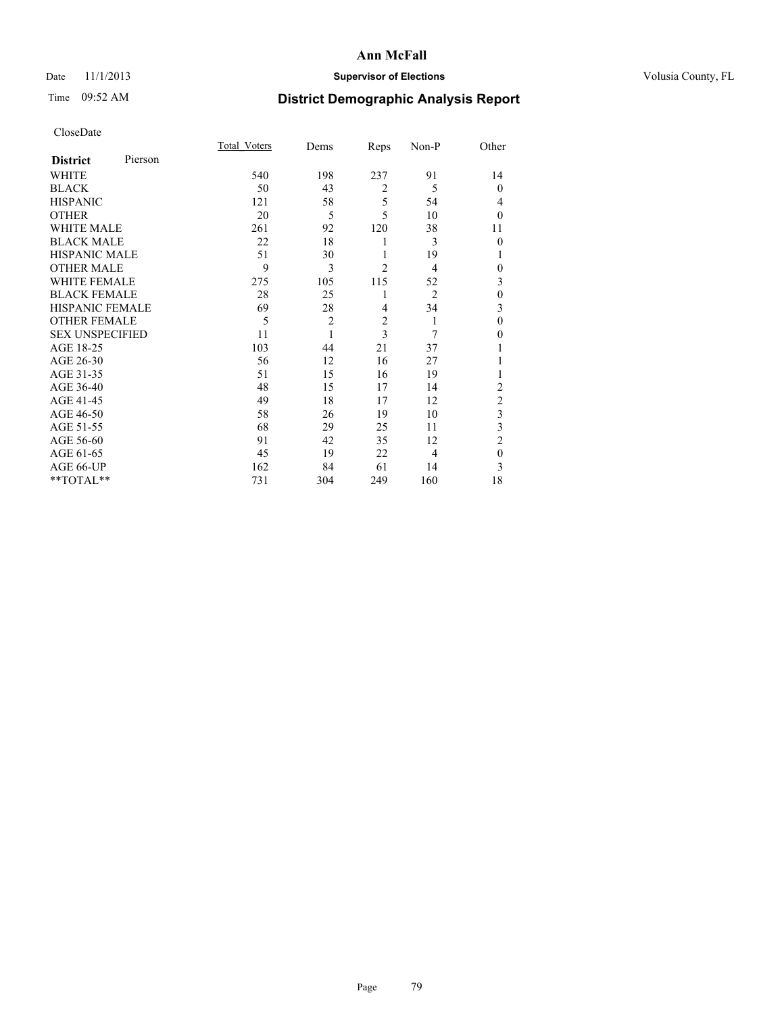# Date 11/1/2013 **Supervisor of Elections Supervisor of Elections** Volusia County, FL

# Time 09:52 AM **District Demographic Analysis Report**

|                        |         | <b>Total Voters</b> | Dems           | Reps           | Non-P          | Other          |
|------------------------|---------|---------------------|----------------|----------------|----------------|----------------|
| <b>District</b>        | Pierson |                     |                |                |                |                |
| WHITE                  |         | 540                 | 198            | 237            | 91             | 14             |
| <b>BLACK</b>           |         | 50                  | 43             | $\overline{2}$ | 5              | $\theta$       |
| <b>HISPANIC</b>        |         | 121                 | 58             | 5              | 54             | 4              |
| <b>OTHER</b>           |         | 20                  | 5              | 5              | 10             | $\theta$       |
| WHITE MALE             |         | 261                 | 92             | 120            | 38             | 11             |
| <b>BLACK MALE</b>      |         | 22                  | 18             | 1              | 3              | $\theta$       |
| <b>HISPANIC MALE</b>   |         | 51                  | 30             | 1              | 19             | 1              |
| <b>OTHER MALE</b>      |         | 9                   | 3              | $\overline{2}$ | 4              | $\theta$       |
| WHITE FEMALE           |         | 275                 | 105            | 115            | 52             | 3              |
| <b>BLACK FEMALE</b>    |         | 28                  | 25             | 1              | $\overline{2}$ | $\mathbf{0}$   |
| <b>HISPANIC FEMALE</b> |         | 69                  | 28             | 4              | 34             | 3              |
| <b>OTHER FEMALE</b>    |         | 5                   | $\overline{c}$ | $\overline{c}$ | 1              | $\theta$       |
| <b>SEX UNSPECIFIED</b> |         | 11                  | 1              | 3              | 7              | $\theta$       |
| AGE 18-25              |         | 103                 | 44             | 21             | 37             |                |
| AGE 26-30              |         | 56                  | 12             | 16             | 27             | 1              |
| AGE 31-35              |         | 51                  | 15             | 16             | 19             | 1              |
| AGE 36-40              |         | 48                  | 15             | 17             | 14             | $\overline{c}$ |
| AGE 41-45              |         | 49                  | 18             | 17             | 12             | $\overline{c}$ |
| AGE 46-50              |         | 58                  | 26             | 19             | 10             | 3              |
| AGE 51-55              |         | 68                  | 29             | 25             | 11             | 3              |
| AGE 56-60              |         | 91                  | 42             | 35             | 12             | $\overline{2}$ |
| AGE 61-65              |         | 45                  | 19             | 22             | 4              | $\mathbf{0}$   |
| AGE 66-UP              |         | 162                 | 84             | 61             | 14             | 3              |
| **TOTAL**              |         | 731                 | 304            | 249            | 160            | 18             |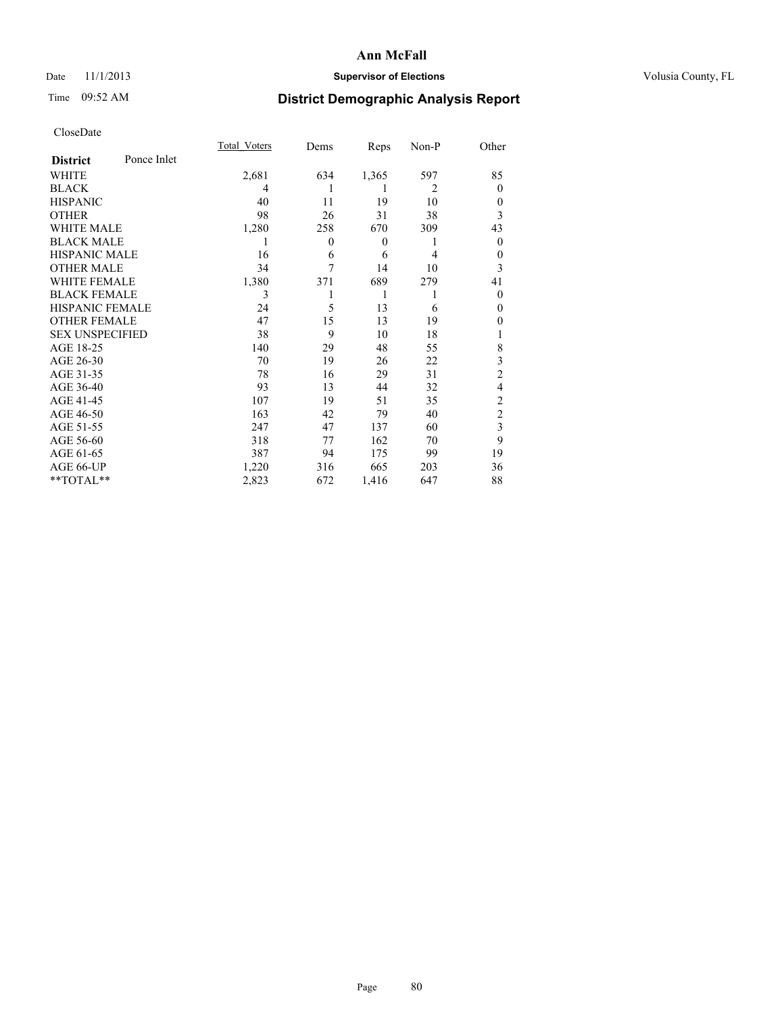# Date 11/1/2013 **Supervisor of Elections Supervisor of Elections** Volusia County, FL

# Time 09:52 AM **District Demographic Analysis Report**

|                        |             | Total Voters | Dems             | Reps             | Non-P          | Other          |
|------------------------|-------------|--------------|------------------|------------------|----------------|----------------|
| <b>District</b>        | Ponce Inlet |              |                  |                  |                |                |
| WHITE                  |             | 2,681        | 634              | 1,365            | 597            | 85             |
| <b>BLACK</b>           |             | 4            | 1                | 1                | $\overline{2}$ | $\theta$       |
| <b>HISPANIC</b>        |             | 40           | 11               | 19               | 10             | $\theta$       |
| <b>OTHER</b>           |             | 98           | 26               | 31               | 38             | 3              |
| WHITE MALE             |             | 1,280        | 258              | 670              | 309            | 43             |
| <b>BLACK MALE</b>      |             | 1            | $\boldsymbol{0}$ | $\boldsymbol{0}$ | 1              | $\overline{0}$ |
| <b>HISPANIC MALE</b>   |             | 16           | 6                | 6                | 4              | $\theta$       |
| <b>OTHER MALE</b>      |             | 34           | 7                | 14               | 10             | 3              |
| <b>WHITE FEMALE</b>    |             | 1,380        | 371              | 689              | 279            | 41             |
| <b>BLACK FEMALE</b>    |             | 3            |                  | 1                | 1              | $\theta$       |
| <b>HISPANIC FEMALE</b> |             | 24           | 5                | 13               | 6              | $\theta$       |
| <b>OTHER FEMALE</b>    |             | 47           | 15               | 13               | 19             | 0              |
| <b>SEX UNSPECIFIED</b> |             | 38           | 9                | 10               | 18             |                |
| AGE 18-25              |             | 140          | 29               | 48               | 55             | 8              |
| AGE 26-30              |             | 70           | 19               | 26               | 22             | 3              |
| AGE 31-35              |             | 78           | 16               | 29               | 31             | $\overline{c}$ |
| AGE 36-40              |             | 93           | 13               | 44               | 32             | 4              |
| AGE 41-45              |             | 107          | 19               | 51               | 35             | $\overline{c}$ |
| AGE 46-50              |             | 163          | 42               | 79               | 40             | $\overline{2}$ |
| AGE 51-55              |             | 247          | 47               | 137              | 60             | 3              |
| AGE 56-60              |             | 318          | 77               | 162              | 70             | 9              |
| AGE 61-65              |             | 387          | 94               | 175              | 99             | 19             |
| AGE 66-UP              |             | 1,220        | 316              | 665              | 203            | 36             |
| **TOTAL**              |             | 2,823        | 672              | 1,416            | 647            | 88             |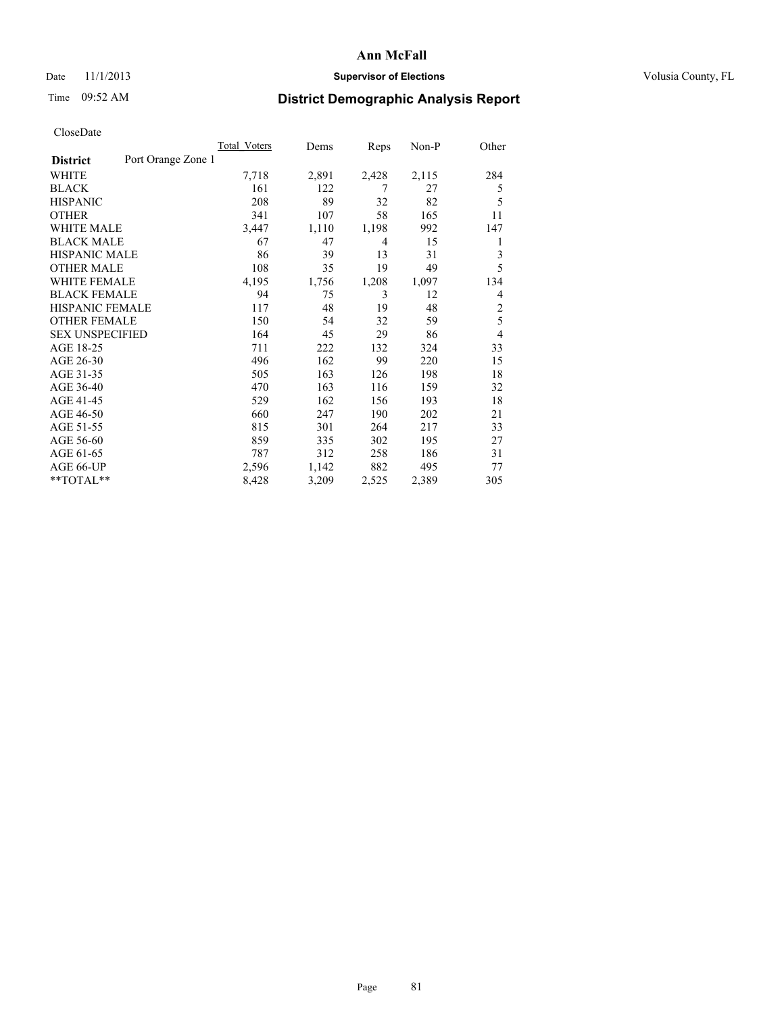## Date 11/1/2013 **Supervisor of Elections Supervisor of Elections** Volusia County, FL

# Time 09:52 AM **District Demographic Analysis Report**

|                                       | Total Voters | Dems  | Reps  | Non-P | Other          |
|---------------------------------------|--------------|-------|-------|-------|----------------|
| Port Orange Zone 1<br><b>District</b> |              |       |       |       |                |
| WHITE                                 | 7,718        | 2,891 | 2,428 | 2,115 | 284            |
| <b>BLACK</b>                          | 161          | 122   | 7     | 27    | 5              |
| <b>HISPANIC</b>                       | 208          | 89    | 32    | 82    | 5              |
| <b>OTHER</b>                          | 341          | 107   | 58    | 165   | 11             |
| <b>WHITE MALE</b>                     | 3,447        | 1,110 | 1,198 | 992   | 147            |
| <b>BLACK MALE</b>                     | 67           | 47    | 4     | 15    | 1              |
| <b>HISPANIC MALE</b>                  | 86           | 39    | 13    | 31    | 3              |
| <b>OTHER MALE</b>                     | 108          | 35    | 19    | 49    | 5              |
| <b>WHITE FEMALE</b>                   | 4,195        | 1,756 | 1,208 | 1,097 | 134            |
| <b>BLACK FEMALE</b>                   | 94           | 75    | 3     | 12    | 4              |
| HISPANIC FEMALE                       | 117          | 48    | 19    | 48    | $\overline{c}$ |
| <b>OTHER FEMALE</b>                   | 150          | 54    | 32    | 59    | 5              |
| <b>SEX UNSPECIFIED</b>                | 164          | 45    | 29    | 86    | $\overline{4}$ |
| AGE 18-25                             | 711          | 222   | 132   | 324   | 33             |
| AGE 26-30                             | 496          | 162   | 99    | 220   | 15             |
| AGE 31-35                             | 505          | 163   | 126   | 198   | 18             |
| AGE 36-40                             | 470          | 163   | 116   | 159   | 32             |
| AGE 41-45                             | 529          | 162   | 156   | 193   | 18             |
| AGE 46-50                             | 660          | 247   | 190   | 202   | 21             |
| AGE 51-55                             | 815          | 301   | 264   | 217   | 33             |
| AGE 56-60                             | 859          | 335   | 302   | 195   | 27             |
| AGE 61-65                             | 787          | 312   | 258   | 186   | 31             |
| AGE 66-UP                             | 2,596        | 1,142 | 882   | 495   | 77             |
| **TOTAL**                             | 8,428        | 3,209 | 2,525 | 2,389 | 305            |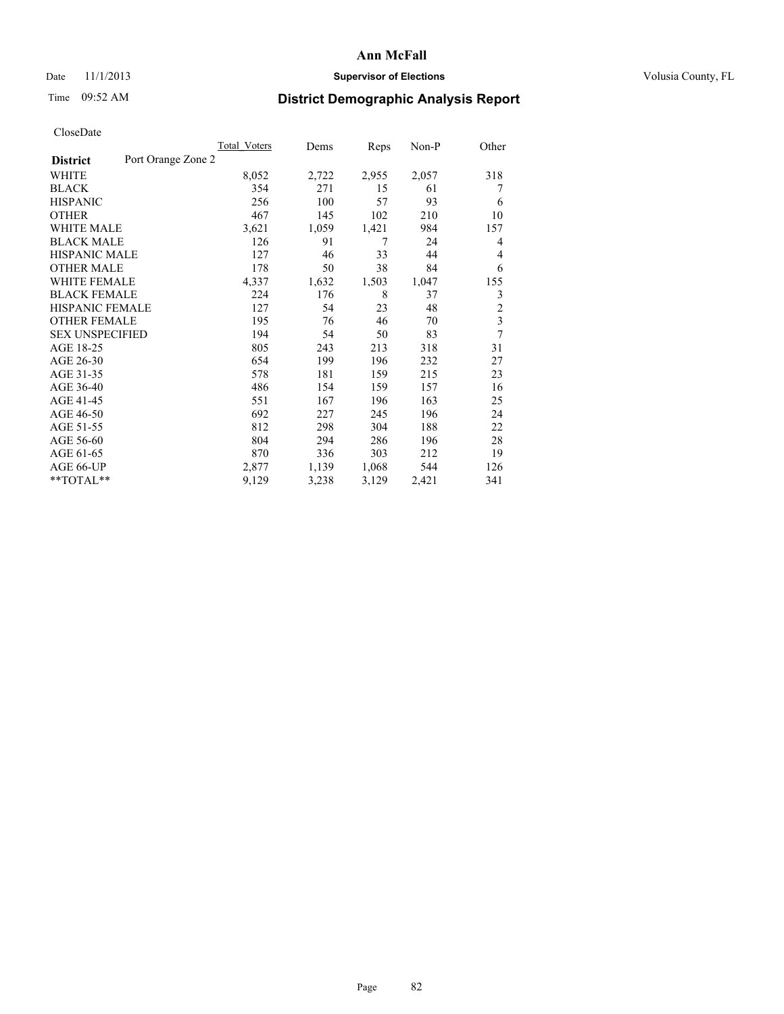# Date 11/1/2013 **Supervisor of Elections Supervisor of Elections** Volusia County, FL

# Time 09:52 AM **District Demographic Analysis Report**

|                        |                    | Total Voters | Dems  | Reps  | Non-P | Other          |
|------------------------|--------------------|--------------|-------|-------|-------|----------------|
| <b>District</b>        | Port Orange Zone 2 |              |       |       |       |                |
| WHITE                  |                    | 8,052        | 2,722 | 2,955 | 2,057 | 318            |
| <b>BLACK</b>           |                    | 354          | 271   | 15    | 61    | 7              |
| <b>HISPANIC</b>        |                    | 256          | 100   | 57    | 93    | 6              |
| <b>OTHER</b>           |                    | 467          | 145   | 102   | 210   | 10             |
| WHITE MALE             |                    | 3,621        | 1,059 | 1,421 | 984   | 157            |
| <b>BLACK MALE</b>      |                    | 126          | 91    | 7     | 24    | 4              |
| <b>HISPANIC MALE</b>   |                    | 127          | 46    | 33    | 44    | 4              |
| <b>OTHER MALE</b>      |                    | 178          | 50    | 38    | 84    | 6              |
| WHITE FEMALE           |                    | 4,337        | 1,632 | 1,503 | 1,047 | 155            |
| <b>BLACK FEMALE</b>    |                    | 224          | 176   | 8     | 37    | 3              |
| HISPANIC FEMALE        |                    | 127          | 54    | 23    | 48    | $\overline{c}$ |
| OTHER FEMALE           |                    | 195          | 76    | 46    | 70    | 3              |
| <b>SEX UNSPECIFIED</b> |                    | 194          | 54    | 50    | 83    | 7              |
| AGE 18-25              |                    | 805          | 243   | 213   | 318   | 31             |
| AGE 26-30              |                    | 654          | 199   | 196   | 232   | 27             |
| AGE 31-35              |                    | 578          | 181   | 159   | 215   | 23             |
| AGE 36-40              |                    | 486          | 154   | 159   | 157   | 16             |
| AGE 41-45              |                    | 551          | 167   | 196   | 163   | 25             |
| AGE 46-50              |                    | 692          | 227   | 245   | 196   | 24             |
| AGE 51-55              |                    | 812          | 298   | 304   | 188   | 22             |
| AGE 56-60              |                    | 804          | 294   | 286   | 196   | 28             |
| AGE 61-65              |                    | 870          | 336   | 303   | 212   | 19             |
| AGE 66-UP              |                    | 2,877        | 1,139 | 1,068 | 544   | 126            |
| **TOTAL**              |                    | 9,129        | 3,238 | 3,129 | 2,421 | 341            |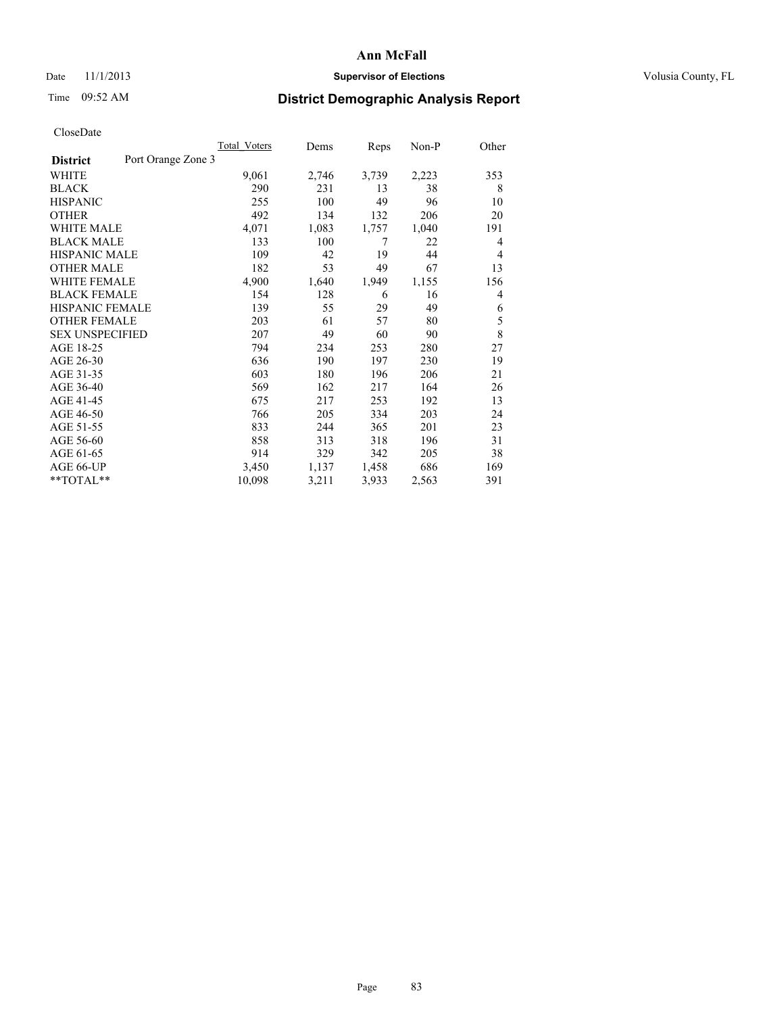## Date 11/1/2013 **Supervisor of Elections Supervisor of Elections** Volusia County, FL

# Time 09:52 AM **District Demographic Analysis Report**

| Total Voters | Dems               | Reps  | Non-P | Other |
|--------------|--------------------|-------|-------|-------|
|              |                    |       |       |       |
| 9,061        | 2,746              | 3,739 | 2,223 | 353   |
| 290          | 231                | 13    | 38    | 8     |
| 255          | 100                | 49    | 96    | 10    |
| 492          | 134                | 132   | 206   | 20    |
| 4,071        | 1,083              | 1,757 | 1,040 | 191   |
| 133          | 100                | 7     | 22    | 4     |
| 109          | 42                 | 19    | 44    | 4     |
| 182          | 53                 | 49    | 67    | 13    |
| 4,900        | 1,640              | 1,949 | 1,155 | 156   |
| 154          | 128                | 6     | 16    | 4     |
| 139          | 55                 | 29    | 49    | 6     |
| 203          | 61                 | 57    | 80    | 5     |
| 207          | 49                 | 60    | 90    | 8     |
| 794          | 234                | 253   | 280   | 27    |
| 636          | 190                | 197   | 230   | 19    |
| 603          | 180                | 196   | 206   | 21    |
| 569          | 162                | 217   | 164   | 26    |
| 675          | 217                | 253   | 192   | 13    |
| 766          | 205                | 334   | 203   | 24    |
| 833          | 244                | 365   | 201   | 23    |
| 858          | 313                | 318   | 196   | 31    |
| 914          | 329                | 342   | 205   | 38    |
| 3,450        | 1,137              | 1,458 | 686   | 169   |
| 10,098       | 3,211              | 3,933 | 2,563 | 391   |
|              | Port Orange Zone 3 |       |       |       |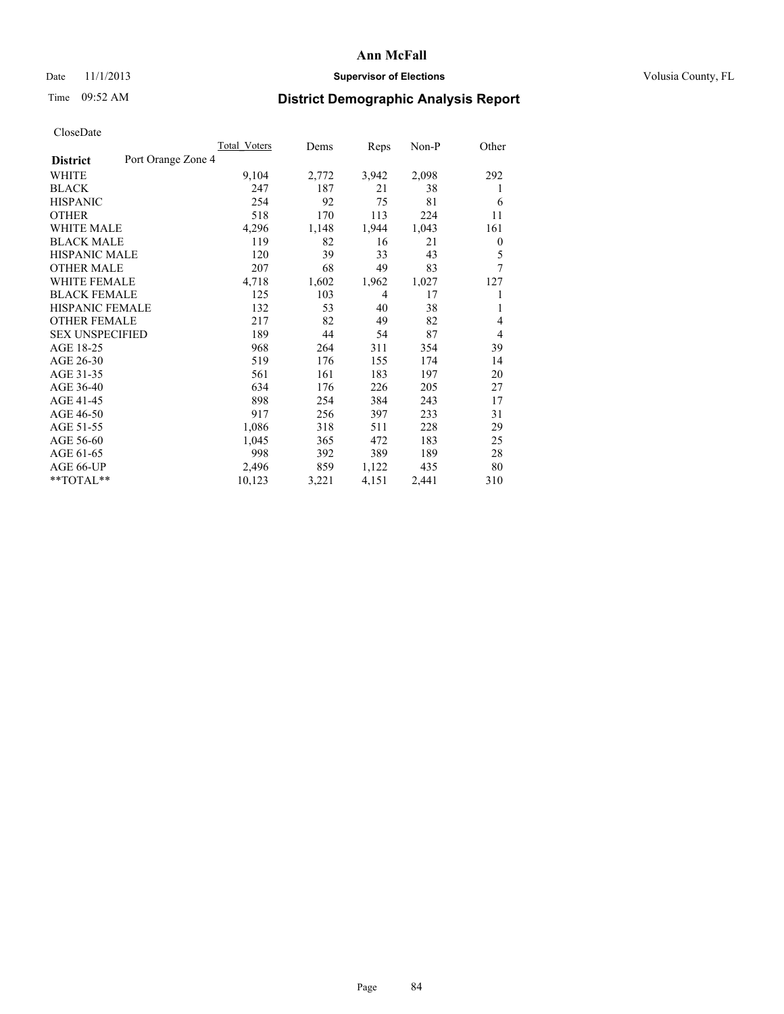# Date 11/1/2013 **Supervisor of Elections Supervisor of Elections** Volusia County, FL

# Time 09:52 AM **District Demographic Analysis Report**

|                        |                    | Total Voters | Dems  | Reps           | $Non-P$ | Other            |
|------------------------|--------------------|--------------|-------|----------------|---------|------------------|
| <b>District</b>        | Port Orange Zone 4 |              |       |                |         |                  |
| WHITE                  |                    | 9,104        | 2,772 | 3,942          | 2,098   | 292              |
| <b>BLACK</b>           |                    | 247          | 187   | 21             | 38      | 1                |
| <b>HISPANIC</b>        |                    | 254          | 92    | 75             | 81      | 6                |
| <b>OTHER</b>           |                    | 518          | 170   | 113            | 224     | 11               |
| WHITE MALE             |                    | 4,296        | 1,148 | 1,944          | 1,043   | 161              |
| <b>BLACK MALE</b>      |                    | 119          | 82    | 16             | 21      | $\boldsymbol{0}$ |
| <b>HISPANIC MALE</b>   |                    | 120          | 39    | 33             | 43      | 5                |
| <b>OTHER MALE</b>      |                    | 207          | 68    | 49             | 83      | 7                |
| <b>WHITE FEMALE</b>    |                    | 4,718        | 1,602 | 1,962          | 1,027   | 127              |
| <b>BLACK FEMALE</b>    |                    | 125          | 103   | $\overline{4}$ | 17      | 1                |
| HISPANIC FEMALE        |                    | 132          | 53    | 40             | 38      | 1                |
| <b>OTHER FEMALE</b>    |                    | 217          | 82    | 49             | 82      | 4                |
| <b>SEX UNSPECIFIED</b> |                    | 189          | 44    | 54             | 87      | $\overline{4}$   |
| AGE 18-25              |                    | 968          | 264   | 311            | 354     | 39               |
| AGE 26-30              |                    | 519          | 176   | 155            | 174     | 14               |
| AGE 31-35              |                    | 561          | 161   | 183            | 197     | 20               |
| AGE 36-40              |                    | 634          | 176   | 226            | 205     | 27               |
| AGE 41-45              |                    | 898          | 254   | 384            | 243     | 17               |
| AGE 46-50              |                    | 917          | 256   | 397            | 233     | 31               |
| AGE 51-55              |                    | 1,086        | 318   | 511            | 228     | 29               |
| AGE 56-60              |                    | 1,045        | 365   | 472            | 183     | 25               |
| AGE 61-65              |                    | 998          | 392   | 389            | 189     | 28               |
| AGE 66-UP              |                    | 2,496        | 859   | 1,122          | 435     | 80               |
| **TOTAL**              |                    | 10,123       | 3,221 | 4,151          | 2,441   | 310              |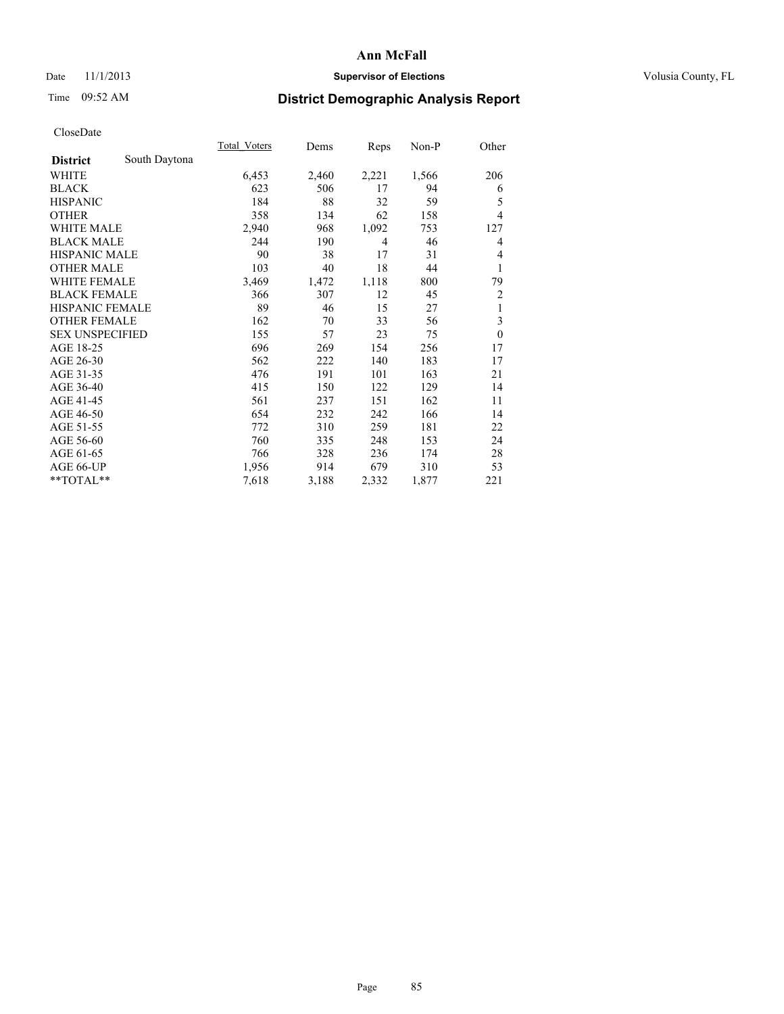# Date 11/1/2013 **Supervisor of Elections Supervisor of Elections** Volusia County, FL

# Time 09:52 AM **District Demographic Analysis Report**

|                        |               | <b>Total Voters</b> | Dems  | Reps  | $Non-P$ | Other          |
|------------------------|---------------|---------------------|-------|-------|---------|----------------|
| <b>District</b>        | South Daytona |                     |       |       |         |                |
| WHITE                  |               | 6,453               | 2,460 | 2,221 | 1,566   | 206            |
| <b>BLACK</b>           |               | 623                 | 506   | 17    | 94      | 6              |
| <b>HISPANIC</b>        |               | 184                 | 88    | 32    | 59      | 5              |
| <b>OTHER</b>           |               | 358                 | 134   | 62    | 158     | 4              |
| WHITE MALE             |               | 2,940               | 968   | 1,092 | 753     | 127            |
| <b>BLACK MALE</b>      |               | 244                 | 190   | 4     | 46      | 4              |
| <b>HISPANIC MALE</b>   |               | 90                  | 38    | 17    | 31      | 4              |
| <b>OTHER MALE</b>      |               | 103                 | 40    | 18    | 44      | 1              |
| WHITE FEMALE           |               | 3,469               | 1,472 | 1,118 | 800     | 79             |
| <b>BLACK FEMALE</b>    |               | 366                 | 307   | 12    | 45      | $\overline{c}$ |
| <b>HISPANIC FEMALE</b> |               | 89                  | 46    | 15    | 27      | 1              |
| <b>OTHER FEMALE</b>    |               | 162                 | 70    | 33    | 56      | 3              |
| <b>SEX UNSPECIFIED</b> |               | 155                 | 57    | 23    | 75      | $\mathbf{0}$   |
| AGE 18-25              |               | 696                 | 269   | 154   | 256     | 17             |
| AGE 26-30              |               | 562                 | 222   | 140   | 183     | 17             |
| AGE 31-35              |               | 476                 | 191   | 101   | 163     | 21             |
| AGE 36-40              |               | 415                 | 150   | 122   | 129     | 14             |
| AGE 41-45              |               | 561                 | 237   | 151   | 162     | 11             |
| AGE 46-50              |               | 654                 | 232   | 242   | 166     | 14             |
| AGE 51-55              |               | 772                 | 310   | 259   | 181     | 22             |
| AGE 56-60              |               | 760                 | 335   | 248   | 153     | 24             |
| AGE 61-65              |               | 766                 | 328   | 236   | 174     | 28             |
| AGE 66-UP              |               | 1,956               | 914   | 679   | 310     | 53             |
| **TOTAL**              |               | 7,618               | 3,188 | 2,332 | 1,877   | 221            |